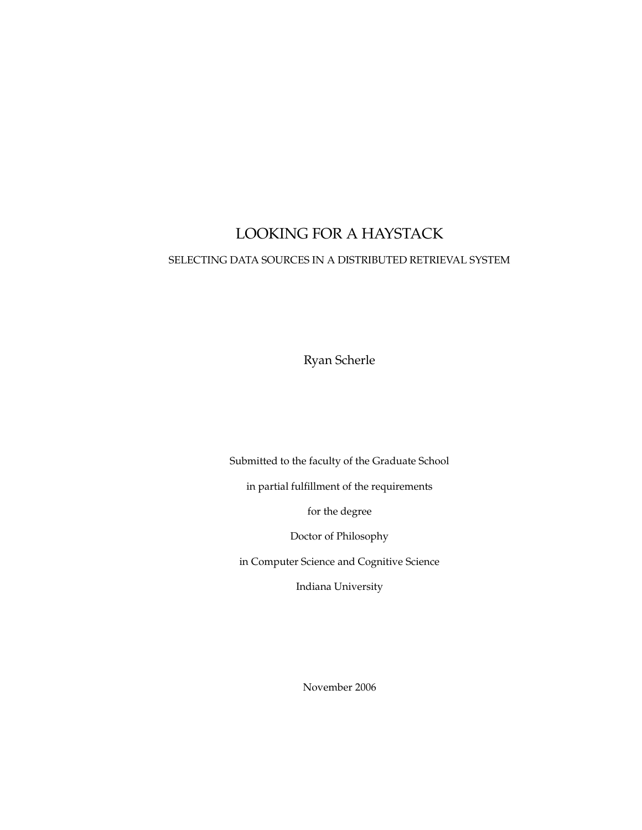### LOOKING FOR A HAYSTACK

#### SELECTING DATA SOURCES IN A DISTRIBUTED RETRIEVAL SYSTEM

Ryan Scherle

Submitted to the faculty of the Graduate School

in partial fulfillment of the requirements

for the degree

Doctor of Philosophy

in Computer Science and Cognitive Science

Indiana University

November 2006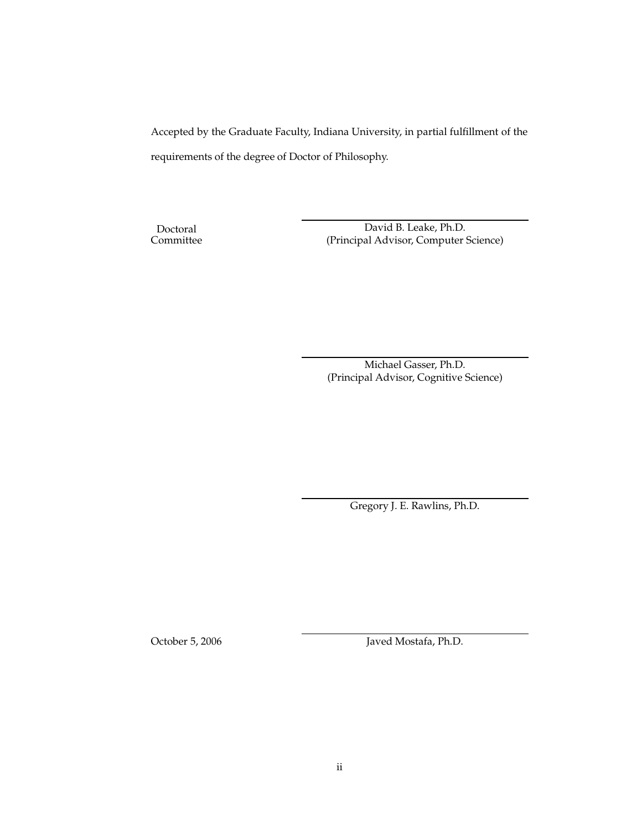Accepted by the Graduate Faculty, Indiana University, in partial fulfillment of the requirements of the degree of Doctor of Philosophy.

Doctoral Committee

David B. Leake, Ph.D. (Principal Advisor, Computer Science)

Michael Gasser, Ph.D. (Principal Advisor, Cognitive Science)

Gregory J. E. Rawlins, Ph.D.

October 5, 2006 Javed Mostafa, Ph.D.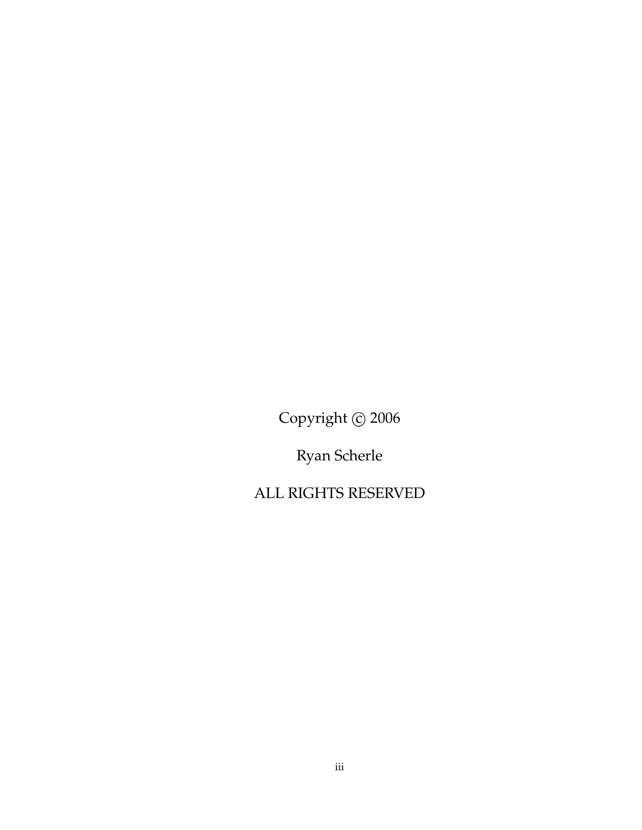Copyright © 2006

Ryan Scherle

ALL RIGHTS RESERVED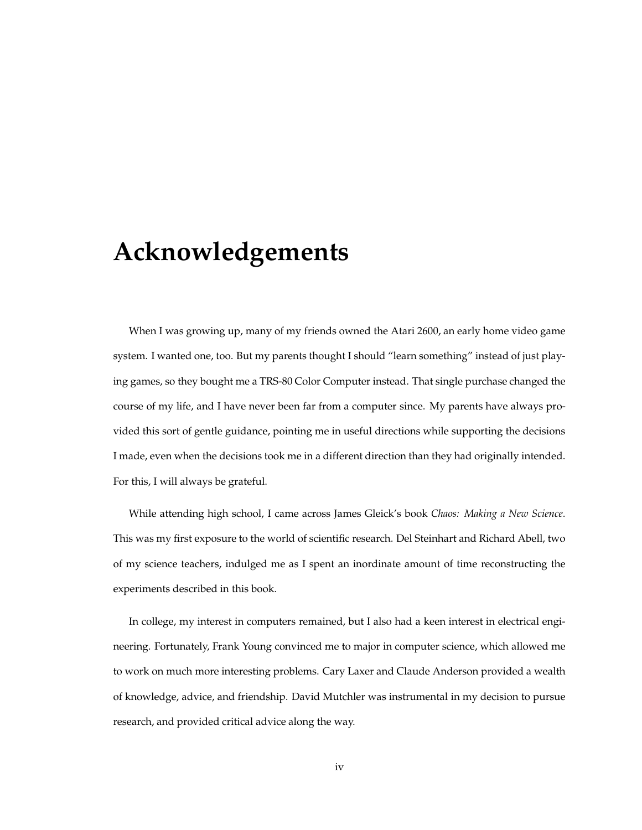## **Acknowledgements**

When I was growing up, many of my friends owned the Atari 2600, an early home video game system. I wanted one, too. But my parents thought I should "learn something" instead of just playing games, so they bought me a TRS-80 Color Computer instead. That single purchase changed the course of my life, and I have never been far from a computer since. My parents have always provided this sort of gentle guidance, pointing me in useful directions while supporting the decisions I made, even when the decisions took me in a different direction than they had originally intended. For this, I will always be grateful.

While attending high school, I came across James Gleick's book *Chaos: Making a New Science*. This was my first exposure to the world of scientific research. Del Steinhart and Richard Abell, two of my science teachers, indulged me as I spent an inordinate amount of time reconstructing the experiments described in this book.

In college, my interest in computers remained, but I also had a keen interest in electrical engineering. Fortunately, Frank Young convinced me to major in computer science, which allowed me to work on much more interesting problems. Cary Laxer and Claude Anderson provided a wealth of knowledge, advice, and friendship. David Mutchler was instrumental in my decision to pursue research, and provided critical advice along the way.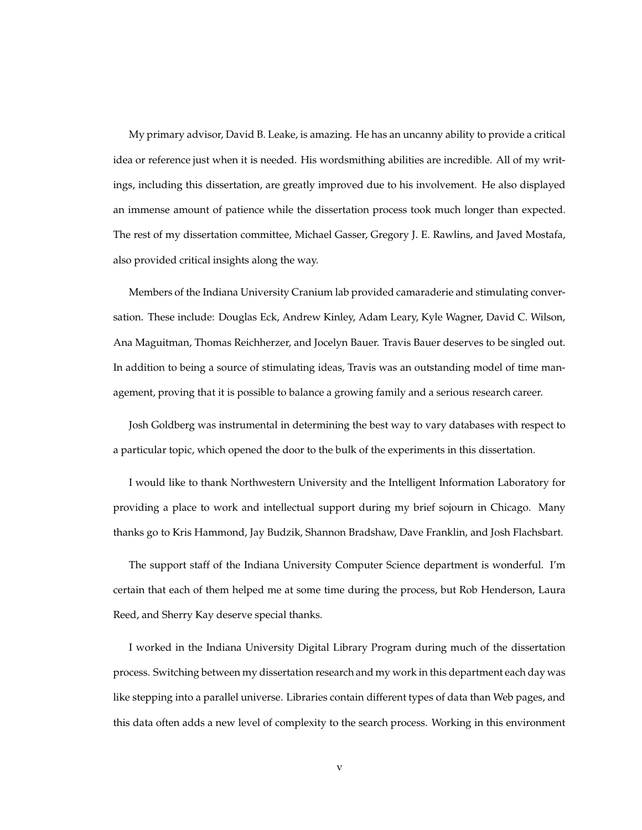My primary advisor, David B. Leake, is amazing. He has an uncanny ability to provide a critical idea or reference just when it is needed. His wordsmithing abilities are incredible. All of my writings, including this dissertation, are greatly improved due to his involvement. He also displayed an immense amount of patience while the dissertation process took much longer than expected. The rest of my dissertation committee, Michael Gasser, Gregory J. E. Rawlins, and Javed Mostafa, also provided critical insights along the way.

Members of the Indiana University Cranium lab provided camaraderie and stimulating conversation. These include: Douglas Eck, Andrew Kinley, Adam Leary, Kyle Wagner, David C. Wilson, Ana Maguitman, Thomas Reichherzer, and Jocelyn Bauer. Travis Bauer deserves to be singled out. In addition to being a source of stimulating ideas, Travis was an outstanding model of time management, proving that it is possible to balance a growing family and a serious research career.

Josh Goldberg was instrumental in determining the best way to vary databases with respect to a particular topic, which opened the door to the bulk of the experiments in this dissertation.

I would like to thank Northwestern University and the Intelligent Information Laboratory for providing a place to work and intellectual support during my brief sojourn in Chicago. Many thanks go to Kris Hammond, Jay Budzik, Shannon Bradshaw, Dave Franklin, and Josh Flachsbart.

The support staff of the Indiana University Computer Science department is wonderful. I'm certain that each of them helped me at some time during the process, but Rob Henderson, Laura Reed, and Sherry Kay deserve special thanks.

I worked in the Indiana University Digital Library Program during much of the dissertation process. Switching between my dissertation research and my work in this department each day was like stepping into a parallel universe. Libraries contain different types of data than Web pages, and this data often adds a new level of complexity to the search process. Working in this environment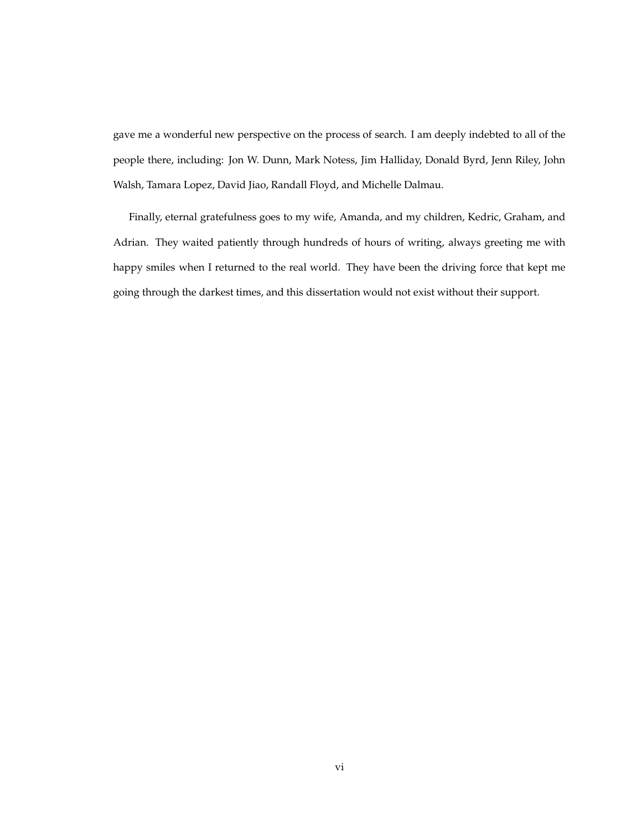gave me a wonderful new perspective on the process of search. I am deeply indebted to all of the people there, including: Jon W. Dunn, Mark Notess, Jim Halliday, Donald Byrd, Jenn Riley, John Walsh, Tamara Lopez, David Jiao, Randall Floyd, and Michelle Dalmau.

Finally, eternal gratefulness goes to my wife, Amanda, and my children, Kedric, Graham, and Adrian. They waited patiently through hundreds of hours of writing, always greeting me with happy smiles when I returned to the real world. They have been the driving force that kept me going through the darkest times, and this dissertation would not exist without their support.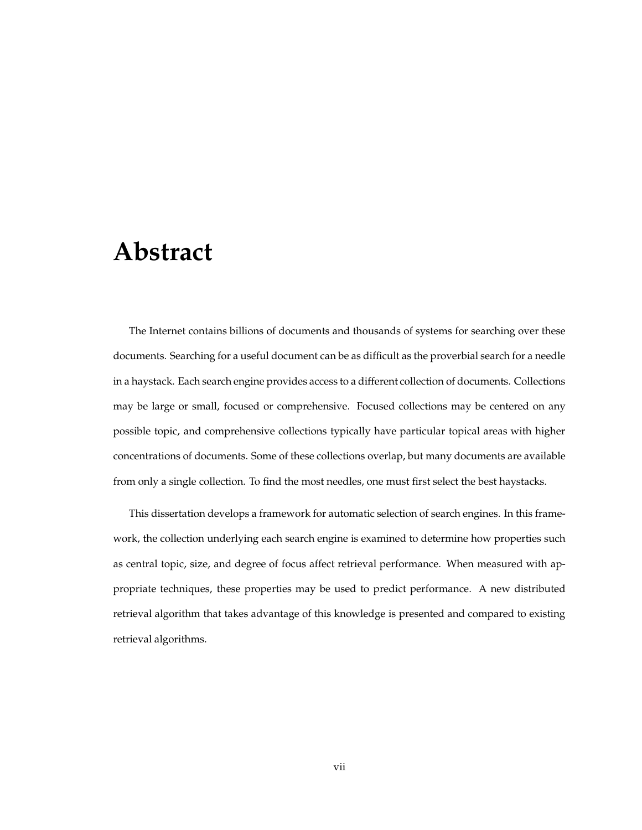## **Abstract**

The Internet contains billions of documents and thousands of systems for searching over these documents. Searching for a useful document can be as difficult as the proverbial search for a needle in a haystack. Each search engine provides access to a different collection of documents. Collections may be large or small, focused or comprehensive. Focused collections may be centered on any possible topic, and comprehensive collections typically have particular topical areas with higher concentrations of documents. Some of these collections overlap, but many documents are available from only a single collection. To find the most needles, one must first select the best haystacks.

This dissertation develops a framework for automatic selection of search engines. In this framework, the collection underlying each search engine is examined to determine how properties such as central topic, size, and degree of focus affect retrieval performance. When measured with appropriate techniques, these properties may be used to predict performance. A new distributed retrieval algorithm that takes advantage of this knowledge is presented and compared to existing retrieval algorithms.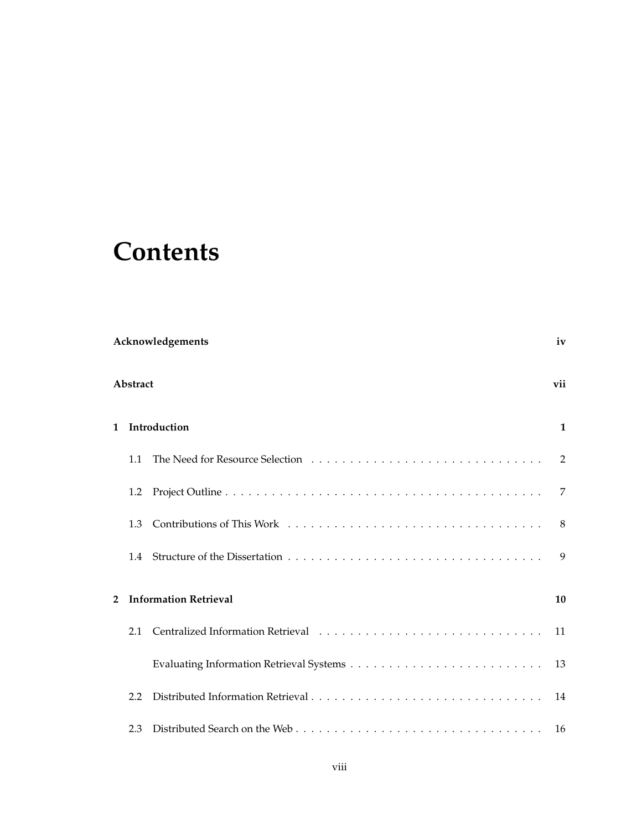## **Contents**

|                | <b>Acknowledgements</b><br>iv |                              |                |  |
|----------------|-------------------------------|------------------------------|----------------|--|
|                | Abstract<br>vii               |                              |                |  |
| 1 Introduction |                               |                              | $\mathbf{1}$   |  |
|                | 1.1                           |                              | $\overline{2}$ |  |
|                | $1.2\,$                       |                              | 7              |  |
|                | 1.3                           |                              | - 8            |  |
|                | 1.4                           |                              | 9              |  |
| $\overline{2}$ |                               | <b>Information Retrieval</b> | 10             |  |
|                | 2.1                           |                              | 11             |  |
|                |                               |                              |                |  |
|                | 2.2                           |                              | 14             |  |
|                | 2.3                           |                              |                |  |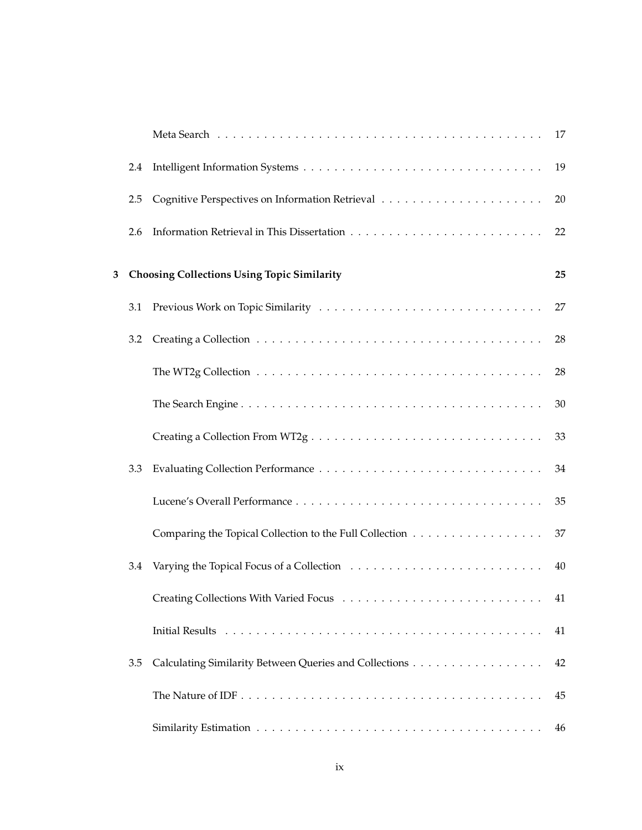|   |     |                                                         | 17 |
|---|-----|---------------------------------------------------------|----|
|   | 2.4 |                                                         | 19 |
|   | 2.5 |                                                         | 20 |
|   | 2.6 |                                                         | 22 |
| 3 |     | <b>Choosing Collections Using Topic Similarity</b>      | 25 |
|   | 3.1 |                                                         | 27 |
|   | 3.2 |                                                         | 28 |
|   |     |                                                         | 28 |
|   |     |                                                         | 30 |
|   |     |                                                         | 33 |
|   | 3.3 |                                                         | 34 |
|   |     |                                                         | 35 |
|   |     | Comparing the Topical Collection to the Full Collection | 37 |
|   | 3.4 |                                                         | 40 |
|   |     |                                                         | 41 |
|   |     |                                                         | 41 |
|   | 3.5 |                                                         | 42 |
|   |     |                                                         | 45 |
|   |     |                                                         | 46 |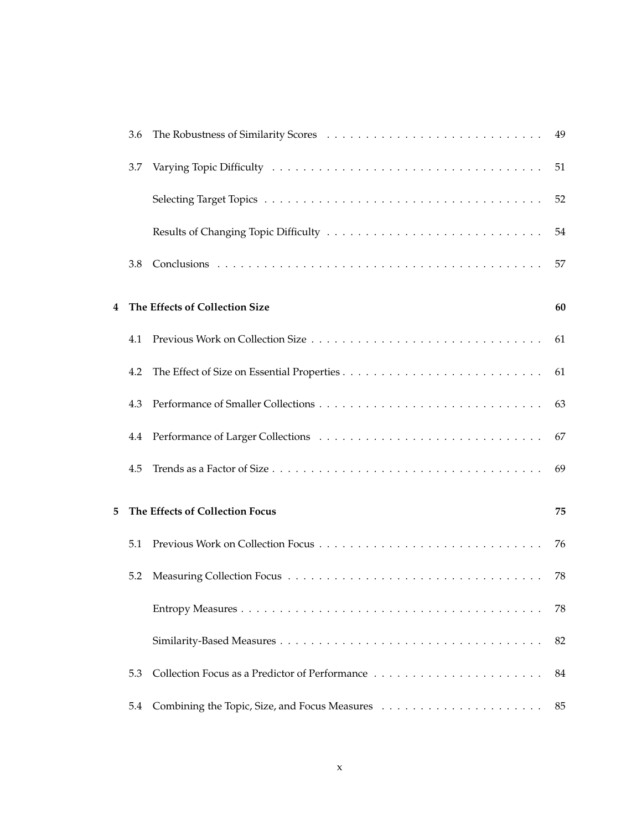|   | 3.6 |                                 |    |
|---|-----|---------------------------------|----|
|   | 3.7 |                                 | 51 |
|   |     |                                 | 52 |
|   |     |                                 | 54 |
|   | 3.8 |                                 | 57 |
| 4 |     | The Effects of Collection Size  | 60 |
|   | 4.1 |                                 | 61 |
|   | 4.2 |                                 | 61 |
|   | 4.3 |                                 | 63 |
|   | 4.4 |                                 | 67 |
|   | 4.5 |                                 | 69 |
| 5 |     | The Effects of Collection Focus | 75 |
|   | 5.1 |                                 | 76 |
|   | 5.2 |                                 | 78 |
|   |     |                                 | 78 |
|   |     |                                 | 82 |
|   | 5.3 |                                 | 84 |
|   | 5.4 |                                 | 85 |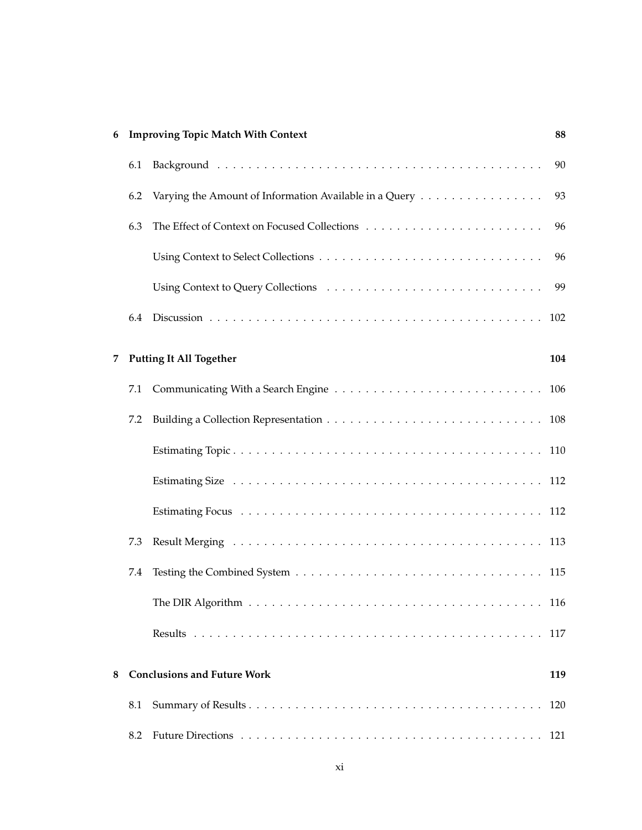| 6 |     | <b>Improving Topic Match With Context</b>                                              | 88  |
|---|-----|----------------------------------------------------------------------------------------|-----|
|   | 6.1 |                                                                                        | 90  |
|   | 6.2 | Varying the Amount of Information Available in a Query $\dots \dots \dots \dots \dots$ | 93  |
|   | 6.3 |                                                                                        | 96  |
|   |     |                                                                                        | 96  |
|   |     |                                                                                        | 99  |
|   | 6.4 |                                                                                        | 102 |
| 7 |     | <b>Putting It All Together</b>                                                         | 104 |
|   | 7.1 |                                                                                        |     |
|   | 7.2 |                                                                                        |     |
|   |     |                                                                                        |     |
|   |     |                                                                                        |     |
|   |     |                                                                                        |     |
|   | 7.3 |                                                                                        |     |
|   | 7.4 |                                                                                        |     |
|   |     |                                                                                        |     |
|   |     |                                                                                        |     |
| 8 |     | <b>Conclusions and Future Work</b>                                                     | 119 |
|   | 8.1 |                                                                                        |     |
|   | 8.2 |                                                                                        |     |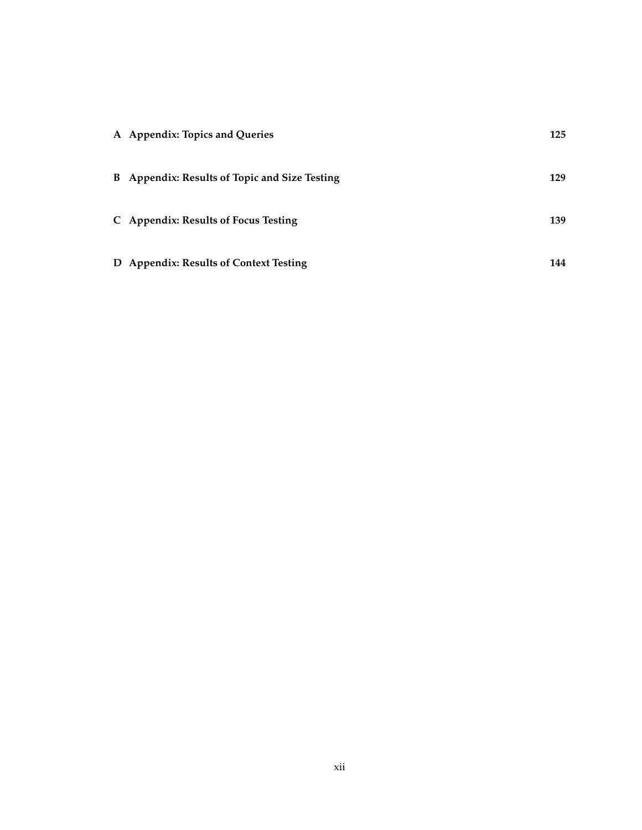| A Appendix: Topics and Queries                | 125 |
|-----------------------------------------------|-----|
| B Appendix: Results of Topic and Size Testing | 129 |
| C Appendix: Results of Focus Testing          | 139 |
| D Appendix: Results of Context Testing        | 144 |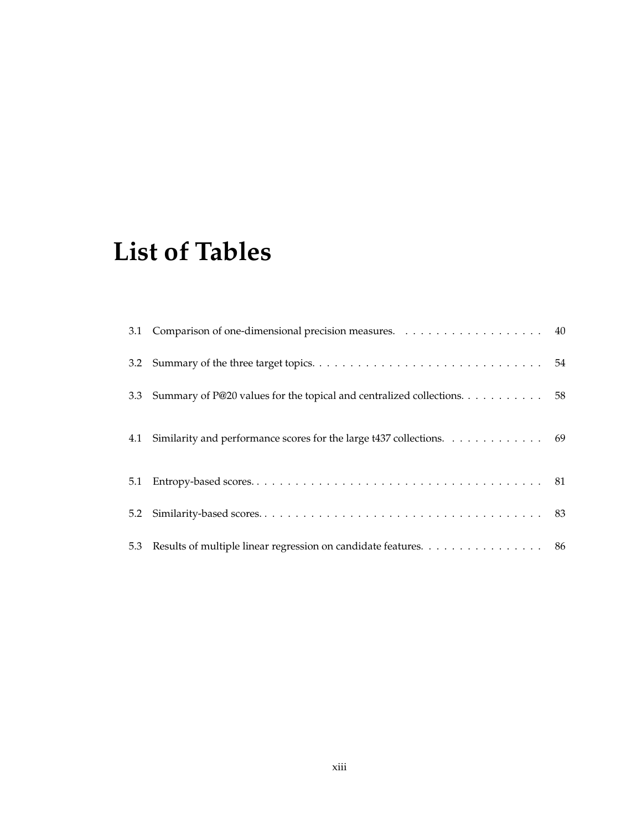# **List of Tables**

|     | 3.3 Summary of P@20 values for the topical and centralized collections. 58 |  |
|-----|----------------------------------------------------------------------------|--|
|     | 4.1 Similarity and performance scores for the large t437 collections. 69   |  |
|     |                                                                            |  |
| 5.2 |                                                                            |  |
|     | 5.3 Results of multiple linear regression on candidate features. 86        |  |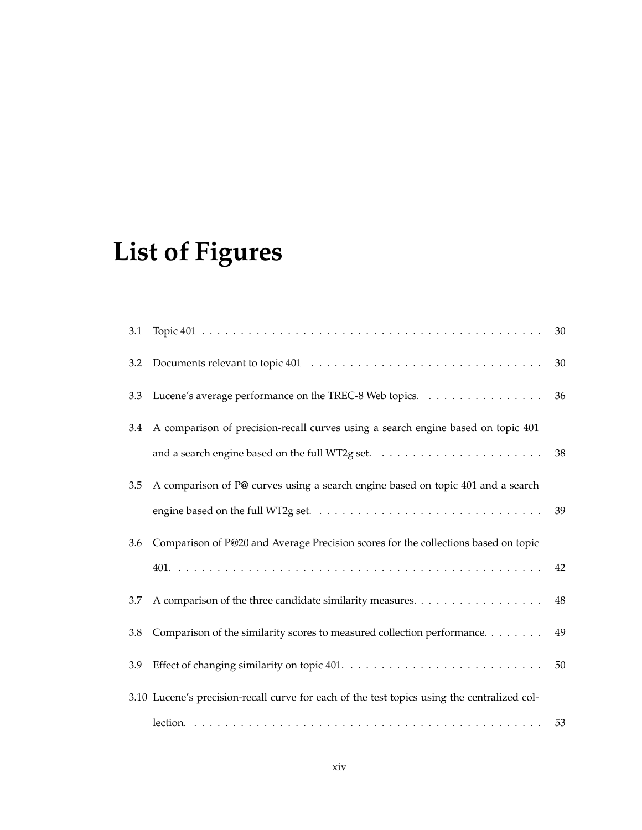# **List of Figures**

|     |                                                                                                   | 30     |
|-----|---------------------------------------------------------------------------------------------------|--------|
| 3.2 |                                                                                                   | $30\,$ |
| 3.3 | Lucene's average performance on the TREC-8 Web topics.                                            | 36     |
| 3.4 | A comparison of precision-recall curves using a search engine based on topic 401                  |        |
|     | and a search engine based on the full WT2g set. $\dots \dots \dots \dots \dots \dots \dots \dots$ | 38     |
| 3.5 | A comparison of P@ curves using a search engine based on topic 401 and a search                   |        |
|     |                                                                                                   |        |
| 3.6 | Comparison of P@20 and Average Precision scores for the collections based on topic                |        |
|     |                                                                                                   | 42     |
| 3.7 |                                                                                                   | 48     |
| 3.8 | Comparison of the similarity scores to measured collection performance.                           | 49     |
| 3.9 |                                                                                                   | 50     |
|     | 3.10 Lucene's precision-recall curve for each of the test topics using the centralized col-       |        |
|     |                                                                                                   | 53     |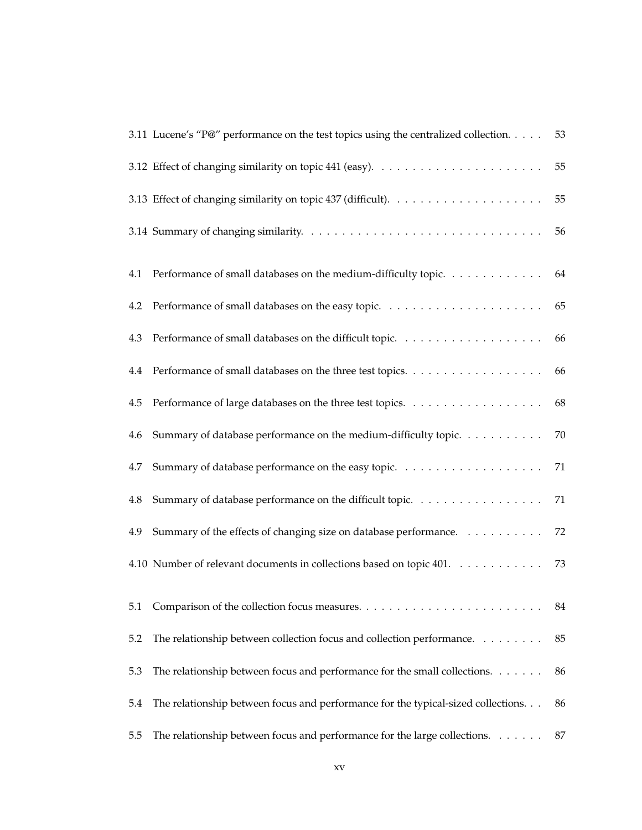|         | 3.11 Lucene's "P@" performance on the test topics using the centralized collection. | 53     |
|---------|-------------------------------------------------------------------------------------|--------|
|         |                                                                                     | 55     |
|         |                                                                                     | 55     |
|         |                                                                                     | 56     |
| 4.1     | Performance of small databases on the medium-difficulty topic. 64                   |        |
| 4.2     |                                                                                     | 65     |
| 4.3     |                                                                                     | - 66   |
| $4.4\,$ | Performance of small databases on the three test topics.                            | 66     |
| 4.5     |                                                                                     | 68     |
| 4.6     | Summary of database performance on the medium-difficulty topic.                     | 70     |
| 4.7     |                                                                                     | $71\,$ |
| 4.8     | Summary of database performance on the difficult topic.                             | 71     |
| 4.9     | Summary of the effects of changing size on database performance.                    | 72     |
|         | 4.10 Number of relevant documents in collections based on topic 401.                | 73     |
| 5.1     |                                                                                     | 84     |
| 5.2     | The relationship between collection focus and collection performance.               | 85     |
| 5.3     | The relationship between focus and performance for the small collections.           | 86     |
| 5.4     | The relationship between focus and performance for the typical-sized collections.   | 86     |
| 5.5     | The relationship between focus and performance for the large collections.           | 87     |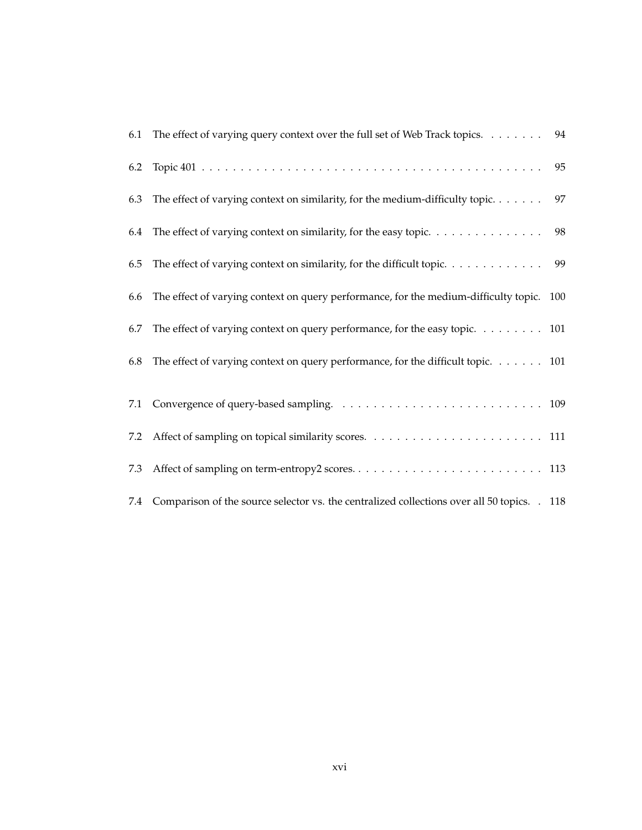| 6.1 | The effect of varying query context over the full set of Web Track topics. 94                   |    |
|-----|-------------------------------------------------------------------------------------------------|----|
| 6.2 |                                                                                                 | 95 |
| 6.3 | The effect of varying context on similarity, for the medium-difficulty topic                    | 97 |
| 6.4 | The effect of varying context on similarity, for the easy topic.                                | 98 |
| 6.5 | The effect of varying context on similarity, for the difficult topic. 99                        |    |
| 6.6 | The effect of varying context on query performance, for the medium-difficulty topic. 100        |    |
| 6.7 | The effect of varying context on query performance, for the easy topic. 101                     |    |
| 6.8 | The effect of varying context on query performance, for the difficult topic. 101                |    |
|     |                                                                                                 |    |
|     |                                                                                                 |    |
| 7.2 |                                                                                                 |    |
| 7.3 |                                                                                                 |    |
|     | 7.4 Comparison of the source selector vs. the centralized collections over all 50 topics. . 118 |    |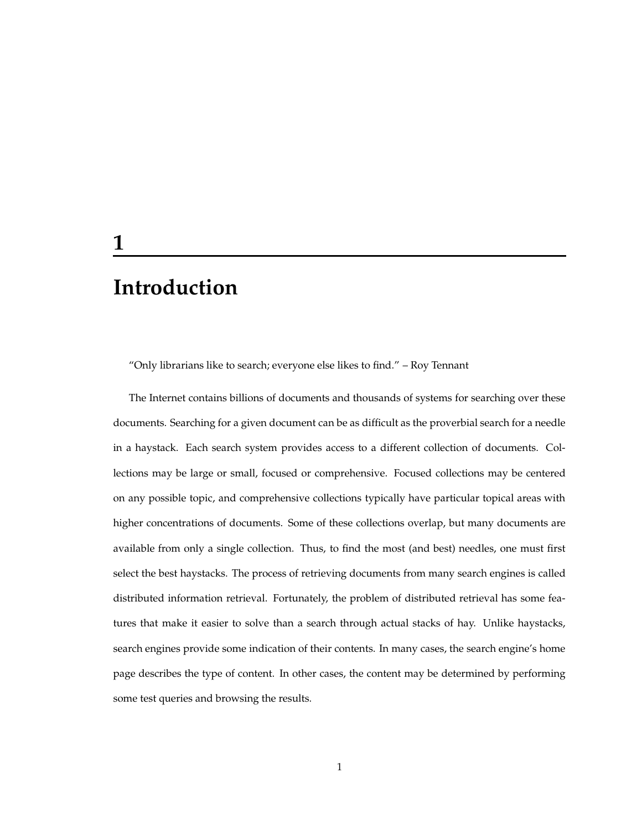### **Introduction**

"Only librarians like to search; everyone else likes to find." – Roy Tennant

The Internet contains billions of documents and thousands of systems for searching over these documents. Searching for a given document can be as difficult as the proverbial search for a needle in a haystack. Each search system provides access to a different collection of documents. Collections may be large or small, focused or comprehensive. Focused collections may be centered on any possible topic, and comprehensive collections typically have particular topical areas with higher concentrations of documents. Some of these collections overlap, but many documents are available from only a single collection. Thus, to find the most (and best) needles, one must first select the best haystacks. The process of retrieving documents from many search engines is called distributed information retrieval. Fortunately, the problem of distributed retrieval has some features that make it easier to solve than a search through actual stacks of hay. Unlike haystacks, search engines provide some indication of their contents. In many cases, the search engine's home page describes the type of content. In other cases, the content may be determined by performing some test queries and browsing the results.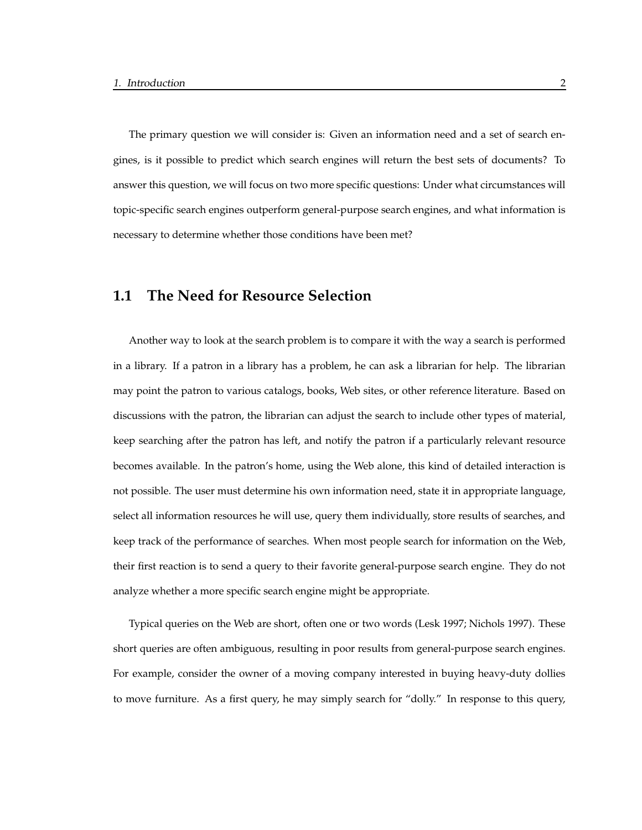The primary question we will consider is: Given an information need and a set of search engines, is it possible to predict which search engines will return the best sets of documents? To answer this question, we will focus on two more specific questions: Under what circumstances will topic-specific search engines outperform general-purpose search engines, and what information is necessary to determine whether those conditions have been met?

#### **1.1 The Need for Resource Selection**

Another way to look at the search problem is to compare it with the way a search is performed in a library. If a patron in a library has a problem, he can ask a librarian for help. The librarian may point the patron to various catalogs, books, Web sites, or other reference literature. Based on discussions with the patron, the librarian can adjust the search to include other types of material, keep searching after the patron has left, and notify the patron if a particularly relevant resource becomes available. In the patron's home, using the Web alone, this kind of detailed interaction is not possible. The user must determine his own information need, state it in appropriate language, select all information resources he will use, query them individually, store results of searches, and keep track of the performance of searches. When most people search for information on the Web, their first reaction is to send a query to their favorite general-purpose search engine. They do not analyze whether a more specific search engine might be appropriate.

Typical queries on the Web are short, often one or two words (Lesk 1997; Nichols 1997). These short queries are often ambiguous, resulting in poor results from general-purpose search engines. For example, consider the owner of a moving company interested in buying heavy-duty dollies to move furniture. As a first query, he may simply search for "dolly." In response to this query,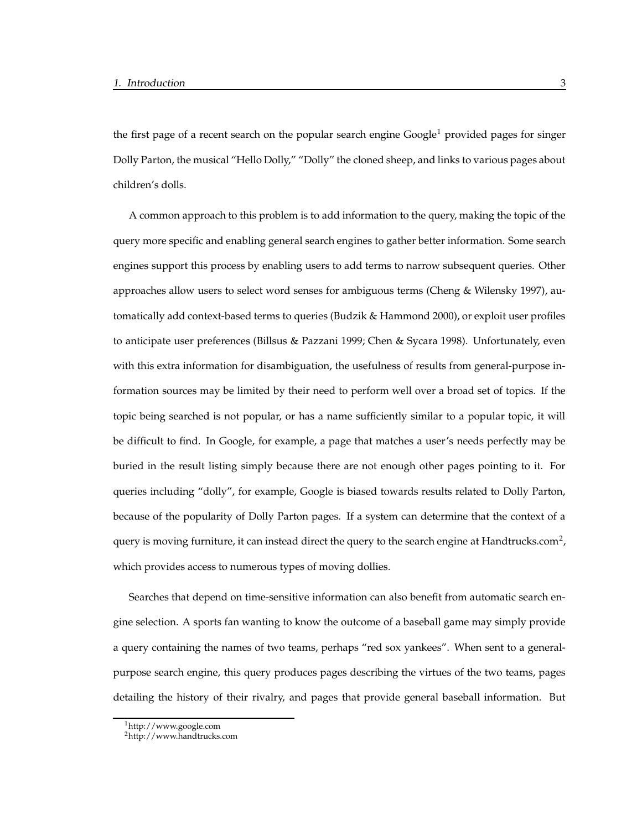the first page of a recent search on the popular search engine  $Google<sup>1</sup>$  provided pages for singer Dolly Parton, the musical "Hello Dolly," "Dolly" the cloned sheep, and links to various pages about children's dolls.

A common approach to this problem is to add information to the query, making the topic of the query more specific and enabling general search engines to gather better information. Some search engines support this process by enabling users to add terms to narrow subsequent queries. Other approaches allow users to select word senses for ambiguous terms (Cheng & Wilensky 1997), automatically add context-based terms to queries (Budzik & Hammond 2000), or exploit user profiles to anticipate user preferences (Billsus & Pazzani 1999; Chen & Sycara 1998). Unfortunately, even with this extra information for disambiguation, the usefulness of results from general-purpose information sources may be limited by their need to perform well over a broad set of topics. If the topic being searched is not popular, or has a name sufficiently similar to a popular topic, it will be difficult to find. In Google, for example, a page that matches a user's needs perfectly may be buried in the result listing simply because there are not enough other pages pointing to it. For queries including "dolly", for example, Google is biased towards results related to Dolly Parton, because of the popularity of Dolly Parton pages. If a system can determine that the context of a query is moving furniture, it can instead direct the query to the search engine at Handtrucks.com<sup>2</sup>, which provides access to numerous types of moving dollies.

Searches that depend on time-sensitive information can also benefit from automatic search engine selection. A sports fan wanting to know the outcome of a baseball game may simply provide a query containing the names of two teams, perhaps "red sox yankees". When sent to a generalpurpose search engine, this query produces pages describing the virtues of the two teams, pages detailing the history of their rivalry, and pages that provide general baseball information. But

<sup>1</sup>http://www.google.com

<sup>2</sup>http://www.handtrucks.com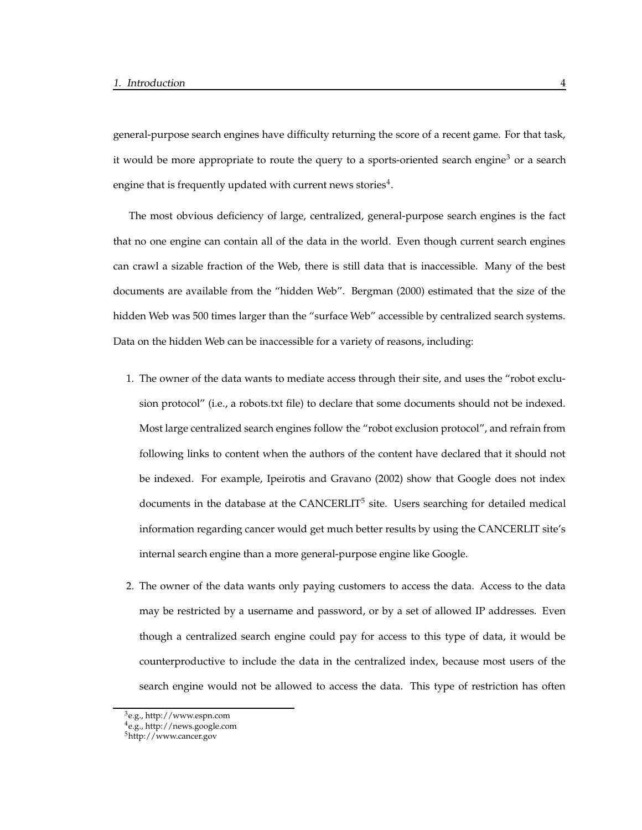general-purpose search engines have difficulty returning the score of a recent game. For that task, it would be more appropriate to route the query to a sports-oriented search engine<sup>3</sup> or a search engine that is frequently updated with current news stories<sup>4</sup>.

The most obvious deficiency of large, centralized, general-purpose search engines is the fact that no one engine can contain all of the data in the world. Even though current search engines can crawl a sizable fraction of the Web, there is still data that is inaccessible. Many of the best documents are available from the "hidden Web". Bergman (2000) estimated that the size of the hidden Web was 500 times larger than the "surface Web" accessible by centralized search systems. Data on the hidden Web can be inaccessible for a variety of reasons, including:

- 1. The owner of the data wants to mediate access through their site, and uses the "robot exclusion protocol" (i.e., a robots.txt file) to declare that some documents should not be indexed. Most large centralized search engines follow the "robot exclusion protocol", and refrain from following links to content when the authors of the content have declared that it should not be indexed. For example, Ipeirotis and Gravano (2002) show that Google does not index documents in the database at the CANCERLIT<sup>5</sup> site. Users searching for detailed medical information regarding cancer would get much better results by using the CANCERLIT site's internal search engine than a more general-purpose engine like Google.
- 2. The owner of the data wants only paying customers to access the data. Access to the data may be restricted by a username and password, or by a set of allowed IP addresses. Even though a centralized search engine could pay for access to this type of data, it would be counterproductive to include the data in the centralized index, because most users of the search engine would not be allowed to access the data. This type of restriction has often

<sup>3</sup>e.g., http://www.espn.com

<sup>4</sup>e.g., http://news.google.com

<sup>5</sup>http://www.cancer.gov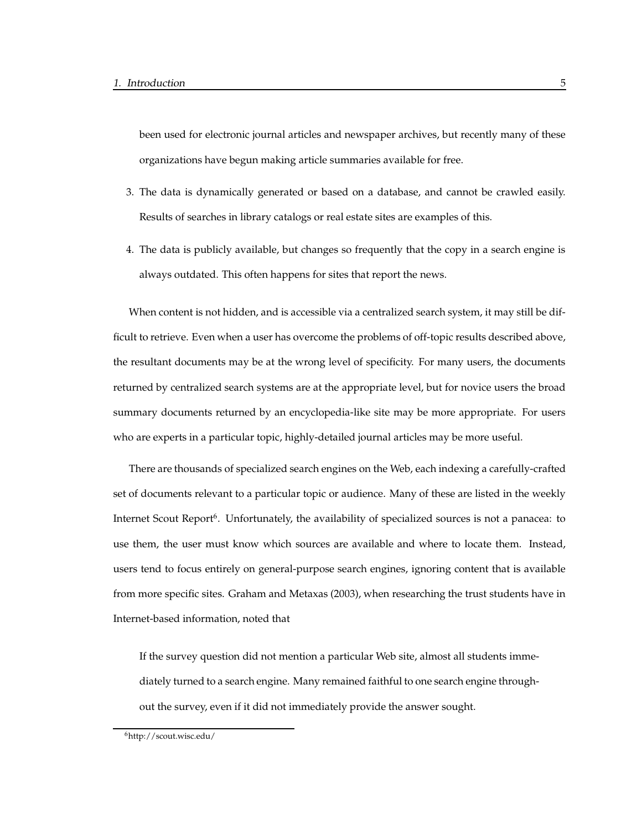been used for electronic journal articles and newspaper archives, but recently many of these organizations have begun making article summaries available for free.

- 3. The data is dynamically generated or based on a database, and cannot be crawled easily. Results of searches in library catalogs or real estate sites are examples of this.
- 4. The data is publicly available, but changes so frequently that the copy in a search engine is always outdated. This often happens for sites that report the news.

When content is not hidden, and is accessible via a centralized search system, it may still be difficult to retrieve. Even when a user has overcome the problems of off-topic results described above, the resultant documents may be at the wrong level of specificity. For many users, the documents returned by centralized search systems are at the appropriate level, but for novice users the broad summary documents returned by an encyclopedia-like site may be more appropriate. For users who are experts in a particular topic, highly-detailed journal articles may be more useful.

There are thousands of specialized search engines on the Web, each indexing a carefully-crafted set of documents relevant to a particular topic or audience. Many of these are listed in the weekly Internet Scout Report<sup>6</sup>. Unfortunately, the availability of specialized sources is not a panacea: to use them, the user must know which sources are available and where to locate them. Instead, users tend to focus entirely on general-purpose search engines, ignoring content that is available from more specific sites. Graham and Metaxas (2003), when researching the trust students have in Internet-based information, noted that

If the survey question did not mention a particular Web site, almost all students immediately turned to a search engine. Many remained faithful to one search engine throughout the survey, even if it did not immediately provide the answer sought.

<sup>6</sup>http://scout.wisc.edu/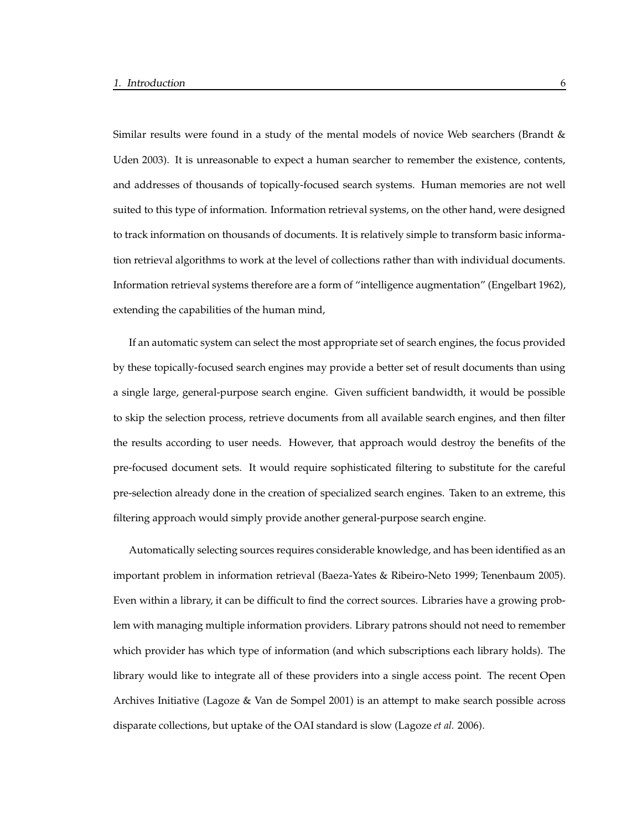Similar results were found in a study of the mental models of novice Web searchers (Brandt & Uden 2003). It is unreasonable to expect a human searcher to remember the existence, contents, and addresses of thousands of topically-focused search systems. Human memories are not well suited to this type of information. Information retrieval systems, on the other hand, were designed to track information on thousands of documents. It is relatively simple to transform basic information retrieval algorithms to work at the level of collections rather than with individual documents. Information retrieval systems therefore are a form of "intelligence augmentation" (Engelbart 1962), extending the capabilities of the human mind,

If an automatic system can select the most appropriate set of search engines, the focus provided by these topically-focused search engines may provide a better set of result documents than using a single large, general-purpose search engine. Given sufficient bandwidth, it would be possible to skip the selection process, retrieve documents from all available search engines, and then filter the results according to user needs. However, that approach would destroy the benefits of the pre-focused document sets. It would require sophisticated filtering to substitute for the careful pre-selection already done in the creation of specialized search engines. Taken to an extreme, this filtering approach would simply provide another general-purpose search engine.

Automatically selecting sources requires considerable knowledge, and has been identified as an important problem in information retrieval (Baeza-Yates & Ribeiro-Neto 1999; Tenenbaum 2005). Even within a library, it can be difficult to find the correct sources. Libraries have a growing problem with managing multiple information providers. Library patrons should not need to remember which provider has which type of information (and which subscriptions each library holds). The library would like to integrate all of these providers into a single access point. The recent Open Archives Initiative (Lagoze & Van de Sompel 2001) is an attempt to make search possible across disparate collections, but uptake of the OAI standard is slow (Lagoze *et al.* 2006).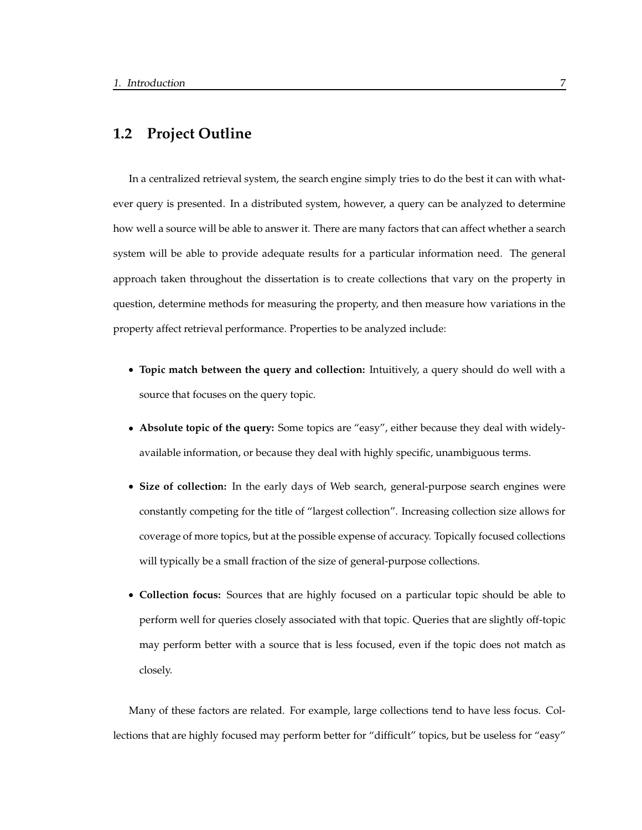#### **1.2 Project Outline**

In a centralized retrieval system, the search engine simply tries to do the best it can with whatever query is presented. In a distributed system, however, a query can be analyzed to determine how well a source will be able to answer it. There are many factors that can affect whether a search system will be able to provide adequate results for a particular information need. The general approach taken throughout the dissertation is to create collections that vary on the property in question, determine methods for measuring the property, and then measure how variations in the property affect retrieval performance. Properties to be analyzed include:

- **Topic match between the query and collection:** Intuitively, a query should do well with a source that focuses on the query topic.
- **Absolute topic of the query:** Some topics are "easy", either because they deal with widelyavailable information, or because they deal with highly specific, unambiguous terms.
- **Size of collection:** In the early days of Web search, general-purpose search engines were constantly competing for the title of "largest collection". Increasing collection size allows for coverage of more topics, but at the possible expense of accuracy. Topically focused collections will typically be a small fraction of the size of general-purpose collections.
- **Collection focus:** Sources that are highly focused on a particular topic should be able to perform well for queries closely associated with that topic. Queries that are slightly off-topic may perform better with a source that is less focused, even if the topic does not match as closely.

Many of these factors are related. For example, large collections tend to have less focus. Collections that are highly focused may perform better for "difficult" topics, but be useless for "easy"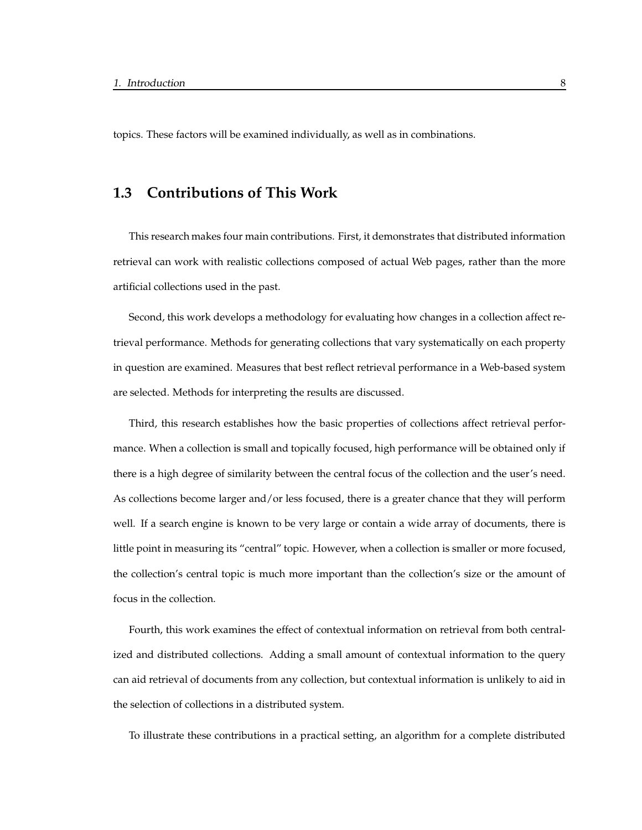topics. These factors will be examined individually, as well as in combinations.

#### **1.3 Contributions of This Work**

This research makes four main contributions. First, it demonstrates that distributed information retrieval can work with realistic collections composed of actual Web pages, rather than the more artificial collections used in the past.

Second, this work develops a methodology for evaluating how changes in a collection affect retrieval performance. Methods for generating collections that vary systematically on each property in question are examined. Measures that best reflect retrieval performance in a Web-based system are selected. Methods for interpreting the results are discussed.

Third, this research establishes how the basic properties of collections affect retrieval performance. When a collection is small and topically focused, high performance will be obtained only if there is a high degree of similarity between the central focus of the collection and the user's need. As collections become larger and/or less focused, there is a greater chance that they will perform well. If a search engine is known to be very large or contain a wide array of documents, there is little point in measuring its "central" topic. However, when a collection is smaller or more focused, the collection's central topic is much more important than the collection's size or the amount of focus in the collection.

Fourth, this work examines the effect of contextual information on retrieval from both centralized and distributed collections. Adding a small amount of contextual information to the query can aid retrieval of documents from any collection, but contextual information is unlikely to aid in the selection of collections in a distributed system.

To illustrate these contributions in a practical setting, an algorithm for a complete distributed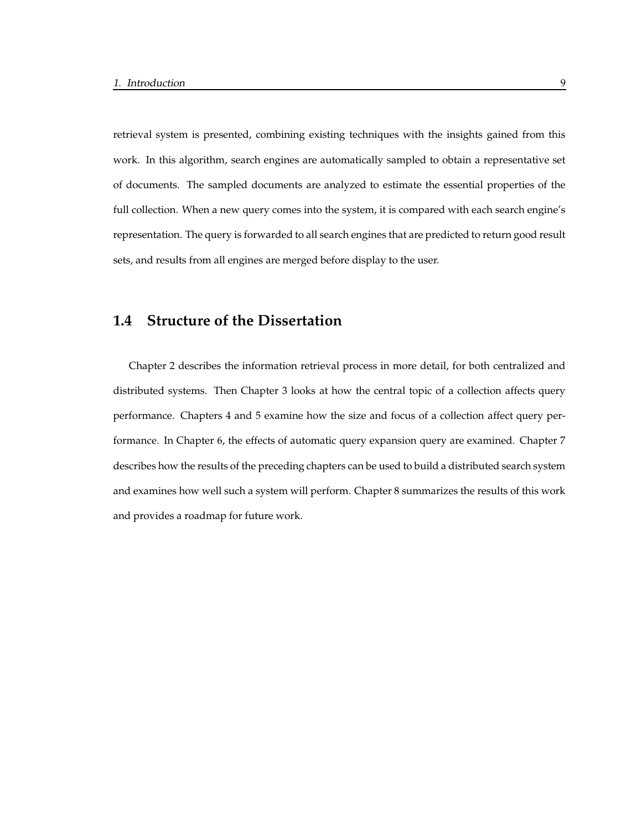retrieval system is presented, combining existing techniques with the insights gained from this work. In this algorithm, search engines are automatically sampled to obtain a representative set of documents. The sampled documents are analyzed to estimate the essential properties of the full collection. When a new query comes into the system, it is compared with each search engine's representation. The query is forwarded to all search engines that are predicted to return good result sets, and results from all engines are merged before display to the user.

#### **1.4 Structure of the Dissertation**

Chapter 2 describes the information retrieval process in more detail, for both centralized and distributed systems. Then Chapter 3 looks at how the central topic of a collection affects query performance. Chapters 4 and 5 examine how the size and focus of a collection affect query performance. In Chapter 6, the effects of automatic query expansion query are examined. Chapter 7 describes how the results of the preceding chapters can be used to build a distributed search system and examines how well such a system will perform. Chapter 8 summarizes the results of this work and provides a roadmap for future work.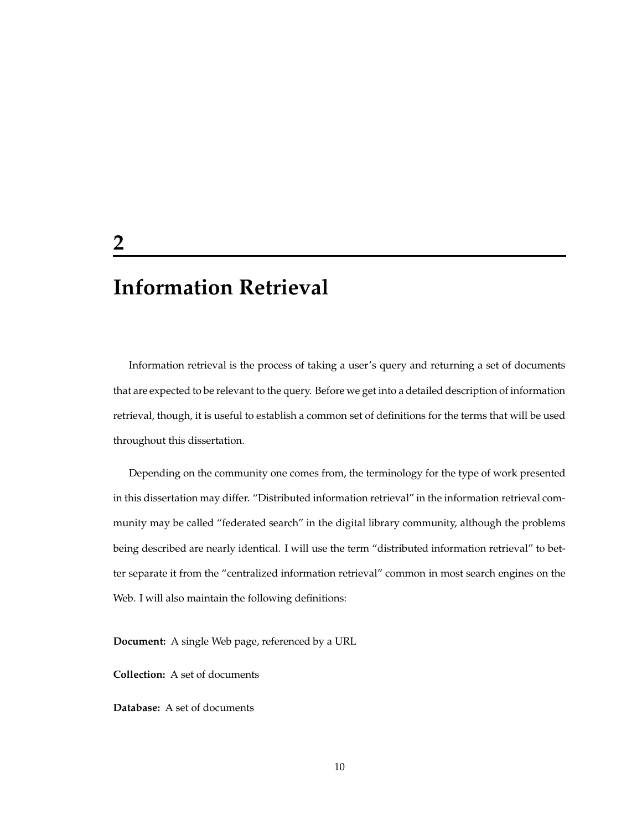## **Information Retrieval**

Information retrieval is the process of taking a user's query and returning a set of documents that are expected to be relevant to the query. Before we get into a detailed description of information retrieval, though, it is useful to establish a common set of definitions for the terms that will be used throughout this dissertation.

Depending on the community one comes from, the terminology for the type of work presented in this dissertation may differ. "Distributed information retrieval" in the information retrieval community may be called "federated search" in the digital library community, although the problems being described are nearly identical. I will use the term "distributed information retrieval" to better separate it from the "centralized information retrieval" common in most search engines on the Web. I will also maintain the following definitions:

**Document:** A single Web page, referenced by a URL

**Collection:** A set of documents

**Database:** A set of documents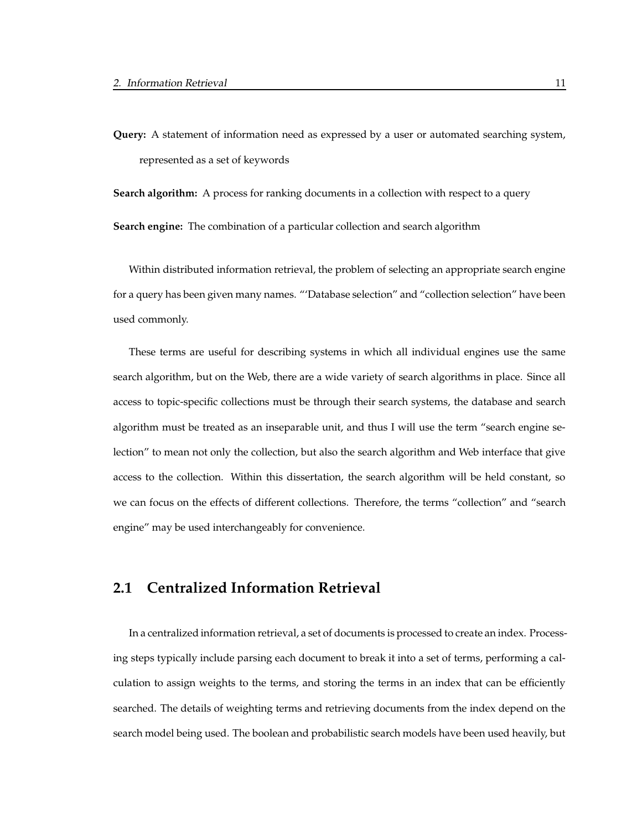**Query:** A statement of information need as expressed by a user or automated searching system, represented as a set of keywords

**Search algorithm:** A process for ranking documents in a collection with respect to a query

**Search engine:** The combination of a particular collection and search algorithm

Within distributed information retrieval, the problem of selecting an appropriate search engine for a query has been given many names. "'Database selection" and "collection selection" have been used commonly.

These terms are useful for describing systems in which all individual engines use the same search algorithm, but on the Web, there are a wide variety of search algorithms in place. Since all access to topic-specific collections must be through their search systems, the database and search algorithm must be treated as an inseparable unit, and thus I will use the term "search engine selection" to mean not only the collection, but also the search algorithm and Web interface that give access to the collection. Within this dissertation, the search algorithm will be held constant, so we can focus on the effects of different collections. Therefore, the terms "collection" and "search engine" may be used interchangeably for convenience.

#### **2.1 Centralized Information Retrieval**

In a centralized information retrieval, a set of documents is processed to create an index. Processing steps typically include parsing each document to break it into a set of terms, performing a calculation to assign weights to the terms, and storing the terms in an index that can be efficiently searched. The details of weighting terms and retrieving documents from the index depend on the search model being used. The boolean and probabilistic search models have been used heavily, but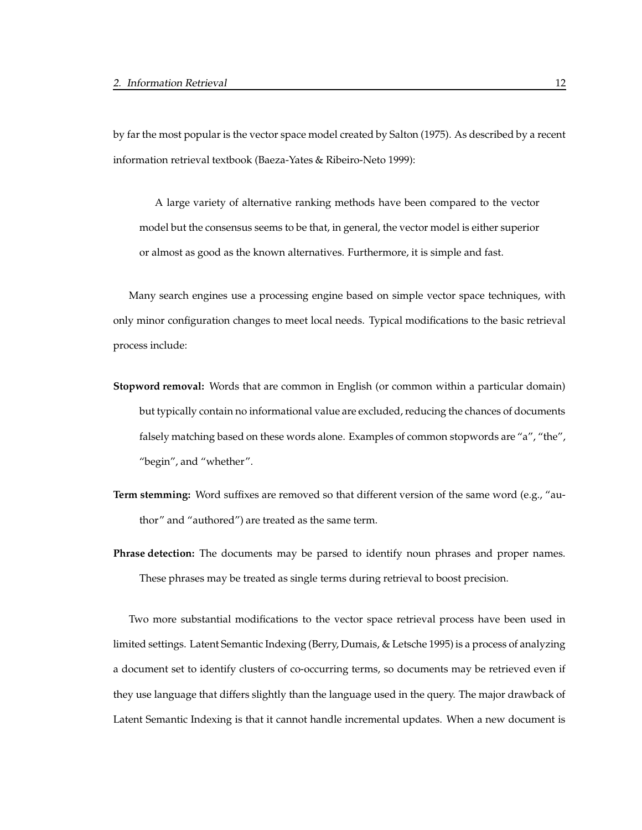by far the most popular is the vector space model created by Salton (1975). As described by a recent information retrieval textbook (Baeza-Yates & Ribeiro-Neto 1999):

A large variety of alternative ranking methods have been compared to the vector model but the consensus seems to be that, in general, the vector model is either superior or almost as good as the known alternatives. Furthermore, it is simple and fast.

Many search engines use a processing engine based on simple vector space techniques, with only minor configuration changes to meet local needs. Typical modifications to the basic retrieval process include:

- **Stopword removal:** Words that are common in English (or common within a particular domain) but typically contain no informational value are excluded, reducing the chances of documents falsely matching based on these words alone. Examples of common stopwords are "a", "the", "begin", and "whether".
- **Term stemming:** Word suffixes are removed so that different version of the same word (e.g., "author" and "authored") are treated as the same term.
- **Phrase detection:** The documents may be parsed to identify noun phrases and proper names. These phrases may be treated as single terms during retrieval to boost precision.

Two more substantial modifications to the vector space retrieval process have been used in limited settings. Latent Semantic Indexing (Berry, Dumais, & Letsche 1995) is a process of analyzing a document set to identify clusters of co-occurring terms, so documents may be retrieved even if they use language that differs slightly than the language used in the query. The major drawback of Latent Semantic Indexing is that it cannot handle incremental updates. When a new document is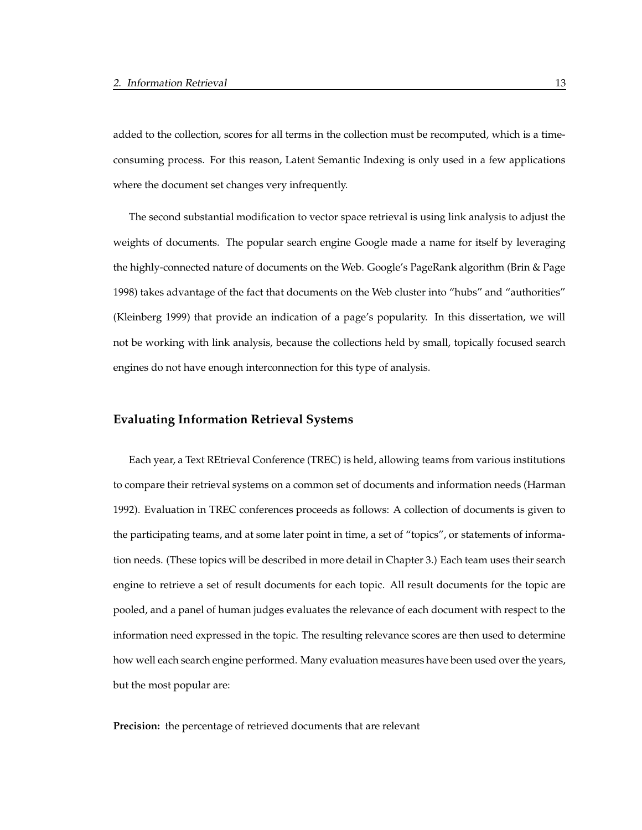added to the collection, scores for all terms in the collection must be recomputed, which is a timeconsuming process. For this reason, Latent Semantic Indexing is only used in a few applications where the document set changes very infrequently.

The second substantial modification to vector space retrieval is using link analysis to adjust the weights of documents. The popular search engine Google made a name for itself by leveraging the highly-connected nature of documents on the Web. Google's PageRank algorithm (Brin & Page 1998) takes advantage of the fact that documents on the Web cluster into "hubs" and "authorities" (Kleinberg 1999) that provide an indication of a page's popularity. In this dissertation, we will not be working with link analysis, because the collections held by small, topically focused search engines do not have enough interconnection for this type of analysis.

#### **Evaluating Information Retrieval Systems**

Each year, a Text REtrieval Conference (TREC) is held, allowing teams from various institutions to compare their retrieval systems on a common set of documents and information needs (Harman 1992). Evaluation in TREC conferences proceeds as follows: A collection of documents is given to the participating teams, and at some later point in time, a set of "topics", or statements of information needs. (These topics will be described in more detail in Chapter 3.) Each team uses their search engine to retrieve a set of result documents for each topic. All result documents for the topic are pooled, and a panel of human judges evaluates the relevance of each document with respect to the information need expressed in the topic. The resulting relevance scores are then used to determine how well each search engine performed. Many evaluation measures have been used over the years, but the most popular are:

**Precision:** the percentage of retrieved documents that are relevant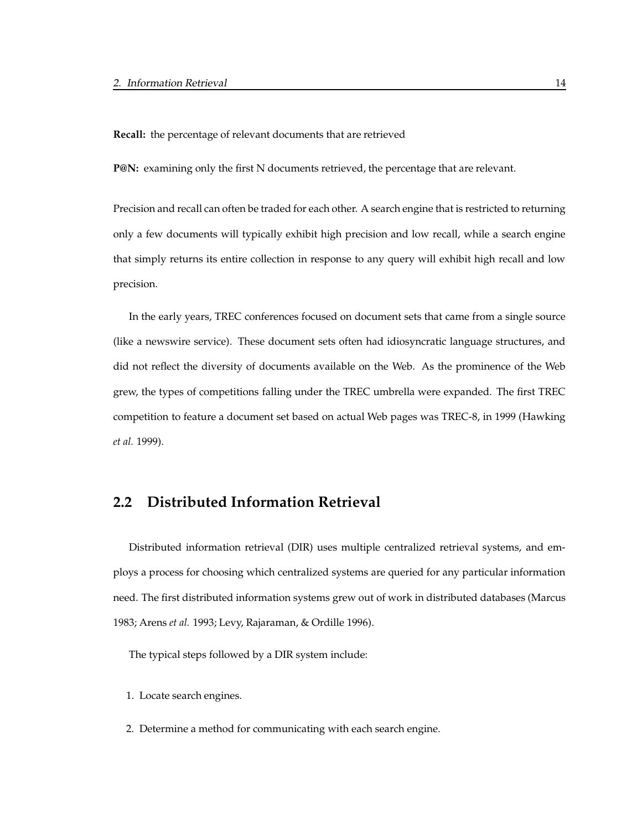**Recall:** the percentage of relevant documents that are retrieved

**P@N:** examining only the first N documents retrieved, the percentage that are relevant.

Precision and recall can often be traded for each other. A search engine that is restricted to returning only a few documents will typically exhibit high precision and low recall, while a search engine that simply returns its entire collection in response to any query will exhibit high recall and low precision.

In the early years, TREC conferences focused on document sets that came from a single source (like a newswire service). These document sets often had idiosyncratic language structures, and did not reflect the diversity of documents available on the Web. As the prominence of the Web grew, the types of competitions falling under the TREC umbrella were expanded. The first TREC competition to feature a document set based on actual Web pages was TREC-8, in 1999 (Hawking *et al.* 1999).

#### **2.2 Distributed Information Retrieval**

Distributed information retrieval (DIR) uses multiple centralized retrieval systems, and employs a process for choosing which centralized systems are queried for any particular information need. The first distributed information systems grew out of work in distributed databases (Marcus 1983; Arens *et al.* 1993; Levy, Rajaraman, & Ordille 1996).

The typical steps followed by a DIR system include:

- 1. Locate search engines.
- 2. Determine a method for communicating with each search engine.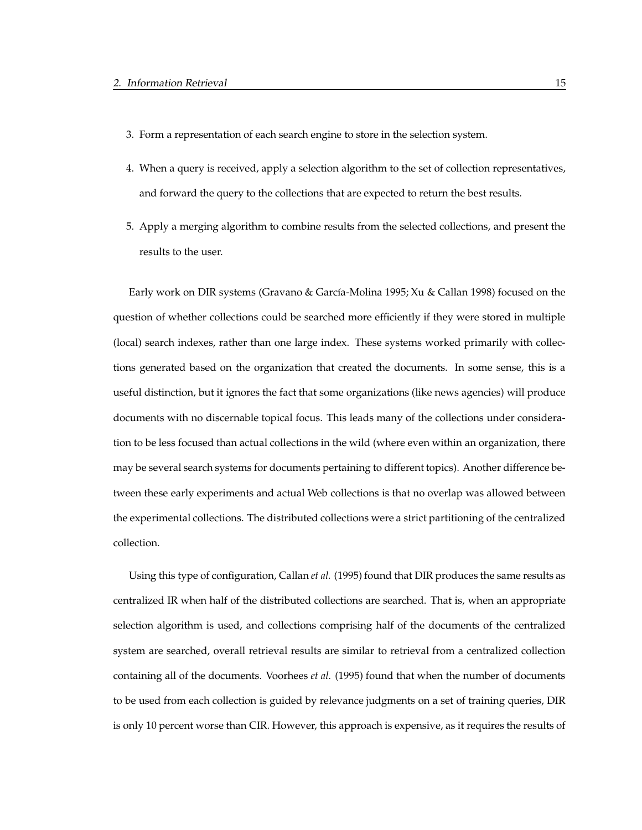- 3. Form a representation of each search engine to store in the selection system.
- 4. When a query is received, apply a selection algorithm to the set of collection representatives, and forward the query to the collections that are expected to return the best results.
- 5. Apply a merging algorithm to combine results from the selected collections, and present the results to the user.

Early work on DIR systems (Gravano & García-Molina 1995; Xu & Callan 1998) focused on the question of whether collections could be searched more efficiently if they were stored in multiple (local) search indexes, rather than one large index. These systems worked primarily with collections generated based on the organization that created the documents. In some sense, this is a useful distinction, but it ignores the fact that some organizations (like news agencies) will produce documents with no discernable topical focus. This leads many of the collections under consideration to be less focused than actual collections in the wild (where even within an organization, there may be several search systems for documents pertaining to different topics). Another difference between these early experiments and actual Web collections is that no overlap was allowed between the experimental collections. The distributed collections were a strict partitioning of the centralized collection.

Using this type of configuration, Callan *et al.* (1995) found that DIR produces the same results as centralized IR when half of the distributed collections are searched. That is, when an appropriate selection algorithm is used, and collections comprising half of the documents of the centralized system are searched, overall retrieval results are similar to retrieval from a centralized collection containing all of the documents. Voorhees *et al.* (1995) found that when the number of documents to be used from each collection is guided by relevance judgments on a set of training queries, DIR is only 10 percent worse than CIR. However, this approach is expensive, as it requires the results of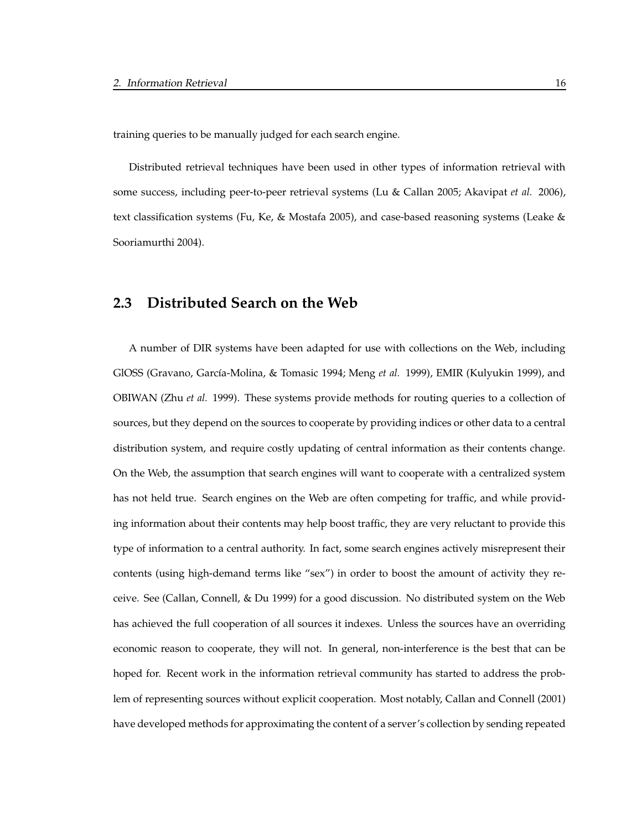training queries to be manually judged for each search engine.

Distributed retrieval techniques have been used in other types of information retrieval with some success, including peer-to-peer retrieval systems (Lu & Callan 2005; Akavipat *et al.* 2006), text classification systems (Fu, Ke, & Mostafa 2005), and case-based reasoning systems (Leake & Sooriamurthi 2004).

#### **2.3 Distributed Search on the Web**

A number of DIR systems have been adapted for use with collections on the Web, including GlOSS (Gravano, García-Molina, & Tomasic 1994; Meng *et al.* 1999), EMIR (Kulyukin 1999), and OBIWAN (Zhu *et al.* 1999). These systems provide methods for routing queries to a collection of sources, but they depend on the sources to cooperate by providing indices or other data to a central distribution system, and require costly updating of central information as their contents change. On the Web, the assumption that search engines will want to cooperate with a centralized system has not held true. Search engines on the Web are often competing for traffic, and while providing information about their contents may help boost traffic, they are very reluctant to provide this type of information to a central authority. In fact, some search engines actively misrepresent their contents (using high-demand terms like "sex") in order to boost the amount of activity they receive. See (Callan, Connell, & Du 1999) for a good discussion. No distributed system on the Web has achieved the full cooperation of all sources it indexes. Unless the sources have an overriding economic reason to cooperate, they will not. In general, non-interference is the best that can be hoped for. Recent work in the information retrieval community has started to address the problem of representing sources without explicit cooperation. Most notably, Callan and Connell (2001) have developed methods for approximating the content of a server's collection by sending repeated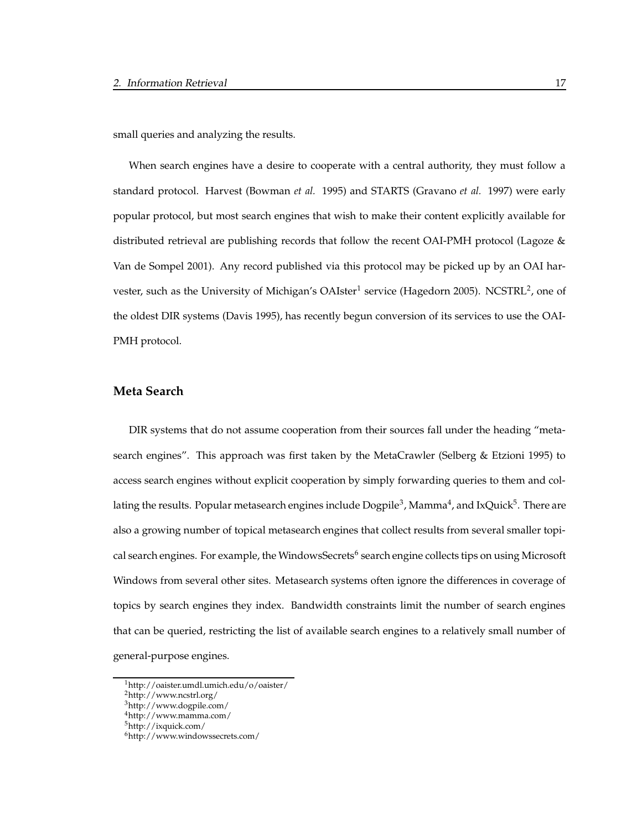small queries and analyzing the results.

When search engines have a desire to cooperate with a central authority, they must follow a standard protocol. Harvest (Bowman *et al.* 1995) and STARTS (Gravano *et al.* 1997) were early popular protocol, but most search engines that wish to make their content explicitly available for distributed retrieval are publishing records that follow the recent OAI-PMH protocol (Lagoze & Van de Sompel 2001). Any record published via this protocol may be picked up by an OAI harvester, such as the University of Michigan's OAIster<sup>1</sup> service (Hagedorn 2005). NCSTRL<sup>2</sup>, one of the oldest DIR systems (Davis 1995), has recently begun conversion of its services to use the OAI-PMH protocol.

#### **Meta Search**

DIR systems that do not assume cooperation from their sources fall under the heading "metasearch engines". This approach was first taken by the MetaCrawler (Selberg & Etzioni 1995) to access search engines without explicit cooperation by simply forwarding queries to them and collating the results. Popular metasearch engines include Dogpile $^3$ , Mamma $^4$ , and IxQuick $^5$ . There are also a growing number of topical metasearch engines that collect results from several smaller topical search engines. For example, the WindowsSecrets<sup>6</sup> search engine collects tips on using Microsoft Windows from several other sites. Metasearch systems often ignore the differences in coverage of topics by search engines they index. Bandwidth constraints limit the number of search engines that can be queried, restricting the list of available search engines to a relatively small number of general-purpose engines.

<sup>1</sup>http://oaister.umdl.umich.edu/o/oaister/

<sup>2</sup>http://www.ncstrl.org/

<sup>3</sup>http://www.dogpile.com/

<sup>4</sup>http://www.mamma.com/

<sup>5</sup>http://ixquick.com/

<sup>6</sup>http://www.windowssecrets.com/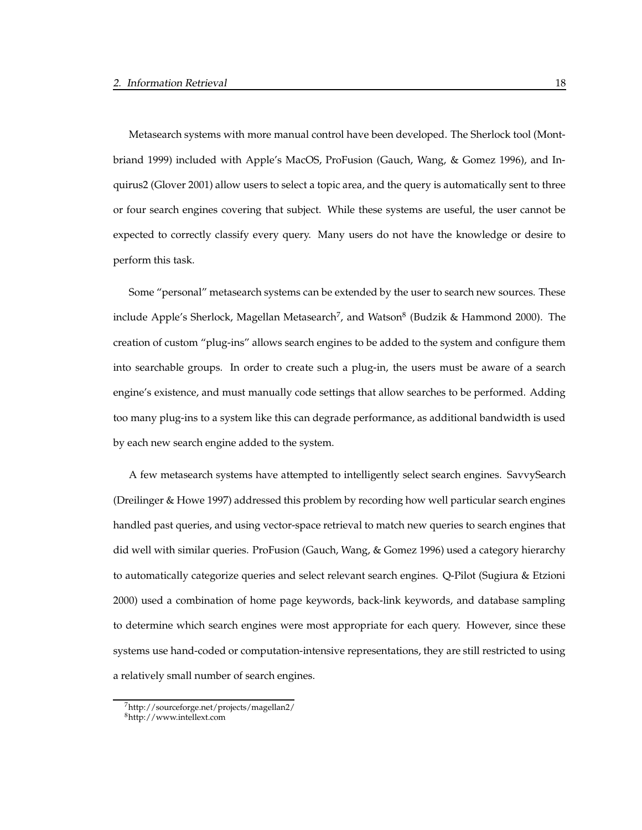Metasearch systems with more manual control have been developed. The Sherlock tool (Montbriand 1999) included with Apple's MacOS, ProFusion (Gauch, Wang, & Gomez 1996), and Inquirus2 (Glover 2001) allow users to select a topic area, and the query is automatically sent to three or four search engines covering that subject. While these systems are useful, the user cannot be expected to correctly classify every query. Many users do not have the knowledge or desire to perform this task.

Some "personal" metasearch systems can be extended by the user to search new sources. These include Apple's Sherlock, Magellan Metasearch<sup>7</sup>, and Watson<sup>8</sup> (Budzik & Hammond 2000). The creation of custom "plug-ins" allows search engines to be added to the system and configure them into searchable groups. In order to create such a plug-in, the users must be aware of a search engine's existence, and must manually code settings that allow searches to be performed. Adding too many plug-ins to a system like this can degrade performance, as additional bandwidth is used by each new search engine added to the system.

A few metasearch systems have attempted to intelligently select search engines. SavvySearch (Dreilinger & Howe 1997) addressed this problem by recording how well particular search engines handled past queries, and using vector-space retrieval to match new queries to search engines that did well with similar queries. ProFusion (Gauch, Wang, & Gomez 1996) used a category hierarchy to automatically categorize queries and select relevant search engines. Q-Pilot (Sugiura & Etzioni 2000) used a combination of home page keywords, back-link keywords, and database sampling to determine which search engines were most appropriate for each query. However, since these systems use hand-coded or computation-intensive representations, they are still restricted to using a relatively small number of search engines.

<sup>7</sup>http://sourceforge.net/projects/magellan2/

<sup>8</sup>http://www.intellext.com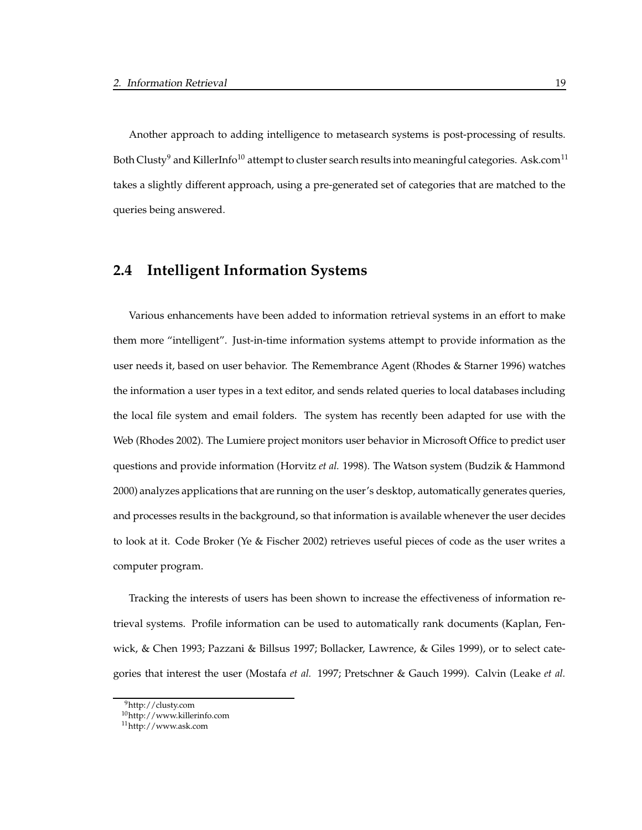Another approach to adding intelligence to metasearch systems is post-processing of results. Both Clusty<sup>9</sup> and KillerInfo<sup>10</sup> attempt to cluster search results into meaningful categories. Ask.com<sup>11</sup> takes a slightly different approach, using a pre-generated set of categories that are matched to the queries being answered.

#### **2.4 Intelligent Information Systems**

Various enhancements have been added to information retrieval systems in an effort to make them more "intelligent". Just-in-time information systems attempt to provide information as the user needs it, based on user behavior. The Remembrance Agent (Rhodes & Starner 1996) watches the information a user types in a text editor, and sends related queries to local databases including the local file system and email folders. The system has recently been adapted for use with the Web (Rhodes 2002). The Lumiere project monitors user behavior in Microsoft Office to predict user questions and provide information (Horvitz *et al.* 1998). The Watson system (Budzik & Hammond 2000) analyzes applications that are running on the user's desktop, automatically generates queries, and processes results in the background, so that information is available whenever the user decides to look at it. Code Broker (Ye & Fischer 2002) retrieves useful pieces of code as the user writes a computer program.

Tracking the interests of users has been shown to increase the effectiveness of information retrieval systems. Profile information can be used to automatically rank documents (Kaplan, Fenwick, & Chen 1993; Pazzani & Billsus 1997; Bollacker, Lawrence, & Giles 1999), or to select categories that interest the user (Mostafa *et al.* 1997; Pretschner & Gauch 1999). Calvin (Leake *et al.*

<sup>9</sup>http://clusty.com

<sup>10</sup>http://www.killerinfo.com

<sup>11</sup>http://www.ask.com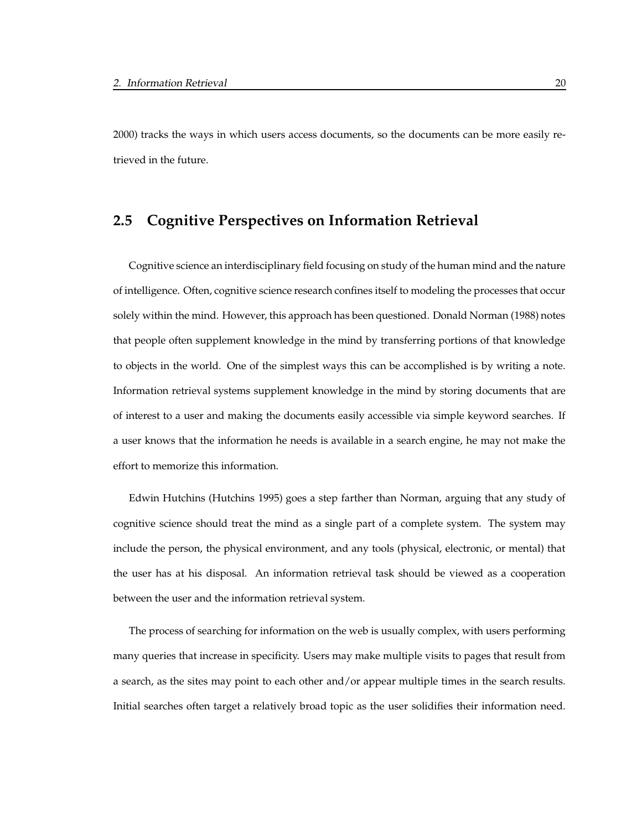2000) tracks the ways in which users access documents, so the documents can be more easily retrieved in the future.

### **2.5 Cognitive Perspectives on Information Retrieval**

Cognitive science an interdisciplinary field focusing on study of the human mind and the nature of intelligence. Often, cognitive science research confines itself to modeling the processes that occur solely within the mind. However, this approach has been questioned. Donald Norman (1988) notes that people often supplement knowledge in the mind by transferring portions of that knowledge to objects in the world. One of the simplest ways this can be accomplished is by writing a note. Information retrieval systems supplement knowledge in the mind by storing documents that are of interest to a user and making the documents easily accessible via simple keyword searches. If a user knows that the information he needs is available in a search engine, he may not make the effort to memorize this information.

Edwin Hutchins (Hutchins 1995) goes a step farther than Norman, arguing that any study of cognitive science should treat the mind as a single part of a complete system. The system may include the person, the physical environment, and any tools (physical, electronic, or mental) that the user has at his disposal. An information retrieval task should be viewed as a cooperation between the user and the information retrieval system.

The process of searching for information on the web is usually complex, with users performing many queries that increase in specificity. Users may make multiple visits to pages that result from a search, as the sites may point to each other and/or appear multiple times in the search results. Initial searches often target a relatively broad topic as the user solidifies their information need.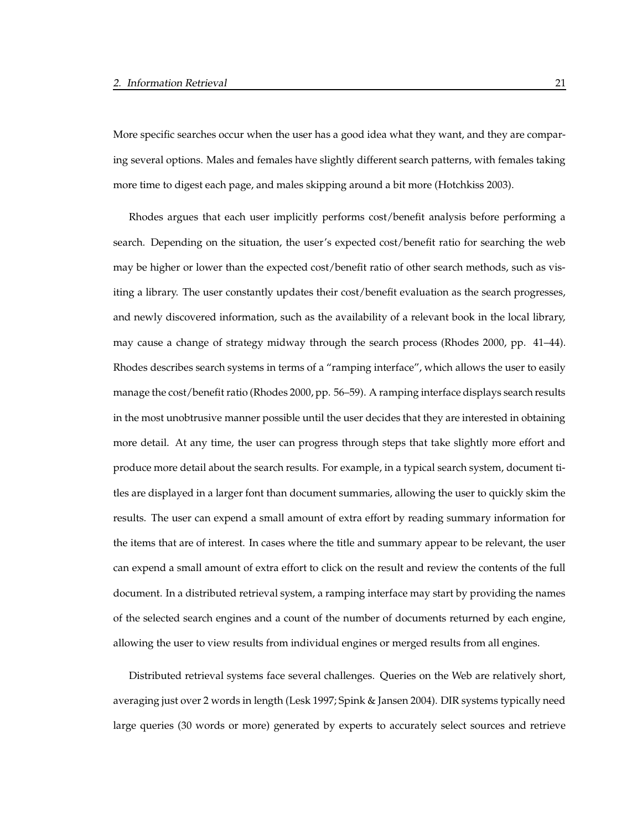More specific searches occur when the user has a good idea what they want, and they are comparing several options. Males and females have slightly different search patterns, with females taking more time to digest each page, and males skipping around a bit more (Hotchkiss 2003).

Rhodes argues that each user implicitly performs cost/benefit analysis before performing a search. Depending on the situation, the user's expected cost/benefit ratio for searching the web may be higher or lower than the expected cost/benefit ratio of other search methods, such as visiting a library. The user constantly updates their cost/benefit evaluation as the search progresses, and newly discovered information, such as the availability of a relevant book in the local library, may cause a change of strategy midway through the search process (Rhodes 2000, pp. 41–44). Rhodes describes search systems in terms of a "ramping interface", which allows the user to easily manage the cost/benefit ratio (Rhodes 2000, pp. 56–59). A ramping interface displays search results in the most unobtrusive manner possible until the user decides that they are interested in obtaining more detail. At any time, the user can progress through steps that take slightly more effort and produce more detail about the search results. For example, in a typical search system, document titles are displayed in a larger font than document summaries, allowing the user to quickly skim the results. The user can expend a small amount of extra effort by reading summary information for the items that are of interest. In cases where the title and summary appear to be relevant, the user can expend a small amount of extra effort to click on the result and review the contents of the full document. In a distributed retrieval system, a ramping interface may start by providing the names of the selected search engines and a count of the number of documents returned by each engine, allowing the user to view results from individual engines or merged results from all engines.

Distributed retrieval systems face several challenges. Queries on the Web are relatively short, averaging just over 2 words in length (Lesk 1997; Spink & Jansen 2004). DIR systems typically need large queries (30 words or more) generated by experts to accurately select sources and retrieve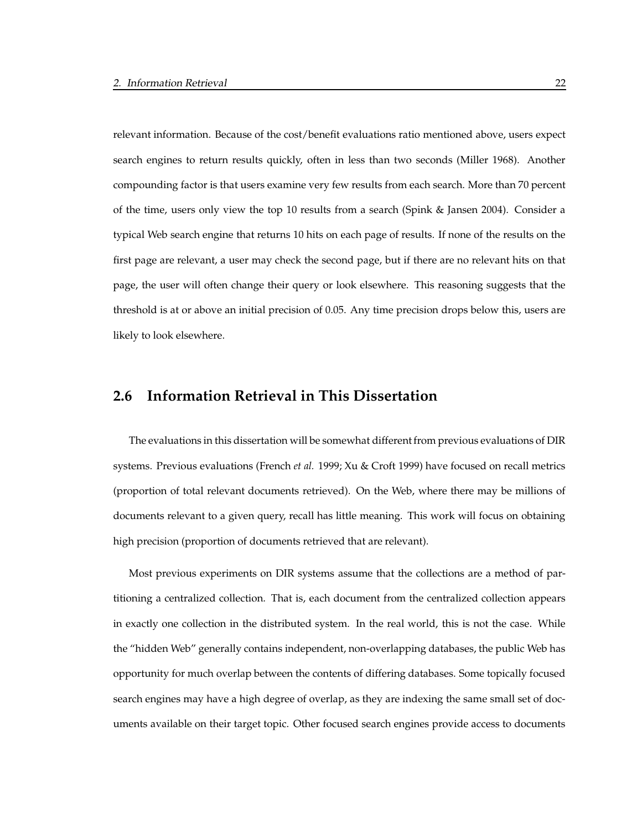relevant information. Because of the cost/benefit evaluations ratio mentioned above, users expect search engines to return results quickly, often in less than two seconds (Miller 1968). Another compounding factor is that users examine very few results from each search. More than 70 percent of the time, users only view the top 10 results from a search (Spink & Jansen 2004). Consider a typical Web search engine that returns 10 hits on each page of results. If none of the results on the first page are relevant, a user may check the second page, but if there are no relevant hits on that page, the user will often change their query or look elsewhere. This reasoning suggests that the threshold is at or above an initial precision of 0.05. Any time precision drops below this, users are likely to look elsewhere.

### **2.6 Information Retrieval in This Dissertation**

The evaluations in this dissertation will be somewhat different from previous evaluations of DIR systems. Previous evaluations (French *et al.* 1999; Xu & Croft 1999) have focused on recall metrics (proportion of total relevant documents retrieved). On the Web, where there may be millions of documents relevant to a given query, recall has little meaning. This work will focus on obtaining high precision (proportion of documents retrieved that are relevant).

Most previous experiments on DIR systems assume that the collections are a method of partitioning a centralized collection. That is, each document from the centralized collection appears in exactly one collection in the distributed system. In the real world, this is not the case. While the "hidden Web" generally contains independent, non-overlapping databases, the public Web has opportunity for much overlap between the contents of differing databases. Some topically focused search engines may have a high degree of overlap, as they are indexing the same small set of documents available on their target topic. Other focused search engines provide access to documents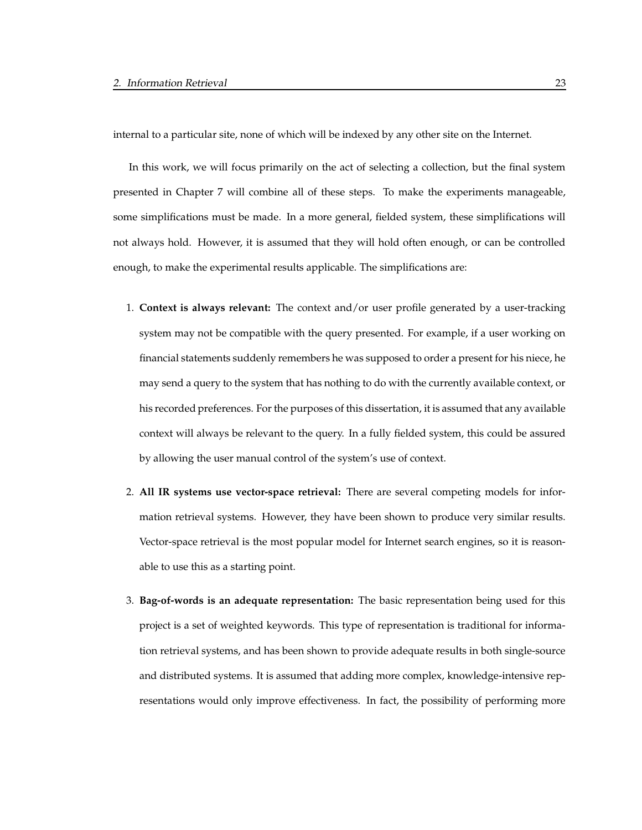internal to a particular site, none of which will be indexed by any other site on the Internet.

In this work, we will focus primarily on the act of selecting a collection, but the final system presented in Chapter 7 will combine all of these steps. To make the experiments manageable, some simplifications must be made. In a more general, fielded system, these simplifications will not always hold. However, it is assumed that they will hold often enough, or can be controlled enough, to make the experimental results applicable. The simplifications are:

- 1. **Context is always relevant:** The context and/or user profile generated by a user-tracking system may not be compatible with the query presented. For example, if a user working on financial statements suddenly remembers he was supposed to order a present for his niece, he may send a query to the system that has nothing to do with the currently available context, or his recorded preferences. For the purposes of this dissertation, it is assumed that any available context will always be relevant to the query. In a fully fielded system, this could be assured by allowing the user manual control of the system's use of context.
- 2. **All IR systems use vector-space retrieval:** There are several competing models for information retrieval systems. However, they have been shown to produce very similar results. Vector-space retrieval is the most popular model for Internet search engines, so it is reasonable to use this as a starting point.
- 3. **Bag-of-words is an adequate representation:** The basic representation being used for this project is a set of weighted keywords. This type of representation is traditional for information retrieval systems, and has been shown to provide adequate results in both single-source and distributed systems. It is assumed that adding more complex, knowledge-intensive representations would only improve effectiveness. In fact, the possibility of performing more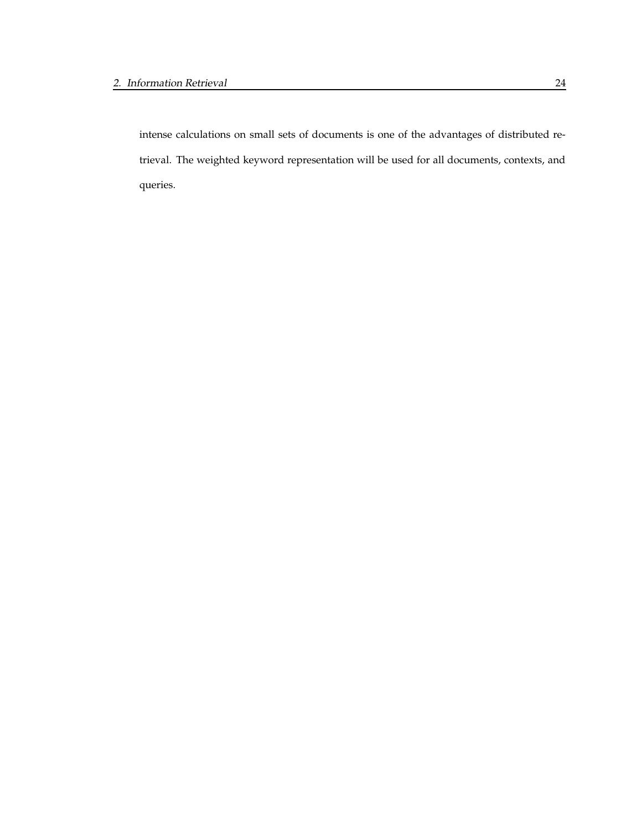intense calculations on small sets of documents is one of the advantages of distributed retrieval. The weighted keyword representation will be used for all documents, contexts, and queries.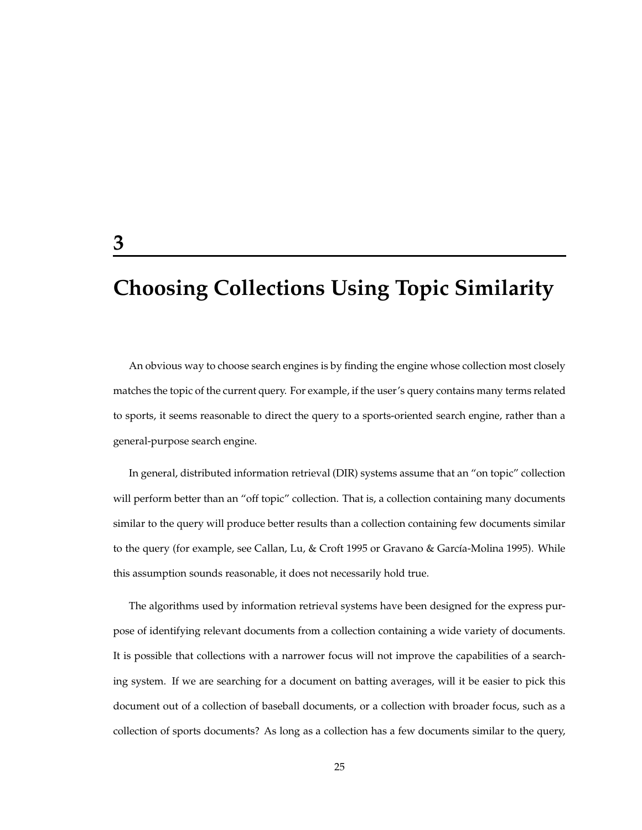# **Choosing Collections Using Topic Similarity**

An obvious way to choose search engines is by finding the engine whose collection most closely matches the topic of the current query. For example, if the user's query contains many terms related to sports, it seems reasonable to direct the query to a sports-oriented search engine, rather than a general-purpose search engine.

In general, distributed information retrieval (DIR) systems assume that an "on topic" collection will perform better than an "off topic" collection. That is, a collection containing many documents similar to the query will produce better results than a collection containing few documents similar to the query (for example, see Callan, Lu, & Croft 1995 or Gravano & García-Molina 1995). While this assumption sounds reasonable, it does not necessarily hold true.

The algorithms used by information retrieval systems have been designed for the express purpose of identifying relevant documents from a collection containing a wide variety of documents. It is possible that collections with a narrower focus will not improve the capabilities of a searching system. If we are searching for a document on batting averages, will it be easier to pick this document out of a collection of baseball documents, or a collection with broader focus, such as a collection of sports documents? As long as a collection has a few documents similar to the query,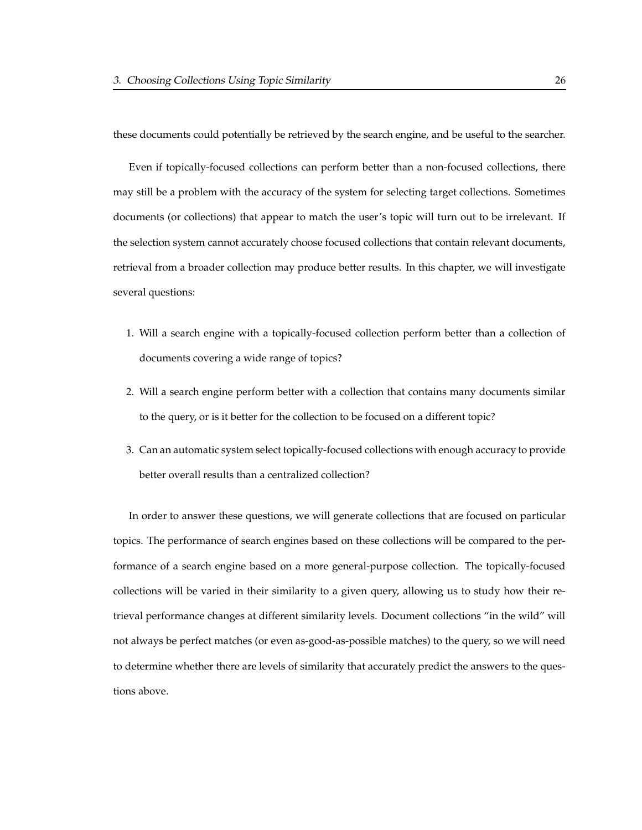these documents could potentially be retrieved by the search engine, and be useful to the searcher.

Even if topically-focused collections can perform better than a non-focused collections, there may still be a problem with the accuracy of the system for selecting target collections. Sometimes documents (or collections) that appear to match the user's topic will turn out to be irrelevant. If the selection system cannot accurately choose focused collections that contain relevant documents, retrieval from a broader collection may produce better results. In this chapter, we will investigate several questions:

- 1. Will a search engine with a topically-focused collection perform better than a collection of documents covering a wide range of topics?
- 2. Will a search engine perform better with a collection that contains many documents similar to the query, or is it better for the collection to be focused on a different topic?
- 3. Can an automatic system select topically-focused collections with enough accuracy to provide better overall results than a centralized collection?

In order to answer these questions, we will generate collections that are focused on particular topics. The performance of search engines based on these collections will be compared to the performance of a search engine based on a more general-purpose collection. The topically-focused collections will be varied in their similarity to a given query, allowing us to study how their retrieval performance changes at different similarity levels. Document collections "in the wild" will not always be perfect matches (or even as-good-as-possible matches) to the query, so we will need to determine whether there are levels of similarity that accurately predict the answers to the questions above.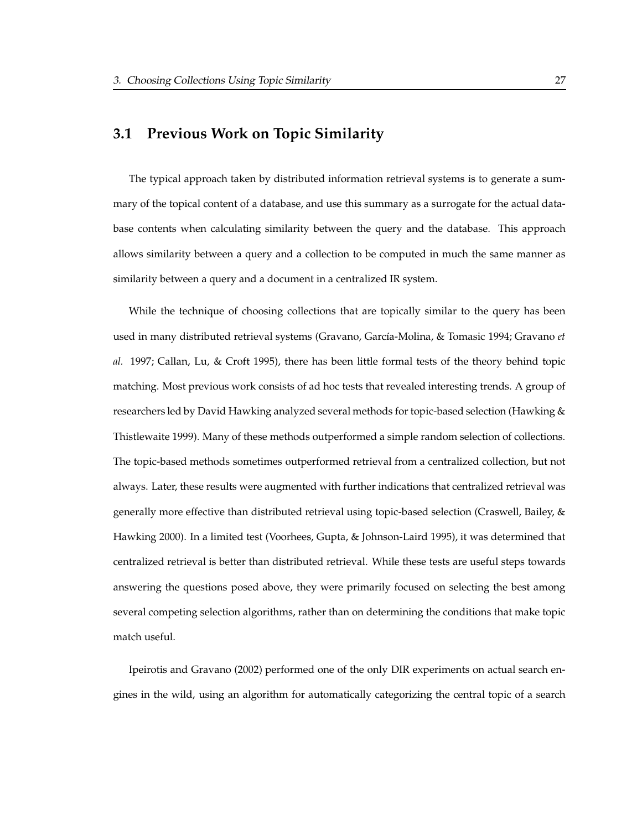# **3.1 Previous Work on Topic Similarity**

The typical approach taken by distributed information retrieval systems is to generate a summary of the topical content of a database, and use this summary as a surrogate for the actual database contents when calculating similarity between the query and the database. This approach allows similarity between a query and a collection to be computed in much the same manner as similarity between a query and a document in a centralized IR system.

While the technique of choosing collections that are topically similar to the query has been used in many distributed retrieval systems (Gravano, Garc´ıa-Molina, & Tomasic 1994; Gravano *et al.* 1997; Callan, Lu, & Croft 1995), there has been little formal tests of the theory behind topic matching. Most previous work consists of ad hoc tests that revealed interesting trends. A group of researchers led by David Hawking analyzed several methods for topic-based selection (Hawking & Thistlewaite 1999). Many of these methods outperformed a simple random selection of collections. The topic-based methods sometimes outperformed retrieval from a centralized collection, but not always. Later, these results were augmented with further indications that centralized retrieval was generally more effective than distributed retrieval using topic-based selection (Craswell, Bailey, & Hawking 2000). In a limited test (Voorhees, Gupta, & Johnson-Laird 1995), it was determined that centralized retrieval is better than distributed retrieval. While these tests are useful steps towards answering the questions posed above, they were primarily focused on selecting the best among several competing selection algorithms, rather than on determining the conditions that make topic match useful.

Ipeirotis and Gravano (2002) performed one of the only DIR experiments on actual search engines in the wild, using an algorithm for automatically categorizing the central topic of a search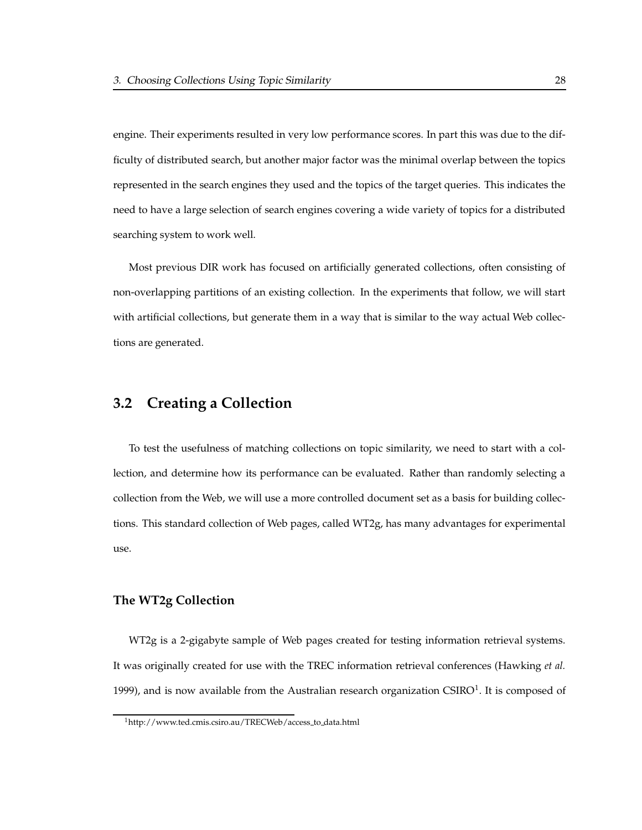engine. Their experiments resulted in very low performance scores. In part this was due to the difficulty of distributed search, but another major factor was the minimal overlap between the topics represented in the search engines they used and the topics of the target queries. This indicates the need to have a large selection of search engines covering a wide variety of topics for a distributed searching system to work well.

Most previous DIR work has focused on artificially generated collections, often consisting of non-overlapping partitions of an existing collection. In the experiments that follow, we will start with artificial collections, but generate them in a way that is similar to the way actual Web collections are generated.

### **3.2 Creating a Collection**

To test the usefulness of matching collections on topic similarity, we need to start with a collection, and determine how its performance can be evaluated. Rather than randomly selecting a collection from the Web, we will use a more controlled document set as a basis for building collections. This standard collection of Web pages, called WT2g, has many advantages for experimental use.

### **The WT2g Collection**

WT2g is a 2-gigabyte sample of Web pages created for testing information retrieval systems. It was originally created for use with the TREC information retrieval conferences (Hawking *et al.* 1999), and is now available from the Australian research organization CSIRO<sup>1</sup>. It is composed of

<sup>1</sup>http://www.ted.cmis.csiro.au/TRECWeb/access to data.html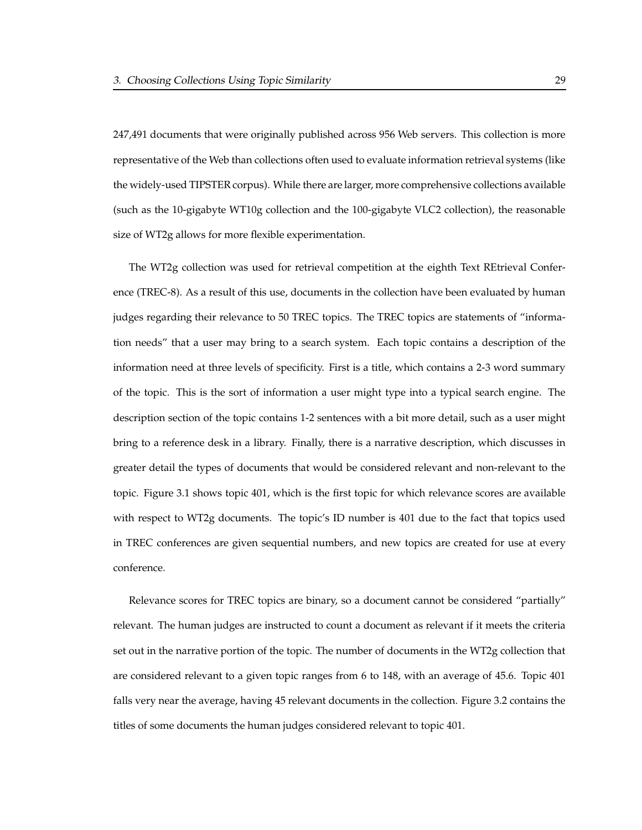247,491 documents that were originally published across 956 Web servers. This collection is more representative of the Web than collections often used to evaluate information retrieval systems (like the widely-used TIPSTER corpus). While there are larger, more comprehensive collections available (such as the 10-gigabyte WT10g collection and the 100-gigabyte VLC2 collection), the reasonable size of WT2g allows for more flexible experimentation.

The WT2g collection was used for retrieval competition at the eighth Text REtrieval Conference (TREC-8). As a result of this use, documents in the collection have been evaluated by human judges regarding their relevance to 50 TREC topics. The TREC topics are statements of "information needs" that a user may bring to a search system. Each topic contains a description of the information need at three levels of specificity. First is a title, which contains a 2-3 word summary of the topic. This is the sort of information a user might type into a typical search engine. The description section of the topic contains 1-2 sentences with a bit more detail, such as a user might bring to a reference desk in a library. Finally, there is a narrative description, which discusses in greater detail the types of documents that would be considered relevant and non-relevant to the topic. Figure 3.1 shows topic 401, which is the first topic for which relevance scores are available with respect to WT2g documents. The topic's ID number is 401 due to the fact that topics used in TREC conferences are given sequential numbers, and new topics are created for use at every conference.

Relevance scores for TREC topics are binary, so a document cannot be considered "partially" relevant. The human judges are instructed to count a document as relevant if it meets the criteria set out in the narrative portion of the topic. The number of documents in the WT2g collection that are considered relevant to a given topic ranges from 6 to 148, with an average of 45.6. Topic 401 falls very near the average, having 45 relevant documents in the collection. Figure 3.2 contains the titles of some documents the human judges considered relevant to topic 401.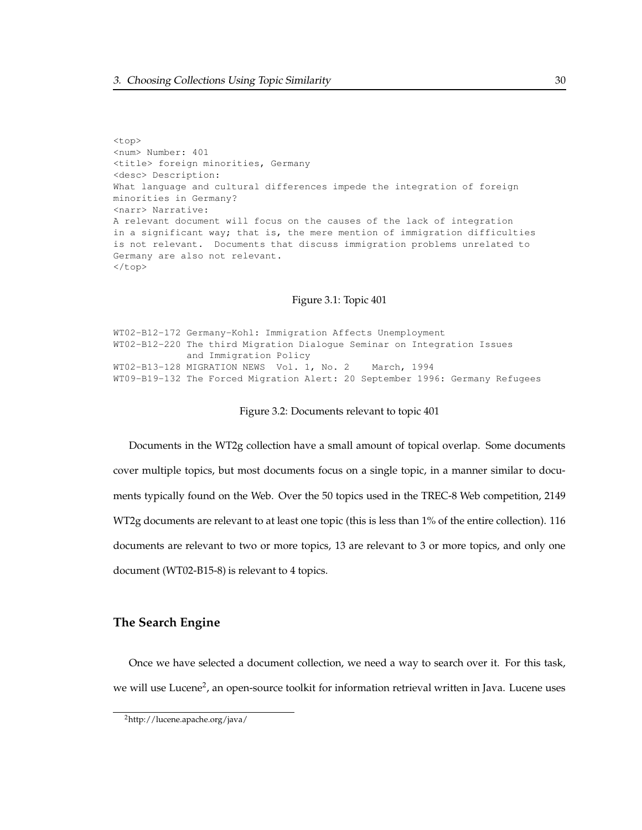<top> <num> Number: 401 <title> foreign minorities, Germany <desc> Description: What language and cultural differences impede the integration of foreign minorities in Germany? <narr> Narrative: A relevant document will focus on the causes of the lack of integration in a significant way; that is, the mere mention of immigration difficulties is not relevant. Documents that discuss immigration problems unrelated to Germany are also not relevant.  $\langle$ /top>

#### Figure 3.1: Topic 401

WT02-B12-172 Germany-Kohl: Immigration Affects Unemployment WT02-B12-220 The third Migration Dialogue Seminar on Integration Issues and Immigration Policy WT02-B13-128 MIGRATION NEWS Vol. 1, No. 2 March, 1994 WT09-B19-132 The Forced Migration Alert: 20 September 1996: Germany Refugees

#### Figure 3.2: Documents relevant to topic 401

Documents in the WT2g collection have a small amount of topical overlap. Some documents cover multiple topics, but most documents focus on a single topic, in a manner similar to documents typically found on the Web. Over the 50 topics used in the TREC-8 Web competition, 2149 WT2g documents are relevant to at least one topic (this is less than 1% of the entire collection). 116 documents are relevant to two or more topics, 13 are relevant to 3 or more topics, and only one document (WT02-B15-8) is relevant to 4 topics.

### **The Search Engine**

Once we have selected a document collection, we need a way to search over it. For this task, we will use Lucene<sup>2</sup>, an open-source toolkit for information retrieval written in Java. Lucene uses

<sup>2</sup>http://lucene.apache.org/java/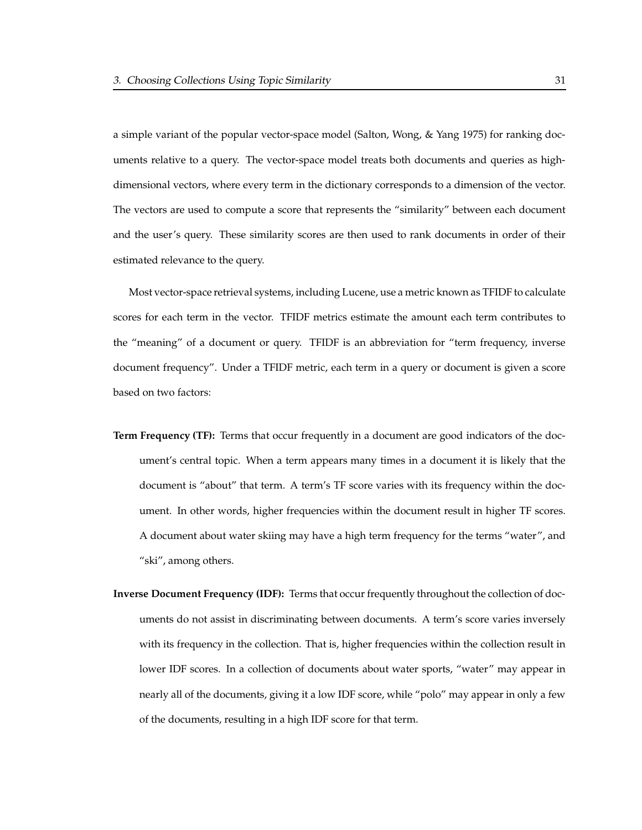a simple variant of the popular vector-space model (Salton, Wong, & Yang 1975) for ranking documents relative to a query. The vector-space model treats both documents and queries as highdimensional vectors, where every term in the dictionary corresponds to a dimension of the vector. The vectors are used to compute a score that represents the "similarity" between each document and the user's query. These similarity scores are then used to rank documents in order of their estimated relevance to the query.

Most vector-space retrieval systems, including Lucene, use a metric known as TFIDF to calculate scores for each term in the vector. TFIDF metrics estimate the amount each term contributes to the "meaning" of a document or query. TFIDF is an abbreviation for "term frequency, inverse document frequency". Under a TFIDF metric, each term in a query or document is given a score based on two factors:

- **Term Frequency (TF):** Terms that occur frequently in a document are good indicators of the document's central topic. When a term appears many times in a document it is likely that the document is "about" that term. A term's TF score varies with its frequency within the document. In other words, higher frequencies within the document result in higher TF scores. A document about water skiing may have a high term frequency for the terms "water", and "ski", among others.
- **Inverse Document Frequency (IDF):** Terms that occurfrequently throughout the collection of documents do not assist in discriminating between documents. A term's score varies inversely with its frequency in the collection. That is, higher frequencies within the collection result in lower IDF scores. In a collection of documents about water sports, "water" may appear in nearly all of the documents, giving it a low IDF score, while "polo" may appear in only a few of the documents, resulting in a high IDF score for that term.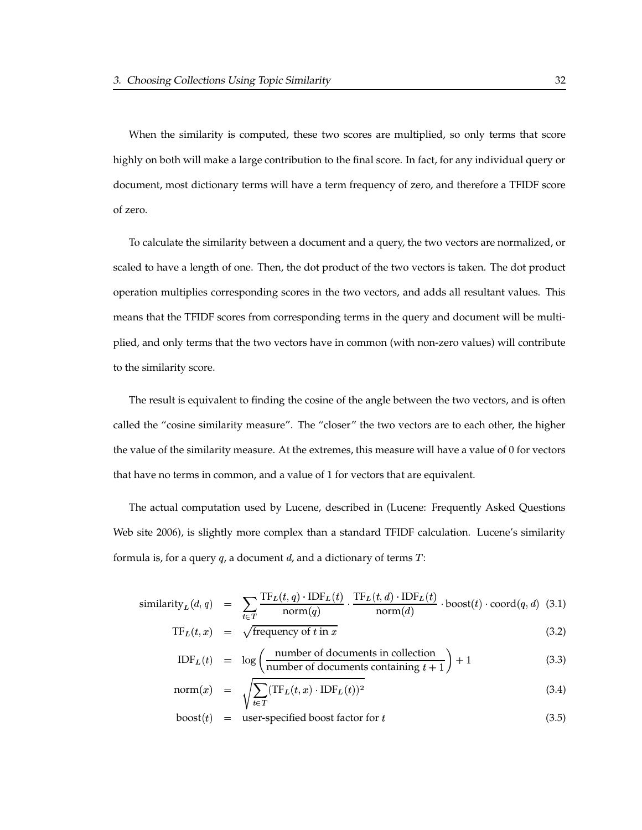When the similarity is computed, these two scores are multiplied, so only terms that score highly on both will make a large contribution to the final score. In fact, for any individual query or document, most dictionary terms will have a term frequency of zero, and therefore a TFIDF score of zero.

To calculate the similarity between a document and a query, the two vectors are normalized, or scaled to have a length of one. Then, the dot product of the two vectors is taken. The dot product operation multiplies corresponding scores in the two vectors, and adds all resultant values. This means that the TFIDF scores from corresponding terms in the query and document will be multiplied, and only terms that the two vectors have in common (with non-zero values) will contribute to the similarity score.

The result is equivalent to finding the cosine of the angle between the two vectors, and is often called the "cosine similarity measure". The "closer" the two vectors are to each other, the higher the value of the similarity measure. At the extremes, this measure will have a value of 0 for vectors that have no terms in common, and a value of 1 for vectors that are equivalent.

The actual computation used by Lucene, described in (Lucene: Frequently Asked Questions Web site 2006), is slightly more complex than a standard TFIDF calculation. Lucene's similarity formula is, for a query  $q$ , a document  $d$ , and a dictionary of terms  $T$ :

similarity<sub>L</sub>(d,q) = 
$$
\sum_{t \in T} \frac{\text{TF}_{L}(t,q) \cdot \text{IDF}_{L}(t)}{\text{norm}(q)} \cdot \frac{\text{TF}_{L}(t,d) \cdot \text{IDF}_{L}(t)}{\text{norm}(d)} \cdot \text{boost}(t) \cdot \text{coord}(q, d)
$$
 (3.1)

$$
TF_L(t, x) = \sqrt{\text{frequency of } t \text{ in } x}
$$
 (3.2)

$$
IDFL(t) = \log \left( \frac{\text{number of documents in collection}}{\text{number of documents containing } t+1} \right) + 1 \tag{3.3}
$$

$$
norm(x) = \sqrt{\sum_{t \in T} (\text{TF}_L(t, x) \cdot \text{IDF}_L(t))^2}
$$
\n(3.4)

$$
boost(t) = user-specified boost factor for t
$$
\n(3.5)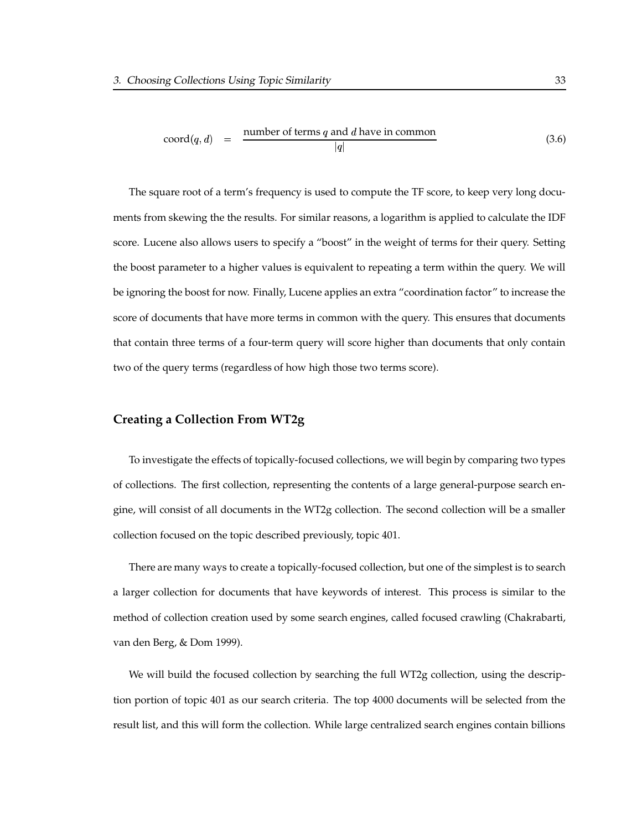$$
coord(q, d) = \frac{\text{number of terms } q \text{ and } d \text{ have in common}}{|q|} \tag{3.6}
$$

The square root of a term's frequency is used to compute the TF score, to keep very long documents from skewing the the results. For similar reasons, a logarithm is applied to calculate the IDF score. Lucene also allows users to specify a "boost" in the weight of terms for their query. Setting the boost parameter to a higher values is equivalent to repeating a term within the query. We will be ignoring the boost for now. Finally, Lucene applies an extra "coordination factor" to increase the score of documents that have more terms in common with the query. This ensures that documents that contain three terms of a four-term query will score higher than documents that only contain two of the query terms (regardless of how high those two terms score).

#### **Creating a Collection From WT2g**

To investigate the effects of topically-focused collections, we will begin by comparing two types of collections. The first collection, representing the contents of a large general-purpose search engine, will consist of all documents in the WT2g collection. The second collection will be a smaller collection focused on the topic described previously, topic 401.

There are many ways to create a topically-focused collection, but one of the simplest is to search a larger collection for documents that have keywords of interest. This process is similar to the method of collection creation used by some search engines, called focused crawling (Chakrabarti, van den Berg, & Dom 1999).

We will build the focused collection by searching the full WT2g collection, using the description portion of topic 401 as our search criteria. The top 4000 documents will be selected from the result list, and this will form the collection. While large centralized search engines contain billions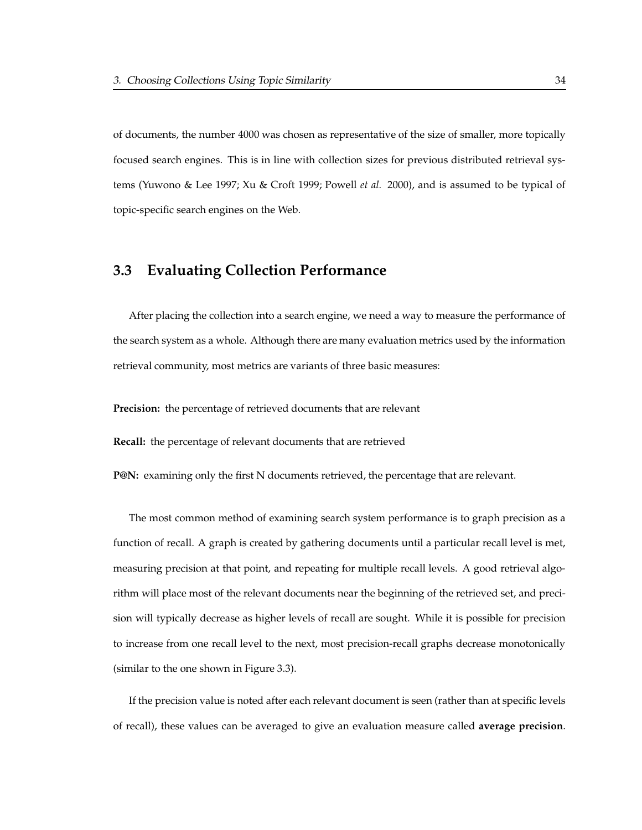of documents, the number 4000 was chosen as representative of the size of smaller, more topically focused search engines. This is in line with collection sizes for previous distributed retrieval systems (Yuwono & Lee 1997; Xu & Croft 1999; Powell *et al.* 2000), and is assumed to be typical of topic-specific search engines on the Web.

### **3.3 Evaluating Collection Performance**

After placing the collection into a search engine, we need a way to measure the performance of the search system as a whole. Although there are many evaluation metrics used by the information retrieval community, most metrics are variants of three basic measures:

**Precision:** the percentage of retrieved documents that are relevant

**Recall:** the percentage of relevant documents that are retrieved

**P@N:** examining only the first N documents retrieved, the percentage that are relevant.

The most common method of examining search system performance is to graph precision as a function of recall. A graph is created by gathering documents until a particular recall level is met, measuring precision at that point, and repeating for multiple recall levels. A good retrieval algorithm will place most of the relevant documents near the beginning of the retrieved set, and precision will typically decrease as higher levels of recall are sought. While it is possible for precision to increase from one recall level to the next, most precision-recall graphs decrease monotonically (similar to the one shown in Figure 3.3).

If the precision value is noted after each relevant document is seen (rather than at specific levels of recall), these values can be averaged to give an evaluation measure called **average precision**.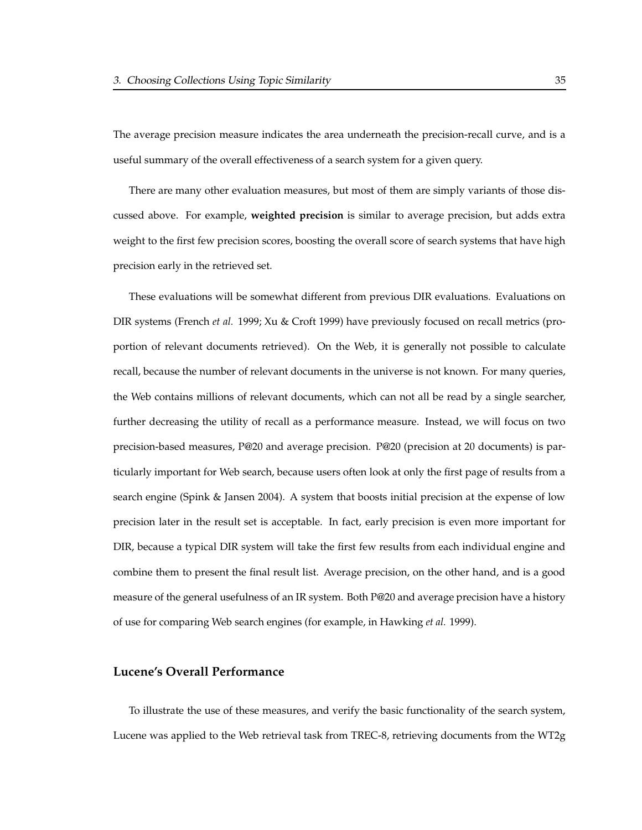The average precision measure indicates the area underneath the precision-recall curve, and is a useful summary of the overall effectiveness of a search system for a given query.

There are many other evaluation measures, but most of them are simply variants of those discussed above. For example, **weighted precision** is similar to average precision, but adds extra weight to the first few precision scores, boosting the overall score of search systems that have high precision early in the retrieved set.

These evaluations will be somewhat different from previous DIR evaluations. Evaluations on DIR systems (French *et al.* 1999; Xu & Croft 1999) have previously focused on recall metrics (proportion of relevant documents retrieved). On the Web, it is generally not possible to calculate recall, because the number of relevant documents in the universe is not known. For many queries, the Web contains millions of relevant documents, which can not all be read by a single searcher, further decreasing the utility of recall as a performance measure. Instead, we will focus on two precision-based measures, P@20 and average precision. P@20 (precision at 20 documents) is particularly important for Web search, because users often look at only the first page of results from a search engine (Spink & Jansen 2004). A system that boosts initial precision at the expense of low precision later in the result set is acceptable. In fact, early precision is even more important for DIR, because a typical DIR system will take the first few results from each individual engine and combine them to present the final result list. Average precision, on the other hand, and is a good measure of the general usefulness of an IR system. Both P@20 and average precision have a history of use for comparing Web search engines (for example, in Hawking *et al.* 1999).

#### **Lucene's Overall Performance**

To illustrate the use of these measures, and verify the basic functionality of the search system, Lucene was applied to the Web retrieval task from TREC-8, retrieving documents from the WT2g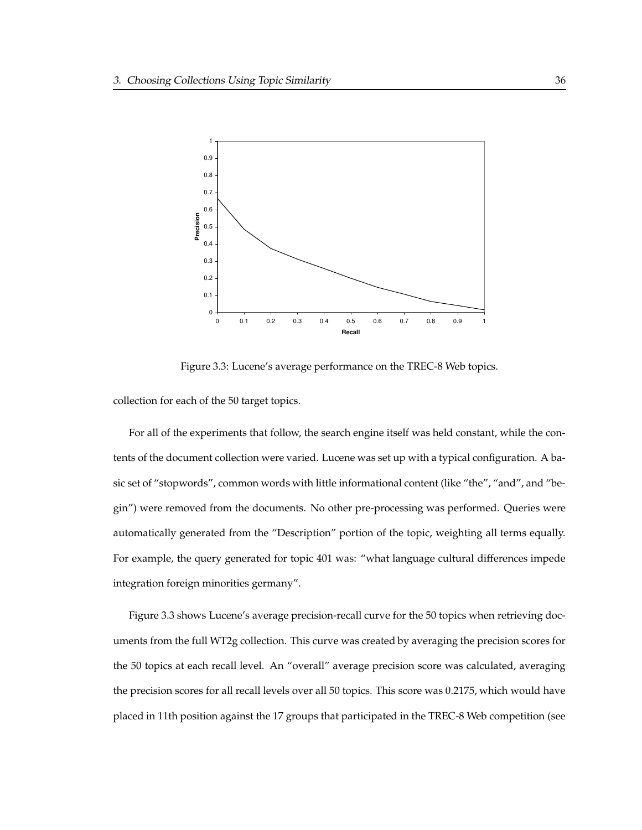

Figure 3.3: Lucene's average performance on the TREC-8 Web topics.

collection for each of the 50 target topics.

For all of the experiments that follow, the search engine itself was held constant, while the contents of the document collection were varied. Lucene was set up with a typical configuration. A basic set of "stopwords", common words with little informational content (like "the", "and", and "begin") were removed from the documents. No other pre-processing was performed. Queries were automatically generated from the "Description" portion of the topic, weighting all terms equally. For example, the query generated for topic 401 was: "what language cultural differences impede integration foreign minorities germany".

Figure 3.3 shows Lucene's average precision-recall curve for the 50 topics when retrieving documents from the full WT2g collection. This curve was created by averaging the precision scores for the 50 topics at each recall level. An "overall" average precision score was calculated, averaging the precision scores for all recall levels over all 50 topics. This score was 0.2175, which would have placed in 11th position against the 17 groups that participated in the TREC-8 Web competition (see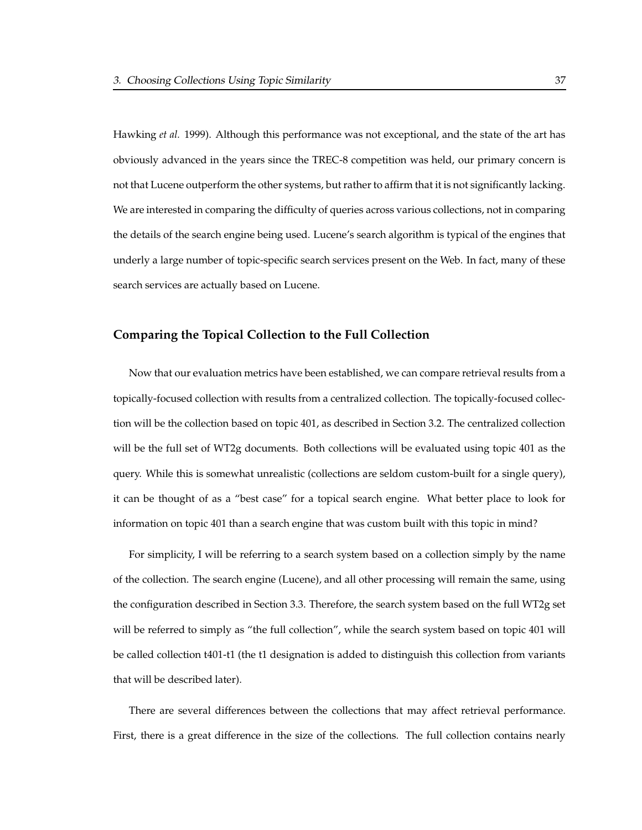Hawking *et al.* 1999). Although this performance was not exceptional, and the state of the art has obviously advanced in the years since the TREC-8 competition was held, our primary concern is not that Lucene outperform the other systems, but rather to affirm that it is not significantly lacking. We are interested in comparing the difficulty of queries across various collections, not in comparing the details of the search engine being used. Lucene's search algorithm is typical of the engines that underly a large number of topic-specific search services present on the Web. In fact, many of these search services are actually based on Lucene.

### **Comparing the Topical Collection to the Full Collection**

Now that our evaluation metrics have been established, we can compare retrieval results from a topically-focused collection with results from a centralized collection. The topically-focused collection will be the collection based on topic 401, as described in Section 3.2. The centralized collection will be the full set of WT2g documents. Both collections will be evaluated using topic 401 as the query. While this is somewhat unrealistic (collections are seldom custom-built for a single query), it can be thought of as a "best case" for a topical search engine. What better place to look for information on topic 401 than a search engine that was custom built with this topic in mind?

For simplicity, I will be referring to a search system based on a collection simply by the name of the collection. The search engine (Lucene), and all other processing will remain the same, using the configuration described in Section 3.3. Therefore, the search system based on the full WT2g set will be referred to simply as "the full collection", while the search system based on topic 401 will be called collection t401-t1 (the t1 designation is added to distinguish this collection from variants that will be described later).

There are several differences between the collections that may affect retrieval performance. First, there is a great difference in the size of the collections. The full collection contains nearly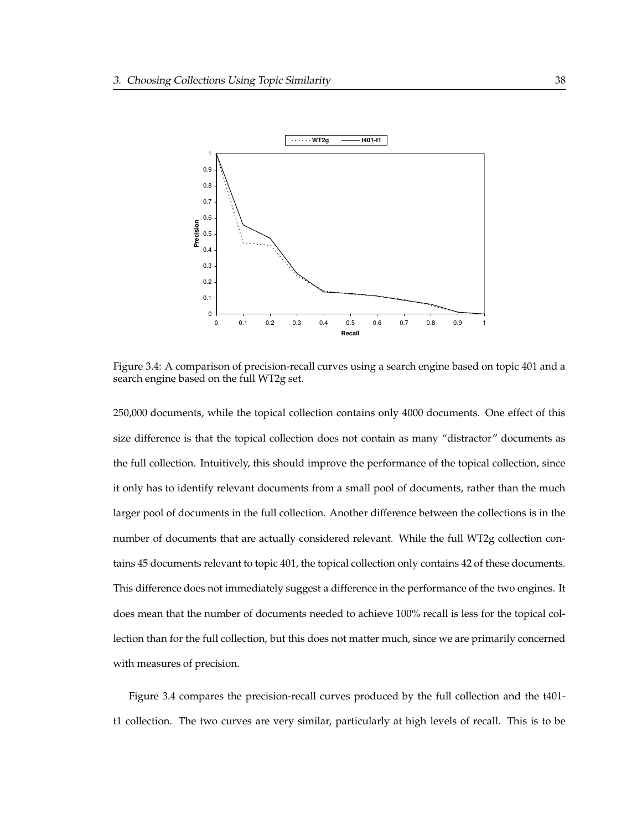

Figure 3.4: A comparison of precision-recall curves using a search engine based on topic 401 and a search engine based on the full WT2g set.

250,000 documents, while the topical collection contains only 4000 documents. One effect of this size difference is that the topical collection does not contain as many "distractor" documents as the full collection. Intuitively, this should improve the performance of the topical collection, since it only has to identify relevant documents from a small pool of documents, rather than the much larger pool of documents in the full collection. Another difference between the collections is in the number of documents that are actually considered relevant. While the full WT2g collection contains 45 documents relevant to topic 401, the topical collection only contains 42 of these documents. This difference does not immediately suggest a difference in the performance of the two engines. It does mean that the number of documents needed to achieve 100% recall is less for the topical collection than for the full collection, but this does not matter much, since we are primarily concerned with measures of precision.

Figure 3.4 compares the precision-recall curves produced by the full collection and the t401 t1 collection. The two curves are very similar, particularly at high levels of recall. This is to be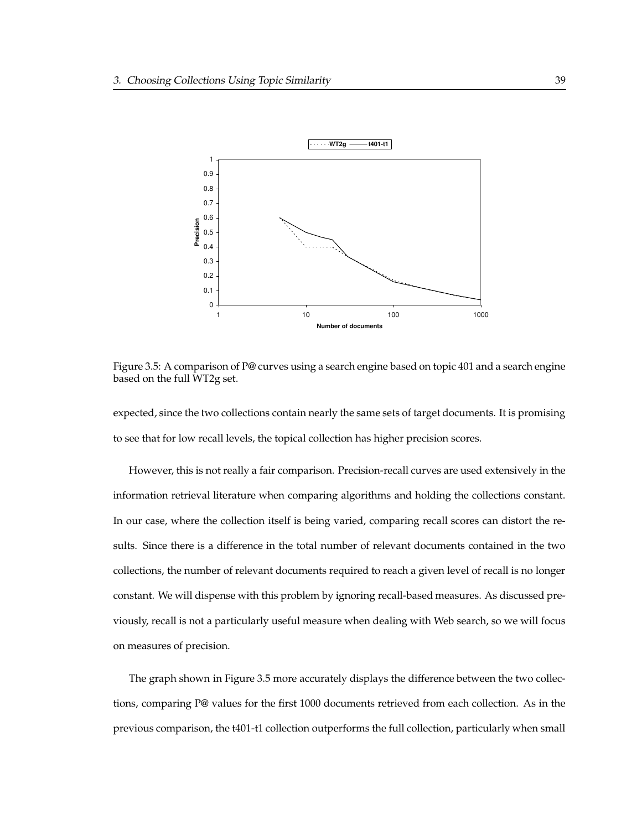

Figure 3.5: A comparison of P@ curves using a search engine based on topic 401 and a search engine based on the full WT2g set.

expected, since the two collections contain nearly the same sets of target documents. It is promising to see that for low recall levels, the topical collection has higher precision scores.

However, this is not really a fair comparison. Precision-recall curves are used extensively in the information retrieval literature when comparing algorithms and holding the collections constant. In our case, where the collection itself is being varied, comparing recall scores can distort the results. Since there is a difference in the total number of relevant documents contained in the two collections, the number of relevant documents required to reach a given level of recall is no longer constant. We will dispense with this problem by ignoring recall-based measures. As discussed previously, recall is not a particularly useful measure when dealing with Web search, so we will focus on measures of precision.

The graph shown in Figure 3.5 more accurately displays the difference between the two collections, comparing P@ values for the first 1000 documents retrieved from each collection. As in the previous comparison, the t401-t1 collection outperforms the full collection, particularly when small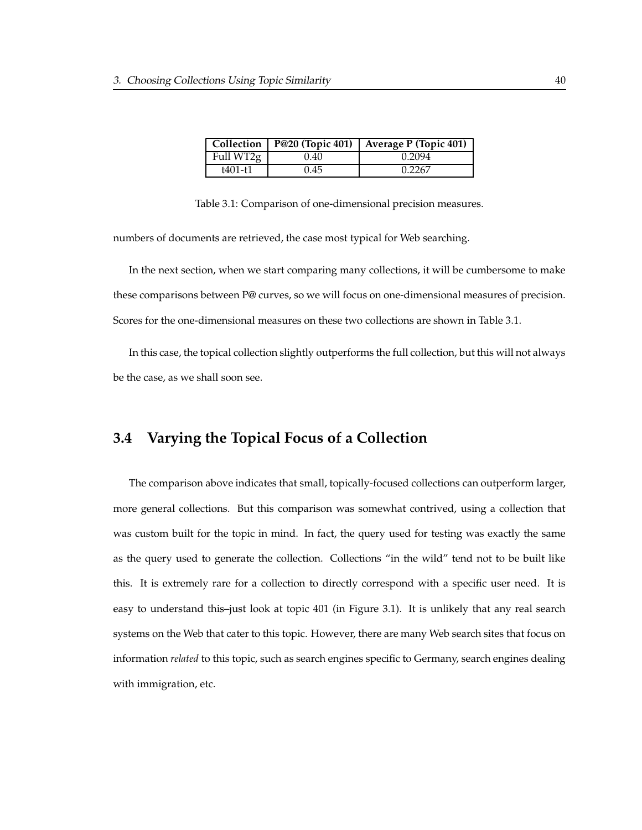|           |      | Collection   P@20 (Topic 401)   Average P (Topic 401) |
|-----------|------|-------------------------------------------------------|
| Full WT2g | 0.40 | 0.2094                                                |
| t401-t1   | 0.45 | 0.2267                                                |

Table 3.1: Comparison of one-dimensional precision measures.

numbers of documents are retrieved, the case most typical for Web searching.

In the next section, when we start comparing many collections, it will be cumbersome to make these comparisons between P@ curves, so we will focus on one-dimensional measures of precision. Scores for the one-dimensional measures on these two collections are shown in Table 3.1.

In this case, the topical collection slightly outperforms the full collection, but this will not always be the case, as we shall soon see.

# **3.4 Varying the Topical Focus of a Collection**

The comparison above indicates that small, topically-focused collections can outperform larger, more general collections. But this comparison was somewhat contrived, using a collection that was custom built for the topic in mind. In fact, the query used for testing was exactly the same as the query used to generate the collection. Collections "in the wild" tend not to be built like this. It is extremely rare for a collection to directly correspond with a specific user need. It is easy to understand this–just look at topic 401 (in Figure 3.1). It is unlikely that any real search systems on the Web that cater to this topic. However, there are many Web search sites that focus on information *related* to this topic, such as search engines specific to Germany, search engines dealing with immigration, etc.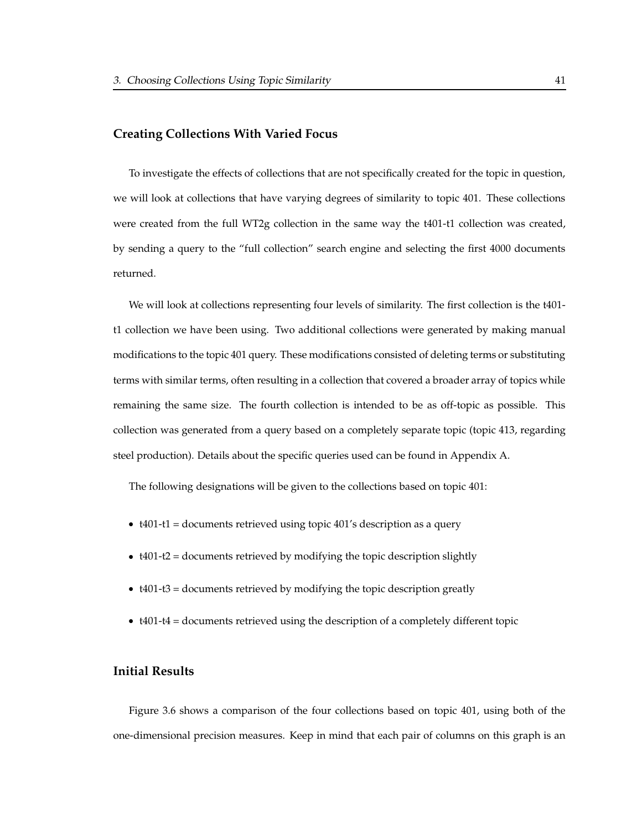#### **Creating Collections With Varied Focus**

To investigate the effects of collections that are not specifically created for the topic in question, we will look at collections that have varying degrees of similarity to topic 401. These collections were created from the full WT2g collection in the same way the t401-t1 collection was created, by sending a query to the "full collection" search engine and selecting the first 4000 documents returned.

We will look at collections representing four levels of similarity. The first collection is the t401 t1 collection we have been using. Two additional collections were generated by making manual modifications to the topic 401 query. These modifications consisted of deleting terms or substituting terms with similar terms, often resulting in a collection that covered a broader array of topics while remaining the same size. The fourth collection is intended to be as off-topic as possible. This collection was generated from a query based on a completely separate topic (topic 413, regarding steel production). Details about the specific queries used can be found in Appendix A.

The following designations will be given to the collections based on topic 401:

- t401-t1 = documents retrieved using topic 401's description as a query
- t401-t2 = documents retrieved by modifying the topic description slightly
- t401-t3 = documents retrieved by modifying the topic description greatly
- t401-t4 = documents retrieved using the description of a completely different topic

### **Initial Results**

Figure 3.6 shows a comparison of the four collections based on topic 401, using both of the one-dimensional precision measures. Keep in mind that each pair of columns on this graph is an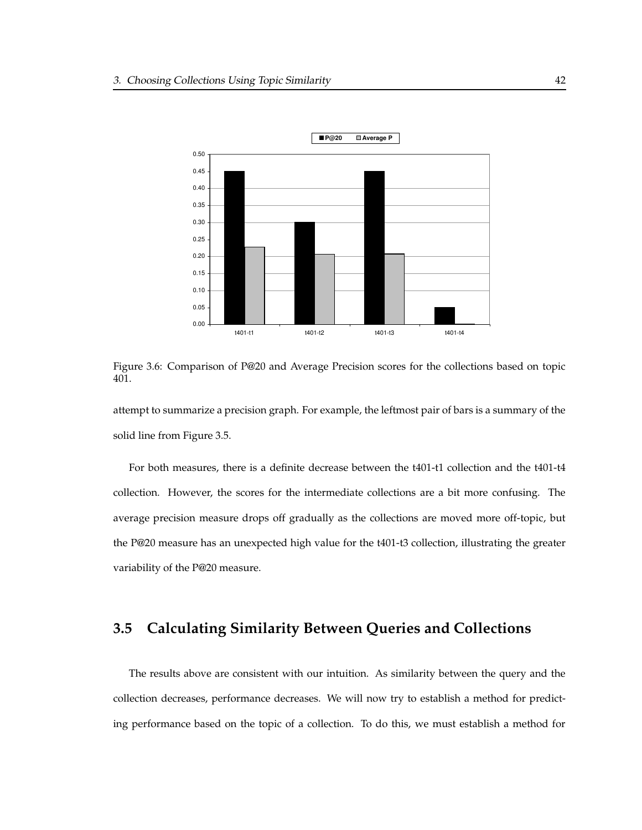

Figure 3.6: Comparison of P@20 and Average Precision scores for the collections based on topic 401.

attempt to summarize a precision graph. For example, the leftmost pair of bars is a summary of the solid line from Figure 3.5.

For both measures, there is a definite decrease between the t401-t1 collection and the t401-t4 collection. However, the scores for the intermediate collections are a bit more confusing. The average precision measure drops off gradually as the collections are moved more off-topic, but the P@20 measure has an unexpected high value for the t401-t3 collection, illustrating the greater variability of the P@20 measure.

# **3.5 Calculating Similarity Between Queries and Collections**

The results above are consistent with our intuition. As similarity between the query and the collection decreases, performance decreases. We will now try to establish a method for predicting performance based on the topic of a collection. To do this, we must establish a method for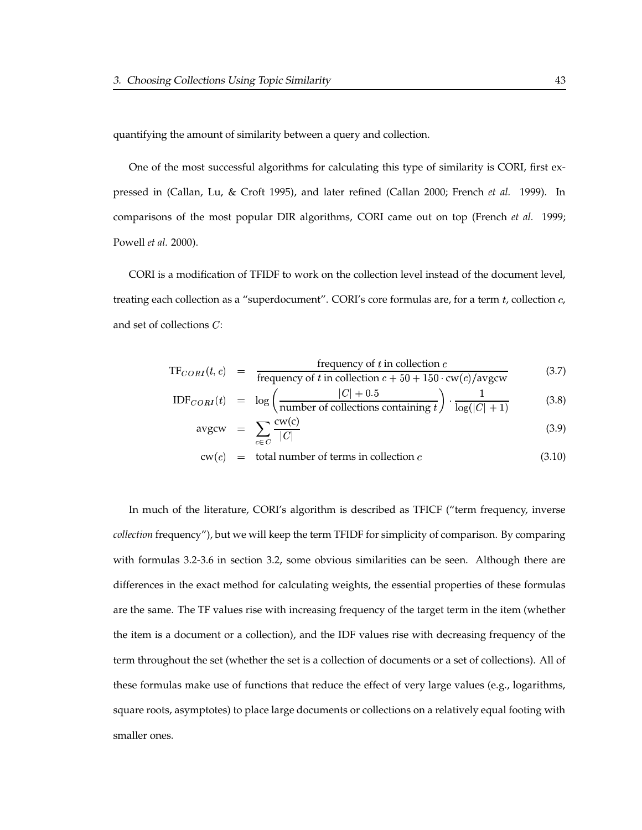quantifying the amount of similarity between a query and collection.

One of the most successful algorithms for calculating this type of similarity is CORI, first expressed in (Callan, Lu, & Croft 1995), and later refined (Callan 2000; French *et al.* 1999). In comparisons of the most popular DIR algorithms, CORI came out on top (French *et al.* 1999; Powell *et al.* 2000).

CORI is a modification of TFIDF to work on the collection level instead of the document level, treating each collection as a "superdocument". CORI's core formulas are, for a term  $t$ , collection  $c$ , and set of collections  $C$ :

$$
TF_{CORI}(t, c) = \frac{\text{frequency of } t \text{ in collection } c}{\text{frequency of } t \text{ in collection } c + 50 + 150 \cdot \text{cw}(c)/\text{avgcw}} \tag{3.7}
$$

$$
IDF_{CORI}(t) = \log \left(\frac{|C| + 0.5}{\text{number of collections containing } t}\right) \cdot \frac{1}{\log(|C| + 1)}
$$
(3.8)

$$
avgcw = \sum_{c \in C} \frac{cw(c)}{|C|} \tag{3.9}
$$

 $cw(c) = total number of terms in collection c$  (3.10)

In much of the literature, CORI's algorithm is described as TFICF ("term frequency, inverse *collection* frequency"), but we will keep the term TFIDF for simplicity of comparison. By comparing with formulas 3.2-3.6 in section 3.2, some obvious similarities can be seen. Although there are differences in the exact method for calculating weights, the essential properties of these formulas are the same. The TF values rise with increasing frequency of the target term in the item (whether the item is a document or a collection), and the IDF values rise with decreasing frequency of the term throughout the set (whether the set is a collection of documents or a set of collections). All of these formulas make use of functions that reduce the effect of very large values (e.g., logarithms, square roots, asymptotes) to place large documents or collections on a relatively equal footing with smaller ones.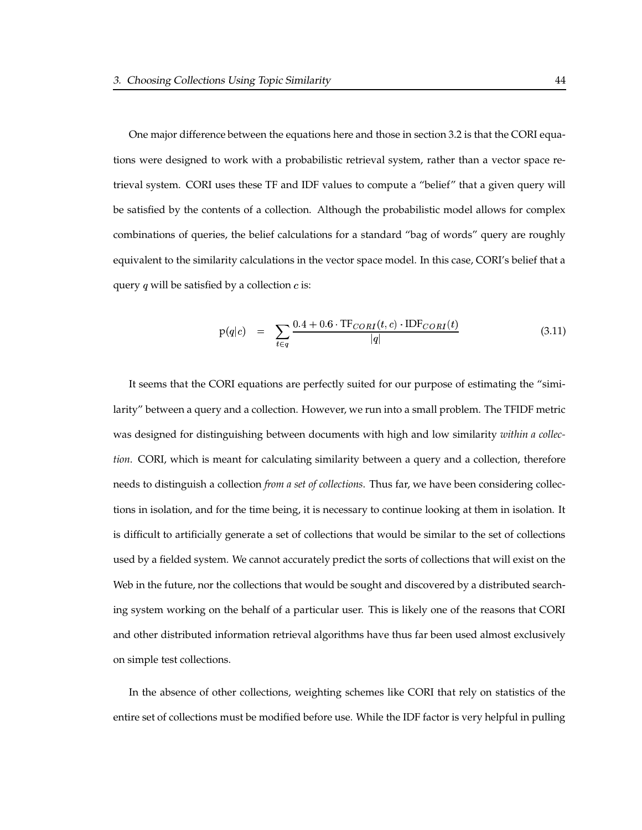One major difference between the equations here and those in section 3.2 is that the CORI equations were designed to work with a probabilistic retrieval system, rather than a vector space retrieval system. CORI uses these TF and IDF values to compute a "belief" that a given query will be satisfied by the contents of a collection. Although the probabilistic model allows for complex combinations of queries, the belief calculations for a standard "bag of words" query are roughly equivalent to the similarity calculations in the vector space model. In this case, CORI's belief that a query  $q$  will be satisfied by a collection  $c$  is:

$$
p(q|c) = \sum_{t \in q} \frac{0.4 + 0.6 \cdot TF_{CORI}(t, c) \cdot IDF_{CORI}(t)}{|q|}
$$
(3.11)

It seems that the CORI equations are perfectly suited for our purpose of estimating the "similarity" between a query and a collection. However, we run into a small problem. The TFIDF metric was designed for distinguishing between documents with high and low similarity *within a collection*. CORI, which is meant for calculating similarity between a query and a collection, therefore needs to distinguish a collection *from a set of collections*. Thus far, we have been considering collections in isolation, and for the time being, it is necessary to continue looking at them in isolation. It is difficult to artificially generate a set of collections that would be similar to the set of collections used by a fielded system. We cannot accurately predict the sorts of collections that will exist on the Web in the future, nor the collections that would be sought and discovered by a distributed searching system working on the behalf of a particular user. This is likely one of the reasons that CORI and other distributed information retrieval algorithms have thus far been used almost exclusively on simple test collections.

In the absence of other collections, weighting schemes like CORI that rely on statistics of the entire set of collections must be modified before use. While the IDF factor is very helpful in pulling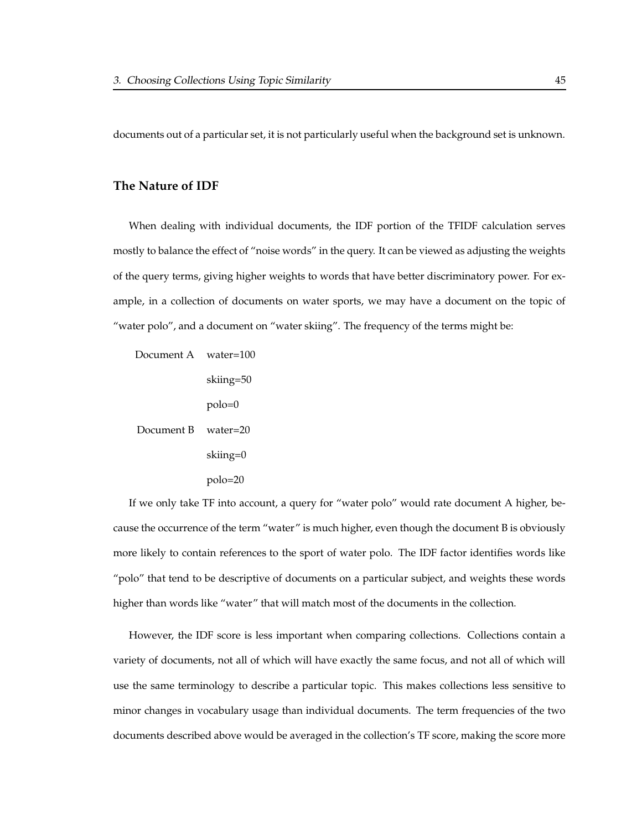documents out of a particular set, it is not particularly useful when the background set is unknown.

#### **The Nature of IDF**

When dealing with individual documents, the IDF portion of the TFIDF calculation serves mostly to balance the effect of "noise words" in the query. It can be viewed as adjusting the weights of the query terms, giving higher weights to words that have better discriminatory power. For example, in a collection of documents on water sports, we may have a document on the topic of "water polo", and a document on "water skiing". The frequency of the terms might be:

Document A water=100

skiing=50 polo=0 Document B water=20 skiing=0 polo=20

If we only take TF into account, a query for "water polo" would rate document A higher, because the occurrence of the term "water" is much higher, even though the document B is obviously more likely to contain references to the sport of water polo. The IDF factor identifies words like "polo" that tend to be descriptive of documents on a particular subject, and weights these words higher than words like "water" that will match most of the documents in the collection.

However, the IDF score is less important when comparing collections. Collections contain a variety of documents, not all of which will have exactly the same focus, and not all of which will use the same terminology to describe a particular topic. This makes collections less sensitive to minor changes in vocabulary usage than individual documents. The term frequencies of the two documents described above would be averaged in the collection's TF score, making the score more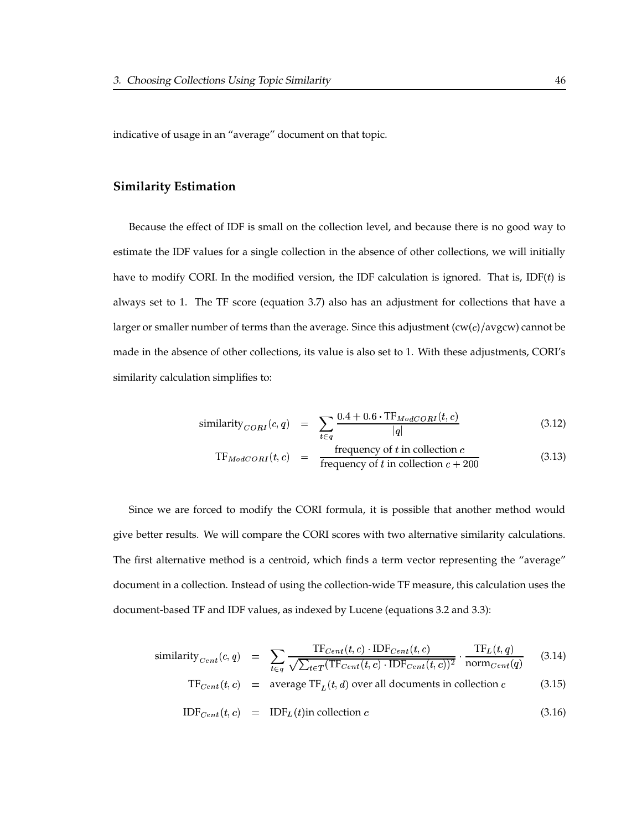indicative of usage in an "average" document on that topic.

#### **Similarity Estimation**

Because the effect of IDF is small on the collection level, and because there is no good way to estimate the IDF values for a single collection in the absence of other collections, we will initially have to modify CORI. In the modified version, the IDF calculation is ignored. That is, IDF $(t)$  is always set to 1. The TF score (equation 3.7) also has an adjustment for collections that have a larger or smaller number of terms than the average. Since this adjustment  $(cw(c)/avgcw)$  cannot be made in the absence of other collections, its value is also set to 1. With these adjustments, CORI's similarity calculation simplifies to:

$$
\text{similarity}_{CORI}(c,q) = \sum_{t \in q} \frac{0.4 + 0.6 \cdot \text{TF}_{ModCORI}(t, c)}{|q|} \tag{3.12}
$$

$$
TF_{ModCORI}(t, c) = \frac{\text{frequency of } t \text{ in collection } c}{\text{frequency of } t \text{ in collection } c + 200} \tag{3.13}
$$

Since we are forced to modify the CORI formula, it is possible that another method would give better results. We will compare the CORI scores with two alternative similarity calculations. The first alternative method is a centroid, which finds a term vector representing the "average" document in a collection. Instead of using the collection-wide TF measure, this calculation uses the document-based TF and IDF values, as indexed by Lucene (equations 3.2 and 3.3):

similarity<sub>Cent</sub>(c,q) = 
$$
\sum_{t \in q} \frac{\text{TF}_{Cent}(t, c) \cdot \text{IDF}_{Cent}(t, c)}{\sqrt{\sum_{t \in T} (\text{TF}_{Cent}(t, c) \cdot \text{IDF}_{Cent}(t, c))^2}} \cdot \frac{\text{TF}_{L}(t, q)}{\text{norm}_{Cent}(q)}
$$
(3.14)

$$
TFCent(t, c) = average TFL(t, d) over all documents in collection c
$$
 (3.15)

$$
IDF_{Cent}(t, c) = IDF_L(t) \text{in collection } c \tag{3.16}
$$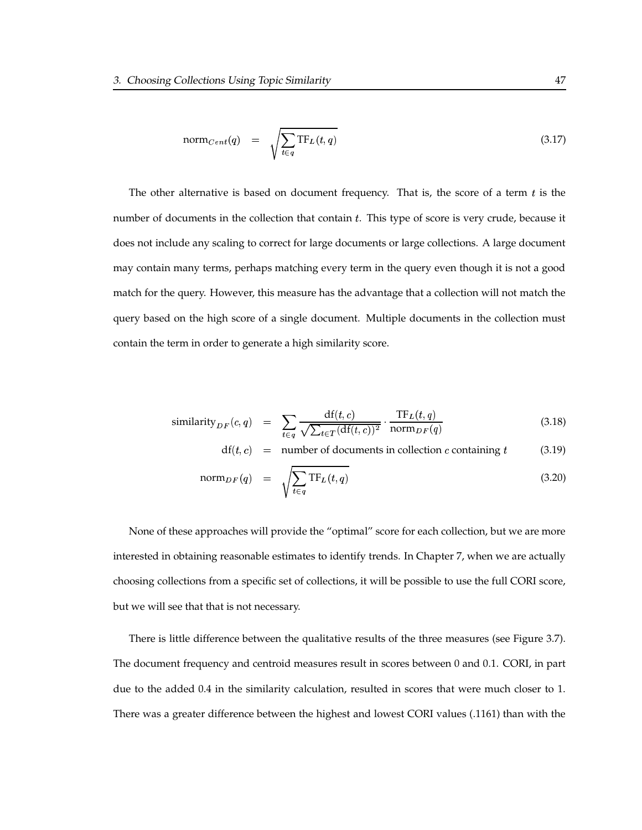$$
norm_{Cent}(q) = \sqrt{\sum_{t \in q} TF_L(t, q)}
$$
\n(3.17)

The other alternative is based on document frequency. That is, the score of a term  $t$  is the number of documents in the collection that contain  $t$ . This type of score is very crude, because it does not include any scaling to correct for large documents or large collections. A large document may contain many terms, perhaps matching every term in the query even though it is not a good match for the query. However, this measure has the advantage that a collection will not match the query based on the high score of a single document. Multiple documents in the collection must contain the term in order to generate a high similarity score.

$$
\text{similarity}_{DF}(c,q) = \sum_{t \in q} \frac{\text{df}(t,c)}{\sqrt{\sum_{t \in T} (\text{df}(t,c))^2}} \cdot \frac{\text{TF}_L(t,q)}{\text{norm}_{DF}(q)} \tag{3.18}
$$

$$
df(t, c)
$$
 = number of documents in collection *c* containing *t* (3.19)

$$
\operatorname{norm}_{DF}(q) = \sqrt{\sum_{t \in q} \operatorname{TF}_L(t, q)} \tag{3.20}
$$

None of these approaches will provide the "optimal" score for each collection, but we are more interested in obtaining reasonable estimates to identify trends. In Chapter 7, when we are actually choosing collections from a specific set of collections, it will be possible to use the full CORI score, but we will see that that is not necessary.

There is little difference between the qualitative results of the three measures (see Figure 3.7). The document frequency and centroid measures result in scores between 0 and 0.1. CORI, in part due to the added 0.4 in the similarity calculation, resulted in scores that were much closer to 1. There was a greater difference between the highest and lowest CORI values (.1161) than with the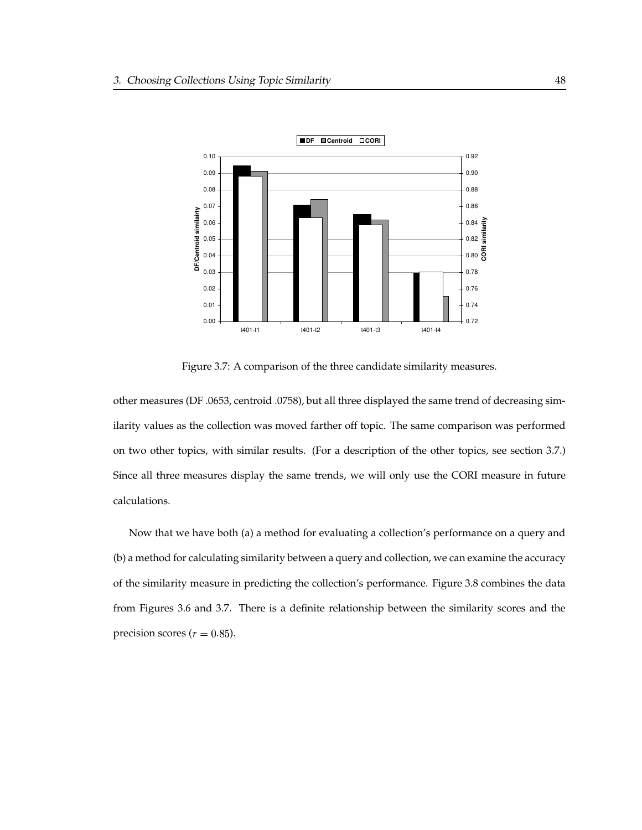

Figure 3.7: A comparison of the three candidate similarity measures.

other measures (DF .0653, centroid .0758), but all three displayed the same trend of decreasing similarity values as the collection was moved farther off topic. The same comparison was performed on two other topics, with similar results. (For a description of the other topics, see section 3.7.) Since all three measures display the same trends, we will only use the CORI measure in future calculations.

Now that we have both (a) a method for evaluating a collection's performance on a query and (b) a method for calculating similarity between a query and collection, we can examine the accuracy of the similarity measure in predicting the collection's performance. Figure 3.8 combines the data from Figures 3.6 and 3.7. There is a definite relationship between the similarity scores and the precision scores ( $r=0.85$ ).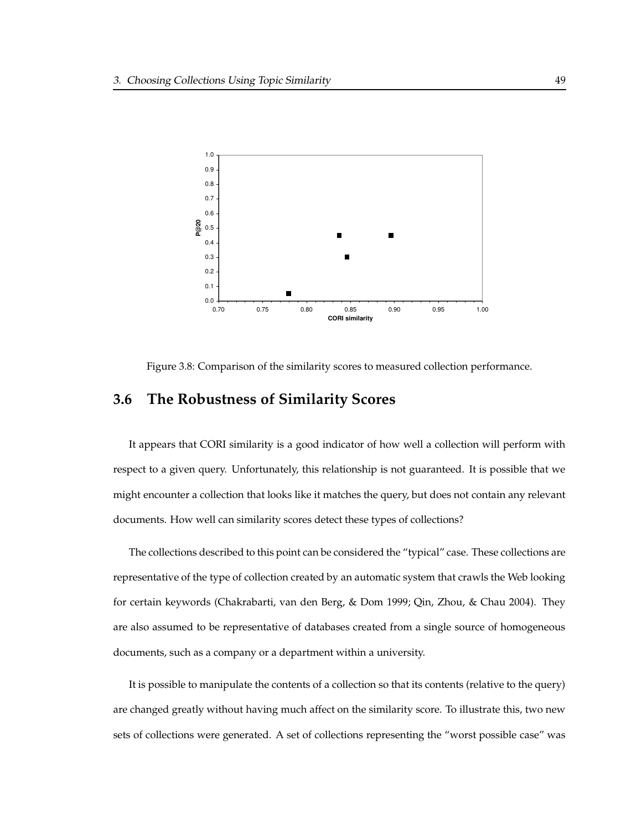

Figure 3.8: Comparison of the similarity scores to measured collection performance.

# **3.6 The Robustness of Similarity Scores**

It appears that CORI similarity is a good indicator of how well a collection will perform with respect to a given query. Unfortunately, this relationship is not guaranteed. It is possible that we might encounter a collection that looks like it matches the query, but does not contain any relevant documents. How well can similarity scores detect these types of collections?

The collections described to this point can be considered the "typical" case. These collections are representative of the type of collection created by an automatic system that crawls the Web looking for certain keywords (Chakrabarti, van den Berg, & Dom 1999; Qin, Zhou, & Chau 2004). They are also assumed to be representative of databases created from a single source of homogeneous documents, such as a company or a department within a university.

It is possible to manipulate the contents of a collection so that its contents (relative to the query) are changed greatly without having much affect on the similarity score. To illustrate this, two new sets of collections were generated. A set of collections representing the "worst possible case" was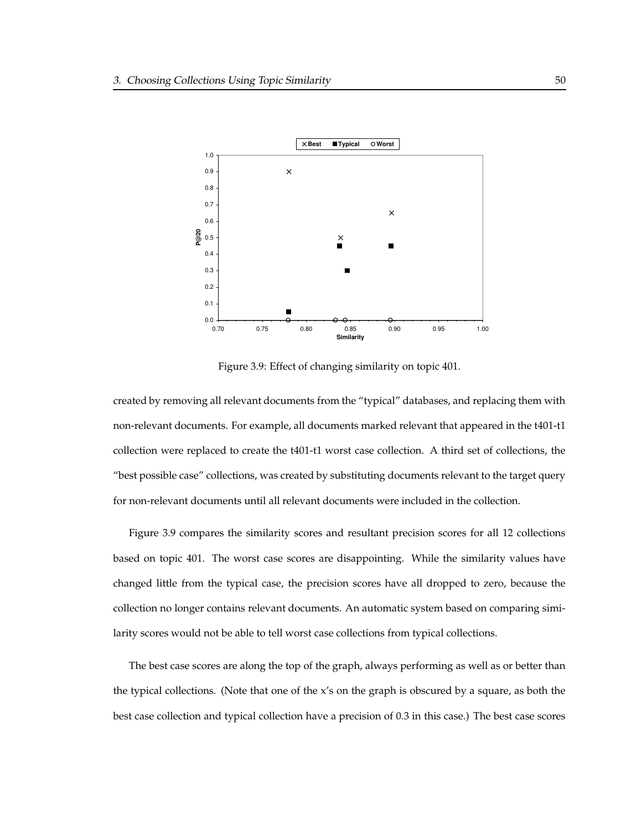

Figure 3.9: Effect of changing similarity on topic 401.

created by removing all relevant documents from the "typical" databases, and replacing them with non-relevant documents. For example, all documents marked relevant that appeared in the t401-t1 collection were replaced to create the t401-t1 worst case collection. A third set of collections, the "best possible case" collections, was created by substituting documents relevant to the target query for non-relevant documents until all relevant documents were included in the collection.

Figure 3.9 compares the similarity scores and resultant precision scores for all 12 collections based on topic 401. The worst case scores are disappointing. While the similarity values have changed little from the typical case, the precision scores have all dropped to zero, because the collection no longer contains relevant documents. An automatic system based on comparing similarity scores would not be able to tell worst case collections from typical collections.

The best case scores are along the top of the graph, always performing as well as or better than the typical collections. (Note that one of the  $x$ 's on the graph is obscured by a square, as both the best case collection and typical collection have a precision of 0.3 in this case.) The best case scores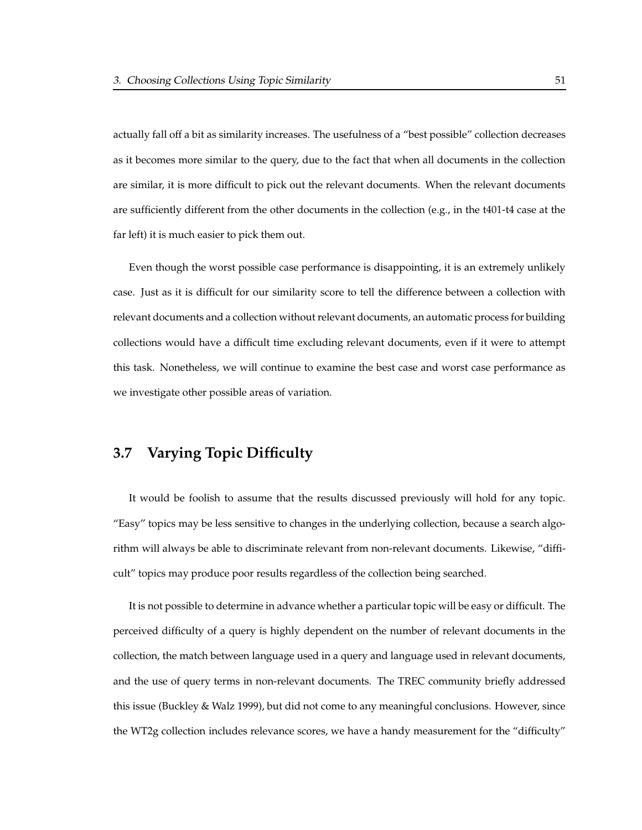actually fall off a bit as similarity increases. The usefulness of a "best possible" collection decreases as it becomes more similar to the query, due to the fact that when all documents in the collection are similar, it is more difficult to pick out the relevant documents. When the relevant documents are sufficiently different from the other documents in the collection (e.g., in the t401-t4 case at the far left) it is much easier to pick them out.

Even though the worst possible case performance is disappointing, it is an extremely unlikely case. Just as it is difficult for our similarity score to tell the difference between a collection with relevant documents and a collection without relevant documents, an automatic process for building collections would have a difficult time excluding relevant documents, even if it were to attempt this task. Nonetheless, we will continue to examine the best case and worst case performance as we investigate other possible areas of variation.

# **3.7 Varying Topic Difficulty**

It would be foolish to assume that the results discussed previously will hold for any topic. "Easy" topics may be less sensitive to changes in the underlying collection, because a search algorithm will always be able to discriminate relevant from non-relevant documents. Likewise, "difficult" topics may produce poor results regardless of the collection being searched.

It is not possible to determine in advance whether a particular topic will be easy or difficult. The perceived difficulty of a query is highly dependent on the number of relevant documents in the collection, the match between language used in a query and language used in relevant documents, and the use of query terms in non-relevant documents. The TREC community briefly addressed this issue (Buckley & Walz 1999), but did not come to any meaningful conclusions. However, since the WT2g collection includes relevance scores, we have a handy measurement for the "difficulty"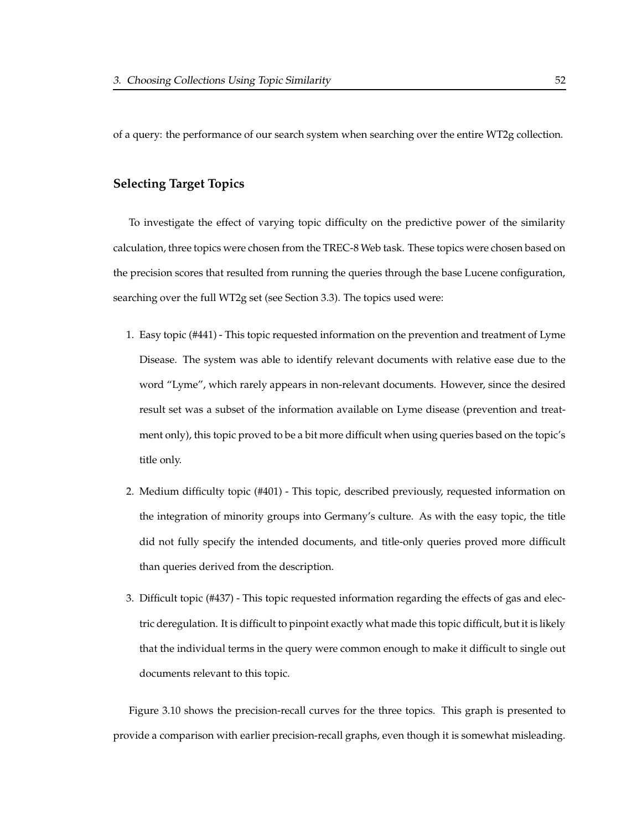of a query: the performance of our search system when searching over the entire WT2g collection.

### **Selecting Target Topics**

To investigate the effect of varying topic difficulty on the predictive power of the similarity calculation, three topics were chosen from the TREC-8 Web task. These topics were chosen based on the precision scores that resulted from running the queries through the base Lucene configuration, searching over the full WT2g set (see Section 3.3). The topics used were:

- 1. Easy topic (#441) This topic requested information on the prevention and treatment of Lyme Disease. The system was able to identify relevant documents with relative ease due to the word "Lyme", which rarely appears in non-relevant documents. However, since the desired result set was a subset of the information available on Lyme disease (prevention and treatment only), this topic proved to be a bit more difficult when using queries based on the topic's title only.
- 2. Medium difficulty topic (#401) This topic, described previously, requested information on the integration of minority groups into Germany's culture. As with the easy topic, the title did not fully specify the intended documents, and title-only queries proved more difficult than queries derived from the description.
- 3. Difficult topic (#437) This topic requested information regarding the effects of gas and electric deregulation. It is difficult to pinpoint exactly what made this topic difficult, but it is likely that the individual terms in the query were common enough to make it difficult to single out documents relevant to this topic.

Figure 3.10 shows the precision-recall curves for the three topics. This graph is presented to provide a comparison with earlier precision-recall graphs, even though it is somewhat misleading.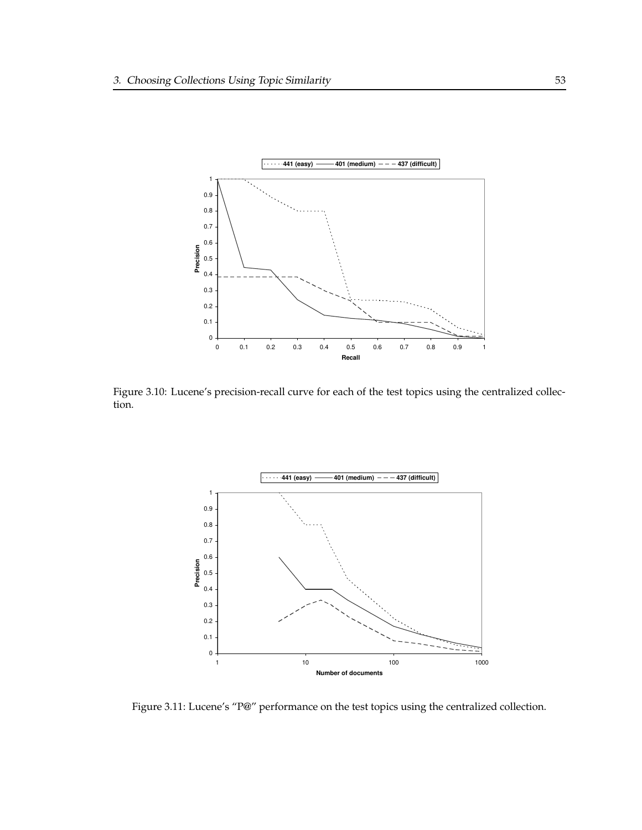

Figure 3.10: Lucene's precision-recall curve for each of the test topics using the centralized collection.



Figure 3.11: Lucene's "P@" performance on the test topics using the centralized collection.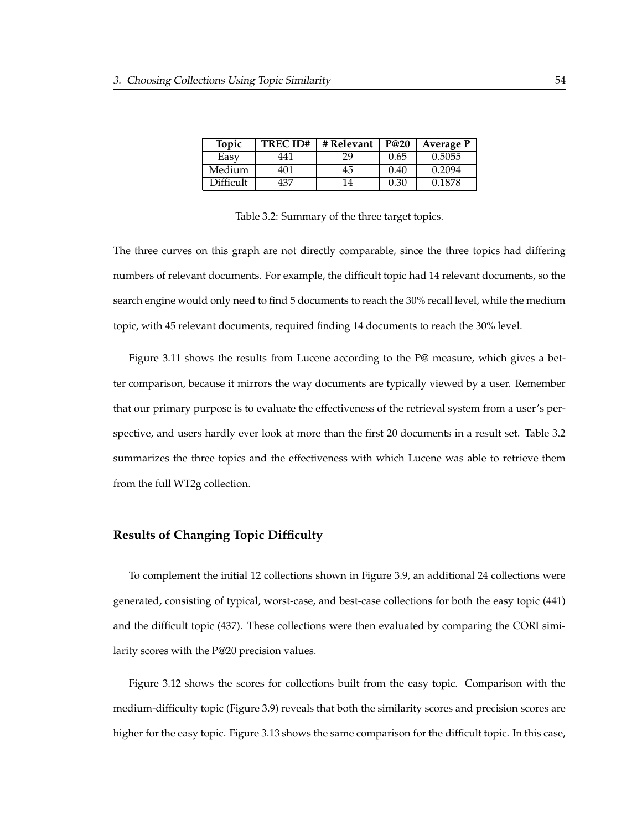| Topic     | <b>TRECID#</b> | # Relevant | P@20 | Average P |
|-----------|----------------|------------|------|-----------|
| Easy      | 441            | 29         | 0.65 | 0.5055    |
| Medium    | 401            | 45         | 0.40 | 0.2094    |
| Difficult | 437            | 4          | 0.30 | 0.1878    |

Table 3.2: Summary of the three target topics.

The three curves on this graph are not directly comparable, since the three topics had differing numbers of relevant documents. For example, the difficult topic had 14 relevant documents, so the search engine would only need to find 5 documents to reach the 30% recall level, while the medium topic, with 45 relevant documents, required finding 14 documents to reach the 30% level.

Figure 3.11 shows the results from Lucene according to the P@ measure, which gives a better comparison, because it mirrors the way documents are typically viewed by a user. Remember that our primary purpose is to evaluate the effectiveness of the retrieval system from a user's perspective, and users hardly ever look at more than the first 20 documents in a result set. Table 3.2 summarizes the three topics and the effectiveness with which Lucene was able to retrieve them from the full WT2g collection.

#### **Results of Changing Topic Difficulty**

To complement the initial 12 collections shown in Figure 3.9, an additional 24 collections were generated, consisting of typical, worst-case, and best-case collections for both the easy topic (441) and the difficult topic (437). These collections were then evaluated by comparing the CORI similarity scores with the P@20 precision values.

Figure 3.12 shows the scores for collections built from the easy topic. Comparison with the medium-difficulty topic (Figure 3.9) reveals that both the similarity scores and precision scores are higher for the easy topic. Figure 3.13 shows the same comparison for the difficult topic. In this case,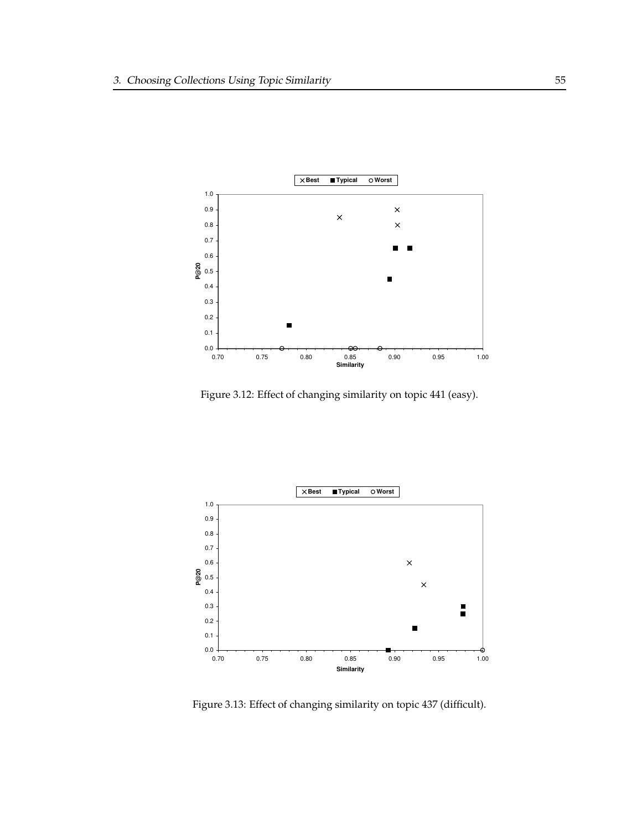

Figure 3.12: Effect of changing similarity on topic 441 (easy).



Figure 3.13: Effect of changing similarity on topic 437 (difficult).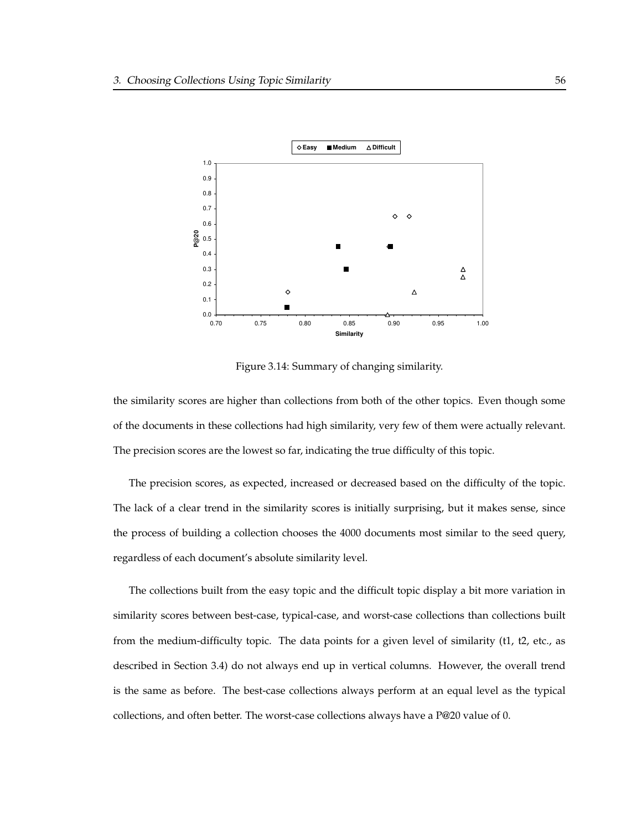

Figure 3.14: Summary of changing similarity.

the similarity scores are higher than collections from both of the other topics. Even though some of the documents in these collections had high similarity, very few of them were actually relevant. The precision scores are the lowest so far, indicating the true difficulty of this topic.

The precision scores, as expected, increased or decreased based on the difficulty of the topic. The lack of a clear trend in the similarity scores is initially surprising, but it makes sense, since the process of building a collection chooses the 4000 documents most similar to the seed query, regardless of each document's absolute similarity level.

The collections built from the easy topic and the difficult topic display a bit more variation in similarity scores between best-case, typical-case, and worst-case collections than collections built from the medium-difficulty topic. The data points for a given level of similarity (t1, t2, etc., as described in Section 3.4) do not always end up in vertical columns. However, the overall trend is the same as before. The best-case collections always perform at an equal level as the typical collections, and often better. The worst-case collections always have a P@20 value of 0.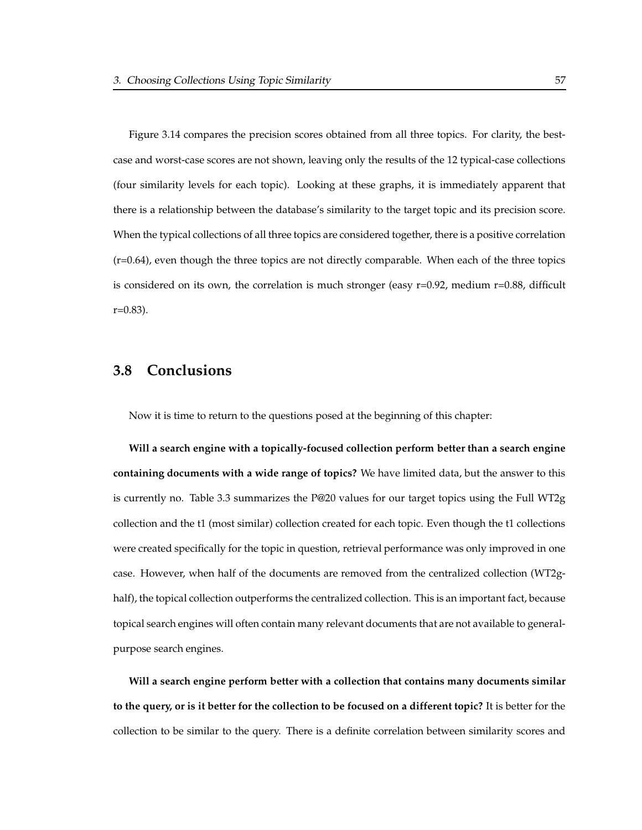Figure 3.14 compares the precision scores obtained from all three topics. For clarity, the bestcase and worst-case scores are not shown, leaving only the results of the 12 typical-case collections (four similarity levels for each topic). Looking at these graphs, it is immediately apparent that there is a relationship between the database's similarity to the target topic and its precision score. When the typical collections of all three topics are considered together, there is a positive correlation  $(r=0.64)$ , even though the three topics are not directly comparable. When each of the three topics is considered on its own, the correlation is much stronger (easy  $r=0.92$ , medium  $r=0.88$ , difficult  $r=0.83$ ).

# **3.8 Conclusions**

Now it is time to return to the questions posed at the beginning of this chapter:

**Will a search engine with a topically-focused collection perform better than a search engine containing documents with a wide range of topics?** We have limited data, but the answer to this is currently no. Table 3.3 summarizes the P@20 values for our target topics using the Full WT2g collection and the t1 (most similar) collection created for each topic. Even though the t1 collections were created specifically for the topic in question, retrieval performance was only improved in one case. However, when half of the documents are removed from the centralized collection (WT2ghalf), the topical collection outperforms the centralized collection. This is an important fact, because topical search engines will often contain many relevant documents that are not available to generalpurpose search engines.

**Will a search engine perform better with a collection that contains many documents similar to the query, or is it better for the collection to be focused on a different topic?** It is better for the collection to be similar to the query. There is a definite correlation between similarity scores and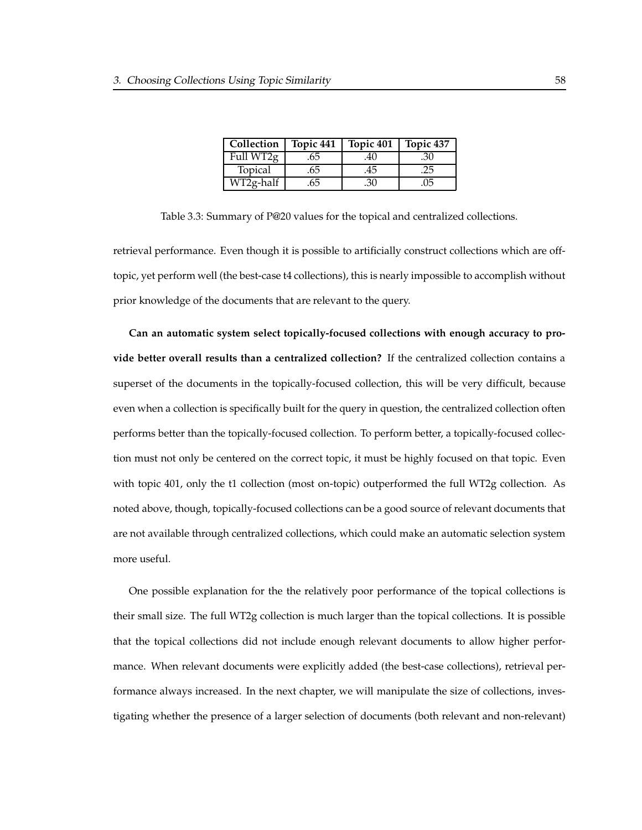| Collection             | Topic 441 | Topic 401 | Topic 437 |
|------------------------|-----------|-----------|-----------|
| Full WT2g              | .65       | .4U       | .30       |
| Topical                | .65       | .45       | .25       |
| $WT2g-h\overline{alf}$ | 65        | .30       | .05       |

Table 3.3: Summary of P@20 values for the topical and centralized collections.

retrieval performance. Even though it is possible to artificially construct collections which are offtopic, yet perform well (the best-case t4 collections), this is nearly impossible to accomplish without prior knowledge of the documents that are relevant to the query.

**Can an automatic system select topically-focused collections with enough accuracy to provide better overall results than a centralized collection?** If the centralized collection contains a superset of the documents in the topically-focused collection, this will be very difficult, because even when a collection is specifically built for the query in question, the centralized collection often performs better than the topically-focused collection. To perform better, a topically-focused collection must not only be centered on the correct topic, it must be highly focused on that topic. Even with topic 401, only the t1 collection (most on-topic) outperformed the full WT2g collection. As noted above, though, topically-focused collections can be a good source of relevant documents that are not available through centralized collections, which could make an automatic selection system more useful.

One possible explanation for the the relatively poor performance of the topical collections is their small size. The full WT2g collection is much larger than the topical collections. It is possible that the topical collections did not include enough relevant documents to allow higher performance. When relevant documents were explicitly added (the best-case collections), retrieval performance always increased. In the next chapter, we will manipulate the size of collections, investigating whether the presence of a larger selection of documents (both relevant and non-relevant)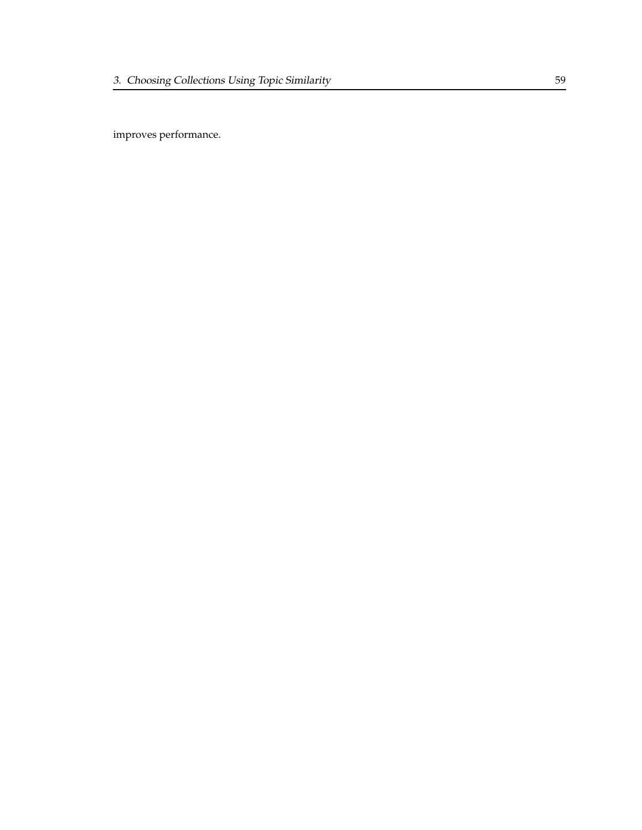improves performance.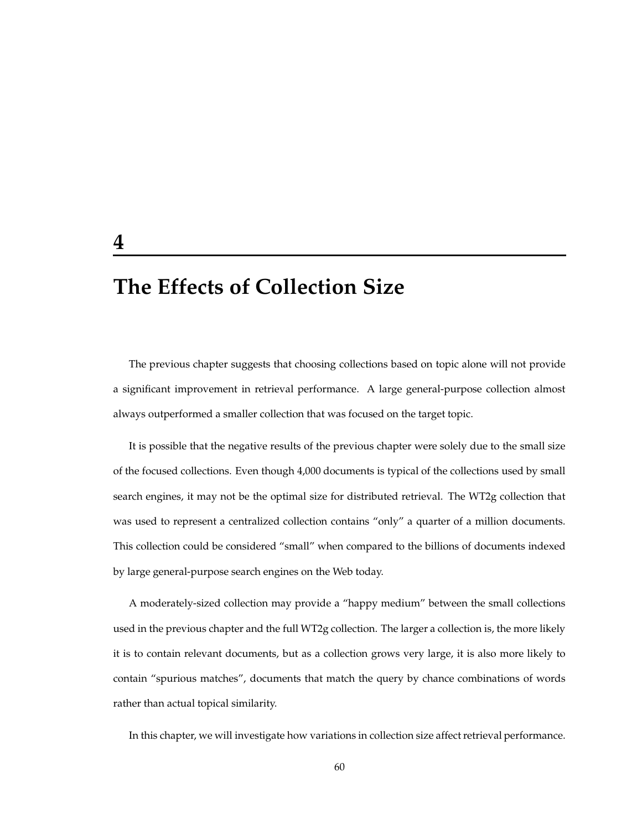# **The Effects of Collection Size**

The previous chapter suggests that choosing collections based on topic alone will not provide a significant improvement in retrieval performance. A large general-purpose collection almost always outperformed a smaller collection that was focused on the target topic.

It is possible that the negative results of the previous chapter were solely due to the small size of the focused collections. Even though 4,000 documents is typical of the collections used by small search engines, it may not be the optimal size for distributed retrieval. The WT2g collection that was used to represent a centralized collection contains "only" a quarter of a million documents. This collection could be considered "small" when compared to the billions of documents indexed by large general-purpose search engines on the Web today.

A moderately-sized collection may provide a "happy medium" between the small collections used in the previous chapter and the full WT2g collection. The larger a collection is, the more likely it is to contain relevant documents, but as a collection grows very large, it is also more likely to contain "spurious matches", documents that match the query by chance combinations of words rather than actual topical similarity.

In this chapter, we will investigate how variations in collection size affect retrieval performance.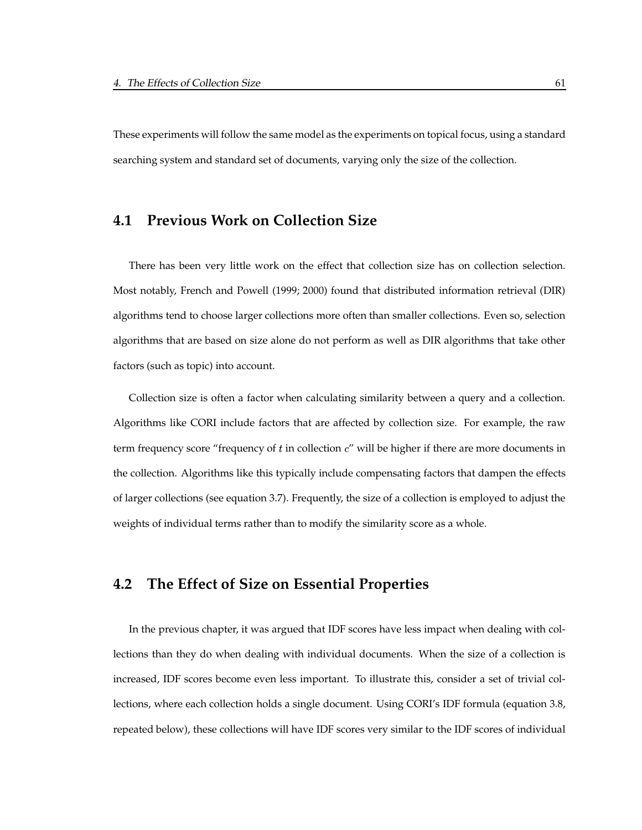These experiments will follow the same model as the experiments on topical focus, using a standard searching system and standard set of documents, varying only the size of the collection.

#### **4.1 Previous Work on Collection Size**

There has been very little work on the effect that collection size has on collection selection. Most notably, French and Powell (1999; 2000) found that distributed information retrieval (DIR) algorithms tend to choose larger collections more often than smaller collections. Even so, selection algorithms that are based on size alone do not perform as well as DIR algorithms that take other factors (such as topic) into account.

Collection size is often a factor when calculating similarity between a query and a collection. Algorithms like CORI include factors that are affected by collection size. For example, the raw term frequency score "frequency of  $t$  in collection  $c$ " will be higher if there are more documents in the collection. Algorithms like this typically include compensating factors that dampen the effects of larger collections (see equation 3.7). Frequently, the size of a collection is employed to adjust the weights of individual terms rather than to modify the similarity score as a whole.

# **4.2 The Effect of Size on Essential Properties**

In the previous chapter, it was argued that IDF scores have less impact when dealing with collections than they do when dealing with individual documents. When the size of a collection is increased, IDF scores become even less important. To illustrate this, consider a set of trivial collections, where each collection holds a single document. Using CORI's IDF formula (equation 3.8, repeated below), these collections will have IDF scores very similar to the IDF scores of individual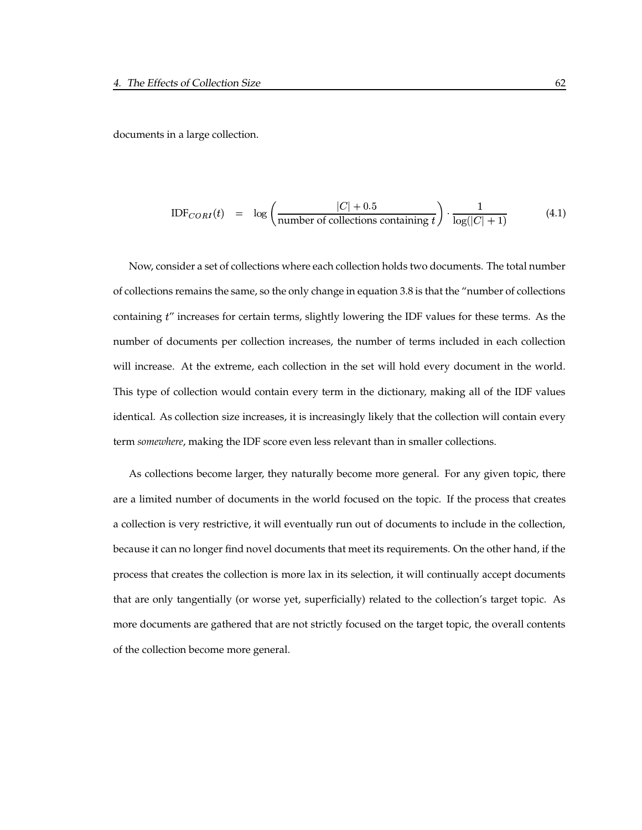documents in a large collection.

$$
IDF_{CORI}(t) = \log \left( \frac{|C| + 0.5}{\text{number of collections containing } t} \right) \cdot \frac{1}{\log(|C| + 1)}
$$
(4.1)

Now, consider a set of collections where each collection holds two documents. The total number of collections remains the same, so the only change in equation 3.8 is that the "number of collections containing t" increases for certain terms, slightly lowering the IDF values for these terms. As the number of documents per collection increases, the number of terms included in each collection will increase. At the extreme, each collection in the set will hold every document in the world. This type of collection would contain every term in the dictionary, making all of the IDF values identical. As collection size increases, it is increasingly likely that the collection will contain every term *somewhere*, making the IDF score even less relevant than in smaller collections.

As collections become larger, they naturally become more general. For any given topic, there are a limited number of documents in the world focused on the topic. If the process that creates a collection is very restrictive, it will eventually run out of documents to include in the collection, because it can no longer find novel documents that meet its requirements. On the other hand, if the process that creates the collection is more lax in its selection, it will continually accept documents that are only tangentially (or worse yet, superficially) related to the collection's target topic. As more documents are gathered that are not strictly focused on the target topic, the overall contents of the collection become more general.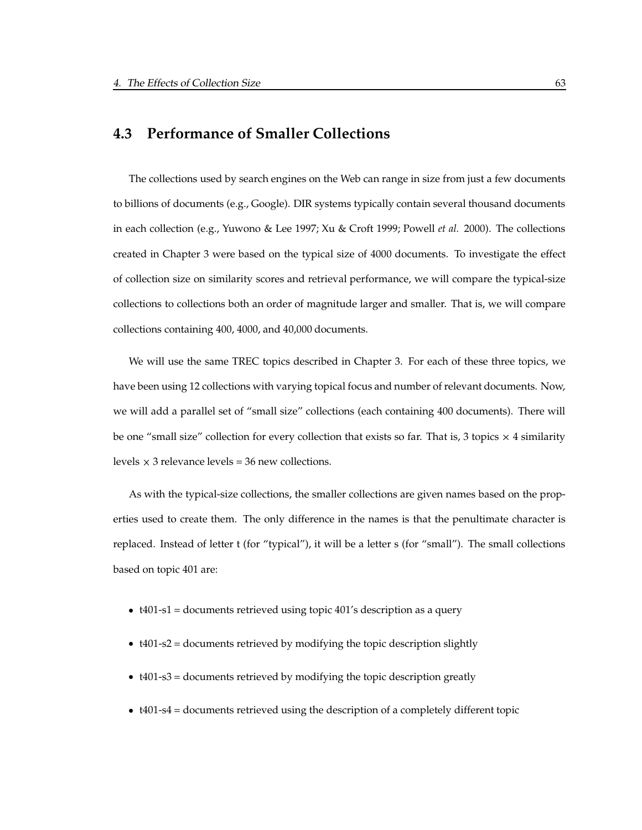### **4.3 Performance of Smaller Collections**

The collections used by search engines on the Web can range in size from just a few documents to billions of documents (e.g., Google). DIR systems typically contain several thousand documents in each collection (e.g., Yuwono & Lee 1997; Xu & Croft 1999; Powell *et al.* 2000). The collections created in Chapter 3 were based on the typical size of 4000 documents. To investigate the effect of collection size on similarity scores and retrieval performance, we will compare the typical-size collections to collections both an order of magnitude larger and smaller. That is, we will compare collections containing 400, 4000, and 40,000 documents.

We will use the same TREC topics described in Chapter 3. For each of these three topics, we have been using 12 collections with varying topical focus and number of relevant documents. Now, we will add a parallel set of "small size" collections (each containing 400 documents). There will be one "small size" collection for every collection that exists so far. That is, 3 topics  $\times$  4 similarity levels  $\times$  3 relevance levels = 36 new collections.

As with the typical-size collections, the smaller collections are given names based on the properties used to create them. The only difference in the names is that the penultimate character is replaced. Instead of letter t (for "typical"), it will be a letter s (for "small"). The small collections based on topic 401 are:

- t401-s1 = documents retrieved using topic 401's description as a query
- t401-s2 = documents retrieved by modifying the topic description slightly
- t401-s3 = documents retrieved by modifying the topic description greatly
- t401-s4 = documents retrieved using the description of a completely different topic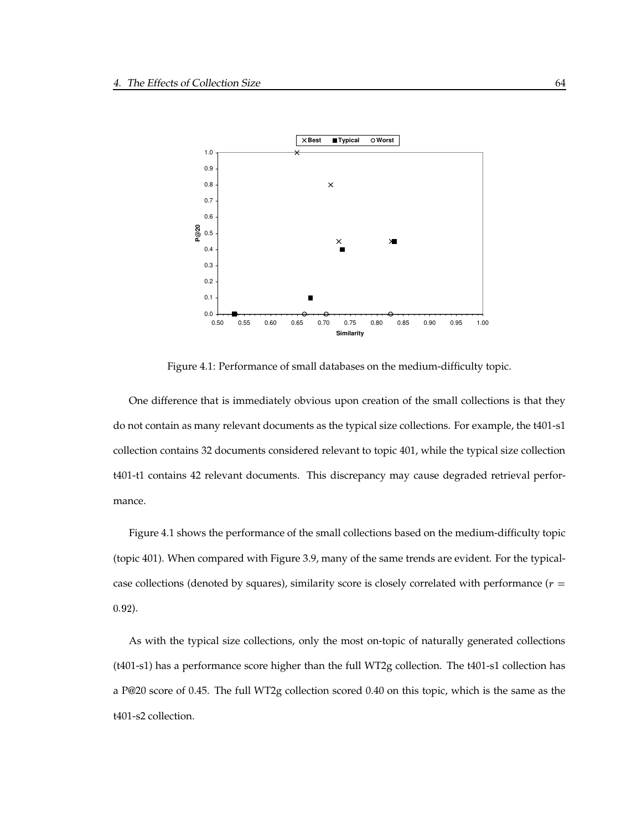

Figure 4.1: Performance of small databases on the medium-difficulty topic.

One difference that is immediately obvious upon creation of the small collections is that they do not contain as many relevant documents as the typical size collections. For example, the t401-s1 collection contains 32 documents considered relevant to topic 401, while the typical size collection t401-t1 contains 42 relevant documents. This discrepancy may cause degraded retrieval performance.

Figure 4.1 shows the performance of the small collections based on the medium-difficulty topic (topic 401). When compared with Figure 3.9, many of the same trends are evident. For the typicalcase collections (denoted by squares), similarity score is closely correlated with performance ( $r =$  $0.92$ ).

As with the typical size collections, only the most on-topic of naturally generated collections (t401-s1) has a performance score higher than the full WT2g collection. The t401-s1 collection has a P@20 score of 0.45. The full WT2g collection scored 0.40 on this topic, which is the same as the t401-s2 collection.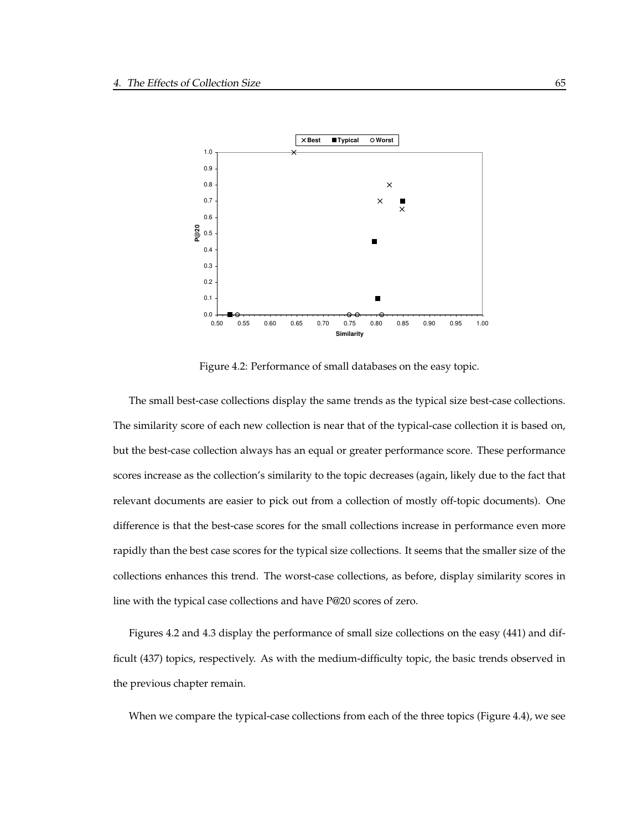

Figure 4.2: Performance of small databases on the easy topic.

The small best-case collections display the same trends as the typical size best-case collections. The similarity score of each new collection is near that of the typical-case collection it is based on, but the best-case collection always has an equal or greater performance score. These performance scores increase as the collection's similarity to the topic decreases (again, likely due to the fact that relevant documents are easier to pick out from a collection of mostly off-topic documents). One difference is that the best-case scores for the small collections increase in performance even more rapidly than the best case scores for the typical size collections. It seems that the smaller size of the collections enhances this trend. The worst-case collections, as before, display similarity scores in line with the typical case collections and have P@20 scores of zero.

Figures 4.2 and 4.3 display the performance of small size collections on the easy (441) and difficult (437) topics, respectively. As with the medium-difficulty topic, the basic trends observed in the previous chapter remain.

When we compare the typical-case collections from each of the three topics (Figure 4.4), we see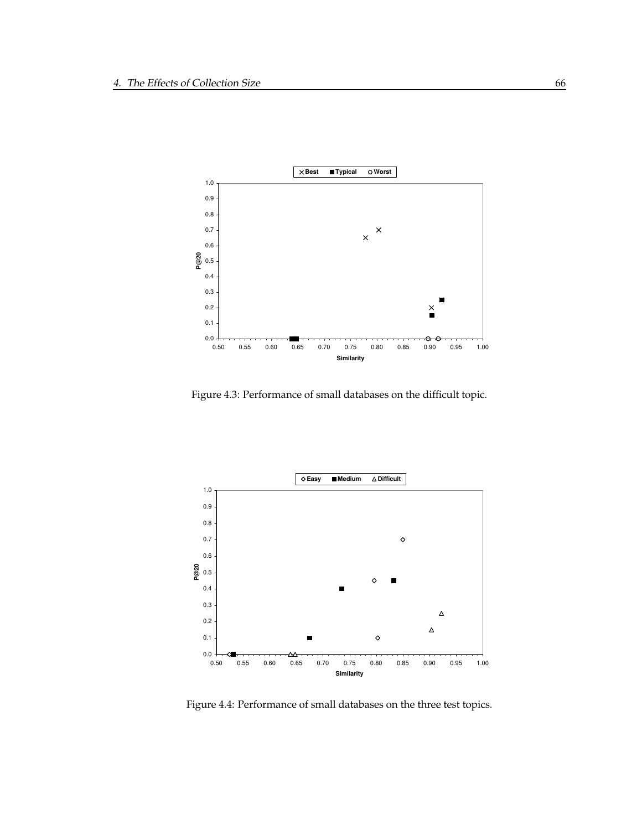

Figure 4.3: Performance of small databases on the difficult topic.



Figure 4.4: Performance of small databases on the three test topics.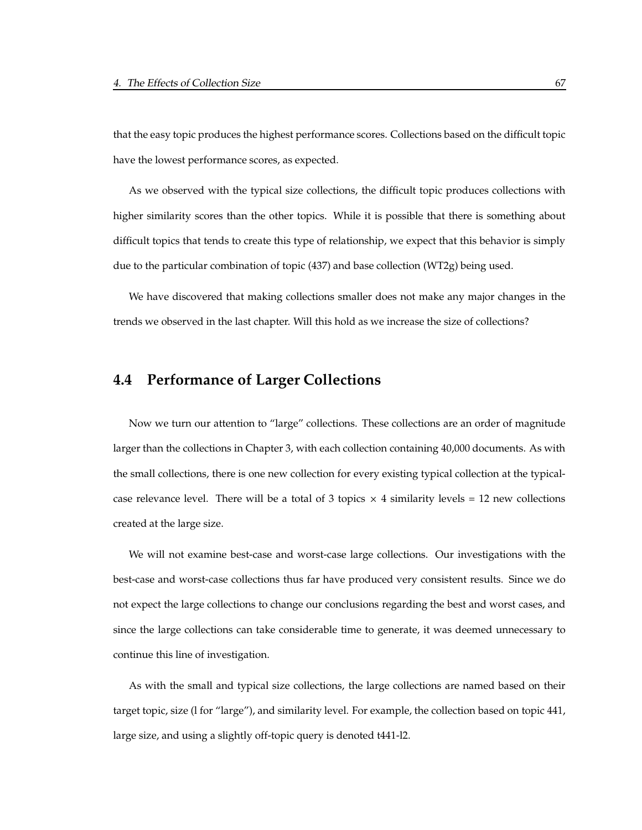that the easy topic produces the highest performance scores. Collections based on the difficult topic have the lowest performance scores, as expected.

As we observed with the typical size collections, the difficult topic produces collections with higher similarity scores than the other topics. While it is possible that there is something about difficult topics that tends to create this type of relationship, we expect that this behavior is simply due to the particular combination of topic (437) and base collection (WT2g) being used.

We have discovered that making collections smaller does not make any major changes in the trends we observed in the last chapter. Will this hold as we increase the size of collections?

#### **4.4 Performance of Larger Collections**

Now we turn our attention to "large" collections. These collections are an order of magnitude larger than the collections in Chapter 3, with each collection containing 40,000 documents. As with the small collections, there is one new collection for every existing typical collection at the typicalcase relevance level. There will be a total of 3 topics  $\times$  4 similarity levels = 12 new collections created at the large size.

We will not examine best-case and worst-case large collections. Our investigations with the best-case and worst-case collections thus far have produced very consistent results. Since we do not expect the large collections to change our conclusions regarding the best and worst cases, and since the large collections can take considerable time to generate, it was deemed unnecessary to continue this line of investigation.

As with the small and typical size collections, the large collections are named based on their target topic, size (l for "large"), and similarity level. For example, the collection based on topic 441, large size, and using a slightly off-topic query is denoted t441-l2.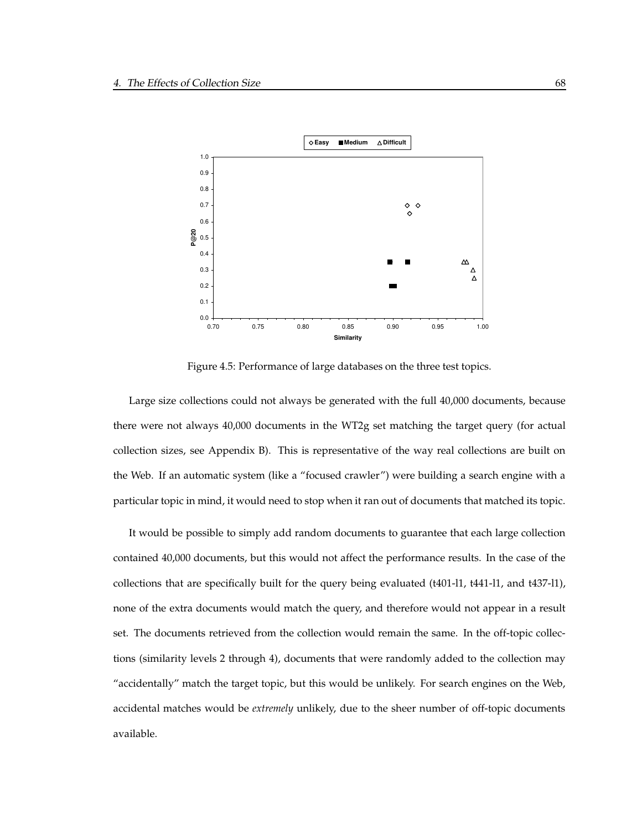

Figure 4.5: Performance of large databases on the three test topics.

Large size collections could not always be generated with the full 40,000 documents, because there were not always 40,000 documents in the WT2g set matching the target query (for actual collection sizes, see Appendix B). This is representative of the way real collections are built on the Web. If an automatic system (like a "focused crawler") were building a search engine with a particular topic in mind, it would need to stop when it ran out of documents that matched its topic.

It would be possible to simply add random documents to guarantee that each large collection contained 40,000 documents, but this would not affect the performance results. In the case of the collections that are specifically built for the query being evaluated (t401-l1, t441-l1, and t437-l1), none of the extra documents would match the query, and therefore would not appear in a result set. The documents retrieved from the collection would remain the same. In the off-topic collections (similarity levels 2 through 4), documents that were randomly added to the collection may "accidentally" match the target topic, but this would be unlikely. For search engines on the Web, accidental matches would be *extremely* unlikely, due to the sheer number of off-topic documents available.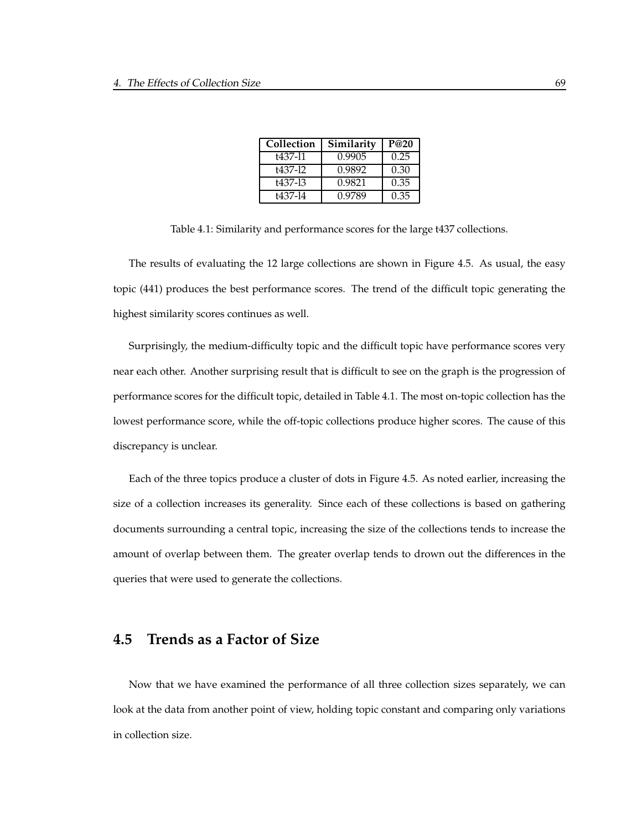| Collection | Similarity | P@20 |
|------------|------------|------|
| t437-11    | 0.9905     | 0.25 |
| t437-12    | 0.9892     | 0.30 |
| +437-13    | 0.9821     | 0.35 |
| t437-14    | 0.9789     | 0.35 |

Table 4.1: Similarity and performance scores for the large t437 collections.

The results of evaluating the 12 large collections are shown in Figure 4.5. As usual, the easy topic (441) produces the best performance scores. The trend of the difficult topic generating the highest similarity scores continues as well.

Surprisingly, the medium-difficulty topic and the difficult topic have performance scores very near each other. Another surprising result that is difficult to see on the graph is the progression of performance scores for the difficult topic, detailed in Table 4.1. The most on-topic collection has the lowest performance score, while the off-topic collections produce higher scores. The cause of this discrepancy is unclear.

Each of the three topics produce a cluster of dots in Figure 4.5. As noted earlier, increasing the size of a collection increases its generality. Since each of these collections is based on gathering documents surrounding a central topic, increasing the size of the collections tends to increase the amount of overlap between them. The greater overlap tends to drown out the differences in the queries that were used to generate the collections.

#### **4.5 Trends as a Factor of Size**

Now that we have examined the performance of all three collection sizes separately, we can look at the data from another point of view, holding topic constant and comparing only variations in collection size.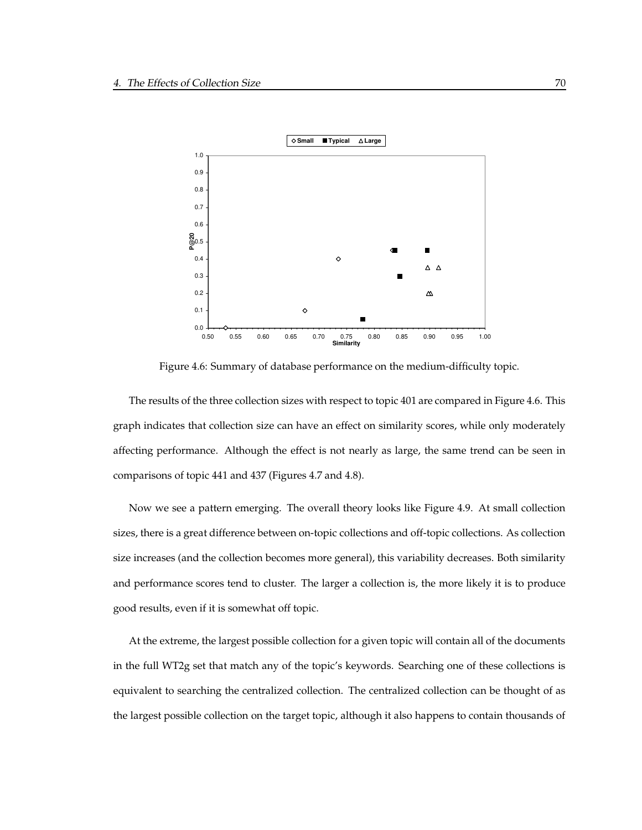

Figure 4.6: Summary of database performance on the medium-difficulty topic.

The results of the three collection sizes with respect to topic 401 are compared in Figure 4.6. This graph indicates that collection size can have an effect on similarity scores, while only moderately affecting performance. Although the effect is not nearly as large, the same trend can be seen in comparisons of topic 441 and 437 (Figures 4.7 and 4.8).

Now we see a pattern emerging. The overall theory looks like Figure 4.9. At small collection sizes, there is a great difference between on-topic collections and off-topic collections. As collection size increases (and the collection becomes more general), this variability decreases. Both similarity and performance scores tend to cluster. The larger a collection is, the more likely it is to produce good results, even if it is somewhat off topic.

At the extreme, the largest possible collection for a given topic will contain all of the documents in the full WT2g set that match any of the topic's keywords. Searching one of these collections is equivalent to searching the centralized collection. The centralized collection can be thought of as the largest possible collection on the target topic, although it also happens to contain thousands of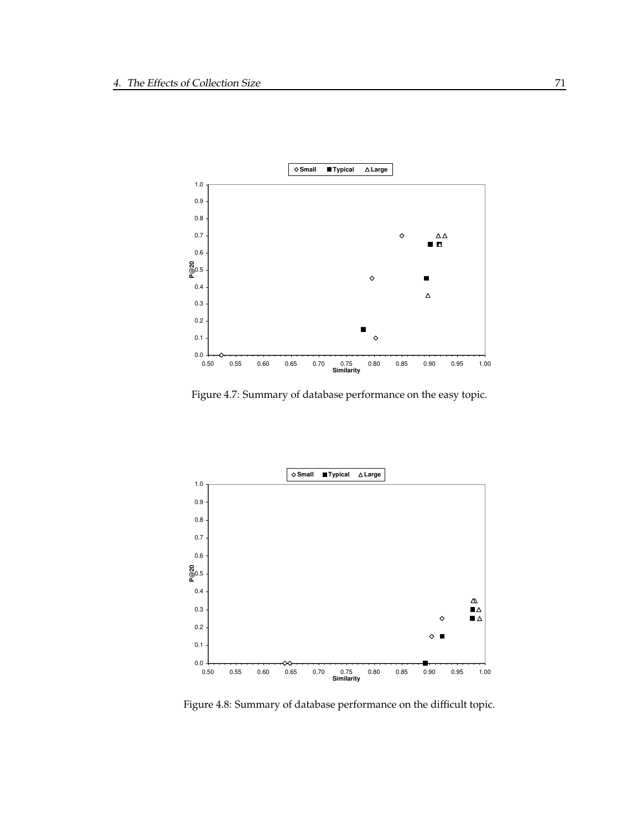

Figure 4.7: Summary of database performance on the easy topic.



Figure 4.8: Summary of database performance on the difficult topic.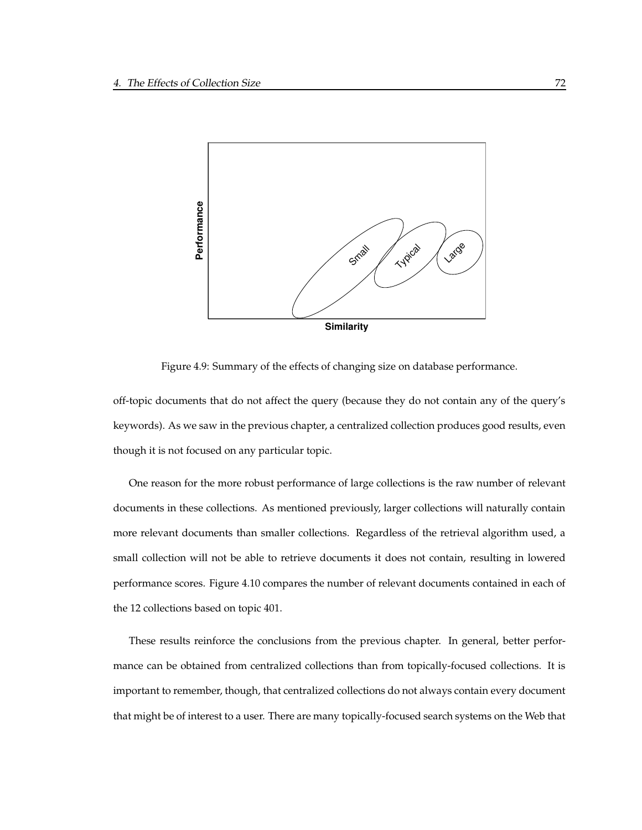

Figure 4.9: Summary of the effects of changing size on database performance.

off-topic documents that do not affect the query (because they do not contain any of the query's keywords). As we saw in the previous chapter, a centralized collection produces good results, even though it is not focused on any particular topic.

One reason for the more robust performance of large collections is the raw number of relevant documents in these collections. As mentioned previously, larger collections will naturally contain more relevant documents than smaller collections. Regardless of the retrieval algorithm used, a small collection will not be able to retrieve documents it does not contain, resulting in lowered performance scores. Figure 4.10 compares the number of relevant documents contained in each of the 12 collections based on topic 401.

These results reinforce the conclusions from the previous chapter. In general, better performance can be obtained from centralized collections than from topically-focused collections. It is important to remember, though, that centralized collections do not always contain every document that might be of interest to a user. There are many topically-focused search systems on the Web that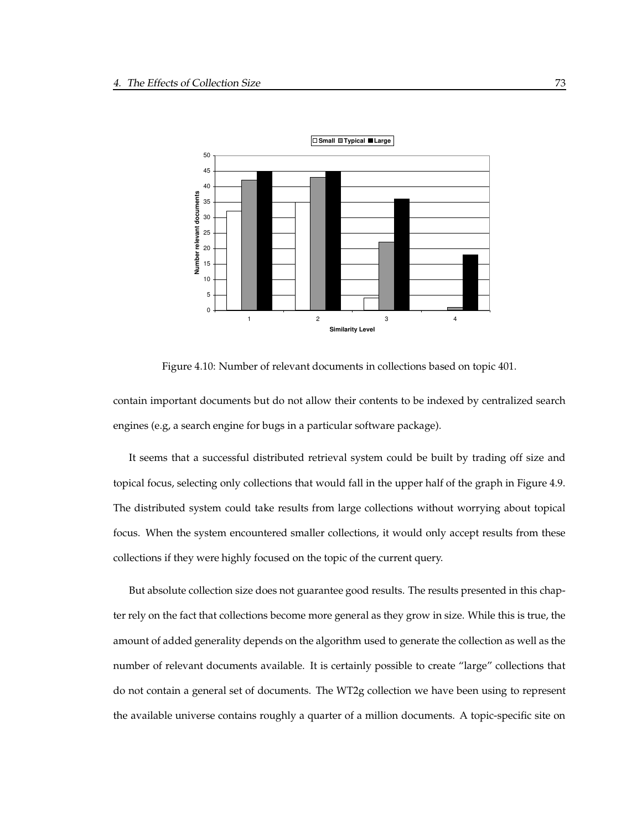

Figure 4.10: Number of relevant documents in collections based on topic 401.

contain important documents but do not allow their contents to be indexed by centralized search engines (e.g, a search engine for bugs in a particular software package).

It seems that a successful distributed retrieval system could be built by trading off size and topical focus, selecting only collections that would fall in the upper half of the graph in Figure 4.9. The distributed system could take results from large collections without worrying about topical focus. When the system encountered smaller collections, it would only accept results from these collections if they were highly focused on the topic of the current query.

But absolute collection size does not guarantee good results. The results presented in this chapter rely on the fact that collections become more general as they grow in size. While this is true, the amount of added generality depends on the algorithm used to generate the collection as well as the number of relevant documents available. It is certainly possible to create "large" collections that do not contain a general set of documents. The WT2g collection we have been using to represent the available universe contains roughly a quarter of a million documents. A topic-specific site on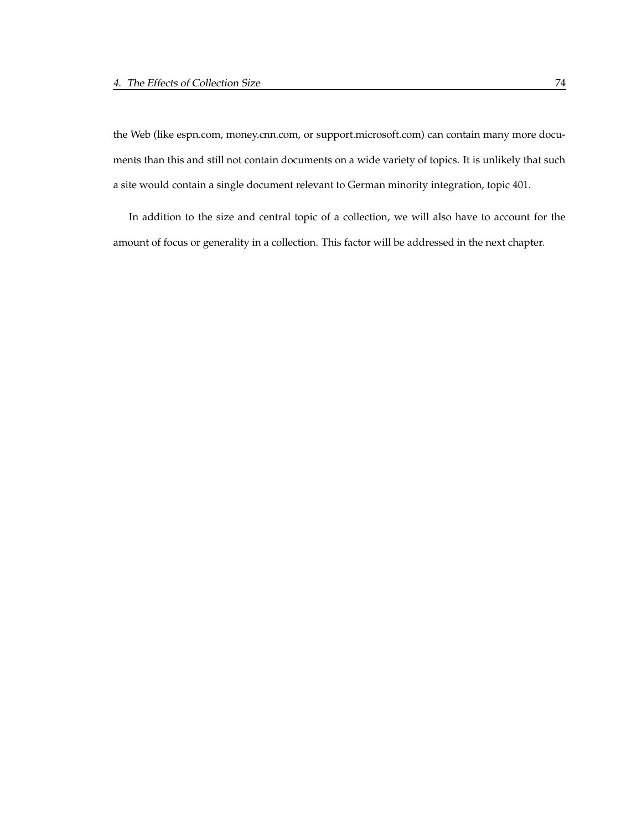the Web (like espn.com, money.cnn.com, or support.microsoft.com) can contain many more documents than this and still not contain documents on a wide variety of topics. It is unlikely that such a site would contain a single document relevant to German minority integration, topic 401.

In addition to the size and central topic of a collection, we will also have to account for the amount of focus or generality in a collection. This factor will be addressed in the next chapter.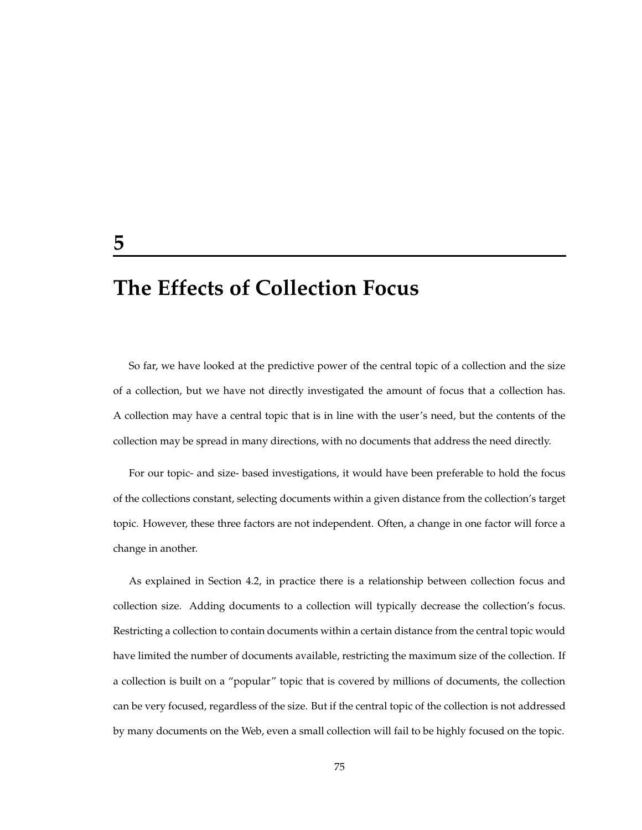# **The Effects of Collection Focus**

So far, we have looked at the predictive power of the central topic of a collection and the size of a collection, but we have not directly investigated the amount of focus that a collection has. A collection may have a central topic that is in line with the user's need, but the contents of the collection may be spread in many directions, with no documents that address the need directly.

For our topic- and size- based investigations, it would have been preferable to hold the focus of the collections constant, selecting documents within a given distance from the collection's target topic. However, these three factors are not independent. Often, a change in one factor will force a change in another.

As explained in Section 4.2, in practice there is a relationship between collection focus and collection size. Adding documents to a collection will typically decrease the collection's focus. Restricting a collection to contain documents within a certain distance from the central topic would have limited the number of documents available, restricting the maximum size of the collection. If a collection is built on a "popular" topic that is covered by millions of documents, the collection can be very focused, regardless of the size. But if the central topic of the collection is not addressed by many documents on the Web, even a small collection will fail to be highly focused on the topic.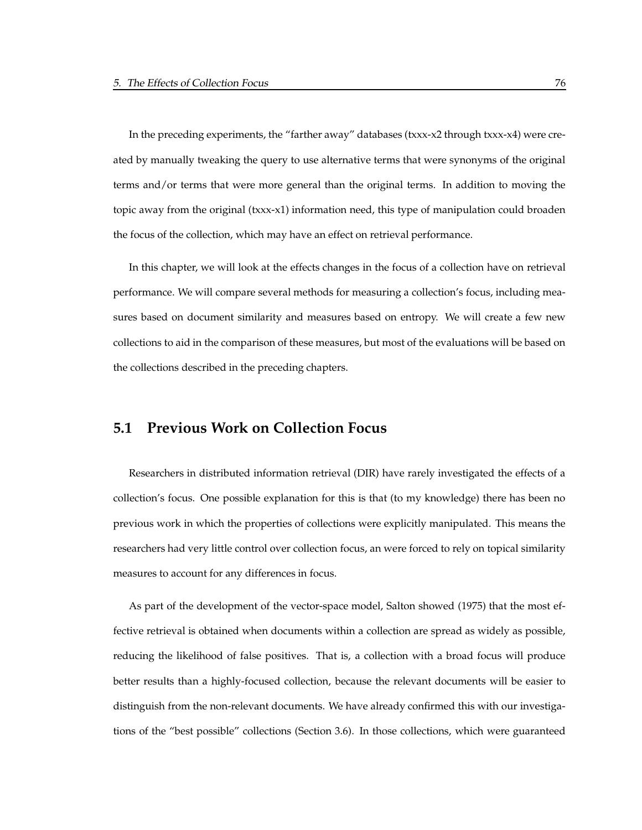In the preceding experiments, the "farther away" databases (txxx-x2 through txxx-x4) were created by manually tweaking the query to use alternative terms that were synonyms of the original terms and/or terms that were more general than the original terms. In addition to moving the topic away from the original (txxx-x1) information need, this type of manipulation could broaden the focus of the collection, which may have an effect on retrieval performance.

In this chapter, we will look at the effects changes in the focus of a collection have on retrieval performance. We will compare several methods for measuring a collection's focus, including measures based on document similarity and measures based on entropy. We will create a few new collections to aid in the comparison of these measures, but most of the evaluations will be based on the collections described in the preceding chapters.

### **5.1 Previous Work on Collection Focus**

Researchers in distributed information retrieval (DIR) have rarely investigated the effects of a collection's focus. One possible explanation for this is that (to my knowledge) there has been no previous work in which the properties of collections were explicitly manipulated. This means the researchers had very little control over collection focus, an were forced to rely on topical similarity measures to account for any differences in focus.

As part of the development of the vector-space model, Salton showed (1975) that the most effective retrieval is obtained when documents within a collection are spread as widely as possible, reducing the likelihood of false positives. That is, a collection with a broad focus will produce better results than a highly-focused collection, because the relevant documents will be easier to distinguish from the non-relevant documents. We have already confirmed this with our investigations of the "best possible" collections (Section 3.6). In those collections, which were guaranteed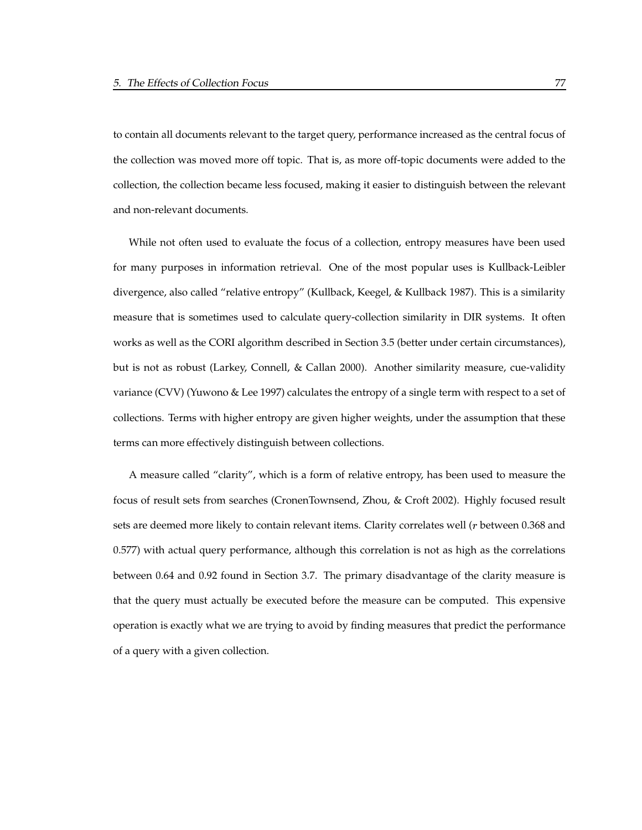to contain all documents relevant to the target query, performance increased as the central focus of the collection was moved more off topic. That is, as more off-topic documents were added to the collection, the collection became less focused, making it easier to distinguish between the relevant and non-relevant documents.

While not often used to evaluate the focus of a collection, entropy measures have been used for many purposes in information retrieval. One of the most popular uses is Kullback-Leibler divergence, also called "relative entropy" (Kullback, Keegel, & Kullback 1987). This is a similarity measure that is sometimes used to calculate query-collection similarity in DIR systems. It often works as well as the CORI algorithm described in Section 3.5 (better under certain circumstances), but is not as robust (Larkey, Connell, & Callan 2000). Another similarity measure, cue-validity variance (CVV) (Yuwono & Lee 1997) calculates the entropy of a single term with respect to a set of collections. Terms with higher entropy are given higher weights, under the assumption that these terms can more effectively distinguish between collections.

A measure called "clarity", which is a form of relative entropy, has been used to measure the focus of result sets from searches (CronenTownsend, Zhou, & Croft 2002). Highly focused result sets are deemed more likely to contain relevant items. Clarity correlates well  $(r$  between 0.368 and 0.577) with actual query performance, although this correlation is not as high as the correlations between 0.64 and 0.92 found in Section 3.7. The primary disadvantage of the clarity measure is that the query must actually be executed before the measure can be computed. This expensive operation is exactly what we are trying to avoid by finding measures that predict the performance of a query with a given collection.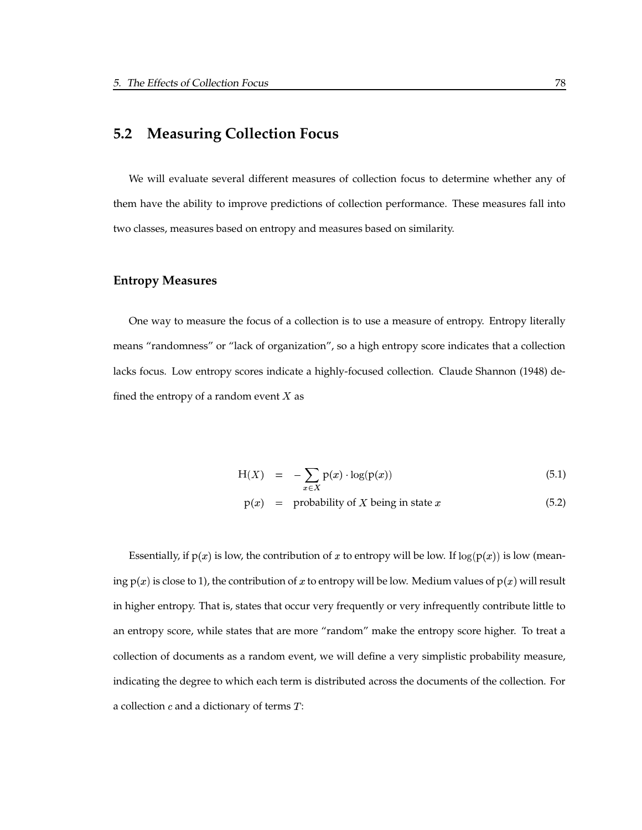## **5.2 Measuring Collection Focus**

We will evaluate several different measures of collection focus to determine whether any of them have the ability to improve predictions of collection performance. These measures fall into two classes, measures based on entropy and measures based on similarity.

#### **Entropy Measures**

One way to measure the focus of a collection is to use a measure of entropy. Entropy literally means "randomness" or "lack of organization", so a high entropy score indicates that a collection lacks focus. Low entropy scores indicate a highly-focused collection. Claude Shannon (1948) defined the entropy of a random event  $X$  as

$$
H(X) = -\sum_{x \in X} p(x) \cdot \log(p(x)) \tag{5.1}
$$

$$
p(x) = probability of X being in state x \t(5.2)
$$

Essentially, if  $p(x)$  is low, the contribution of x to entropy will be low. If  $log(p(x))$  is low (meaning  $p(x)$  is close to 1), the contribution of x to entropy will be low. Medium values of  $p(x)$  will result in higher entropy. That is, states that occur very frequently or very infrequently contribute little to an entropy score, while states that are more "random" make the entropy score higher. To treat a collection of documents as a random event, we will define a very simplistic probability measure, indicating the degree to which each term is distributed across the documents of the collection. For a collection  $c$  and a dictionary of terms  $T$ :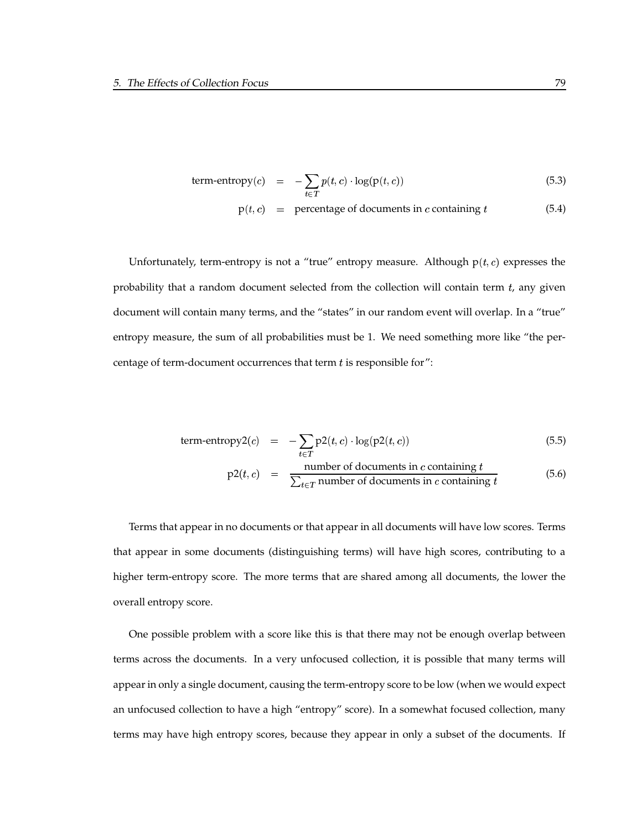term-entropy(c) = 
$$
-\sum_{t \in T} p(t, c) \cdot \log(p(t, c))
$$
 (5.3)

 $p(t, c)$  = percentage of documents in c containing t (5.4)

Unfortunately, term-entropy is not a "true" entropy measure. Although  $p(t, c)$  expresses the probability that a random document selected from the collection will contain term  $t$ , any given document will contain many terms, and the "states" in our random event will overlap. In a "true" entropy measure, the sum of all probabilities must be 1. We need something more like "the percentage of term-document occurrences that term  $t$  is responsible for":

term-entropy2(c) = 
$$
-\sum_{t \in T} p2(t, c) \cdot \log(p2(t, c))
$$
 (5.5)

$$
p2(t, c) = \frac{\text{number of documents in } c \text{ containing } t}{\sum_{t \in T} \text{number of documents in } c \text{ containing } t}
$$
 (5.6)

Terms that appear in no documents or that appear in all documents will have low scores. Terms that appear in some documents (distinguishing terms) will have high scores, contributing to a higher term-entropy score. The more terms that are shared among all documents, the lower the overall entropy score.

One possible problem with a score like this is that there may not be enough overlap between terms across the documents. In a very unfocused collection, it is possible that many terms will appearin only a single document, causing the term-entropy score to be low (when we would expect an unfocused collection to have a high "entropy" score). In a somewhat focused collection, many terms may have high entropy scores, because they appear in only a subset of the documents. If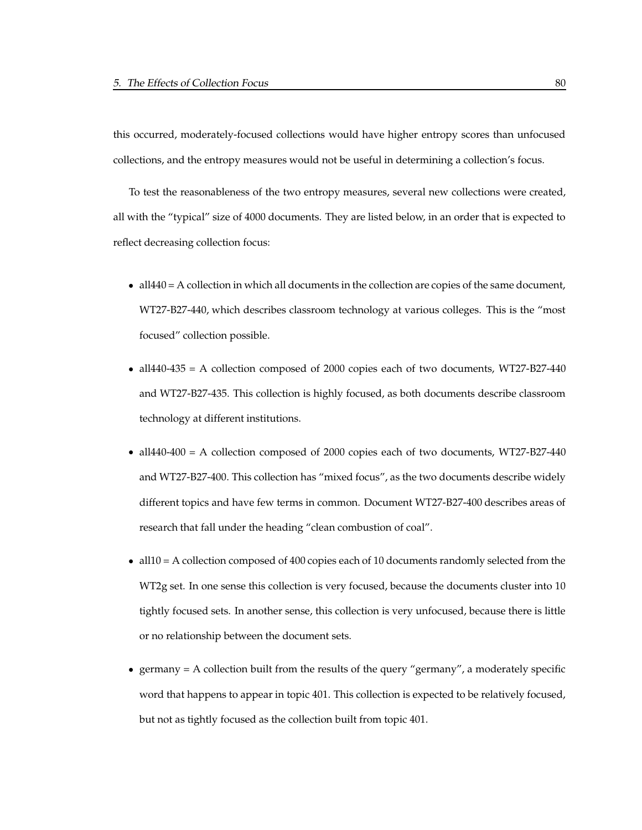this occurred, moderately-focused collections would have higher entropy scores than unfocused collections, and the entropy measures would not be useful in determining a collection's focus.

To test the reasonableness of the two entropy measures, several new collections were created, all with the "typical" size of 4000 documents. They are listed below, in an order that is expected to reflect decreasing collection focus:

- $\bullet$  all $440 = A$  collection in which all documents in the collection are copies of the same document, WT27-B27-440, which describes classroom technology at various colleges. This is the "most focused" collection possible.
- all440-435 = A collection composed of 2000 copies each of two documents, WT27-B27-440 and WT27-B27-435. This collection is highly focused, as both documents describe classroom technology at different institutions.
- all440-400 = A collection composed of 2000 copies each of two documents, WT27-B27-440 and WT27-B27-400. This collection has "mixed focus", as the two documents describe widely different topics and have few terms in common. Document WT27-B27-400 describes areas of research that fall under the heading "clean combustion of coal".
- all10 = A collection composed of 400 copies each of 10 documents randomly selected from the WT2g set. In one sense this collection is very focused, because the documents cluster into 10 tightly focused sets. In another sense, this collection is very unfocused, because there is little or no relationship between the document sets.
- germany = A collection built from the results of the query "germany", a moderately specific word that happens to appear in topic 401. This collection is expected to be relatively focused, but not as tightly focused as the collection built from topic 401.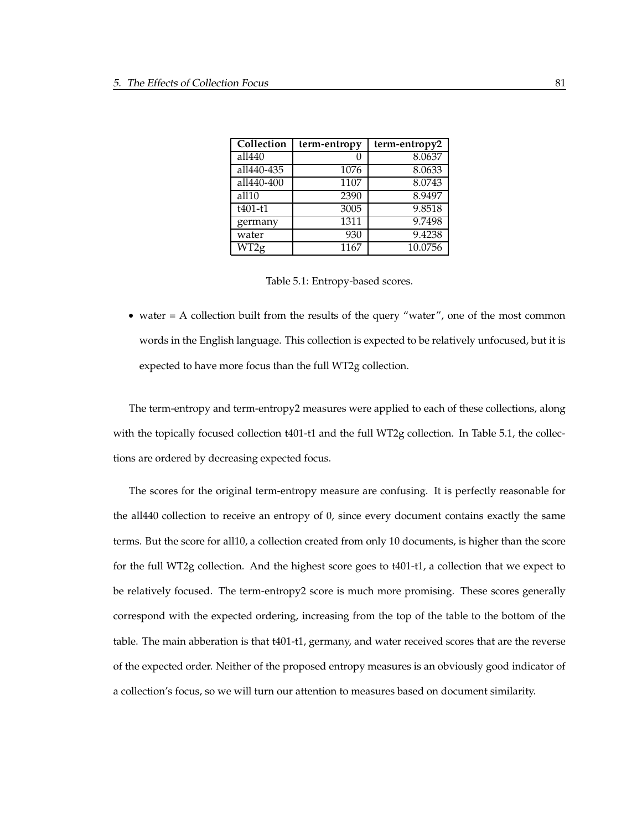| Collection           | term-entropy | term-entropy2 |
|----------------------|--------------|---------------|
| all440               |              | 8.0637        |
| all440-435           | 1076         | 8.0633        |
| all440-400           | 1107         | 8.0743        |
| all10                | 2390         | 8.9497        |
| $t40\overline{1-t1}$ | 3005         | 9.8518        |
| germany              | 1311         | 9.7498        |
| water                | 930          | 9.4238        |
| $\overline{W}$ T2g   | 1167         | 10.0756       |

|  | Table 5.1: Entropy-based scores. |  |  |
|--|----------------------------------|--|--|
|--|----------------------------------|--|--|

• water = A collection built from the results of the query "water", one of the most common words in the English language. This collection is expected to be relatively unfocused, but it is expected to have more focus than the full WT2g collection.

The term-entropy and term-entropy2 measures were applied to each of these collections, along with the topically focused collection t401-t1 and the full WT2g collection. In Table 5.1, the collections are ordered by decreasing expected focus.

The scores for the original term-entropy measure are confusing. It is perfectly reasonable for the all440 collection to receive an entropy of 0, since every document contains exactly the same terms. But the score for all10, a collection created from only 10 documents, is higher than the score for the full WT2g collection. And the highest score goes to t401-t1, a collection that we expect to be relatively focused. The term-entropy2 score is much more promising. These scores generally correspond with the expected ordering, increasing from the top of the table to the bottom of the table. The main abberation is that t401-t1, germany, and water received scores that are the reverse of the expected order. Neither of the proposed entropy measures is an obviously good indicator of a collection's focus, so we will turn our attention to measures based on document similarity.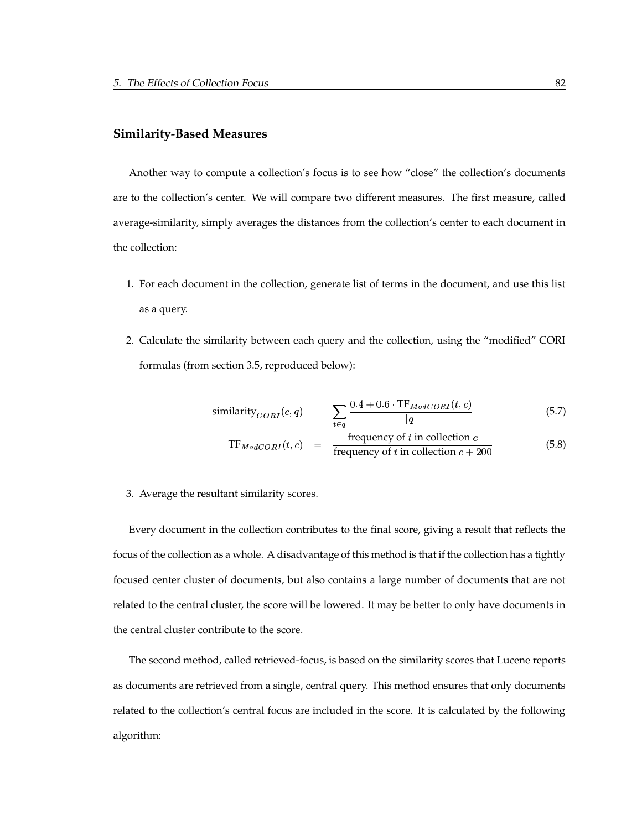#### **Similarity-Based Measures**

Another way to compute a collection's focus is to see how "close" the collection's documents are to the collection's center. We will compare two different measures. The first measure, called average-similarity, simply averages the distances from the collection's center to each document in the collection:

- 1. For each document in the collection, generate list of terms in the document, and use this list as a query.
- 2. Calculate the similarity between each query and the collection, using the "modified" CORI formulas (from section 3.5, reproduced below):

$$
\text{similarity}_{CORI}(c,q) = \sum_{t \in q} \frac{0.4 + 0.6 \cdot \text{TF}_{ModCORI}(t, c)}{|q|} \tag{5.7}
$$

$$
TF_{ModCORI}(t, c) = \frac{\text{frequency of } t \text{ in collection } c}{\text{frequency of } t \text{ in collection } c + 200} \tag{5.8}
$$

3. Average the resultant similarity scores.

Every document in the collection contributes to the final score, giving a result that reflects the focus of the collection as a whole. A disadvantage of this method is that if the collection has a tightly focused center cluster of documents, but also contains a large number of documents that are not related to the central cluster, the score will be lowered. It may be better to only have documents in the central cluster contribute to the score.

The second method, called retrieved-focus, is based on the similarity scores that Lucene reports as documents are retrieved from a single, central query. This method ensures that only documents related to the collection's central focus are included in the score. It is calculated by the following algorithm: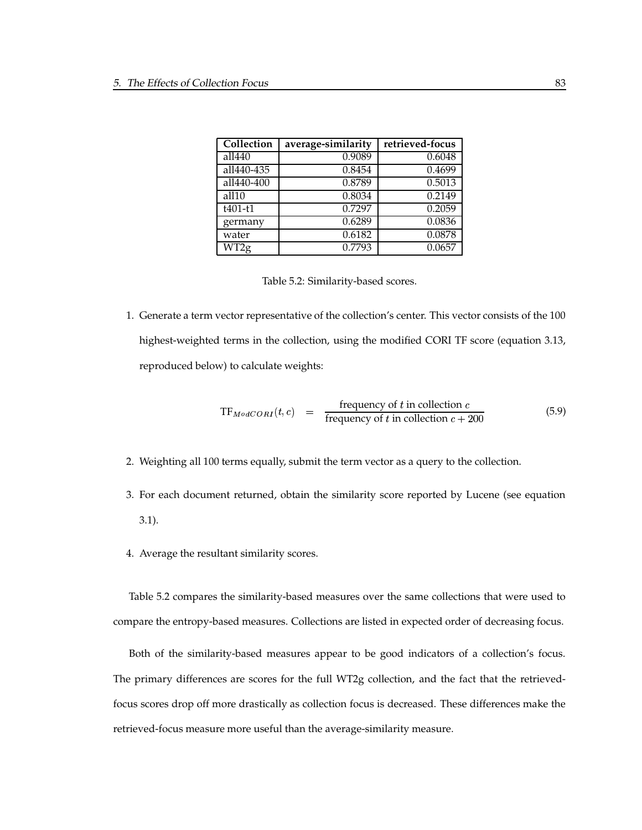| Collection               | average-similarity | retrieved-focus |
|--------------------------|--------------------|-----------------|
| all440                   | 0.9089             | 0.6048          |
| all440-435               | 0.8454             | 0.4699          |
| all440-400               | 0.8789             | 0.5013          |
| all10                    | 0.8034             | 0.2149          |
| $t401-t1$                | 0.7297             | 0.2059          |
| germany                  | 0.6289             | 0.0836          |
| water                    | 0.6182             | 0.0878          |
| $\overline{\text{WT2g}}$ | 0.7793             | 0.0657          |

| Table 5.2: Similarity-based scores. |  |
|-------------------------------------|--|
|-------------------------------------|--|

1. Generate a term vector representative of the collection's center. This vector consists of the 100 highest-weighted terms in the collection, using the modified CORI TF score (equation 3.13, reproduced below) to calculate weights:

$$
TF_{ModCORI}(t, c) = \frac{\text{frequency of } t \text{ in collection } c}{\text{frequency of } t \text{ in collection } c + 200} \tag{5.9}
$$

- 2. Weighting all 100 terms equally, submit the term vector as a query to the collection.
- 3. For each document returned, obtain the similarity score reported by Lucene (see equation 3.1).
- 4. Average the resultant similarity scores.

Table 5.2 compares the similarity-based measures over the same collections that were used to compare the entropy-based measures. Collections are listed in expected order of decreasing focus.

Both of the similarity-based measures appear to be good indicators of a collection's focus. The primary differences are scores for the full WT2g collection, and the fact that the retrievedfocus scores drop off more drastically as collection focus is decreased. These differences make the retrieved-focus measure more useful than the average-similarity measure.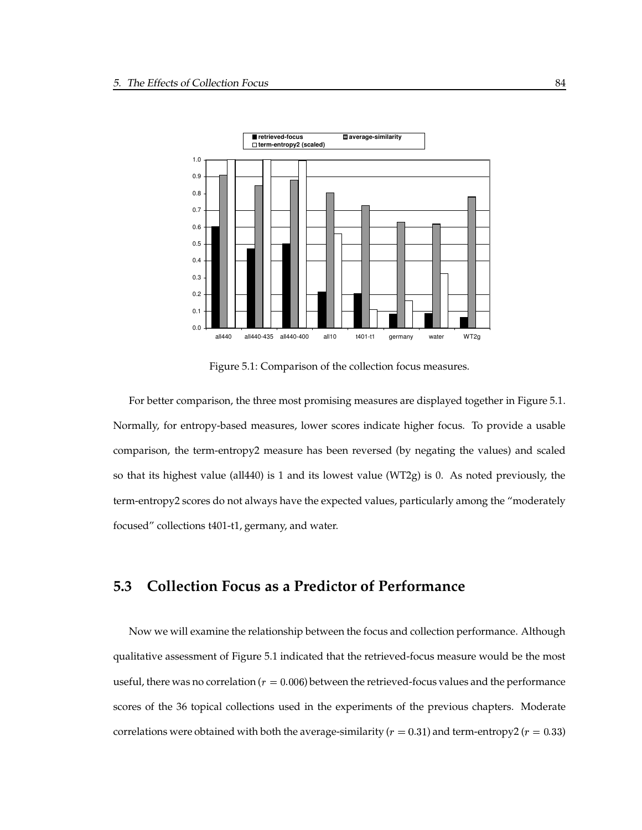

Figure 5.1: Comparison of the collection focus measures.

For better comparison, the three most promising measures are displayed together in Figure 5.1. Normally, for entropy-based measures, lower scores indicate higher focus. To provide a usable comparison, the term-entropy2 measure has been reversed (by negating the values) and scaled so that its highest value (all440) is 1 and its lowest value (WT2g) is 0. As noted previously, the term-entropy2 scores do not always have the expected values, particularly among the "moderately focused" collections t401-t1, germany, and water.

# **5.3 Collection Focus as a Predictor of Performance**

Now we will examine the relationship between the focus and collection performance. Although qualitative assessment of Figure 5.1 indicated that the retrieved-focus measure would be the most useful, there was no correlation ( $r=0.006$ ) between the retrieved-focus values and the performance scores of the 36 topical collections used in the experiments of the previous chapters. Moderate correlations were obtained with both the average-similarity ( $r=0.31$ ) and term-entropy2 ( $r=0.33$ )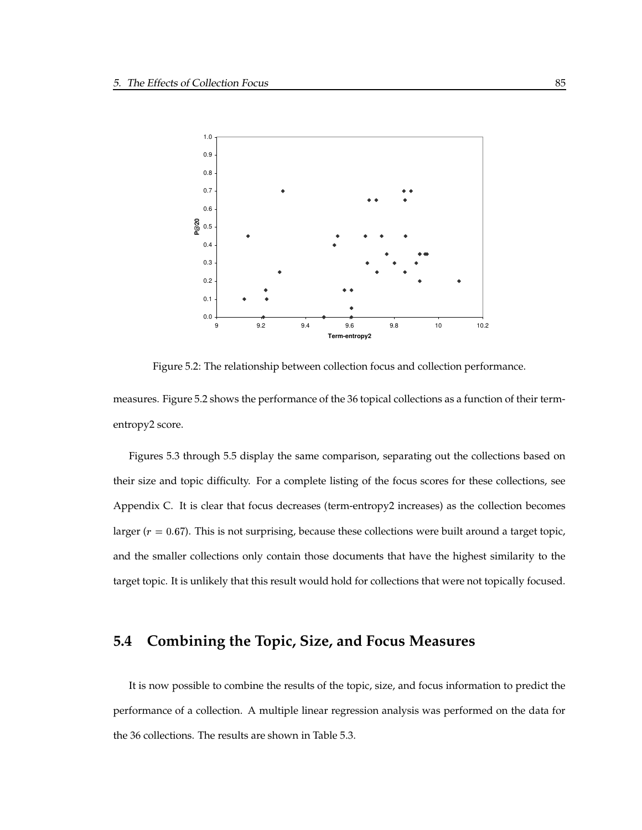

Figure 5.2: The relationship between collection focus and collection performance.

measures. Figure 5.2 shows the performance of the 36 topical collections as a function of their termentropy2 score.

Figures 5.3 through 5.5 display the same comparison, separating out the collections based on their size and topic difficulty. For a complete listing of the focus scores for these collections, see Appendix C. It is clear that focus decreases (term-entropy2 increases) as the collection becomes larger ( $r = 0.67$ ). This is not surprising, because these collections were built around a target topic, and the smaller collections only contain those documents that have the highest similarity to the target topic. It is unlikely that this result would hold for collections that were not topically focused.

# **5.4 Combining the Topic, Size, and Focus Measures**

It is now possible to combine the results of the topic, size, and focus information to predict the performance of a collection. A multiple linear regression analysis was performed on the data for the 36 collections. The results are shown in Table 5.3.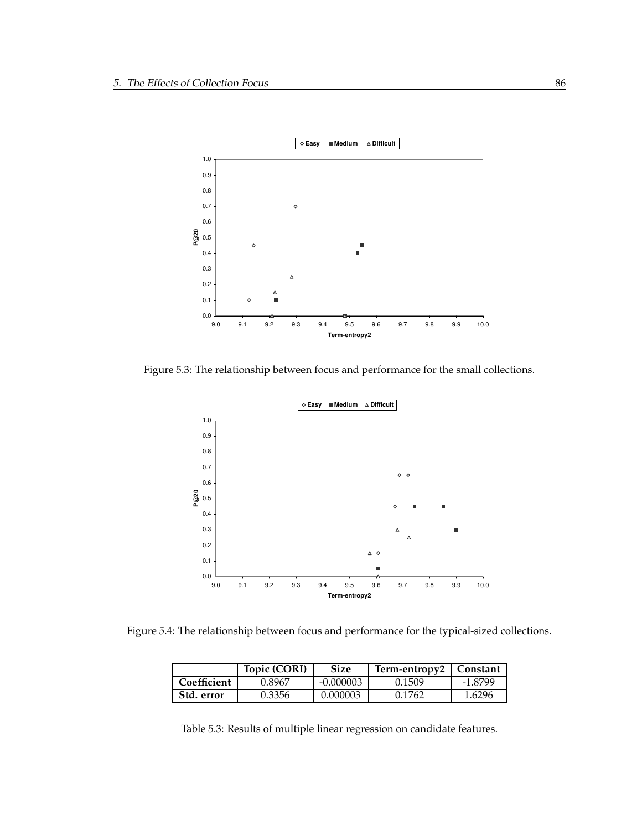

Figure 5.3: The relationship between focus and performance for the small collections.



Figure 5.4: The relationship between focus and performance for the typical-sized collections.

|             | Topic (CORI) | Size      | Term-entropy2   Constant |         |
|-------------|--------------|-----------|--------------------------|---------|
| Coefficient | 0.8967       | -0.000003 | 0.1509                   | -1.8799 |
| Std. error  | 0.3356       | 0.000003  | 0.1762                   | 1.6296  |

Table 5.3: Results of multiple linear regression on candidate features.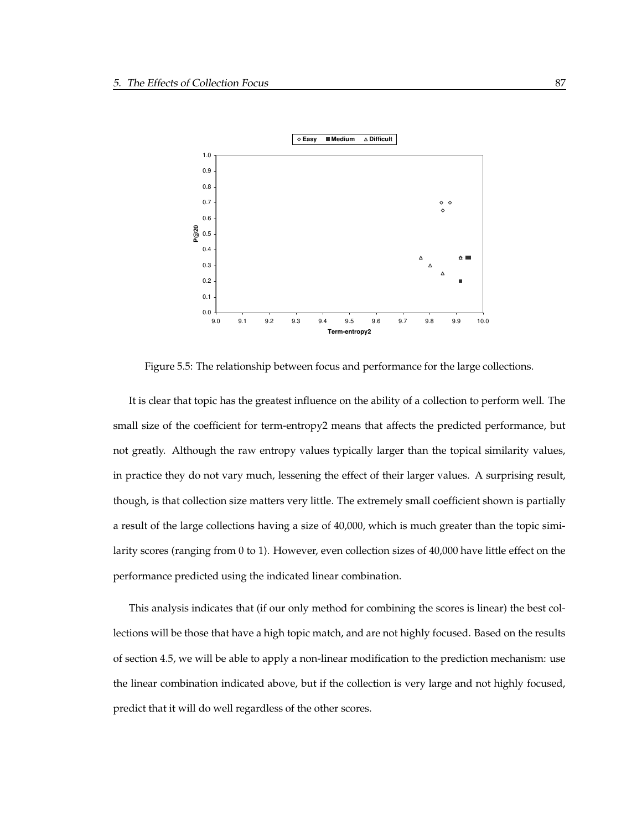

Figure 5.5: The relationship between focus and performance for the large collections.

It is clear that topic has the greatest influence on the ability of a collection to perform well. The small size of the coefficient for term-entropy2 means that affects the predicted performance, but not greatly. Although the raw entropy values typically larger than the topical similarity values, in practice they do not vary much, lessening the effect of their larger values. A surprising result, though, is that collection size matters very little. The extremely small coefficient shown is partially a result of the large collections having a size of 40,000, which is much greater than the topic similarity scores (ranging from 0 to 1). However, even collection sizes of 40,000 have little effect on the performance predicted using the indicated linear combination.

This analysis indicates that (if our only method for combining the scores is linear) the best collections will be those that have a high topic match, and are not highly focused. Based on the results of section 4.5, we will be able to apply a non-linear modification to the prediction mechanism: use the linear combination indicated above, but if the collection is very large and not highly focused, predict that it will do well regardless of the other scores.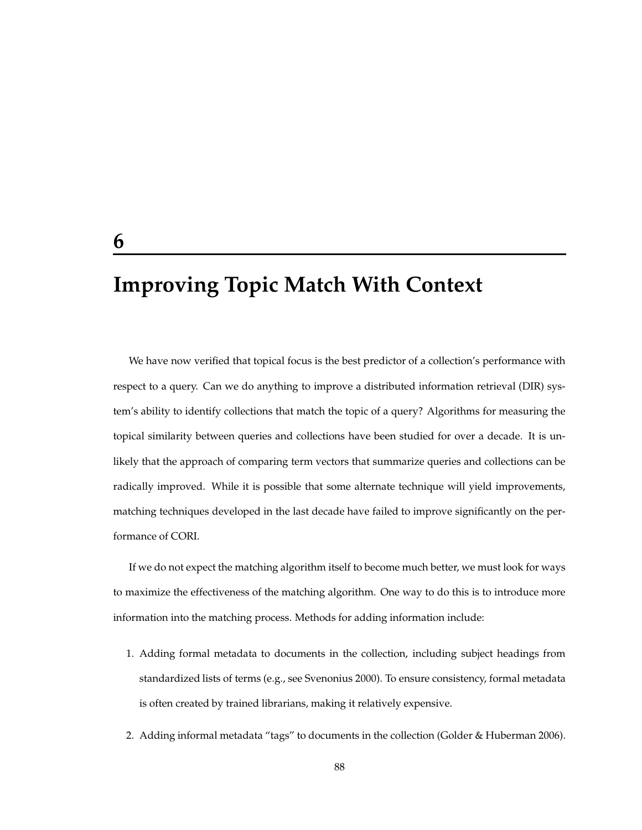# **Improving Topic Match With Context**

We have now verified that topical focus is the best predictor of a collection's performance with respect to a query. Can we do anything to improve a distributed information retrieval (DIR) system's ability to identify collections that match the topic of a query? Algorithms for measuring the topical similarity between queries and collections have been studied for over a decade. It is unlikely that the approach of comparing term vectors that summarize queries and collections can be radically improved. While it is possible that some alternate technique will yield improvements, matching techniques developed in the last decade have failed to improve significantly on the performance of CORI.

If we do not expect the matching algorithm itself to become much better, we must look for ways to maximize the effectiveness of the matching algorithm. One way to do this is to introduce more information into the matching process. Methods for adding information include:

- 1. Adding formal metadata to documents in the collection, including subject headings from standardized lists of terms (e.g., see Svenonius 2000). To ensure consistency, formal metadata is often created by trained librarians, making it relatively expensive.
- 2. Adding informal metadata "tags" to documents in the collection (Golder & Huberman 2006).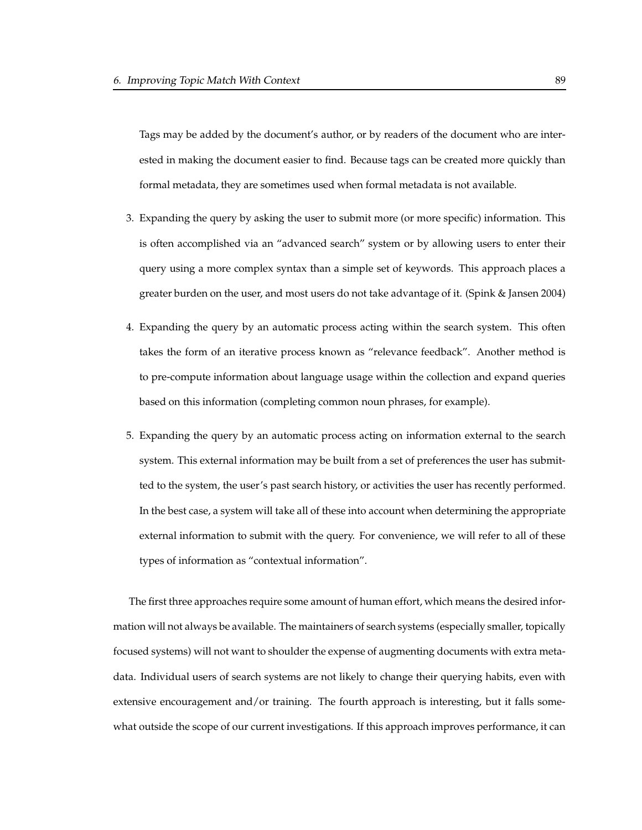Tags may be added by the document's author, or by readers of the document who are interested in making the document easier to find. Because tags can be created more quickly than formal metadata, they are sometimes used when formal metadata is not available.

- 3. Expanding the query by asking the user to submit more (or more specific) information. This is often accomplished via an "advanced search" system or by allowing users to enter their query using a more complex syntax than a simple set of keywords. This approach places a greater burden on the user, and most users do not take advantage of it. (Spink & Jansen 2004)
- 4. Expanding the query by an automatic process acting within the search system. This often takes the form of an iterative process known as "relevance feedback". Another method is to pre-compute information about language usage within the collection and expand queries based on this information (completing common noun phrases, for example).
- 5. Expanding the query by an automatic process acting on information external to the search system. This external information may be built from a set of preferences the user has submitted to the system, the user's past search history, or activities the user has recently performed. In the best case, a system will take all of these into account when determining the appropriate external information to submit with the query. For convenience, we will refer to all of these types of information as "contextual information".

The first three approaches require some amount of human effort, which means the desired information will not always be available. The maintainers of search systems (especially smaller, topically focused systems) will not want to shoulder the expense of augmenting documents with extra metadata. Individual users of search systems are not likely to change their querying habits, even with extensive encouragement and/or training. The fourth approach is interesting, but it falls somewhat outside the scope of our current investigations. If this approach improves performance, it can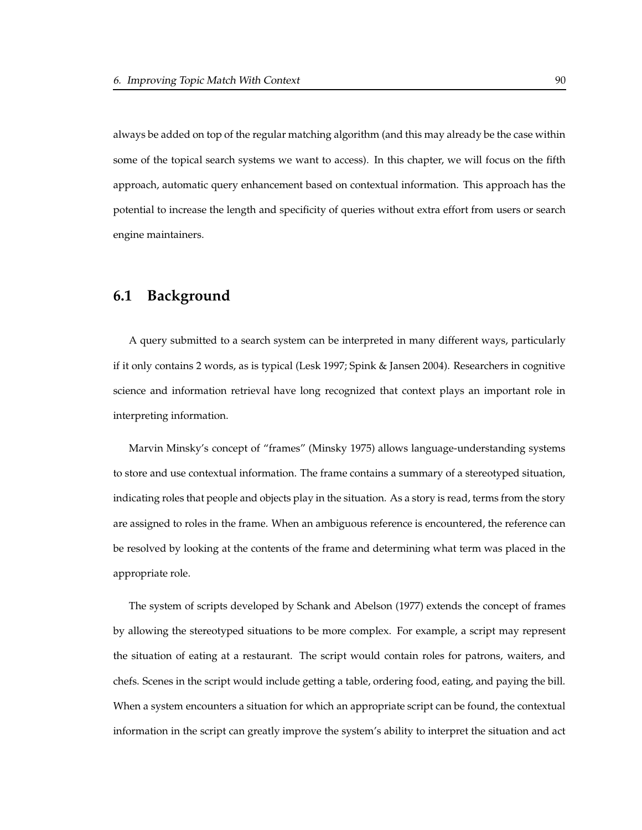always be added on top of the regular matching algorithm (and this may already be the case within some of the topical search systems we want to access). In this chapter, we will focus on the fifth approach, automatic query enhancement based on contextual information. This approach has the potential to increase the length and specificity of queries without extra effort from users or search engine maintainers.

# **6.1 Background**

A query submitted to a search system can be interpreted in many different ways, particularly if it only contains 2 words, as is typical (Lesk 1997; Spink & Jansen 2004). Researchers in cognitive science and information retrieval have long recognized that context plays an important role in interpreting information.

Marvin Minsky's concept of "frames" (Minsky 1975) allows language-understanding systems to store and use contextual information. The frame contains a summary of a stereotyped situation, indicating roles that people and objects play in the situation. As a story is read, terms from the story are assigned to roles in the frame. When an ambiguous reference is encountered, the reference can be resolved by looking at the contents of the frame and determining what term was placed in the appropriate role.

The system of scripts developed by Schank and Abelson (1977) extends the concept of frames by allowing the stereotyped situations to be more complex. For example, a script may represent the situation of eating at a restaurant. The script would contain roles for patrons, waiters, and chefs. Scenes in the script would include getting a table, ordering food, eating, and paying the bill. When a system encounters a situation for which an appropriate script can be found, the contextual information in the script can greatly improve the system's ability to interpret the situation and act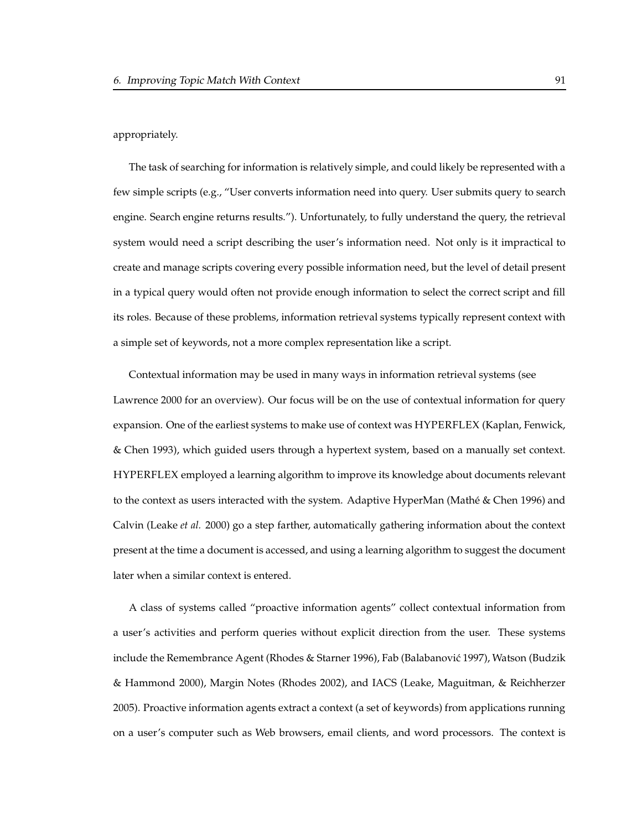appropriately.

The task of searching for information is relatively simple, and could likely be represented with a few simple scripts (e.g., "User converts information need into query. User submits query to search engine. Search engine returns results."). Unfortunately, to fully understand the query, the retrieval system would need a script describing the user's information need. Not only is it impractical to create and manage scripts covering every possible information need, but the level of detail present in a typical query would often not provide enough information to select the correct script and fill its roles. Because of these problems, information retrieval systems typically represent context with a simple set of keywords, not a more complex representation like a script.

Contextual information may be used in many ways in information retrieval systems (see Lawrence 2000 for an overview). Our focus will be on the use of contextual information for query expansion. One of the earliest systems to make use of context was HYPERFLEX (Kaplan, Fenwick, & Chen 1993), which guided users through a hypertext system, based on a manually set context. HYPERFLEX employed a learning algorithm to improve its knowledge about documents relevant to the context as users interacted with the system. Adaptive HyperMan (Mathé & Chen 1996) and Calvin (Leake *et al.* 2000) go a step farther, automatically gathering information about the context present at the time a document is accessed, and using a learning algorithm to suggest the document later when a similar context is entered.

A class of systems called "proactive information agents" collect contextual information from a user's activities and perform queries without explicit direction from the user. These systems include the Remembrance Agent (Rhodes & Starner 1996), Fab (Balabanović 1997), Watson (Budzik & Hammond 2000), Margin Notes (Rhodes 2002), and IACS (Leake, Maguitman, & Reichherzer 2005). Proactive information agents extract a context (a set of keywords) from applications running on a user's computer such as Web browsers, email clients, and word processors. The context is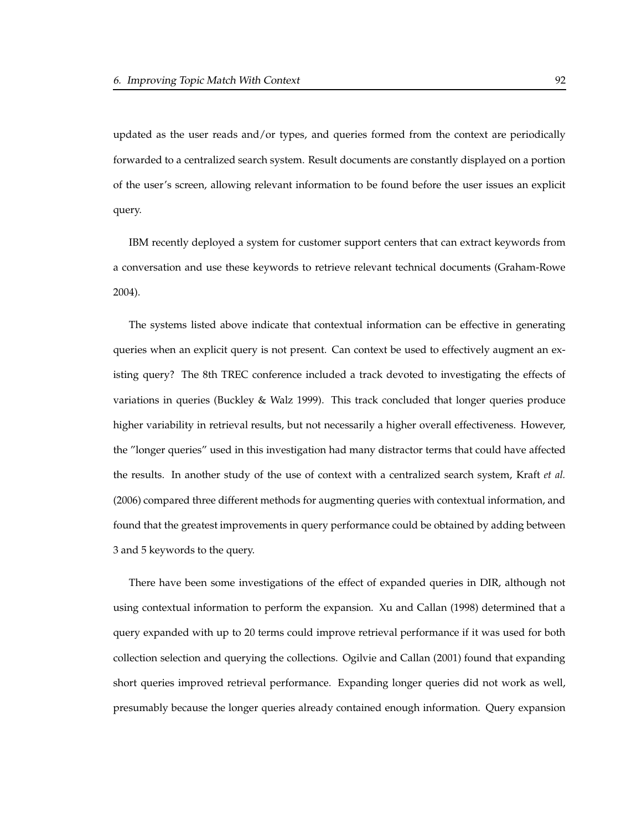updated as the user reads and/or types, and queries formed from the context are periodically forwarded to a centralized search system. Result documents are constantly displayed on a portion of the user's screen, allowing relevant information to be found before the user issues an explicit query.

IBM recently deployed a system for customer support centers that can extract keywords from a conversation and use these keywords to retrieve relevant technical documents (Graham-Rowe 2004).

The systems listed above indicate that contextual information can be effective in generating queries when an explicit query is not present. Can context be used to effectively augment an existing query? The 8th TREC conference included a track devoted to investigating the effects of variations in queries (Buckley & Walz 1999). This track concluded that longer queries produce higher variability in retrieval results, but not necessarily a higher overall effectiveness. However, the "longer queries" used in this investigation had many distractor terms that could have affected the results. In another study of the use of context with a centralized search system, Kraft *et al.* (2006) compared three different methods for augmenting queries with contextual information, and found that the greatest improvements in query performance could be obtained by adding between 3 and 5 keywords to the query.

There have been some investigations of the effect of expanded queries in DIR, although not using contextual information to perform the expansion. Xu and Callan (1998) determined that a query expanded with up to 20 terms could improve retrieval performance if it was used for both collection selection and querying the collections. Ogilvie and Callan (2001) found that expanding short queries improved retrieval performance. Expanding longer queries did not work as well, presumably because the longer queries already contained enough information. Query expansion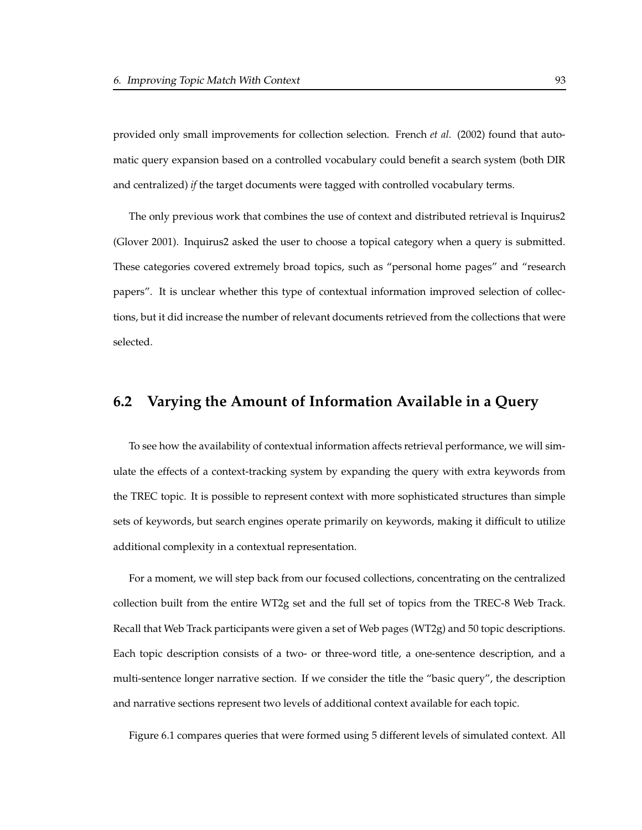provided only small improvements for collection selection. French *et al.* (2002) found that automatic query expansion based on a controlled vocabulary could benefit a search system (both DIR and centralized) *if* the target documents were tagged with controlled vocabulary terms.

The only previous work that combines the use of context and distributed retrieval is Inquirus2 (Glover 2001). Inquirus2 asked the user to choose a topical category when a query is submitted. These categories covered extremely broad topics, such as "personal home pages" and "research papers". It is unclear whether this type of contextual information improved selection of collections, but it did increase the number of relevant documents retrieved from the collections that were selected.

# **6.2 Varying the Amount of Information Available in a Query**

To see how the availability of contextual information affects retrieval performance, we will simulate the effects of a context-tracking system by expanding the query with extra keywords from the TREC topic. It is possible to represent context with more sophisticated structures than simple sets of keywords, but search engines operate primarily on keywords, making it difficult to utilize additional complexity in a contextual representation.

For a moment, we will step back from our focused collections, concentrating on the centralized collection built from the entire WT2g set and the full set of topics from the TREC-8 Web Track. Recall that Web Track participants were given a set of Web pages (WT2g) and 50 topic descriptions. Each topic description consists of a two- or three-word title, a one-sentence description, and a multi-sentence longer narrative section. If we consider the title the "basic query", the description and narrative sections represent two levels of additional context available for each topic.

Figure 6.1 compares queries that were formed using 5 different levels of simulated context. All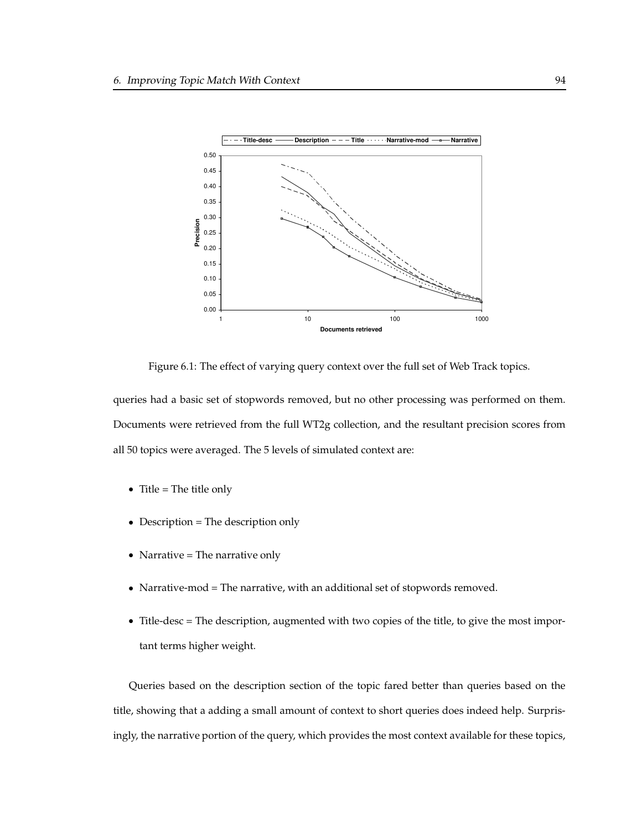

Figure 6.1: The effect of varying query context over the full set of Web Track topics.

queries had a basic set of stopwords removed, but no other processing was performed on them. Documents were retrieved from the full WT2g collection, and the resultant precision scores from all 50 topics were averaged. The 5 levels of simulated context are:

- Title = The title only
- Description = The description only
- Narrative = The narrative only
- Narrative-mod = The narrative, with an additional set of stopwords removed.
- Title-desc = The description, augmented with two copies of the title, to give the most important terms higher weight.

Queries based on the description section of the topic fared better than queries based on the title, showing that a adding a small amount of context to short queries does indeed help. Surprisingly, the narrative portion of the query, which provides the most context available for these topics,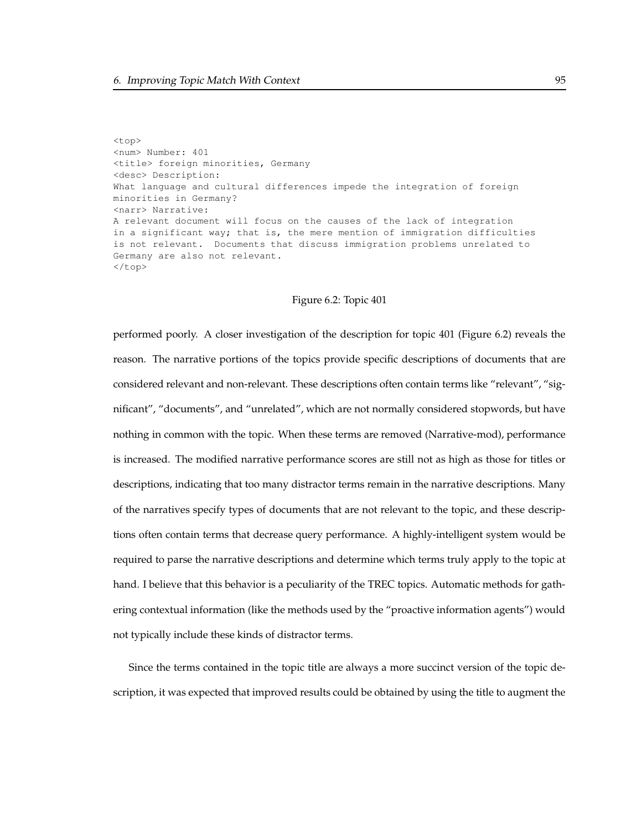<top> <num> Number: 401 <title> foreign minorities, Germany <desc> Description: What language and cultural differences impede the integration of foreign minorities in Germany? <narr> Narrative: A relevant document will focus on the causes of the lack of integration in a significant way; that is, the mere mention of immigration difficulties is not relevant. Documents that discuss immigration problems unrelated to Germany are also not relevant. </top>

#### Figure 6.2: Topic 401

performed poorly. A closer investigation of the description for topic 401 (Figure 6.2) reveals the reason. The narrative portions of the topics provide specific descriptions of documents that are considered relevant and non-relevant. These descriptions often contain terms like "relevant", "significant", "documents", and "unrelated", which are not normally considered stopwords, but have nothing in common with the topic. When these terms are removed (Narrative-mod), performance is increased. The modified narrative performance scores are still not as high as those for titles or descriptions, indicating that too many distractor terms remain in the narrative descriptions. Many of the narratives specify types of documents that are not relevant to the topic, and these descriptions often contain terms that decrease query performance. A highly-intelligent system would be required to parse the narrative descriptions and determine which terms truly apply to the topic at hand. I believe that this behavior is a peculiarity of the TREC topics. Automatic methods for gathering contextual information (like the methods used by the "proactive information agents") would not typically include these kinds of distractor terms.

Since the terms contained in the topic title are always a more succinct version of the topic description, it was expected that improved results could be obtained by using the title to augment the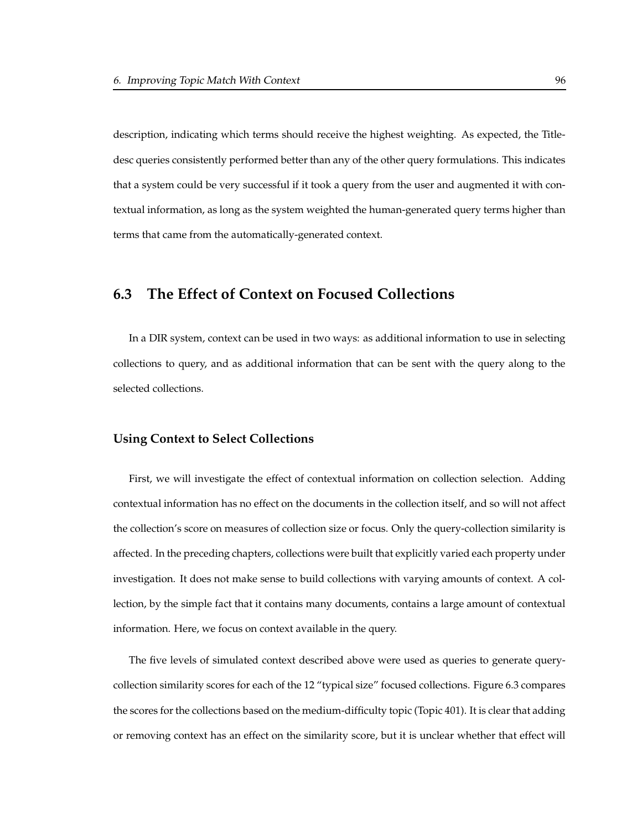description, indicating which terms should receive the highest weighting. As expected, the Titledesc queries consistently performed better than any of the other query formulations. This indicates that a system could be very successful if it took a query from the user and augmented it with contextual information, as long as the system weighted the human-generated query terms higher than terms that came from the automatically-generated context.

# **6.3 The Effect of Context on Focused Collections**

In a DIR system, context can be used in two ways: as additional information to use in selecting collections to query, and as additional information that can be sent with the query along to the selected collections.

#### **Using Context to Select Collections**

First, we will investigate the effect of contextual information on collection selection. Adding contextual information has no effect on the documents in the collection itself, and so will not affect the collection's score on measures of collection size or focus. Only the query-collection similarity is affected. In the preceding chapters, collections were built that explicitly varied each property under investigation. It does not make sense to build collections with varying amounts of context. A collection, by the simple fact that it contains many documents, contains a large amount of contextual information. Here, we focus on context available in the query.

The five levels of simulated context described above were used as queries to generate querycollection similarity scores for each of the 12 "typical size" focused collections. Figure 6.3 compares the scores forthe collections based on the medium-difficulty topic (Topic 401). It is clearthat adding or removing context has an effect on the similarity score, but it is unclear whether that effect will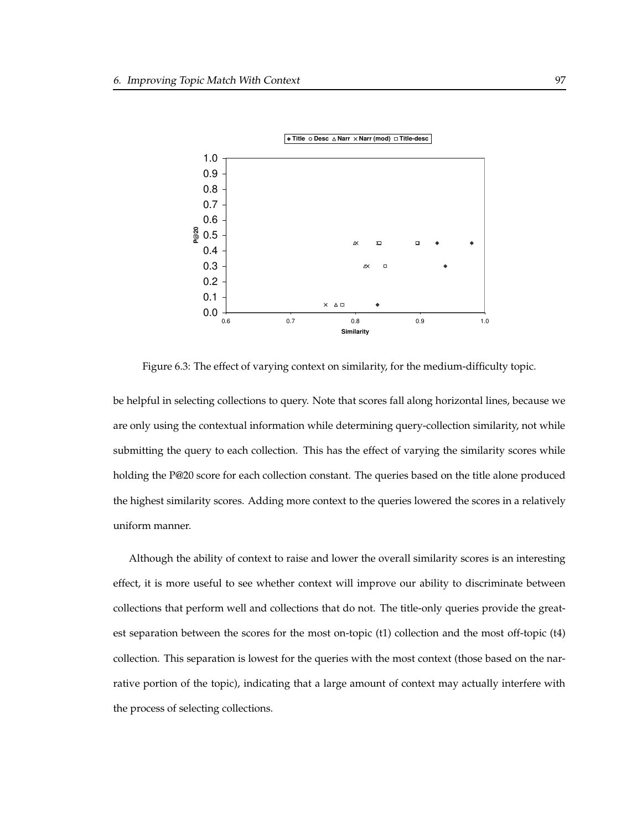

Figure 6.3: The effect of varying context on similarity, for the medium-difficulty topic.

be helpful in selecting collections to query. Note that scores fall along horizontal lines, because we are only using the contextual information while determining query-collection similarity, not while submitting the query to each collection. This has the effect of varying the similarity scores while holding the P@20 score for each collection constant. The queries based on the title alone produced the highest similarity scores. Adding more context to the queries lowered the scores in a relatively uniform manner.

Although the ability of context to raise and lower the overall similarity scores is an interesting effect, it is more useful to see whether context will improve our ability to discriminate between collections that perform well and collections that do not. The title-only queries provide the greatest separation between the scores for the most on-topic (t1) collection and the most off-topic (t4) collection. This separation is lowest for the queries with the most context (those based on the narrative portion of the topic), indicating that a large amount of context may actually interfere with the process of selecting collections.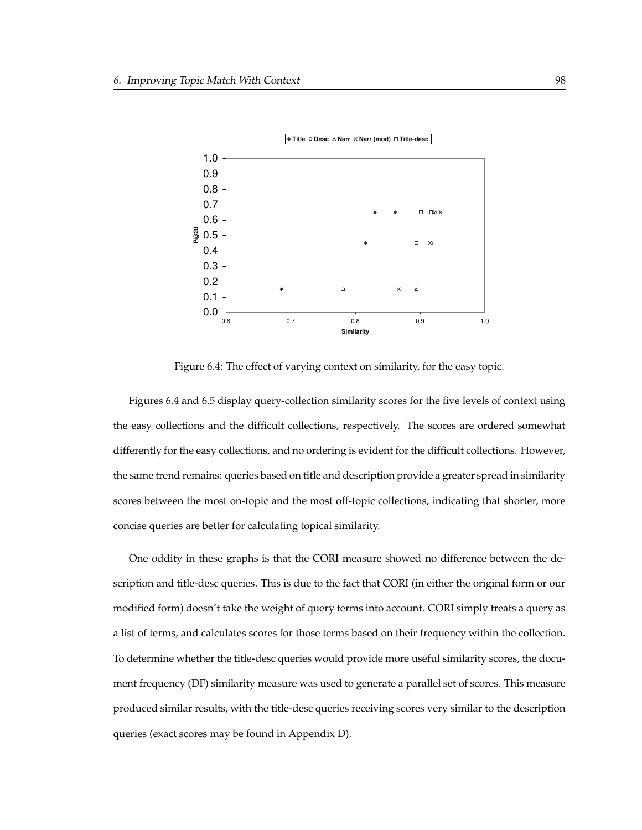

Figure 6.4: The effect of varying context on similarity, for the easy topic.

Figures 6.4 and 6.5 display query-collection similarity scores for the five levels of context using the easy collections and the difficult collections, respectively. The scores are ordered somewhat differently for the easy collections, and no ordering is evident for the difficult collections. However, the same trend remains: queries based on title and description provide a greater spread in similarity scores between the most on-topic and the most off-topic collections, indicating that shorter, more concise queries are better for calculating topical similarity.

One oddity in these graphs is that the CORI measure showed no difference between the description and title-desc queries. This is due to the fact that CORI (in either the original form or our modified form) doesn't take the weight of query terms into account. CORI simply treats a query as a list of terms, and calculates scores for those terms based on their frequency within the collection. To determine whether the title-desc queries would provide more useful similarity scores, the document frequency (DF) similarity measure was used to generate a parallel set of scores. This measure produced similar results, with the title-desc queries receiving scores very similar to the description queries (exact scores may be found in Appendix D).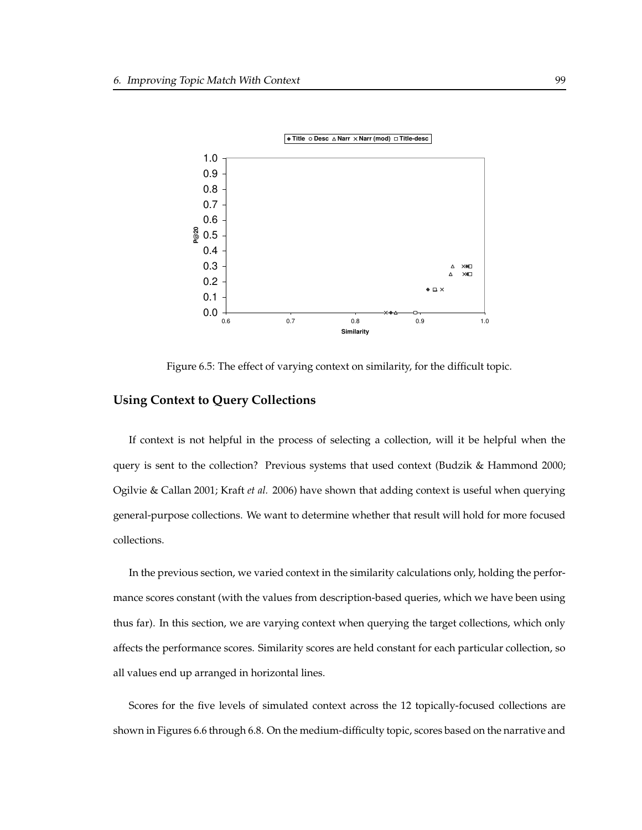

Figure 6.5: The effect of varying context on similarity, for the difficult topic.

## **Using Context to Query Collections**

If context is not helpful in the process of selecting a collection, will it be helpful when the query is sent to the collection? Previous systems that used context (Budzik & Hammond 2000; Ogilvie & Callan 2001; Kraft *et al.* 2006) have shown that adding context is useful when querying general-purpose collections. We want to determine whether that result will hold for more focused collections.

In the previous section, we varied context in the similarity calculations only, holding the performance scores constant (with the values from description-based queries, which we have been using thus far). In this section, we are varying context when querying the target collections, which only affects the performance scores. Similarity scores are held constant for each particular collection, so all values end up arranged in horizontal lines.

Scores for the five levels of simulated context across the 12 topically-focused collections are shown in Figures 6.6 through 6.8. On the medium-difficulty topic, scores based on the narrative and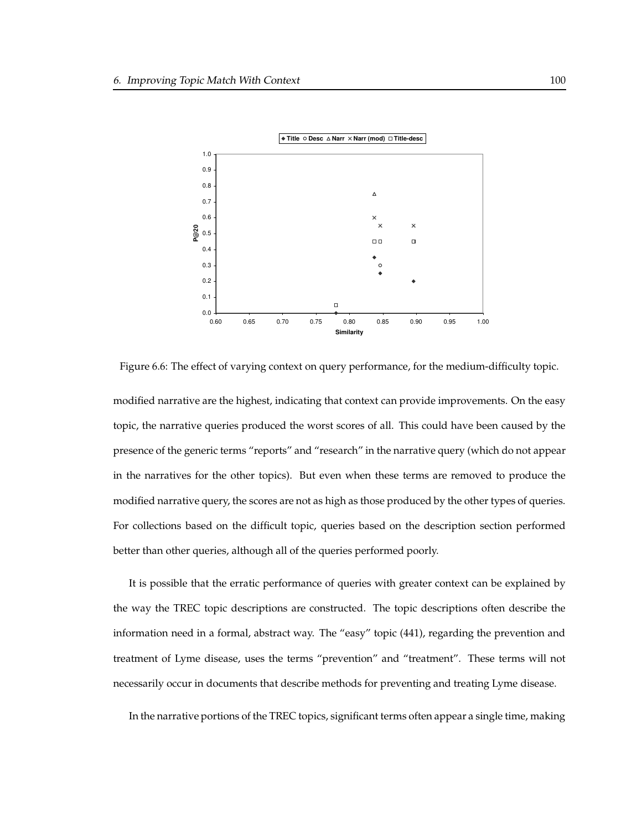

Figure 6.6: The effect of varying context on query performance, for the medium-difficulty topic.

modified narrative are the highest, indicating that context can provide improvements. On the easy topic, the narrative queries produced the worst scores of all. This could have been caused by the presence of the generic terms "reports" and "research" in the narrative query (which do not appear in the narratives for the other topics). But even when these terms are removed to produce the modified narrative query, the scores are not as high as those produced by the other types of queries. For collections based on the difficult topic, queries based on the description section performed better than other queries, although all of the queries performed poorly.

It is possible that the erratic performance of queries with greater context can be explained by the way the TREC topic descriptions are constructed. The topic descriptions often describe the information need in a formal, abstract way. The "easy" topic (441), regarding the prevention and treatment of Lyme disease, uses the terms "prevention" and "treatment". These terms will not necessarily occur in documents that describe methods for preventing and treating Lyme disease.

In the narrative portions of the TREC topics, significant terms often appear a single time, making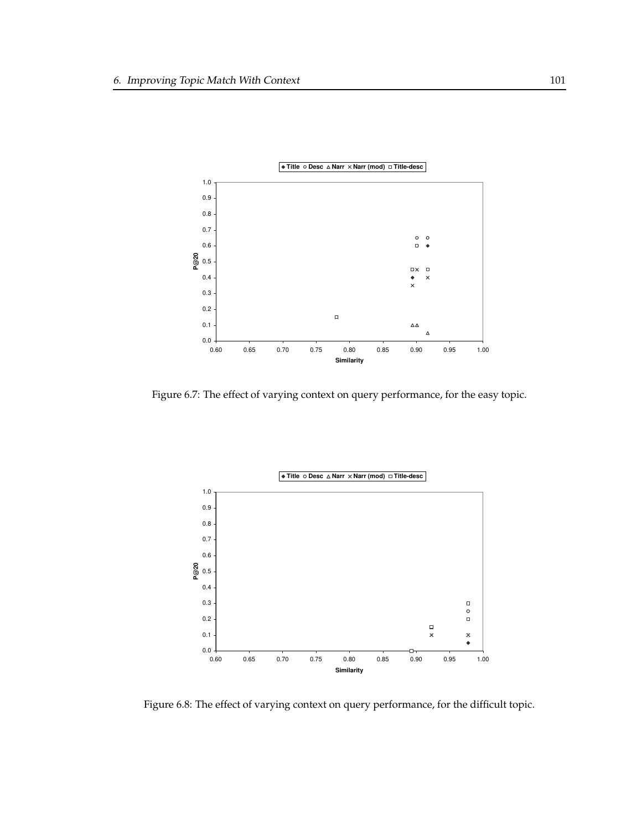

Figure 6.7: The effect of varying context on query performance, for the easy topic.



Figure 6.8: The effect of varying context on query performance, for the difficult topic.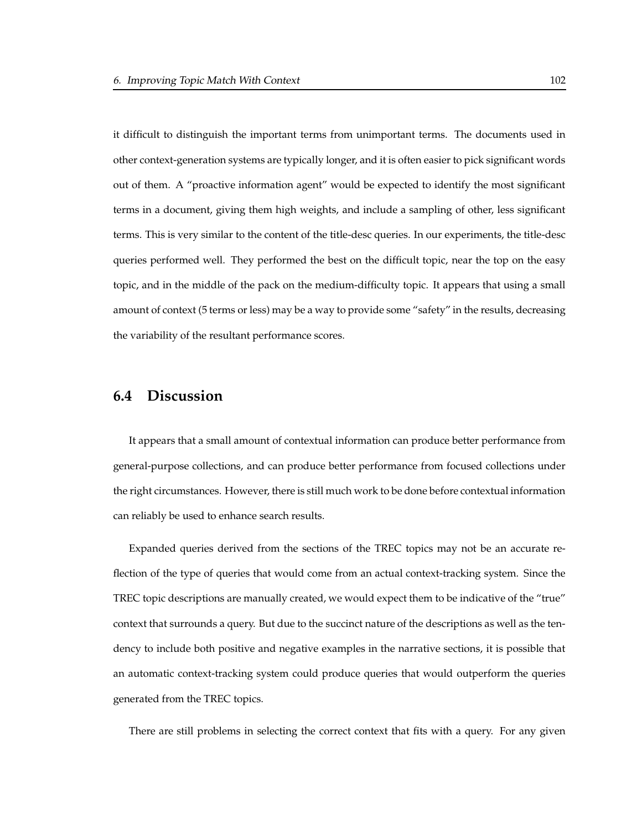it difficult to distinguish the important terms from unimportant terms. The documents used in other context-generation systems are typically longer, and it is often easier to pick significant words out of them. A "proactive information agent" would be expected to identify the most significant terms in a document, giving them high weights, and include a sampling of other, less significant terms. This is very similar to the content of the title-desc queries. In our experiments, the title-desc queries performed well. They performed the best on the difficult topic, near the top on the easy topic, and in the middle of the pack on the medium-difficulty topic. It appears that using a small amount of context (5 terms or less) may be a way to provide some "safety" in the results, decreasing the variability of the resultant performance scores.

# **6.4 Discussion**

It appears that a small amount of contextual information can produce better performance from general-purpose collections, and can produce better performance from focused collections under the right circumstances. However, there is still much work to be done before contextual information can reliably be used to enhance search results.

Expanded queries derived from the sections of the TREC topics may not be an accurate reflection of the type of queries that would come from an actual context-tracking system. Since the TREC topic descriptions are manually created, we would expect them to be indicative of the "true" context that surrounds a query. But due to the succinct nature of the descriptions as well as the tendency to include both positive and negative examples in the narrative sections, it is possible that an automatic context-tracking system could produce queries that would outperform the queries generated from the TREC topics.

There are still problems in selecting the correct context that fits with a query. For any given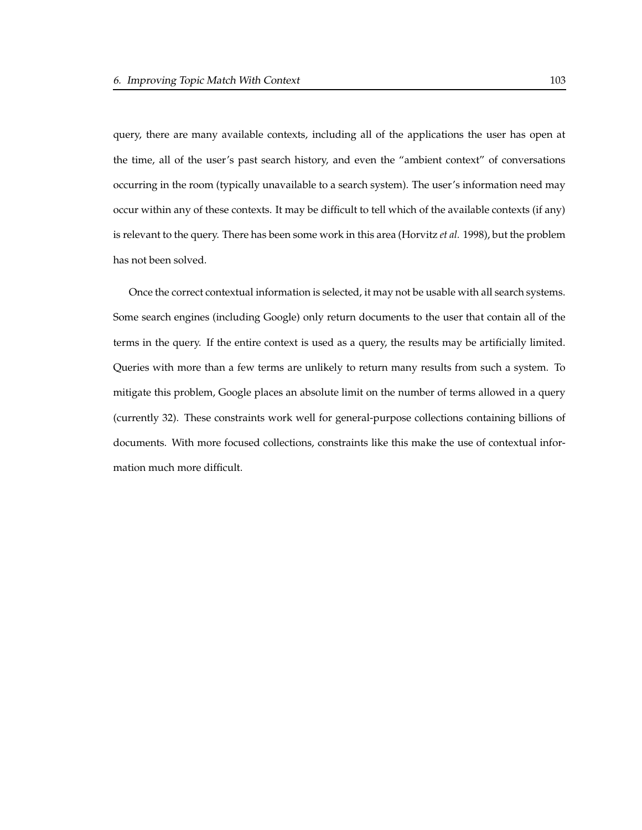query, there are many available contexts, including all of the applications the user has open at the time, all of the user's past search history, and even the "ambient context" of conversations occurring in the room (typically unavailable to a search system). The user's information need may occur within any of these contexts. It may be difficult to tell which of the available contexts (if any) is relevant to the query. There has been some work in this area (Horvitz *et al.* 1998), but the problem has not been solved.

Once the correct contextual information is selected, it may not be usable with all search systems. Some search engines (including Google) only return documents to the user that contain all of the terms in the query. If the entire context is used as a query, the results may be artificially limited. Queries with more than a few terms are unlikely to return many results from such a system. To mitigate this problem, Google places an absolute limit on the number of terms allowed in a query (currently 32). These constraints work well for general-purpose collections containing billions of documents. With more focused collections, constraints like this make the use of contextual information much more difficult.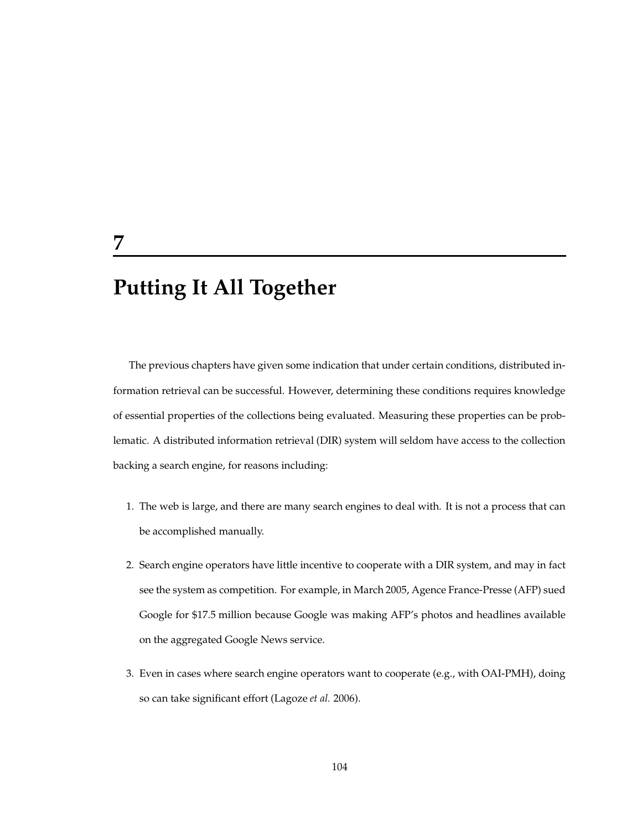# **Putting It All Together**

**7**

The previous chapters have given some indication that under certain conditions, distributed information retrieval can be successful. However, determining these conditions requires knowledge of essential properties of the collections being evaluated. Measuring these properties can be problematic. A distributed information retrieval (DIR) system will seldom have access to the collection backing a search engine, for reasons including:

- 1. The web is large, and there are many search engines to deal with. It is not a process that can be accomplished manually.
- 2. Search engine operators have little incentive to cooperate with a DIR system, and may in fact see the system as competition. For example, in March 2005, Agence France-Presse (AFP) sued Google for \$17.5 million because Google was making AFP's photos and headlines available on the aggregated Google News service.
- 3. Even in cases where search engine operators want to cooperate (e.g., with OAI-PMH), doing so can take significant effort (Lagoze *et al.* 2006).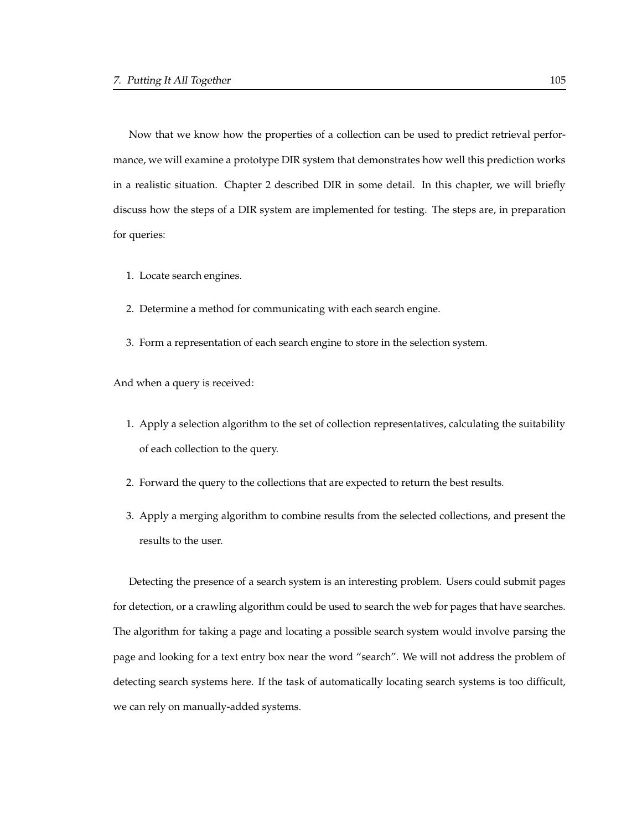Now that we know how the properties of a collection can be used to predict retrieval performance, we will examine a prototype DIR system that demonstrates how well this prediction works in a realistic situation. Chapter 2 described DIR in some detail. In this chapter, we will briefly discuss how the steps of a DIR system are implemented for testing. The steps are, in preparation for queries:

- 1. Locate search engines.
- 2. Determine a method for communicating with each search engine.
- 3. Form a representation of each search engine to store in the selection system.

And when a query is received:

- 1. Apply a selection algorithm to the set of collection representatives, calculating the suitability of each collection to the query.
- 2. Forward the query to the collections that are expected to return the best results.
- 3. Apply a merging algorithm to combine results from the selected collections, and present the results to the user.

Detecting the presence of a search system is an interesting problem. Users could submit pages for detection, or a crawling algorithm could be used to search the web for pages that have searches. The algorithm for taking a page and locating a possible search system would involve parsing the page and looking for a text entry box near the word "search". We will not address the problem of detecting search systems here. If the task of automatically locating search systems is too difficult, we can rely on manually-added systems.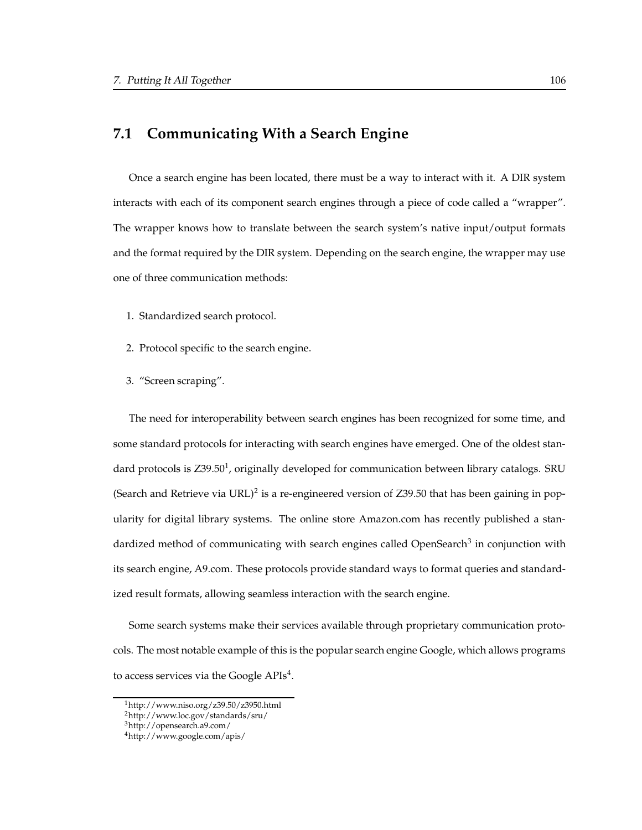# **7.1 Communicating With a Search Engine**

Once a search engine has been located, there must be a way to interact with it. A DIR system interacts with each of its component search engines through a piece of code called a "wrapper". The wrapper knows how to translate between the search system's native input/output formats and the format required by the DIR system. Depending on the search engine, the wrapper may use one of three communication methods:

- 1. Standardized search protocol.
- 2. Protocol specific to the search engine.
- 3. "Screen scraping".

The need for interoperability between search engines has been recognized for some time, and some standard protocols for interacting with search engines have emerged. One of the oldest standard protocols is  $Z39.50<sup>1</sup>$ , originally developed for communication between library catalogs. SRU (Search and Retrieve via URL)<sup>2</sup> is a re-engineered version of  $Z39.50$  that has been gaining in popularity for digital library systems. The online store Amazon.com has recently published a standardized method of communicating with search engines called OpenSearch<sup>3</sup> in conjunction with its search engine, A9.com. These protocols provide standard ways to format queries and standardized result formats, allowing seamless interaction with the search engine.

Some search systems make their services available through proprietary communication protocols. The most notable example of this is the popular search engine Google, which allows programs to access services via the Google  $APIs<sup>4</sup>$ .

<sup>1</sup>http://www.niso.org/z39.50/z3950.html

<sup>2</sup>http://www.loc.gov/standards/sru/

<sup>3</sup>http://opensearch.a9.com/

<sup>4</sup>http://www.google.com/apis/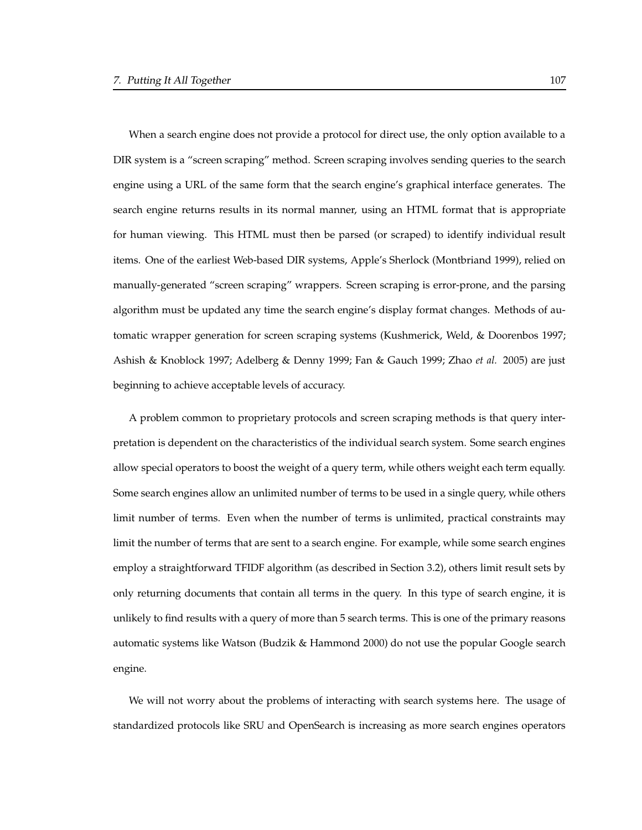When a search engine does not provide a protocol for direct use, the only option available to a DIR system is a "screen scraping" method. Screen scraping involves sending queries to the search engine using a URL of the same form that the search engine's graphical interface generates. The search engine returns results in its normal manner, using an HTML format that is appropriate for human viewing. This HTML must then be parsed (or scraped) to identify individual result items. One of the earliest Web-based DIR systems, Apple's Sherlock (Montbriand 1999), relied on manually-generated "screen scraping" wrappers. Screen scraping is error-prone, and the parsing algorithm must be updated any time the search engine's display format changes. Methods of automatic wrapper generation for screen scraping systems (Kushmerick, Weld, & Doorenbos 1997; Ashish & Knoblock 1997; Adelberg & Denny 1999; Fan & Gauch 1999; Zhao *et al.* 2005) are just beginning to achieve acceptable levels of accuracy.

A problem common to proprietary protocols and screen scraping methods is that query interpretation is dependent on the characteristics of the individual search system. Some search engines allow special operators to boost the weight of a query term, while others weight each term equally. Some search engines allow an unlimited number of terms to be used in a single query, while others limit number of terms. Even when the number of terms is unlimited, practical constraints may limit the number of terms that are sent to a search engine. For example, while some search engines employ a straightforward TFIDF algorithm (as described in Section 3.2), others limit result sets by only returning documents that contain all terms in the query. In this type of search engine, it is unlikely to find results with a query of more than 5 search terms. This is one of the primary reasons automatic systems like Watson (Budzik & Hammond 2000) do not use the popular Google search engine.

We will not worry about the problems of interacting with search systems here. The usage of standardized protocols like SRU and OpenSearch is increasing as more search engines operators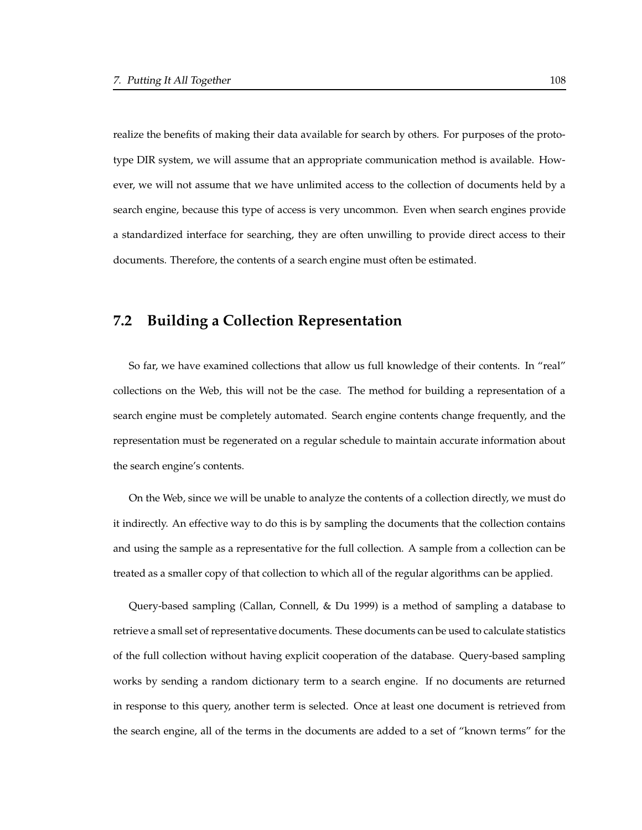realize the benefits of making their data available for search by others. For purposes of the prototype DIR system, we will assume that an appropriate communication method is available. However, we will not assume that we have unlimited access to the collection of documents held by a search engine, because this type of access is very uncommon. Even when search engines provide a standardized interface for searching, they are often unwilling to provide direct access to their documents. Therefore, the contents of a search engine must often be estimated.

# **7.2 Building a Collection Representation**

So far, we have examined collections that allow us full knowledge of their contents. In "real" collections on the Web, this will not be the case. The method for building a representation of a search engine must be completely automated. Search engine contents change frequently, and the representation must be regenerated on a regular schedule to maintain accurate information about the search engine's contents.

On the Web, since we will be unable to analyze the contents of a collection directly, we must do it indirectly. An effective way to do this is by sampling the documents that the collection contains and using the sample as a representative for the full collection. A sample from a collection can be treated as a smaller copy of that collection to which all of the regular algorithms can be applied.

Query-based sampling (Callan, Connell, & Du 1999) is a method of sampling a database to retrieve a small set of representative documents. These documents can be used to calculate statistics of the full collection without having explicit cooperation of the database. Query-based sampling works by sending a random dictionary term to a search engine. If no documents are returned in response to this query, another term is selected. Once at least one document is retrieved from the search engine, all of the terms in the documents are added to a set of "known terms" for the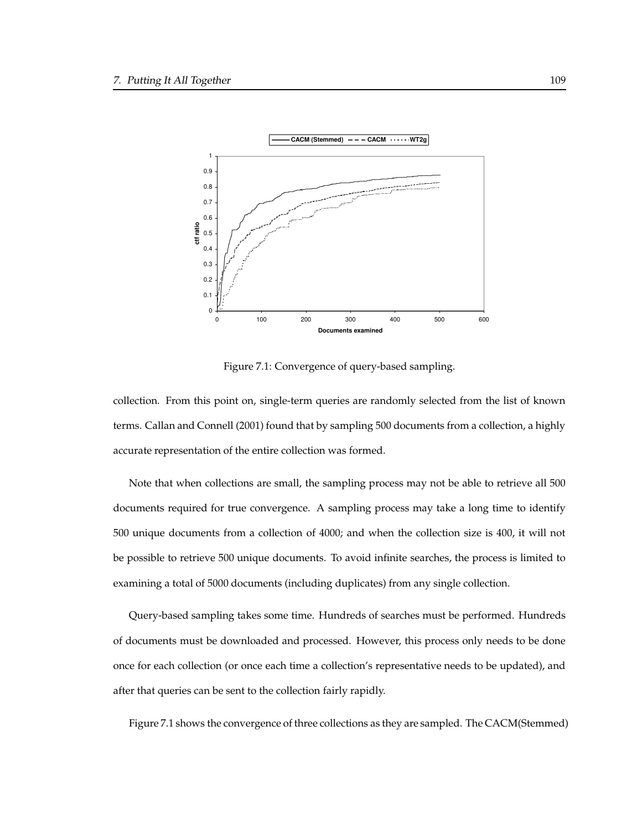

Figure 7.1: Convergence of query-based sampling.

collection. From this point on, single-term queries are randomly selected from the list of known terms. Callan and Connell (2001) found that by sampling 500 documents from a collection, a highly accurate representation of the entire collection was formed.

Note that when collections are small, the sampling process may not be able to retrieve all 500 documents required for true convergence. A sampling process may take a long time to identify 500 unique documents from a collection of 4000; and when the collection size is 400, it will not be possible to retrieve 500 unique documents. To avoid infinite searches, the process is limited to examining a total of 5000 documents (including duplicates) from any single collection.

Query-based sampling takes some time. Hundreds of searches must be performed. Hundreds of documents must be downloaded and processed. However, this process only needs to be done once for each collection (or once each time a collection's representative needs to be updated), and after that queries can be sent to the collection fairly rapidly.

Figure 7.1 shows the convergence of three collections as they are sampled. The CACM(Stemmed)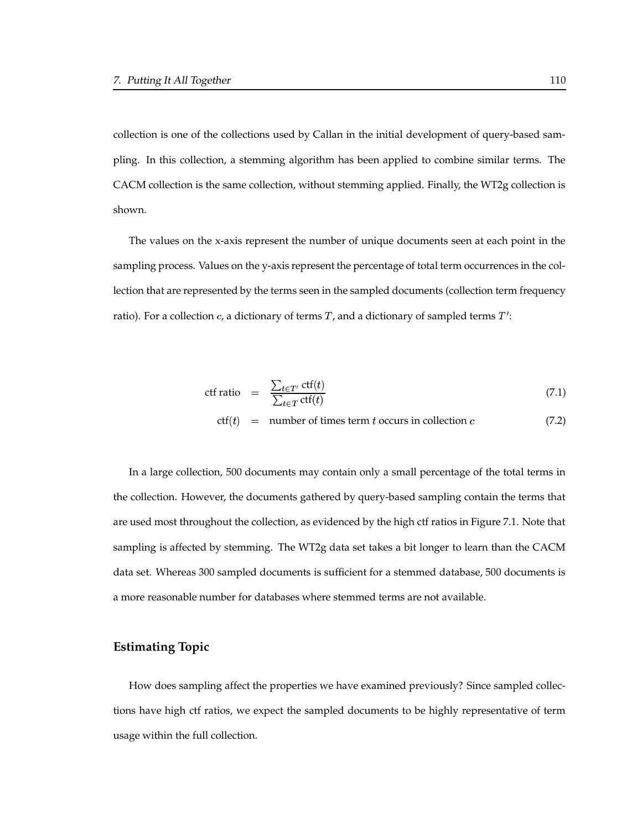collection is one of the collections used by Callan in the initial development of query-based sampling. In this collection, a stemming algorithm has been applied to combine similar terms. The CACM collection is the same collection, without stemming applied. Finally, the WT2g collection is shown.

The values on the x-axis represent the number of unique documents seen at each point in the sampling process. Values on the y-axis represent the percentage of total term occurrences in the collection that are represented by the terms seen in the sampled documents (collection term frequency ratio). For a collection  $c$ , a dictionary of terms  $T$ , and a dictionary of sampled terms  $T'$ :

$$
\text{ctf ratio} = \frac{\sum_{t \in T'} \text{ctf}(t)}{\sum_{t \in T} \text{ctf}(t)} \tag{7.1}
$$

$$
ctf(t) = number of times term t occurs in collection c (7.2)
$$

In a large collection, 500 documents may contain only a small percentage of the total terms in the collection. However, the documents gathered by query-based sampling contain the terms that are used most throughout the collection, as evidenced by the high ctf ratios in Figure 7.1. Note that sampling is affected by stemming. The WT2g data set takes a bit longer to learn than the CACM data set. Whereas 300 sampled documents is sufficient for a stemmed database, 500 documents is a more reasonable number for databases where stemmed terms are not available.

#### **Estimating Topic**

How does sampling affect the properties we have examined previously? Since sampled collections have high ctf ratios, we expect the sampled documents to be highly representative of term usage within the full collection.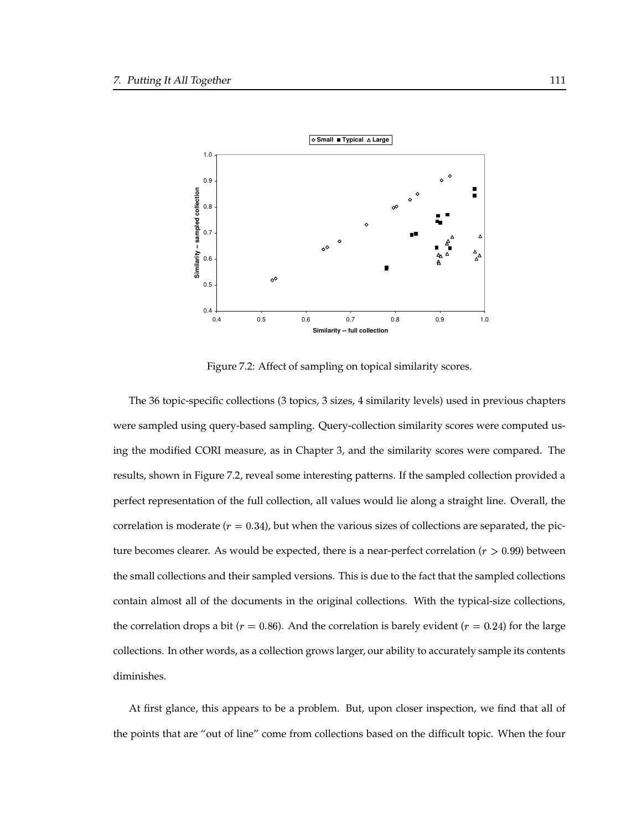

Figure 7.2: Affect of sampling on topical similarity scores.

The 36 topic-specific collections (3 topics, 3 sizes, 4 similarity levels) used in previous chapters were sampled using query-based sampling. Query-collection similarity scores were computed using the modified CORI measure, as in Chapter 3, and the similarity scores were compared. The results, shown in Figure 7.2, reveal some interesting patterns. If the sampled collection provided a perfect representation of the full collection, all values would lie along a straight line. Overall, the correlation is moderate  $(r = 0.34)$ , but when the various sizes of collections are separated, the picture becomes clearer. As would be expected, there is a near-perfect correlation ( $r > 0.99$ ) between the small collections and their sampled versions. This is due to the fact that the sampled collections contain almost all of the documents in the original collections. With the typical-size collections, the correlation drops a bit ( $r = 0.86$ ). And the correlation is barely evident ( $r = 0.24$ ) for the large collections. In other words, as a collection grows larger, our ability to accurately sample its contents diminishes.

At first glance, this appears to be a problem. But, upon closer inspection, we find that all of the points that are "out of line" come from collections based on the difficult topic. When the four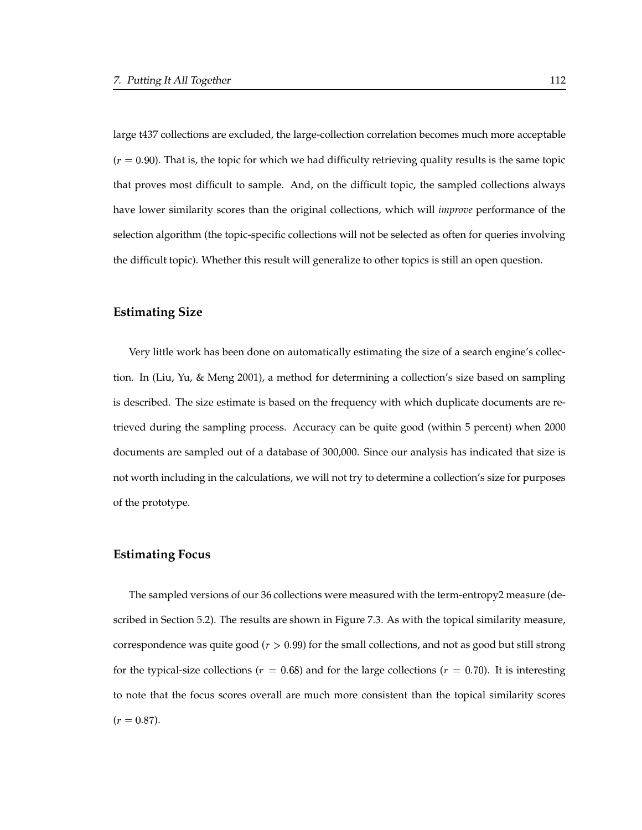large t437 collections are excluded, the large-collection correlation becomes much more acceptable  $(r = 0.90)$ . That is, the topic for which we had difficulty retrieving quality results is the same topic that proves most difficult to sample. And, on the difficult topic, the sampled collections always have lower similarity scores than the original collections, which will *improve* performance of the selection algorithm (the topic-specific collections will not be selected as often for queries involving the difficult topic). Whether this result will generalize to other topics is still an open question.

#### **Estimating Size**

Very little work has been done on automatically estimating the size of a search engine's collection. In (Liu, Yu, & Meng 2001), a method for determining a collection's size based on sampling is described. The size estimate is based on the frequency with which duplicate documents are retrieved during the sampling process. Accuracy can be quite good (within 5 percent) when 2000 documents are sampled out of a database of 300,000. Since our analysis has indicated that size is not worth including in the calculations, we will not try to determine a collection's size for purposes of the prototype.

#### **Estimating Focus**

The sampled versions of our 36 collections were measured with the term-entropy2 measure (described in Section 5.2). The results are shown in Figure 7.3. As with the topical similarity measure, correspondence was quite good ( $r > 0.99$ ) for the small collections, and not as good but still strong for the typical-size collections ( $r = 0.68$ ) and for the large collections ( $r = 0.70$ ). It is interesting to note that the focus scores overall are much more consistent than the topical similarity scores  $(r = 0.87).$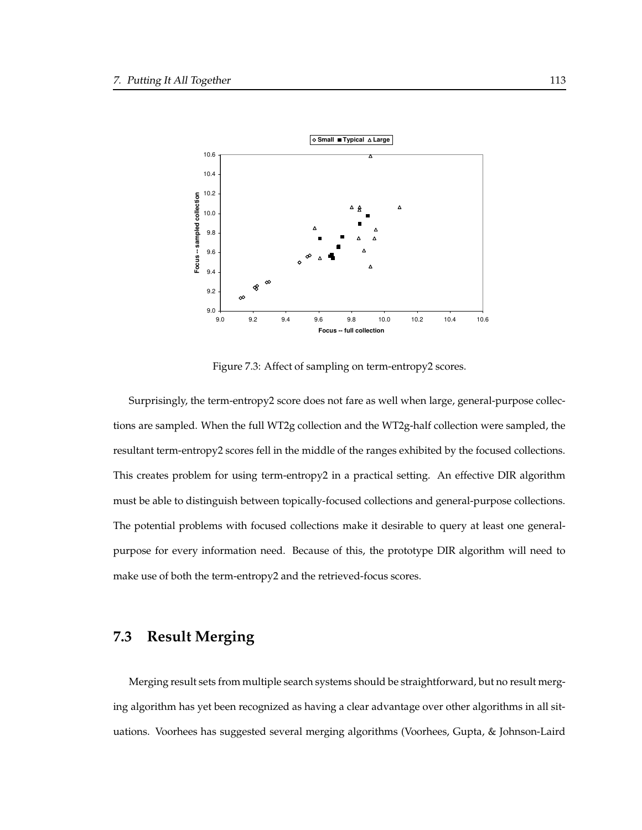

Figure 7.3: Affect of sampling on term-entropy2 scores.

Surprisingly, the term-entropy2 score does not fare as well when large, general-purpose collections are sampled. When the full WT2g collection and the WT2g-half collection were sampled, the resultant term-entropy2 scores fell in the middle of the ranges exhibited by the focused collections. This creates problem for using term-entropy2 in a practical setting. An effective DIR algorithm must be able to distinguish between topically-focused collections and general-purpose collections. The potential problems with focused collections make it desirable to query at least one generalpurpose for every information need. Because of this, the prototype DIR algorithm will need to make use of both the term-entropy2 and the retrieved-focus scores.

# **7.3 Result Merging**

Merging result sets from multiple search systems should be straightforward, but no result merging algorithm has yet been recognized as having a clear advantage over other algorithms in all situations. Voorhees has suggested several merging algorithms (Voorhees, Gupta, & Johnson-Laird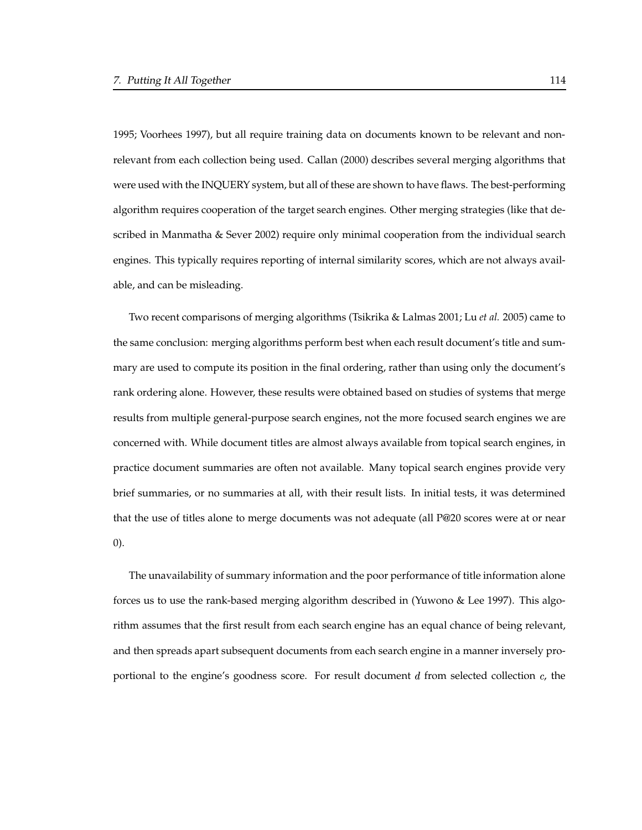1995; Voorhees 1997), but all require training data on documents known to be relevant and nonrelevant from each collection being used. Callan (2000) describes several merging algorithms that were used with the INQUERY system, but all of these are shown to have flaws. The best-performing algorithm requires cooperation of the target search engines. Other merging strategies (like that described in Manmatha & Sever 2002) require only minimal cooperation from the individual search engines. This typically requires reporting of internal similarity scores, which are not always available, and can be misleading.

Two recent comparisons of merging algorithms (Tsikrika & Lalmas 2001; Lu *et al.* 2005) came to the same conclusion: merging algorithms perform best when each result document's title and summary are used to compute its position in the final ordering, rather than using only the document's rank ordering alone. However, these results were obtained based on studies of systems that merge results from multiple general-purpose search engines, not the more focused search engines we are concerned with. While document titles are almost always available from topical search engines, in practice document summaries are often not available. Many topical search engines provide very brief summaries, or no summaries at all, with their result lists. In initial tests, it was determined that the use of titles alone to merge documents was not adequate (all P@20 scores were at or near 0).

The unavailability of summary information and the poor performance of title information alone forces us to use the rank-based merging algorithm described in (Yuwono & Lee 1997). This algorithm assumes that the first result from each search engine has an equal chance of being relevant, and then spreads apart subsequent documents from each search engine in a manner inversely proportional to the engine's goodness score. For result document  $d$  from selected collection  $c$ , the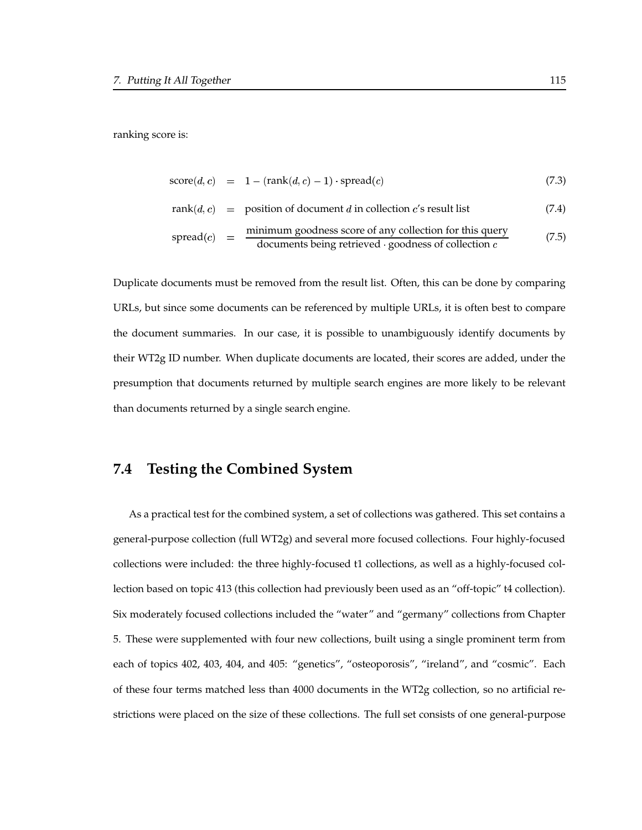ranking score is:

$$
score(d, c) = 1 - (rank(d, c) - 1) \cdot spread(c)
$$
\n(7.3)

$$
rank(d, c) = position of document d in collection c's result list \t(7.4)
$$

$$
spread(c) = \frac{\text{minimum goodness score of any collection for this query}}{\text{documents being retrieved} \cdot goodness of collection } c \tag{7.5}
$$

Duplicate documents must be removed from the result list. Often, this can be done by comparing URLs, but since some documents can be referenced by multiple URLs, it is often best to compare the document summaries. In our case, it is possible to unambiguously identify documents by their WT2g ID number. When duplicate documents are located, their scores are added, under the presumption that documents returned by multiple search engines are more likely to be relevant than documents returned by a single search engine.

# **7.4 Testing the Combined System**

As a practical test for the combined system, a set of collections was gathered. This set contains a general-purpose collection (full WT2g) and several more focused collections. Four highly-focused collections were included: the three highly-focused t1 collections, as well as a highly-focused collection based on topic 413 (this collection had previously been used as an "off-topic" t4 collection). Six moderately focused collections included the "water" and "germany" collections from Chapter 5. These were supplemented with four new collections, built using a single prominent term from each of topics 402, 403, 404, and 405: "genetics", "osteoporosis", "ireland", and "cosmic". Each of these four terms matched less than 4000 documents in the WT2g collection, so no artificial restrictions were placed on the size of these collections. The full set consists of one general-purpose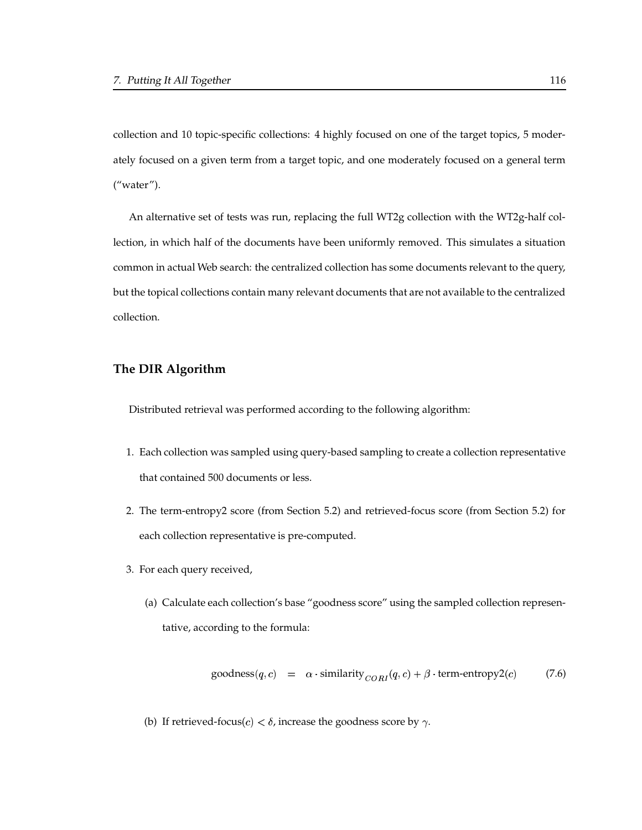collection and 10 topic-specific collections: 4 highly focused on one of the target topics, 5 moderately focused on a given term from a target topic, and one moderately focused on a general term ("water").

An alternative set of tests was run, replacing the full WT2g collection with the WT2g-half collection, in which half of the documents have been uniformly removed. This simulates a situation common in actual Web search: the centralized collection has some documents relevant to the query, but the topical collections contain many relevant documents that are not available to the centralized collection.

### **The DIR Algorithm**

Distributed retrieval was performed according to the following algorithm:

- 1. Each collection was sampled using query-based sampling to create a collection representative that contained 500 documents or less.
- 2. The term-entropy2 score (from Section 5.2) and retrieved-focus score (from Section 5.2) for each collection representative is pre-computed.
- 3. For each query received,
	- (a) Calculate each collection's base "goodness score" using the sampled collection representative, according to the formula:

goodness
$$
(q, c)
$$
 =  $\alpha \cdot \text{similarity}_{CORI}(q, c) + \beta \cdot \text{term-entropy2}(c)$  (7.6)

(b) If retrieved-focus(*c*)  $\lt \delta$ , increase the goodness score by  $\gamma$ .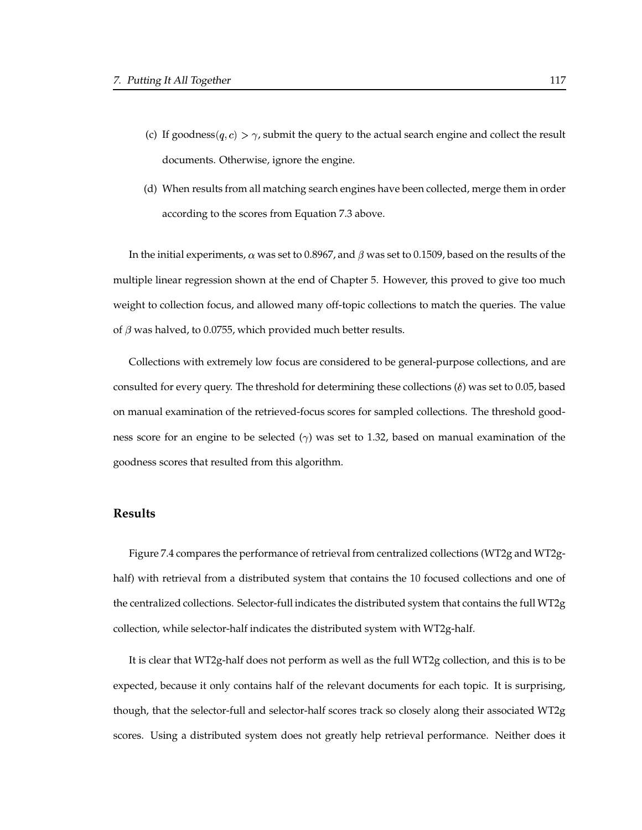- (c) If goodness( $q, c$ )  $>$   $\gamma$ , submit the query to the actual search engine and collect the result documents. Otherwise, ignore the engine.
- (d) When results from all matching search engines have been collected, merge them in order according to the scores from Equation 7.3 above.

In the initial experiments,  $\alpha$  was set to 0.8967, and  $\beta$  was set to 0.1509, based on the results of the multiple linear regression shown at the end of Chapter 5. However, this proved to give too much weight to collection focus, and allowed many off-topic collections to match the queries. The value of  $\beta$  was halved, to 0.0755, which provided much better results.

Collections with extremely low focus are considered to be general-purpose collections, and are consulted for every query. The threshold for determining these collections  $(\delta)$  was set to 0.05, based on manual examination of the retrieved-focus scores for sampled collections. The threshold goodness score for an engine to be selected  $(\gamma)$  was set to 1.32, based on manual examination of the goodness scores that resulted from this algorithm.

#### **Results**

Figure 7.4 compares the performance of retrieval from centralized collections (WT2g and WT2ghalf) with retrieval from a distributed system that contains the 10 focused collections and one of the centralized collections. Selector-full indicates the distributed system that contains the full WT2g collection, while selector-half indicates the distributed system with WT2g-half.

It is clear that WT2g-half does not perform as well as the full WT2g collection, and this is to be expected, because it only contains half of the relevant documents for each topic. It is surprising, though, that the selector-full and selector-half scores track so closely along their associated WT2g scores. Using a distributed system does not greatly help retrieval performance. Neither does it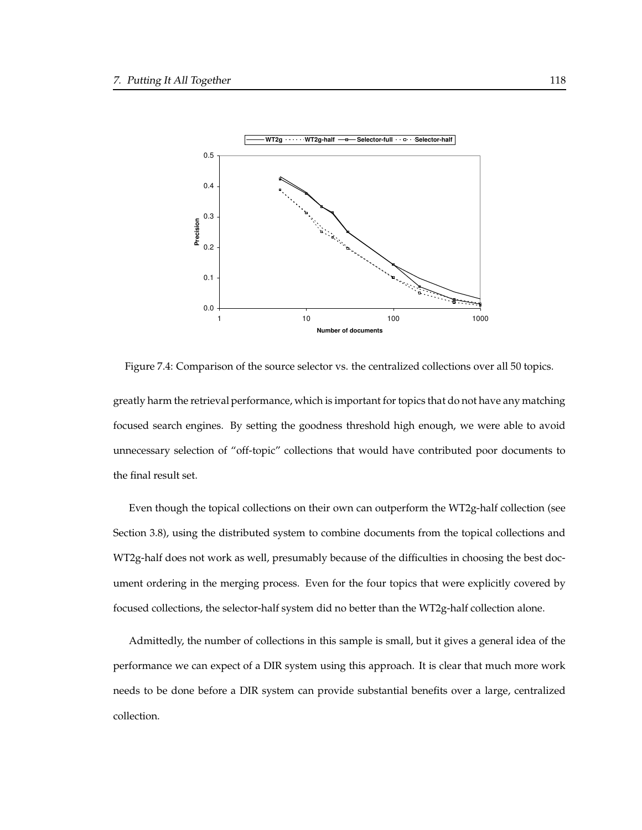

Figure 7.4: Comparison of the source selector vs. the centralized collections over all 50 topics.

greatly harm the retrieval performance, which is important fortopics that do not have any matching focused search engines. By setting the goodness threshold high enough, we were able to avoid unnecessary selection of "off-topic" collections that would have contributed poor documents to the final result set.

Even though the topical collections on their own can outperform the WT2g-half collection (see Section 3.8), using the distributed system to combine documents from the topical collections and WT2g-half does not work as well, presumably because of the difficulties in choosing the best document ordering in the merging process. Even for the four topics that were explicitly covered by focused collections, the selector-half system did no better than the WT2g-half collection alone.

Admittedly, the number of collections in this sample is small, but it gives a general idea of the performance we can expect of a DIR system using this approach. It is clear that much more work needs to be done before a DIR system can provide substantial benefits over a large, centralized collection.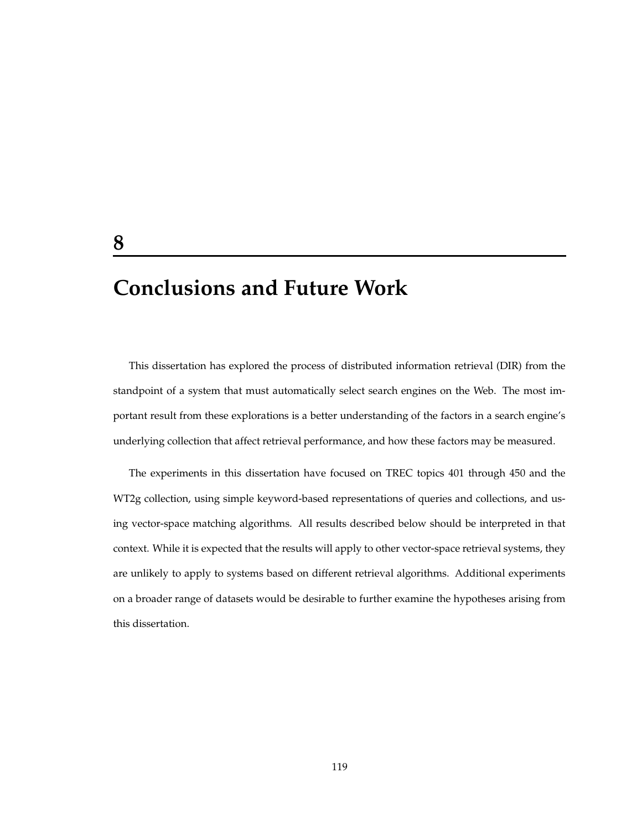# **Conclusions and Future Work**

This dissertation has explored the process of distributed information retrieval (DIR) from the standpoint of a system that must automatically select search engines on the Web. The most important result from these explorations is a better understanding of the factors in a search engine's underlying collection that affect retrieval performance, and how these factors may be measured.

The experiments in this dissertation have focused on TREC topics 401 through 450 and the WT2g collection, using simple keyword-based representations of queries and collections, and using vector-space matching algorithms. All results described below should be interpreted in that context. While it is expected that the results will apply to other vector-space retrieval systems, they are unlikely to apply to systems based on different retrieval algorithms. Additional experiments on a broader range of datasets would be desirable to further examine the hypotheses arising from this dissertation.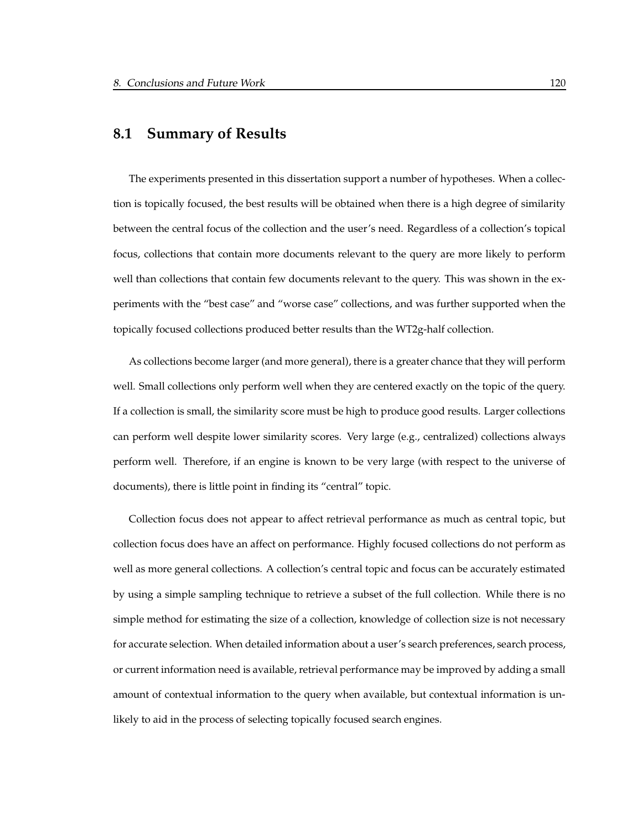## **8.1 Summary of Results**

The experiments presented in this dissertation support a number of hypotheses. When a collection is topically focused, the best results will be obtained when there is a high degree of similarity between the central focus of the collection and the user's need. Regardless of a collection's topical focus, collections that contain more documents relevant to the query are more likely to perform well than collections that contain few documents relevant to the query. This was shown in the experiments with the "best case" and "worse case" collections, and was further supported when the topically focused collections produced better results than the WT2g-half collection.

As collections become larger (and more general), there is a greater chance that they will perform well. Small collections only perform well when they are centered exactly on the topic of the query. If a collection is small, the similarity score must be high to produce good results. Larger collections can perform well despite lower similarity scores. Very large (e.g., centralized) collections always perform well. Therefore, if an engine is known to be very large (with respect to the universe of documents), there is little point in finding its "central" topic.

Collection focus does not appear to affect retrieval performance as much as central topic, but collection focus does have an affect on performance. Highly focused collections do not perform as well as more general collections. A collection's central topic and focus can be accurately estimated by using a simple sampling technique to retrieve a subset of the full collection. While there is no simple method for estimating the size of a collection, knowledge of collection size is not necessary for accurate selection. When detailed information about a user's search preferences, search process, or current information need is available, retrieval performance may be improved by adding a small amount of contextual information to the query when available, but contextual information is unlikely to aid in the process of selecting topically focused search engines.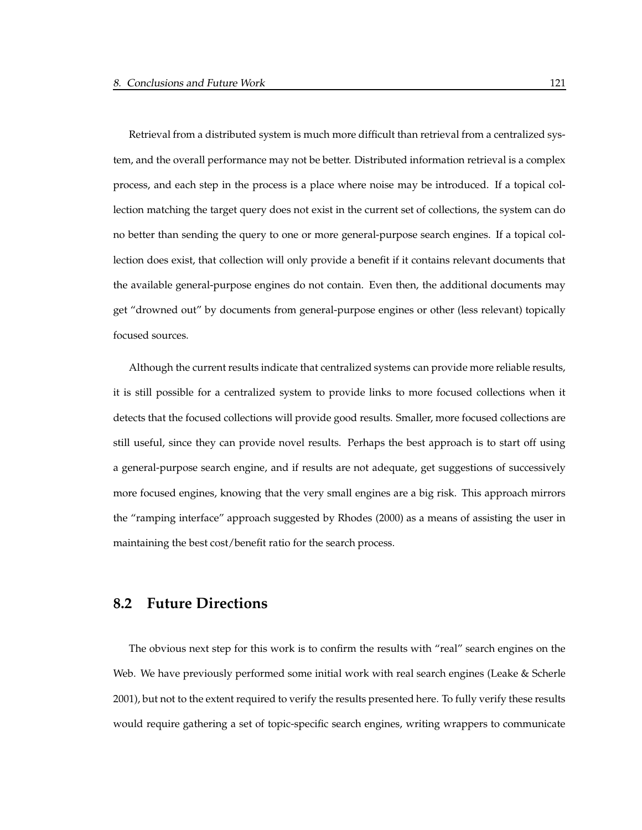Retrieval from a distributed system is much more difficult than retrieval from a centralized system, and the overall performance may not be better. Distributed information retrieval is a complex process, and each step in the process is a place where noise may be introduced. If a topical collection matching the target query does not exist in the current set of collections, the system can do no better than sending the query to one or more general-purpose search engines. If a topical collection does exist, that collection will only provide a benefit if it contains relevant documents that the available general-purpose engines do not contain. Even then, the additional documents may get "drowned out" by documents from general-purpose engines or other (less relevant) topically focused sources.

Although the current results indicate that centralized systems can provide more reliable results, it is still possible for a centralized system to provide links to more focused collections when it detects that the focused collections will provide good results. Smaller, more focused collections are still useful, since they can provide novel results. Perhaps the best approach is to start off using a general-purpose search engine, and if results are not adequate, get suggestions of successively more focused engines, knowing that the very small engines are a big risk. This approach mirrors the "ramping interface" approach suggested by Rhodes (2000) as a means of assisting the user in maintaining the best cost/benefit ratio for the search process.

## **8.2 Future Directions**

The obvious next step for this work is to confirm the results with "real" search engines on the Web. We have previously performed some initial work with real search engines (Leake & Scherle 2001), but not to the extent required to verify the results presented here. To fully verify these results would require gathering a set of topic-specific search engines, writing wrappers to communicate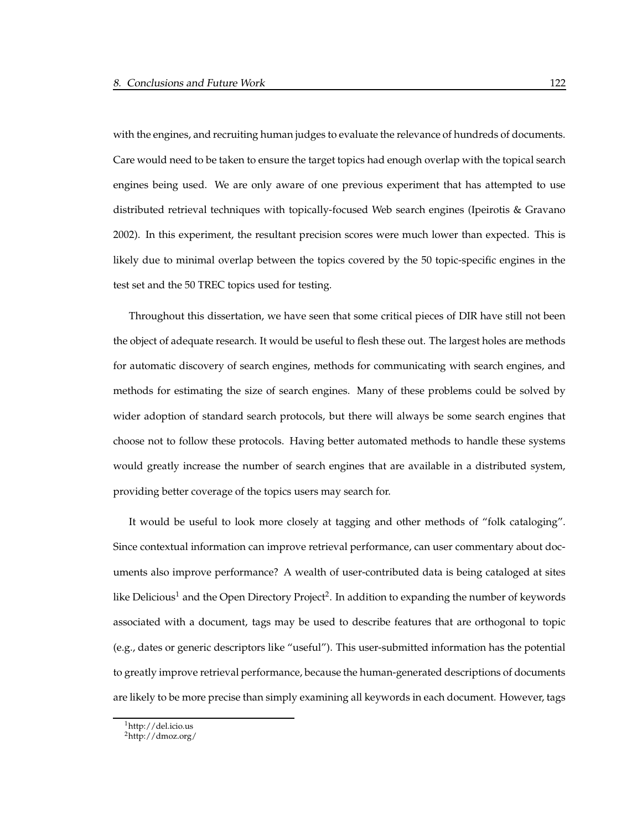with the engines, and recruiting human judges to evaluate the relevance of hundreds of documents. Care would need to be taken to ensure the target topics had enough overlap with the topical search engines being used. We are only aware of one previous experiment that has attempted to use distributed retrieval techniques with topically-focused Web search engines (Ipeirotis & Gravano 2002). In this experiment, the resultant precision scores were much lower than expected. This is likely due to minimal overlap between the topics covered by the 50 topic-specific engines in the test set and the 50 TREC topics used for testing.

Throughout this dissertation, we have seen that some critical pieces of DIR have still not been the object of adequate research. It would be useful to flesh these out. The largest holes are methods for automatic discovery of search engines, methods for communicating with search engines, and methods for estimating the size of search engines. Many of these problems could be solved by wider adoption of standard search protocols, but there will always be some search engines that choose not to follow these protocols. Having better automated methods to handle these systems would greatly increase the number of search engines that are available in a distributed system, providing better coverage of the topics users may search for.

It would be useful to look more closely at tagging and other methods of "folk cataloging". Since contextual information can improve retrieval performance, can user commentary about documents also improve performance? A wealth of user-contributed data is being cataloged at sites like Delicious<sup>1</sup> and the Open Directory Project<sup>2</sup>. In addition to expanding the number of keywords associated with a document, tags may be used to describe features that are orthogonal to topic (e.g., dates or generic descriptors like "useful"). This user-submitted information has the potential to greatly improve retrieval performance, because the human-generated descriptions of documents are likely to be more precise than simply examining all keywords in each document. However, tags

<sup>1</sup>http://del.icio.us

<sup>2</sup>http://dmoz.org/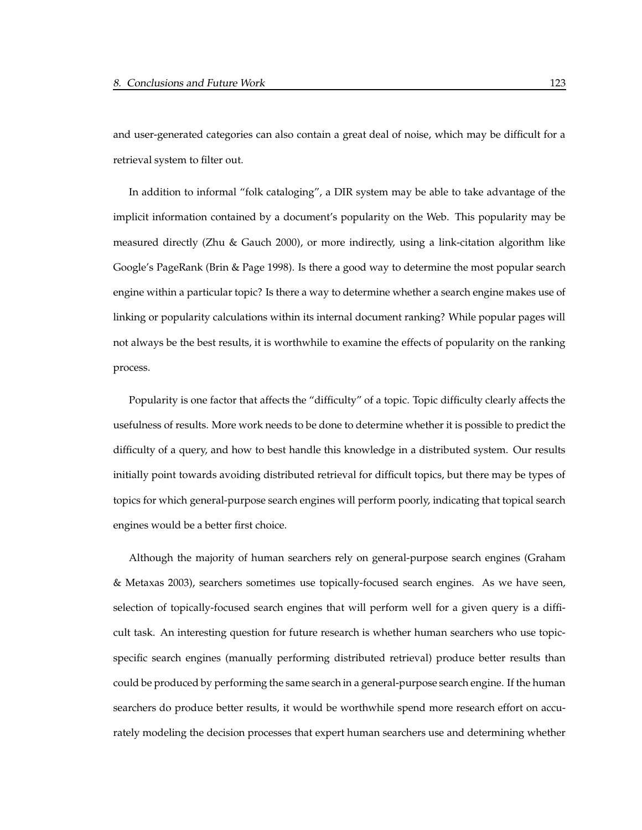and user-generated categories can also contain a great deal of noise, which may be difficult for a retrieval system to filter out.

In addition to informal "folk cataloging", a DIR system may be able to take advantage of the implicit information contained by a document's popularity on the Web. This popularity may be measured directly (Zhu & Gauch 2000), or more indirectly, using a link-citation algorithm like Google's PageRank (Brin & Page 1998). Is there a good way to determine the most popular search engine within a particular topic? Is there a way to determine whether a search engine makes use of linking or popularity calculations within its internal document ranking? While popular pages will not always be the best results, it is worthwhile to examine the effects of popularity on the ranking process.

Popularity is one factor that affects the "difficulty" of a topic. Topic difficulty clearly affects the usefulness of results. More work needs to be done to determine whether it is possible to predict the difficulty of a query, and how to best handle this knowledge in a distributed system. Our results initially point towards avoiding distributed retrieval for difficult topics, but there may be types of topics for which general-purpose search engines will perform poorly, indicating that topical search engines would be a better first choice.

Although the majority of human searchers rely on general-purpose search engines (Graham & Metaxas 2003), searchers sometimes use topically-focused search engines. As we have seen, selection of topically-focused search engines that will perform well for a given query is a difficult task. An interesting question for future research is whether human searchers who use topicspecific search engines (manually performing distributed retrieval) produce better results than could be produced by performing the same search in a general-purpose search engine. If the human searchers do produce better results, it would be worthwhile spend more research effort on accurately modeling the decision processes that expert human searchers use and determining whether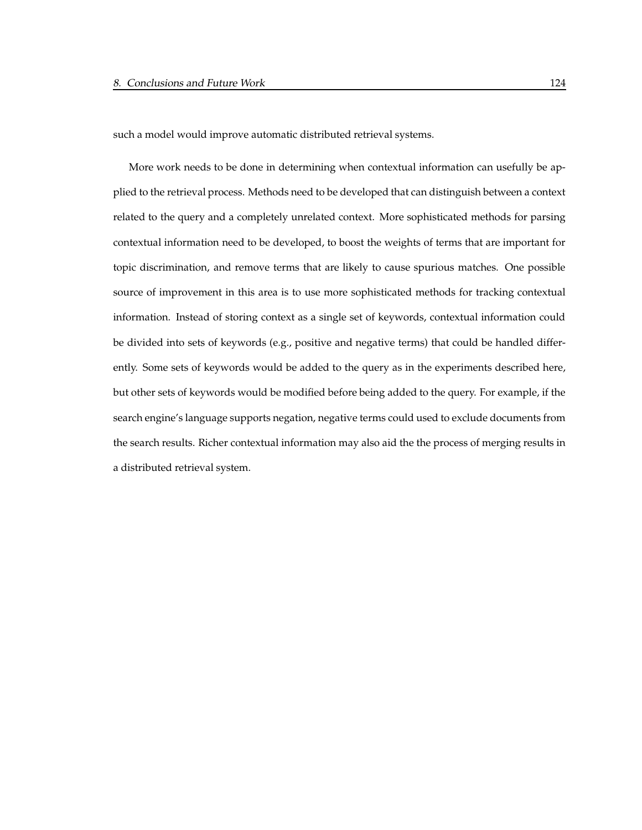such a model would improve automatic distributed retrieval systems.

More work needs to be done in determining when contextual information can usefully be applied to the retrieval process. Methods need to be developed that can distinguish between a context related to the query and a completely unrelated context. More sophisticated methods for parsing contextual information need to be developed, to boost the weights of terms that are important for topic discrimination, and remove terms that are likely to cause spurious matches. One possible source of improvement in this area is to use more sophisticated methods for tracking contextual information. Instead of storing context as a single set of keywords, contextual information could be divided into sets of keywords (e.g., positive and negative terms) that could be handled differently. Some sets of keywords would be added to the query as in the experiments described here, but other sets of keywords would be modified before being added to the query. For example, if the search engine's language supports negation, negative terms could used to exclude documents from the search results. Richer contextual information may also aid the the process of merging results in a distributed retrieval system.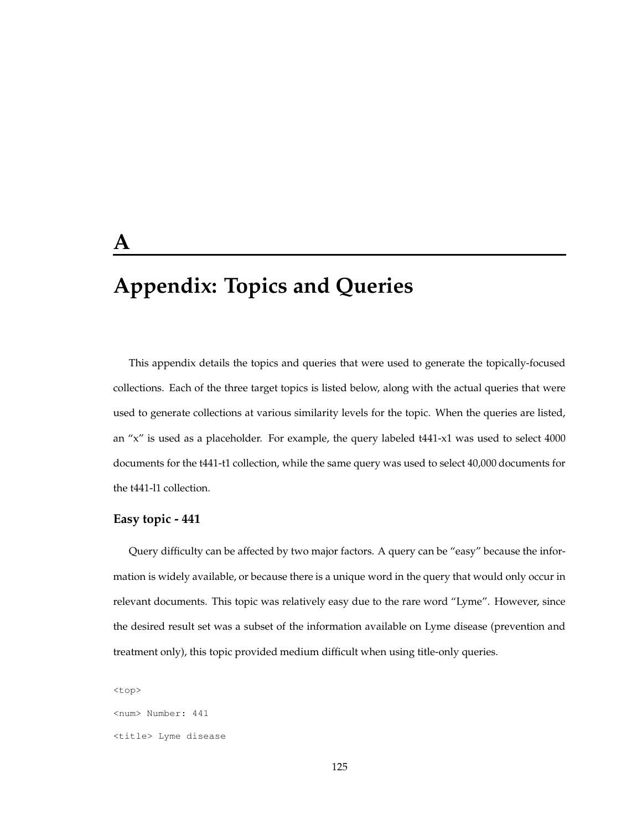# **A**

# **Appendix: Topics and Queries**

This appendix details the topics and queries that were used to generate the topically-focused collections. Each of the three target topics is listed below, along with the actual queries that were used to generate collections at various similarity levels for the topic. When the queries are listed, an "x" is used as a placeholder. For example, the query labeled t441-x1 was used to select 4000 documents for the t441-t1 collection, while the same query was used to select 40,000 documents for the t441-l1 collection.

#### **Easy topic - 441**

Query difficulty can be affected by two major factors. A query can be "easy" because the information is widely available, or because there is a unique word in the query that would only occur in relevant documents. This topic was relatively easy due to the rare word "Lyme". However, since the desired result set was a subset of the information available on Lyme disease (prevention and treatment only), this topic provided medium difficult when using title-only queries.

<top> <num> Number: 441 <title> Lyme disease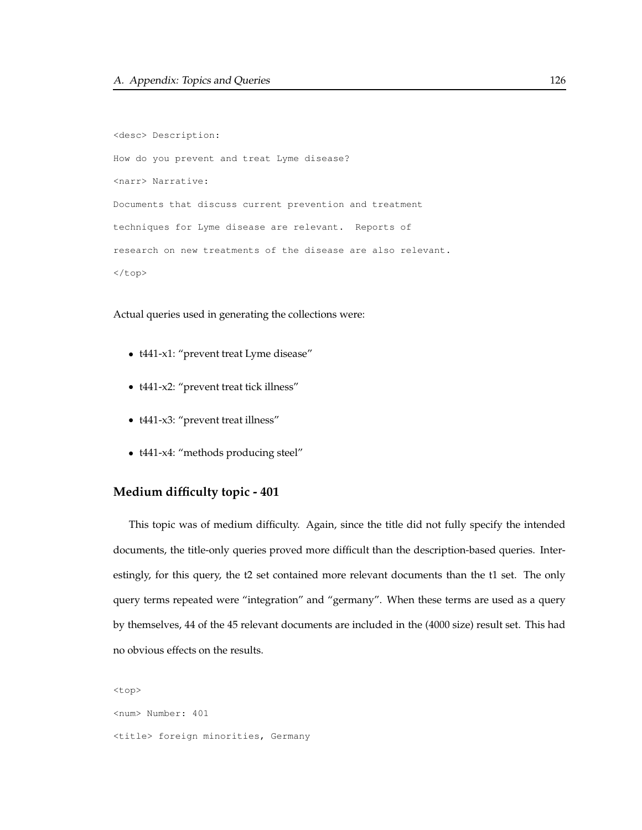<desc> Description: How do you prevent and treat Lyme disease? <narr> Narrative: Documents that discuss current prevention and treatment techniques for Lyme disease are relevant. Reports of research on new treatments of the disease are also relevant.  $\langle$ /top>

Actual queries used in generating the collections were:

- t441-x1: "prevent treat Lyme disease"
- t441-x2: "prevent treat tick illness"
- t441-x3: "prevent treat illness"
- t441-x4: "methods producing steel"

#### **Medium difficulty topic - 401**

This topic was of medium difficulty. Again, since the title did not fully specify the intended documents, the title-only queries proved more difficult than the description-based queries. Interestingly, for this query, the t2 set contained more relevant documents than the t1 set. The only query terms repeated were "integration" and "germany". When these terms are used as a query by themselves, 44 of the 45 relevant documents are included in the (4000 size) result set. This had no obvious effects on the results.

<top> <num> Number: 401 <title> foreign minorities, Germany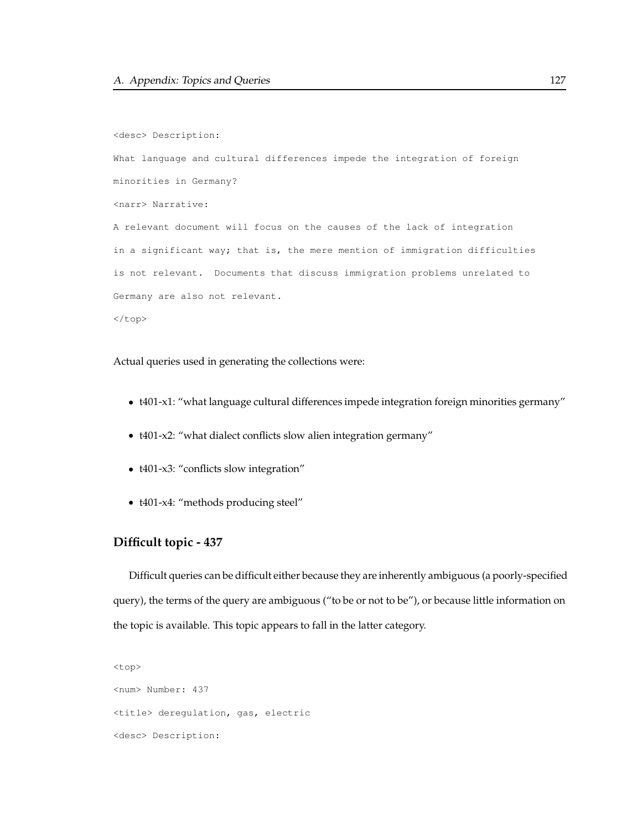```
<desc> Description:
What language and cultural differences impede the integration of foreign
minorities in Germany?
<narr> Narrative:
A relevant document will focus on the causes of the lack of integration
in a significant way; that is, the mere mention of immigration difficulties
is not relevant. Documents that discuss immigration problems unrelated to
Germany are also not relevant.
</top>
```
Actual queries used in generating the collections were:

- t401-x1: "what language cultural differences impede integration foreign minorities germany"
- t401-x2: "what dialect conflicts slow alien integration germany"
- t401-x3: "conflicts slow integration"
- t401-x4: "methods producing steel"

### **Difficult topic - 437**

Difficult queries can be difficult either because they are inherently ambiguous (a poorly-specified query), the terms of the query are ambiguous ("to be or not to be"), or because little information on the topic is available. This topic appears to fall in the latter category.

```
<top>
<num> Number: 437
<title> deregulation, gas, electric
<desc> Description:
```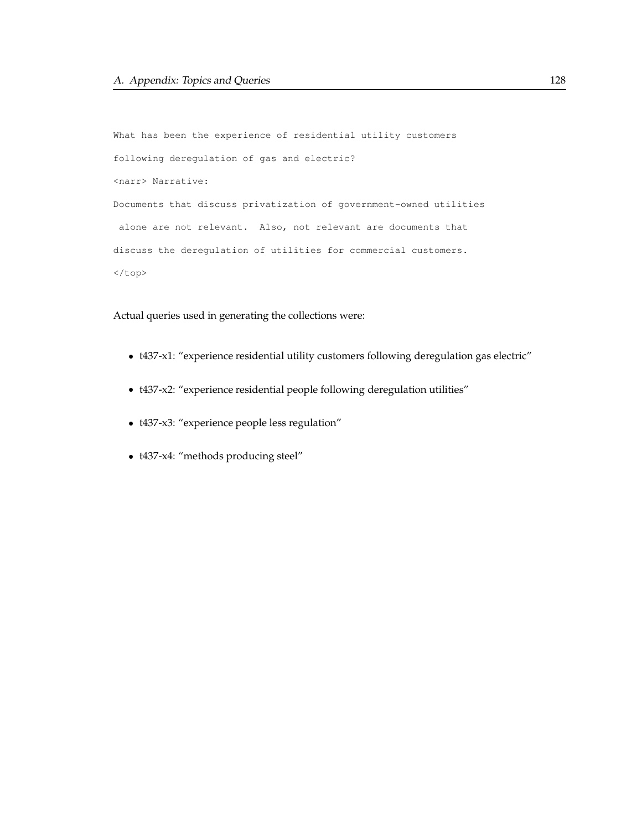```
What has been the experience of residential utility customers
following deregulation of gas and electric?
<narr> Narrative:
Documents that discuss privatization of government-owned utilities
alone are not relevant. Also, not relevant are documents that
discuss the deregulation of utilities for commercial customers.
</top>
```
Actual queries used in generating the collections were:

- t437-x1: "experience residential utility customers following deregulation gas electric"
- t437-x2: "experience residential people following deregulation utilities"
- t437-x3: "experience people less regulation"
- t437-x4: "methods producing steel"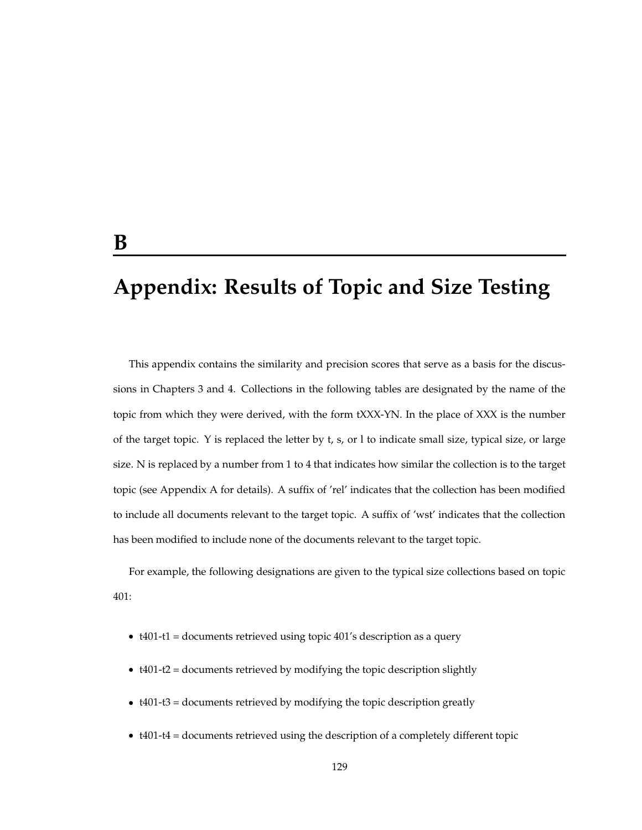# **Appendix: Results of Topic and Size Testing**

This appendix contains the similarity and precision scores that serve as a basis for the discussions in Chapters 3 and 4. Collections in the following tables are designated by the name of the topic from which they were derived, with the form tXXX-YN. In the place of XXX is the number of the target topic. Y is replaced the letter by t, s, or l to indicate small size, typical size, or large size. N is replaced by a number from 1 to 4 that indicates how similar the collection is to the target topic (see Appendix A for details). A suffix of 'rel' indicates that the collection has been modified to include all documents relevant to the target topic. A suffix of 'wst' indicates that the collection has been modified to include none of the documents relevant to the target topic.

For example, the following designations are given to the typical size collections based on topic 401:

- t401-t1 = documents retrieved using topic 401's description as a query
- t401-t2 = documents retrieved by modifying the topic description slightly
- t401-t3 = documents retrieved by modifying the topic description greatly
- t401-t4 = documents retrieved using the description of a completely different topic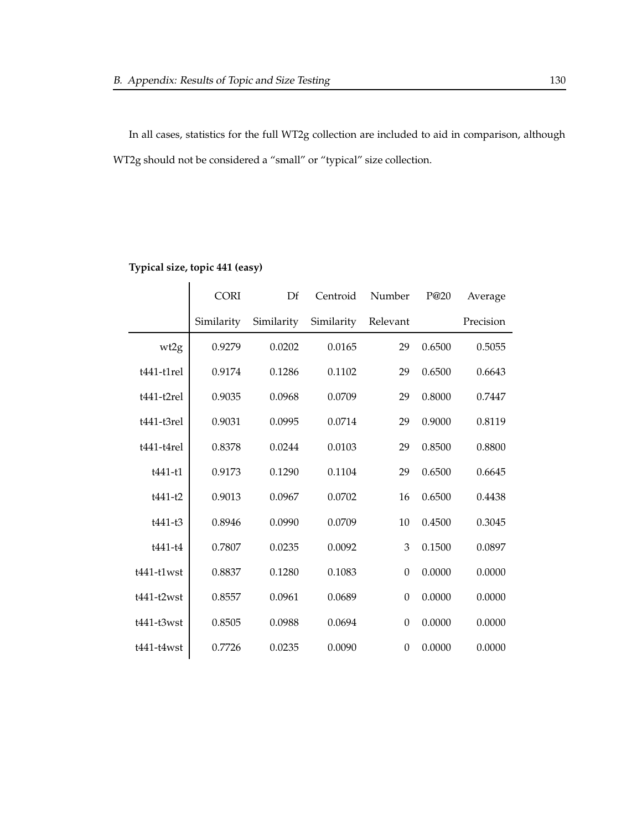In all cases, statistics for the full WT2g collection are included to aid in comparison, although WT2g should not be considered a "small" or "typical" size collection.

|               | <b>CORI</b> | $\mathbf{D}$ f | Number<br>Centroid |                  | P@20   | Average   |
|---------------|-------------|----------------|--------------------|------------------|--------|-----------|
|               | Similarity  | Similarity     | Similarity         | Relevant         |        | Precision |
| wt2g          | 0.9279      | 0.0202         | 0.0165             | 29               | 0.6500 | 0.5055    |
| $t441-t1$ rel | 0.9174      | 0.1286         | 0.1102             | 29               | 0.6500 | 0.6643    |
| $t441-t2rel$  | 0.9035      | 0.0968         | 0.0709             | 29               | 0.8000 | 0.7447    |
| t441-t3rel    | 0.9031      | 0.0995         | 0.0714             | 29               | 0.9000 | 0.8119    |
| $t441-t4rel$  | 0.8378      | 0.0244         | 0.0103             | 29               | 0.8500 | 0.8800    |
| $t441-t1$     | 0.9173      | 0.1290         | 0.1104             | 29               | 0.6500 | 0.6645    |
| t441-t2       | 0.9013      | 0.0967         | 0.0702             | 16               | 0.6500 | 0.4438    |
| t441-t3       | 0.8946      | 0.0990         | 0.0709             | 10               | 0.4500 | 0.3045    |
| t441-t4       | 0.7807      | 0.0235         | 0.0092             | 3                | 0.1500 | 0.0897    |
| $t441-t1$ wst | 0.8837      | 0.1280         | 0.1083             | $\boldsymbol{0}$ | 0.0000 | 0.0000    |
| $t441-t2wst$  | 0.8557      | 0.0961         | 0.0689             | $\boldsymbol{0}$ | 0.0000 | 0.0000    |
| $t441-t3wst$  | 0.8505      | 0.0988         | 0.0694             | $\boldsymbol{0}$ | 0.0000 | 0.0000    |
| t441-t4wst    | 0.7726      | 0.0235         | 0.0090             | $\boldsymbol{0}$ | 0.0000 | 0.0000    |

#### **Typical size, topic 441 (easy)**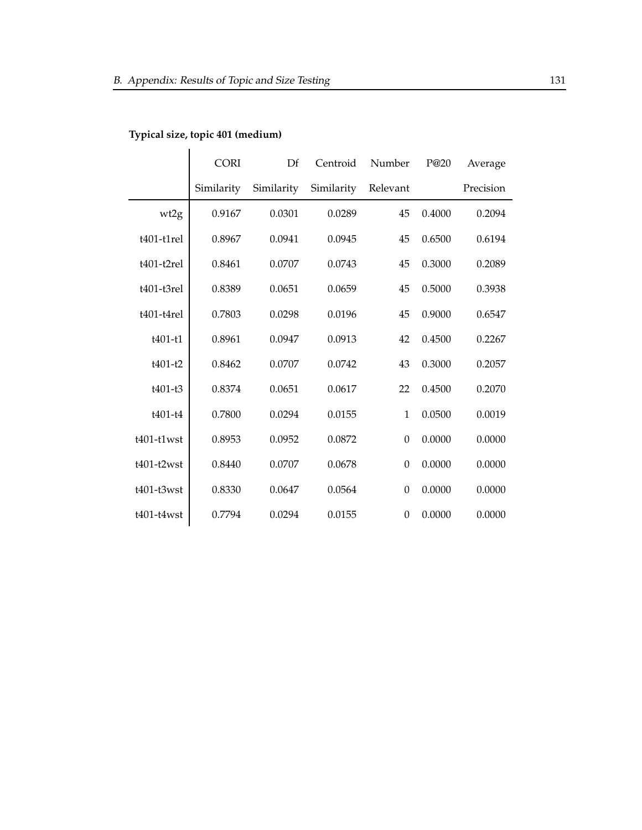|               | <b>CORI</b> | Df         | Centroid   | Number           | P@20   | Average   |
|---------------|-------------|------------|------------|------------------|--------|-----------|
|               | Similarity  | Similarity | Similarity | Relevant         |        | Precision |
| wt2g          | 0.9167      | 0.0301     | 0.0289     | 45               | 0.4000 | 0.2094    |
| $t401-t1rel$  | 0.8967      | 0.0941     | 0.0945     | 45               | 0.6500 | 0.6194    |
| $t401-t2rel$  | 0.8461      | 0.0707     | 0.0743     | 45               | 0.3000 | 0.2089    |
| t401-t3rel    | 0.8389      | 0.0651     | 0.0659     | 45               | 0.5000 | 0.3938    |
| $t401-t4rel$  | 0.7803      | 0.0298     | 0.0196     | 45               | 0.9000 | 0.6547    |
| t401-t1       | 0.8961      | 0.0947     | 0.0913     | 42               | 0.4500 | 0.2267    |
| $t401-t2$     | 0.8462      | 0.0707     | 0.0742     | 43               | 0.3000 | 0.2057    |
| $t401-t3$     | 0.8374      | 0.0651     | 0.0617     | 22               | 0.4500 | 0.2070    |
| t401-t4       | 0.7800      | 0.0294     | 0.0155     | $\mathbf{1}$     | 0.0500 | 0.0019    |
| $t401-t1$ wst | 0.8953      | 0.0952     | 0.0872     | $\mathbf{0}$     | 0.0000 | 0.0000    |
| $t401-t2wst$  | 0.8440      | 0.0707     | 0.0678     | $\boldsymbol{0}$ | 0.0000 | 0.0000    |
| t401-t3wst    | 0.8330      | 0.0647     | 0.0564     | $\boldsymbol{0}$ | 0.0000 | 0.0000    |
| $t401-t4wst$  | 0.7794      | 0.0294     | 0.0155     | $\boldsymbol{0}$ | 0.0000 | 0.0000    |

## **Typical size, topic 401 (medium)**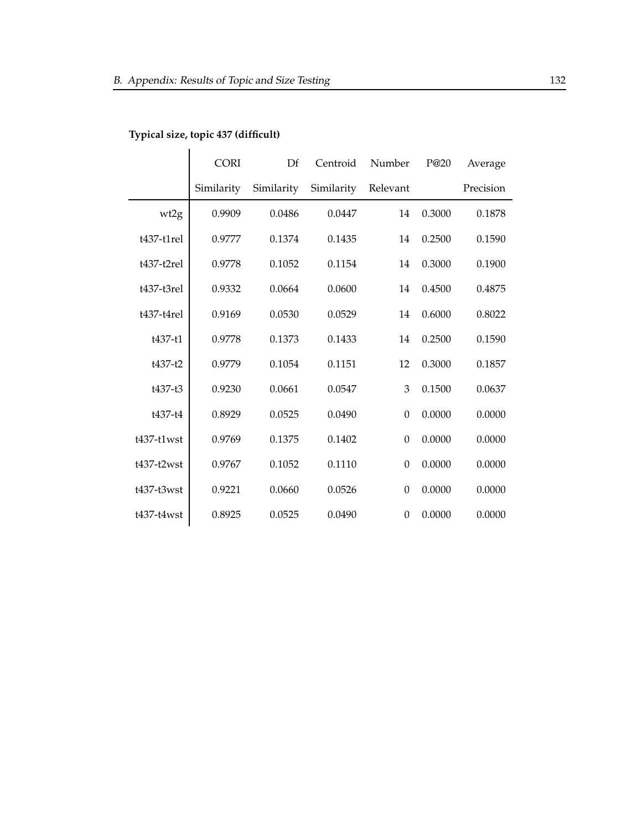|               | <b>CORI</b> | Df         | Centroid   | Number           | P@20   | Average   |
|---------------|-------------|------------|------------|------------------|--------|-----------|
|               | Similarity  | Similarity | Similarity | Relevant         |        | Precision |
| wt2g          | 0.9909      | 0.0486     | 0.0447     | 14               | 0.3000 | 0.1878    |
| $t437-t1rel$  | 0.9777      | 0.1374     | 0.1435     | 14               | 0.2500 | 0.1590    |
| $t437-t2rel$  | 0.9778      | 0.1052     | 0.1154     | 14               | 0.3000 | 0.1900    |
| $t437-t3rel$  | 0.9332      | 0.0664     | 0.0600     | 14               | 0.4500 | 0.4875    |
| $t437-t4rel$  | 0.9169      | 0.0530     | 0.0529     | 14               | 0.6000 | 0.8022    |
| t437-t1       | 0.9778      | 0.1373     | 0.1433     | 14               | 0.2500 | 0.1590    |
| $t437-t2$     | 0.9779      | 0.1054     | 0.1151     | 12               | 0.3000 | 0.1857    |
| $t437-t3$     | 0.9230      | 0.0661     | 0.0547     | 3                | 0.1500 | 0.0637    |
| t437-t4       | 0.8929      | 0.0525     | 0.0490     | $\overline{0}$   | 0.0000 | 0.0000    |
| $t437-t1$ wst | 0.9769      | 0.1375     | 0.1402     | $\boldsymbol{0}$ | 0.0000 | 0.0000    |
| t437-t2wst    | 0.9767      | 0.1052     | 0.1110     | $\boldsymbol{0}$ | 0.0000 | 0.0000    |
| t437-t3wst    | 0.9221      | 0.0660     | 0.0526     | $\boldsymbol{0}$ | 0.0000 | 0.0000    |
| t437-t4wst    | 0.8925      | 0.0525     | 0.0490     | $\boldsymbol{0}$ | 0.0000 | 0.0000    |

## **Typical size, topic 437 (difficult)**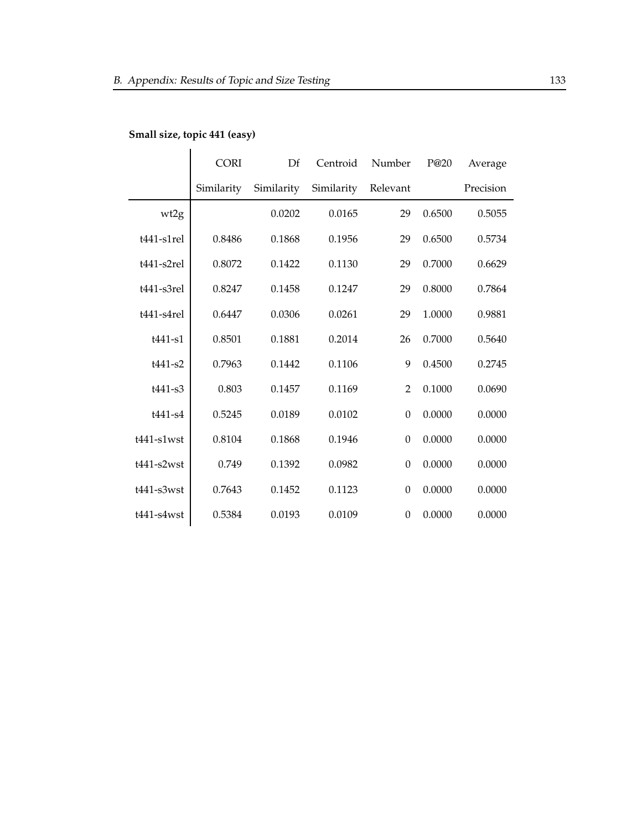|                  | <b>CORI</b> | Df<br>Number<br>Centroid |            |                  | P@20   | Average   |
|------------------|-------------|--------------------------|------------|------------------|--------|-----------|
|                  | Similarity  | Similarity               | Similarity | Relevant         |        | Precision |
| wt2g             |             | 0.0202                   | 0.0165     | 29               | 0.6500 | 0.5055    |
| $t441$ -s1rel    | 0.8486      | 0.1868                   | 0.1956     | 29               | 0.6500 | 0.5734    |
| $t441-s2rel$     | 0.8072      | 0.1422                   | 0.1130     | 29               | 0.7000 | 0.6629    |
| $t441$ -s3rel    | 0.8247      | 0.1458                   | 0.1247     | 29               | 0.8000 | 0.7864    |
| $t441-s4rel$     | 0.6447      | 0.0306                   | 0.0261     | 29               | 1.0000 | 0.9881    |
| $t441 - s1$      | 0.8501      | 0.1881                   | 0.2014     | 26               | 0.7000 | 0.5640    |
| $t441 - s2$      | 0.7963      | 0.1442                   | 0.1106     | 9                | 0.4500 | 0.2745    |
| $t441-s3$        | 0.803       | 0.1457                   | 0.1169     | $\overline{2}$   | 0.1000 | 0.0690    |
| t441-s4          | 0.5245      | 0.0189                   | 0.0102     | $\boldsymbol{0}$ | 0.0000 | 0.0000    |
| $t441$ - $slwst$ | 0.8104      | 0.1868                   | 0.1946     | $\boldsymbol{0}$ | 0.0000 | 0.0000    |
| $t441-s2wst$     | 0.749       | 0.1392                   | 0.0982     | $\boldsymbol{0}$ | 0.0000 | 0.0000    |
| $t441$ -s3wst    | 0.7643      | 0.1452                   | 0.1123     | $\boldsymbol{0}$ | 0.0000 | 0.0000    |
| $t441 - s4wst$   | 0.5384      | 0.0193                   | 0.0109     | $\boldsymbol{0}$ | 0.0000 | 0.0000    |

## **Small size, topic 441 (easy)**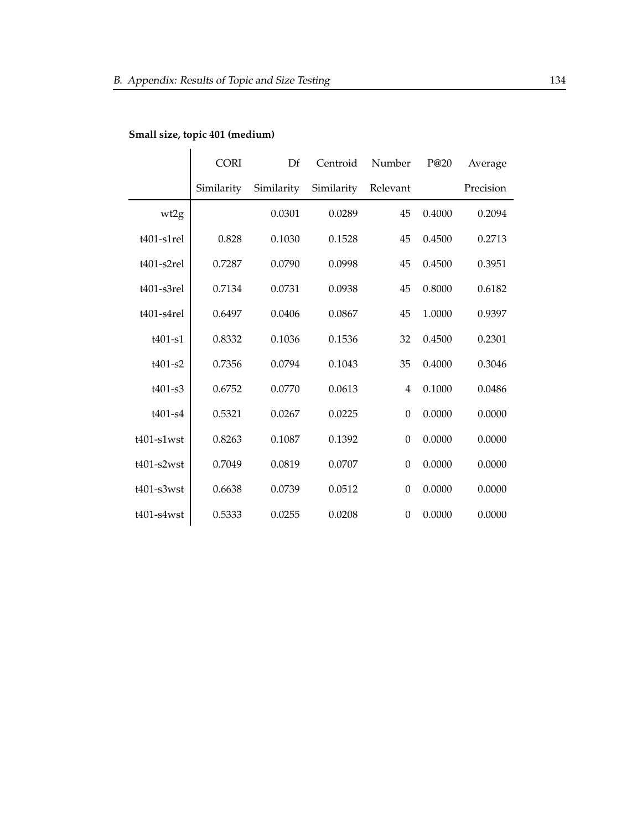|                   | <b>CORI</b> | Df         | Centroid   | Number           | P@20   | Average   |
|-------------------|-------------|------------|------------|------------------|--------|-----------|
|                   | Similarity  | Similarity | Similarity | Relevant         |        | Precision |
| wt2g              |             | 0.0301     | 0.0289     | 45               | 0.4000 | 0.2094    |
| $t401$ -s1rel     | 0.828       | 0.1030     | 0.1528     | 45               | 0.4500 | 0.2713    |
| $t401$ -s $2rel$  | 0.7287      | 0.0790     | 0.0998     | 45               | 0.4500 | 0.3951    |
| t401-s3rel        | 0.7134      | 0.0731     | 0.0938     | 45               | 0.8000 | 0.6182    |
| t401-s4rel        | 0.6497      | 0.0406     | 0.0867     | 45               | 1.0000 | 0.9397    |
| $t401-s1$         | 0.8332      | 0.1036     | 0.1536     | 32               | 0.4500 | 0.2301    |
| $t401-s2$         | 0.7356      | 0.0794     | 0.1043     | 35               | 0.4000 | 0.3046    |
| $t401-s3$         | 0.6752      | 0.0770     | 0.0613     | $\overline{4}$   | 0.1000 | 0.0486    |
| $t401 - s4$       | 0.5321      | 0.0267     | 0.0225     | $\boldsymbol{0}$ | 0.0000 | 0.0000    |
| $t401$ -s $1$ wst | 0.8263      | 0.1087     | 0.1392     | $\boldsymbol{0}$ | 0.0000 | 0.0000    |
| $t401-s2wst$      | 0.7049      | 0.0819     | 0.0707     | $\boldsymbol{0}$ | 0.0000 | 0.0000    |
| $t401$ -s3wst     | 0.6638      | 0.0739     | 0.0512     | $\boldsymbol{0}$ | 0.0000 | 0.0000    |
| $t401$ -s $4wst$  | 0.5333      | 0.0255     | 0.0208     | $\boldsymbol{0}$ | 0.0000 | 0.0000    |

## **Small size, topic 401 (medium)**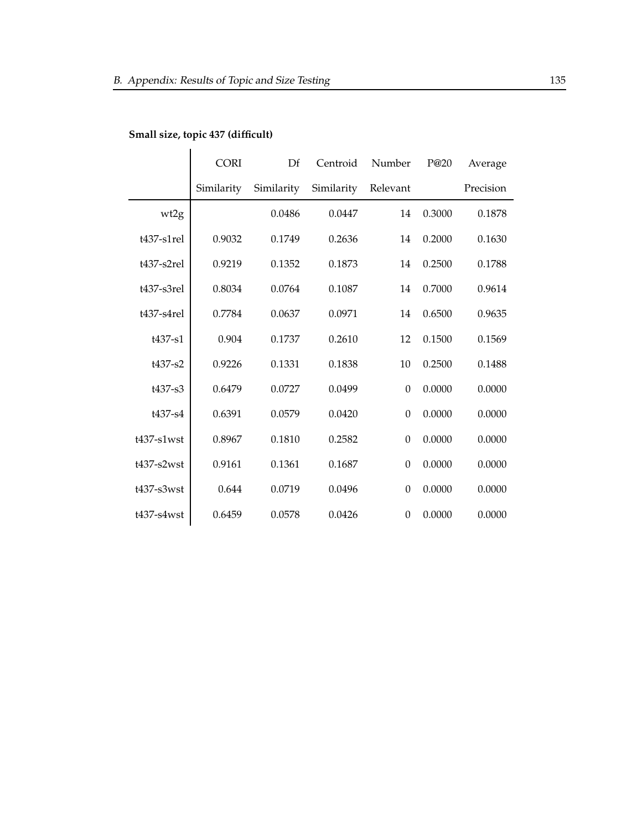|                   | <b>CORI</b> | Df         | Centroid   | Number           | P@20   | Average   |
|-------------------|-------------|------------|------------|------------------|--------|-----------|
|                   | Similarity  | Similarity | Similarity | Relevant         |        | Precision |
| wt2g              |             | 0.0486     | 0.0447     | 14               | 0.3000 | 0.1878    |
| $t437 - s1$ rel   | 0.9032      | 0.1749     | 0.2636     | 14               | 0.2000 | 0.1630    |
| $t437-s2rel$      | 0.9219      | 0.1352     | 0.1873     | 14               | 0.2500 | 0.1788    |
| t437-s3rel        | 0.8034      | 0.0764     | 0.1087     | 14               | 0.7000 | 0.9614    |
| $t437-s4rel$      | 0.7784      | 0.0637     | 0.0971     | 14               | 0.6500 | 0.9635    |
| t437-s1           | 0.904       | 0.1737     | 0.2610     | 12               | 0.1500 | 0.1569    |
| t437-s2           | 0.9226      | 0.1331     | 0.1838     | 10               | 0.2500 | 0.1488    |
| t437-s3           | 0.6479      | 0.0727     | 0.0499     | $\boldsymbol{0}$ | 0.0000 | 0.0000    |
| t437-s4           | 0.6391      | 0.0579     | 0.0420     | $\boldsymbol{0}$ | 0.0000 | 0.0000    |
| $t437$ -s $1$ wst | 0.8967      | 0.1810     | 0.2582     | $\boldsymbol{0}$ | 0.0000 | 0.0000    |
| $t437-s2wst$      | 0.9161      | 0.1361     | 0.1687     | $\boldsymbol{0}$ | 0.0000 | 0.0000    |
| $t437$ -s $3wst$  | 0.644       | 0.0719     | 0.0496     | $\boldsymbol{0}$ | 0.0000 | 0.0000    |
| t437-s4wst        | 0.6459      | 0.0578     | 0.0426     | $\boldsymbol{0}$ | 0.0000 | 0.0000    |

## **Small size, topic 437 (difficult)**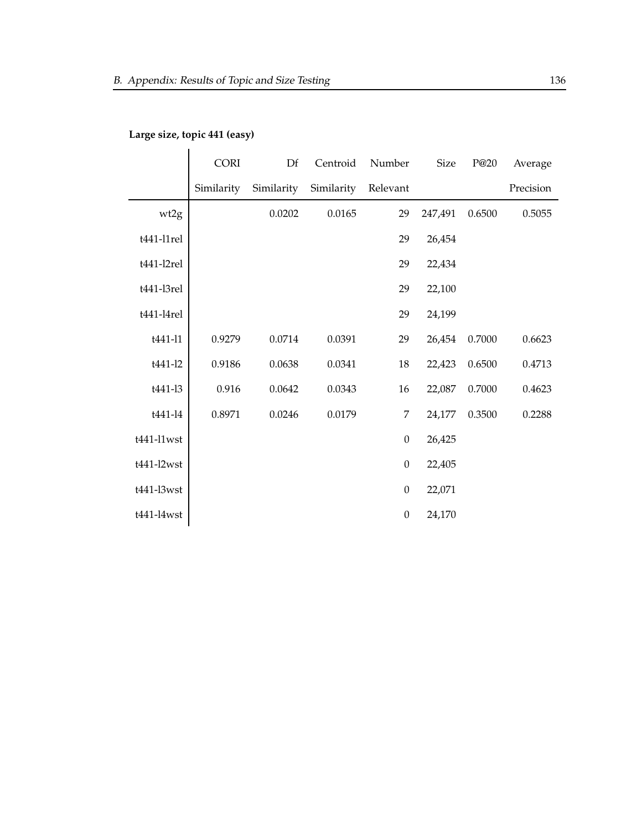|            | <b>CORI</b> | Df         | Centroid   | Number           | <b>Size</b> | P@20   | Average   |
|------------|-------------|------------|------------|------------------|-------------|--------|-----------|
|            | Similarity  | Similarity | Similarity | Relevant         |             |        | Precision |
| wt2g       |             | 0.0202     | 0.0165     | 29               | 247,491     | 0.6500 | 0.5055    |
| t441-l1rel |             |            |            | 29               | 26,454      |        |           |
| t441-l2rel |             |            |            | 29               | 22,434      |        |           |
| t441-l3rel |             |            |            | 29               | 22,100      |        |           |
| t441-l4rel |             |            |            | 29               | 24,199      |        |           |
| t441-l1    | 0.9279      | 0.0714     | 0.0391     | 29               | 26,454      | 0.7000 | 0.6623    |
| t441-12    | 0.9186      | 0.0638     | 0.0341     | 18               | 22,423      | 0.6500 | 0.4713    |
| t441-13    | 0.916       | 0.0642     | 0.0343     | 16               | 22,087      | 0.7000 | 0.4623    |
| t441-l4    | 0.8971      | 0.0246     | 0.0179     | 7                | 24,177      | 0.3500 | 0.2288    |
| t441-l1wst |             |            |            | $\boldsymbol{0}$ | 26,425      |        |           |
| t441-l2wst |             |            |            | $\boldsymbol{0}$ | 22,405      |        |           |
| t441-l3wst |             |            |            | $\boldsymbol{0}$ | 22,071      |        |           |
| t441-l4wst |             |            |            | $\boldsymbol{0}$ | 24,170      |        |           |

## **Large size, topic 441 (easy)**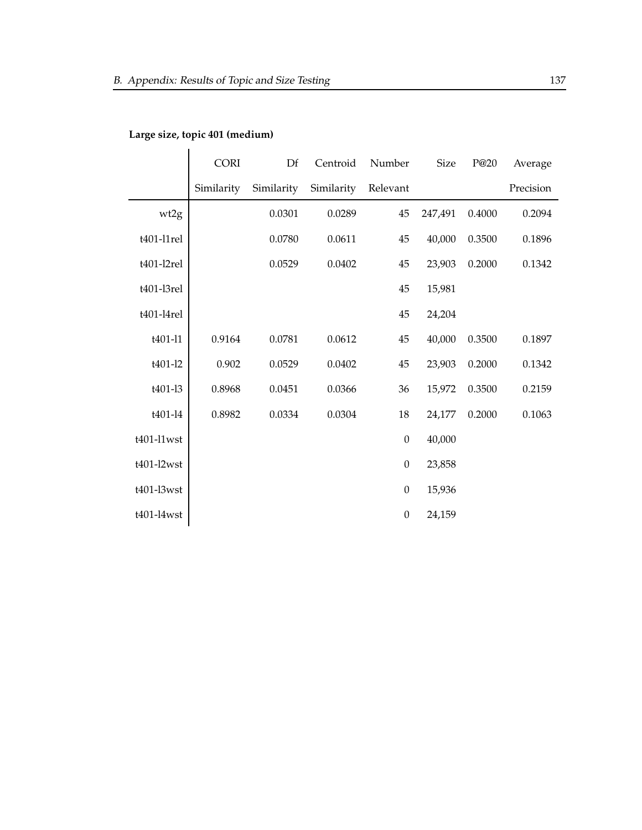|            | <b>CORI</b> | Df         | Centroid   | Number           | <b>Size</b> | P@20   | Average   |
|------------|-------------|------------|------------|------------------|-------------|--------|-----------|
|            | Similarity  | Similarity | Similarity | Relevant         |             |        | Precision |
| wt2g       |             | 0.0301     | 0.0289     | 45               | 247,491     | 0.4000 | 0.2094    |
| t401-l1rel |             | 0.0780     | 0.0611     | 45               | 40,000      | 0.3500 | 0.1896    |
| t401-l2rel |             | 0.0529     | 0.0402     | 45               | 23,903      | 0.2000 | 0.1342    |
| t401-l3rel |             |            |            | 45               | 15,981      |        |           |
| t401-l4rel |             |            |            | 45               | 24,204      |        |           |
| t401-l1    | 0.9164      | 0.0781     | 0.0612     | 45               | 40,000      | 0.3500 | 0.1897    |
| t401-l2    | 0.902       | 0.0529     | 0.0402     | 45               | 23,903      | 0.2000 | 0.1342    |
| t401-l3    | 0.8968      | 0.0451     | 0.0366     | 36               | 15,972      | 0.3500 | 0.2159    |
| t401-l4    | 0.8982      | 0.0334     | 0.0304     | 18               | 24,177      | 0.2000 | 0.1063    |
| t401-l1wst |             |            |            | $\boldsymbol{0}$ | 40,000      |        |           |
| t401-l2wst |             |            |            | $\boldsymbol{0}$ | 23,858      |        |           |
| t401-l3wst |             |            |            | $\boldsymbol{0}$ | 15,936      |        |           |
| t401-l4wst |             |            |            | $\boldsymbol{0}$ | 24,159      |        |           |

## **Large size, topic 401 (medium)**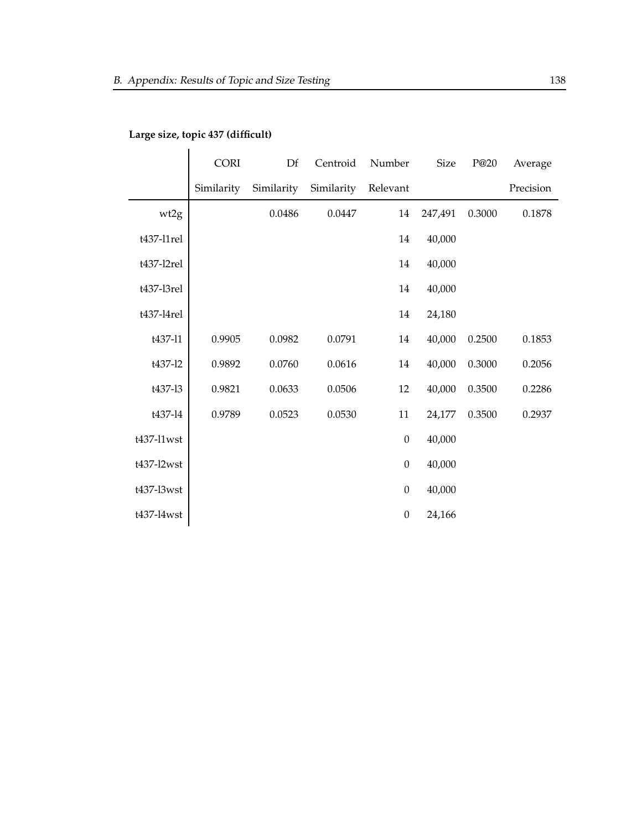|            | <b>CORI</b> | Df         | Centroid   | Number           | <b>Size</b> | P@20   | Average   |
|------------|-------------|------------|------------|------------------|-------------|--------|-----------|
|            | Similarity  | Similarity | Similarity | Relevant         |             |        | Precision |
| wt2g       |             | 0.0486     | 0.0447     | 14               | 247,491     | 0.3000 | 0.1878    |
| t437-l1rel |             |            |            | 14               | 40,000      |        |           |
| t437-l2rel |             |            |            | 14               | 40,000      |        |           |
| t437-l3rel |             |            |            | 14               | 40,000      |        |           |
| t437-l4rel |             |            |            | 14               | 24,180      |        |           |
| t437-11    | 0.9905      | 0.0982     | 0.0791     | 14               | 40,000      | 0.2500 | 0.1853    |
| t437-12    | 0.9892      | 0.0760     | 0.0616     | 14               | 40,000      | 0.3000 | 0.2056    |
| t437-13    | 0.9821      | 0.0633     | 0.0506     | 12               | 40,000      | 0.3500 | 0.2286    |
| t437-14    | 0.9789      | 0.0523     | 0.0530     | 11               | 24,177      | 0.3500 | 0.2937    |
| t437-l1wst |             |            |            | $\boldsymbol{0}$ | 40,000      |        |           |
| t437-l2wst |             |            |            | $\boldsymbol{0}$ | 40,000      |        |           |
| t437-l3wst |             |            |            | $\boldsymbol{0}$ | 40,000      |        |           |
| t437-l4wst |             |            |            | $\boldsymbol{0}$ | 24,166      |        |           |

## **Large size, topic 437 (difficult)**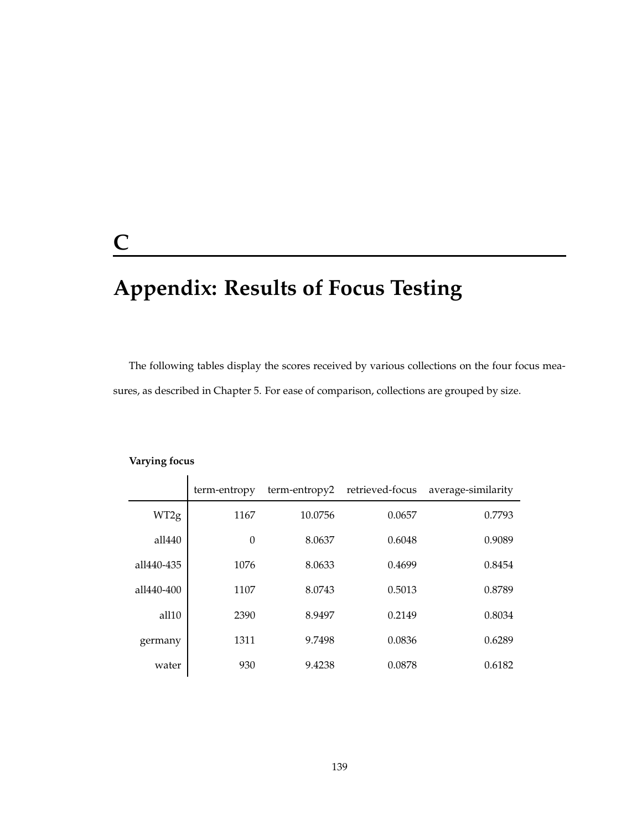## **C**

# **Appendix: Results of Focus Testing**

The following tables display the scores received by various collections on the four focus measures, as described in Chapter 5. For ease of comparison, collections are grouped by size.

|            | term-entropy | term-entropy2 | retrieved-focus | average-similarity |
|------------|--------------|---------------|-----------------|--------------------|
| WT2g       | 1167         | 10.0756       | 0.0657          | 0.7793             |
| all440     | $\theta$     | 8.0637        | 0.6048          | 0.9089             |
| all440-435 | 1076         | 8.0633        | 0.4699          | 0.8454             |
| all440-400 | 1107         | 8.0743        | 0.5013          | 0.8789             |
| all10      | 2390         | 8.9497        | 0.2149          | 0.8034             |
| germany    | 1311         | 9.7498        | 0.0836          | 0.6289             |
| water      | 930          | 9.4238        | 0.0878          | 0.6182             |

#### **Varying focus**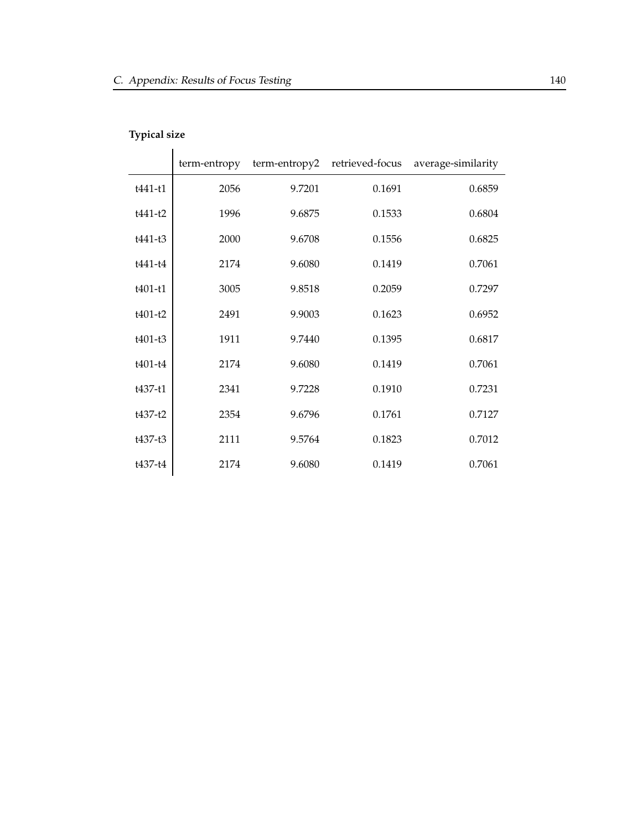## **Typical size**

|           | term-entropy | term-entropy2 | retrieved-focus | average-similarity |
|-----------|--------------|---------------|-----------------|--------------------|
| $t441-t1$ | 2056         | 9.7201        | 0.1691          | 0.6859             |
| $t441-t2$ | 1996         | 9.6875        | 0.1533          | 0.6804             |
| t441-t3   | 2000         | 9.6708        | 0.1556          | 0.6825             |
| t441-t4   | 2174         | 9.6080        | 0.1419          | 0.7061             |
| $t401-t1$ | 3005         | 9.8518        | 0.2059          | 0.7297             |
| $t401-t2$ | 2491         | 9.9003        | 0.1623          | 0.6952             |
| $t401-t3$ | 1911         | 9.7440        | 0.1395          | 0.6817             |
| $t401-t4$ | 2174         | 9.6080        | 0.1419          | 0.7061             |
| t437-t1   | 2341         | 9.7228        | 0.1910          | 0.7231             |
| $t437-t2$ | 2354         | 9.6796        | 0.1761          | 0.7127             |
| t437-t3   | 2111         | 9.5764        | 0.1823          | 0.7012             |
| $t437-t4$ | 2174         | 9.6080        | 0.1419          | 0.7061             |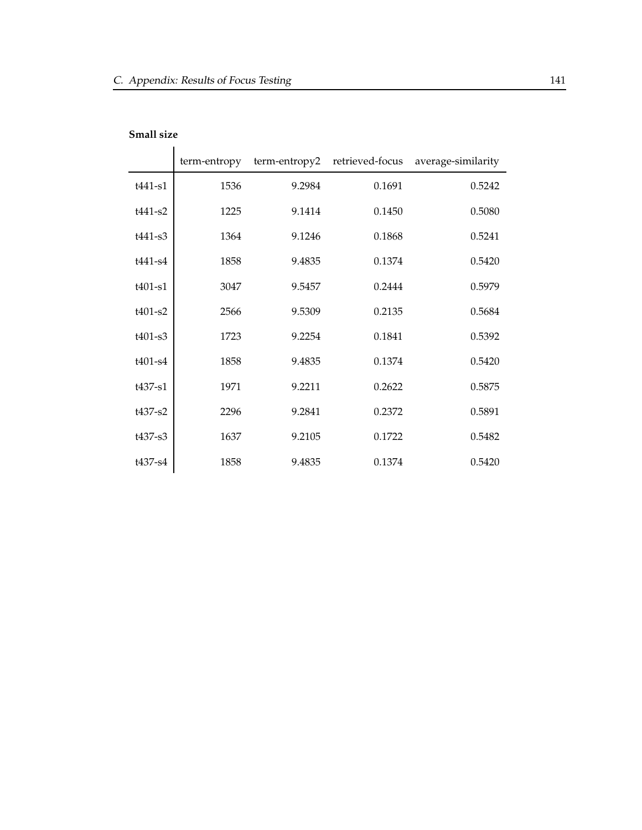|             | term-entropy | term-entropy2 | retrieved-focus | average-similarity |
|-------------|--------------|---------------|-----------------|--------------------|
| t441-s1     | 1536         | 9.2984        | 0.1691          | 0.5242             |
| $t441-s2$   | 1225         | 9.1414        | 0.1450          | 0.5080             |
| t441-s3     | 1364         | 9.1246        | 0.1868          | 0.5241             |
| t441-s4     | 1858         | 9.4835        | 0.1374          | 0.5420             |
| $t401-s1$   | 3047         | 9.5457        | 0.2444          | 0.5979             |
| $t401-s2$   | 2566         | 9.5309        | 0.2135          | 0.5684             |
| $t401-s3$   | 1723         | 9.2254        | 0.1841          | 0.5392             |
| $t401 - s4$ | 1858         | 9.4835        | 0.1374          | 0.5420             |
| $t437 - s1$ | 1971         | 9.2211        | 0.2622          | 0.5875             |
| t437-s2     | 2296         | 9.2841        | 0.2372          | 0.5891             |
| $t437 - s3$ | 1637         | 9.2105        | 0.1722          | 0.5482             |
| t437-s4     | 1858         | 9.4835        | 0.1374          | 0.5420             |

#### **Small size**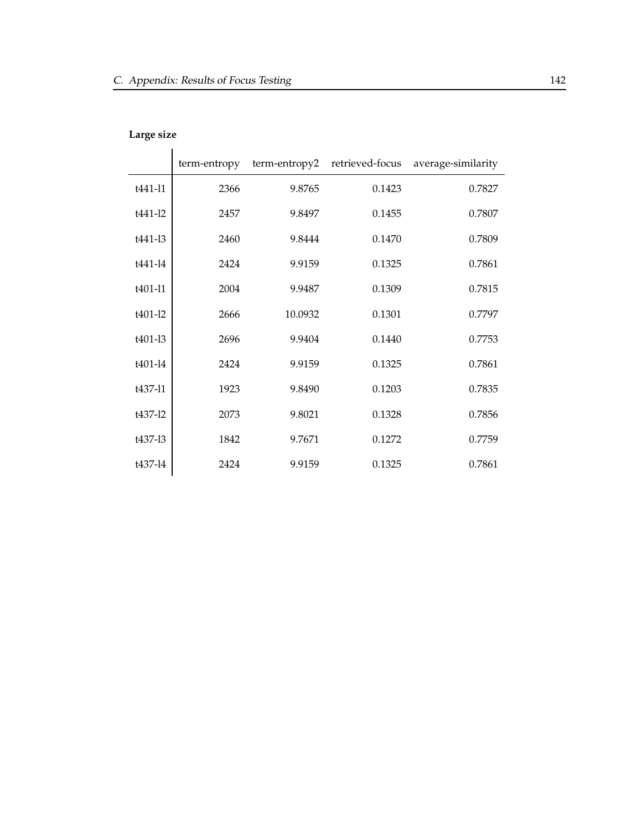## **Large size**

|             | term-entropy | term-entropy2 | retrieved-focus | average-similarity |
|-------------|--------------|---------------|-----------------|--------------------|
| t441-11     | 2366         | 9.8765        | 0.1423          | 0.7827             |
| t441-12     | 2457         | 9.8497        | 0.1455          | 0.7807             |
| t441-13     | 2460         | 9.8444        | 0.1470          | 0.7809             |
| $t441 - 14$ | 2424         | 9.9159        | 0.1325          | 0.7861             |
| t401-l1     | 2004         | 9.9487        | 0.1309          | 0.7815             |
| t401-12     | 2666         | 10.0932       | 0.1301          | 0.7797             |
| t401-13     | 2696         | 9.9404        | 0.1440          | 0.7753             |
| t401-l4     | 2424         | 9.9159        | 0.1325          | 0.7861             |
| t437-11     | 1923         | 9.8490        | 0.1203          | 0.7835             |
| t437-12     | 2073         | 9.8021        | 0.1328          | 0.7856             |
| t437-13     | 1842         | 9.7671        | 0.1272          | 0.7759             |
| t437-14     | 2424         | 9.9159        | 0.1325          | 0.7861             |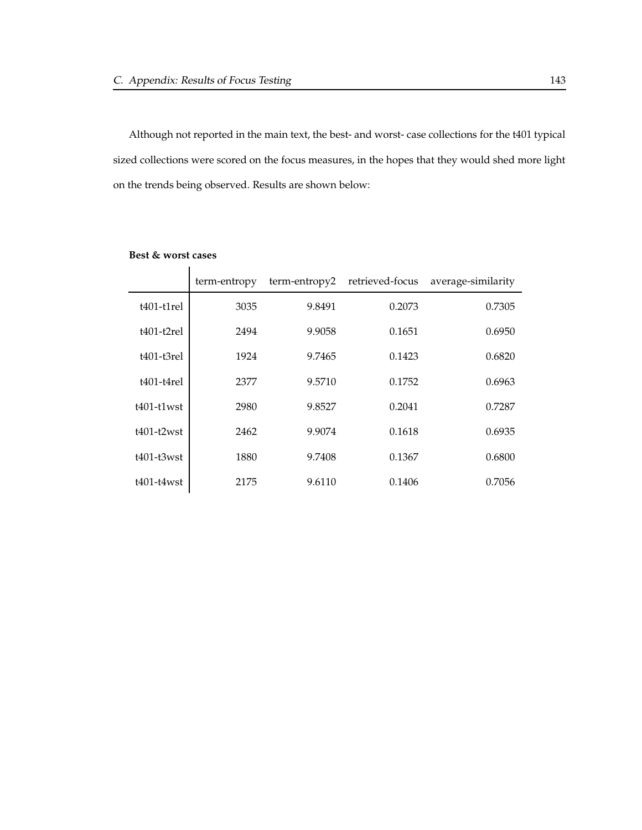Although not reported in the main text, the best- and worst- case collections for the t401 typical sized collections were scored on the focus measures, in the hopes that they would shed more light on the trends being observed. Results are shown below:

|               | term-entropy | term-entropy2 | retrieved-focus | average-similarity |
|---------------|--------------|---------------|-----------------|--------------------|
| $t401-t1$ rel | 3035         | 9.8491        | 0.2073          | 0.7305             |
| $t401-t2rel$  | 2494         | 9.9058        | 0.1651          | 0.6950             |
| $t401-t3rel$  | 1924         | 9.7465        | 0.1423          | 0.6820             |
| $t401-t4rel$  | 2377         | 9.5710        | 0.1752          | 0.6963             |
| $t401-t1$ wst | 2980         | 9.8527        | 0.2041          | 0.7287             |
| $t401-t2wst$  | 2462         | 9.9074        | 0.1618          | 0.6935             |
| $t401-t3wst$  | 1880         | 9.7408        | 0.1367          | 0.6800             |
| $t401-t4wst$  | 2175         | 9.6110        | 0.1406          | 0.7056             |

#### **Best & worst cases**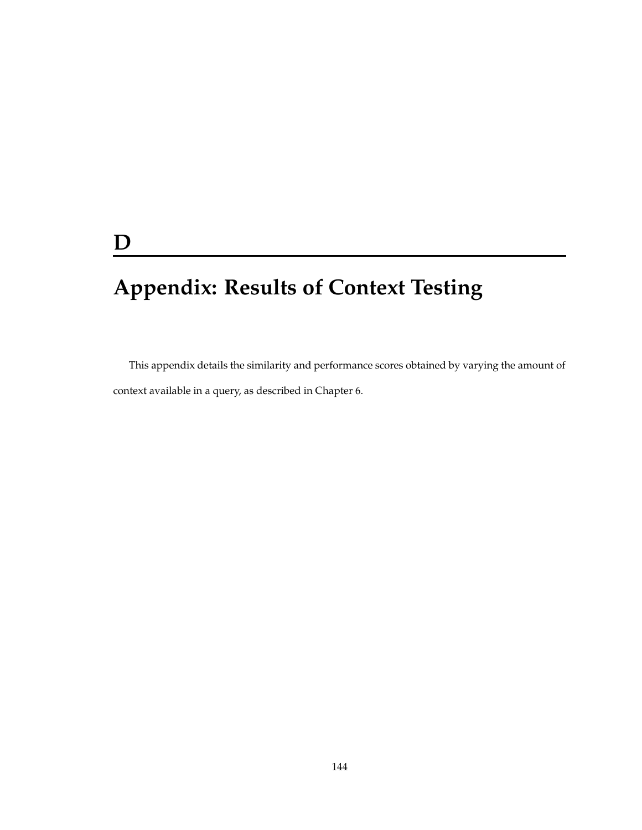## **D**

# **Appendix: Results of Context Testing**

This appendix details the similarity and performance scores obtained by varying the amount of context available in a query, as described in Chapter 6.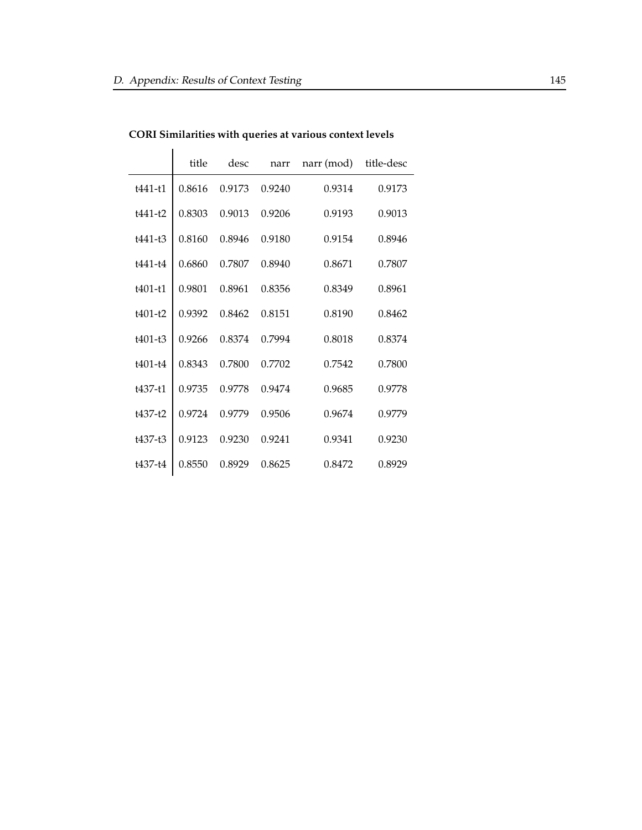|             | title  | desc   | narr   | narr (mod) | title-desc |
|-------------|--------|--------|--------|------------|------------|
| t441-t1     | 0.8616 | 0.9173 | 0.9240 | 0.9314     | 0.9173     |
| $t441-t2$   | 0.8303 | 0.9013 | 0.9206 | 0.9193     | 0.9013     |
| t441-t3     | 0.8160 | 0.8946 | 0.9180 | 0.9154     | 0.8946     |
| t441-t4     | 0.6860 | 0.7807 | 0.8940 | 0.8671     | 0.7807     |
| $t401-t1$   | 0.9801 | 0.8961 | 0.8356 | 0.8349     | 0.8961     |
| $t401-t2$   | 0.9392 | 0.8462 | 0.8151 | 0.8190     | 0.8462     |
| $t401 - t3$ | 0.9266 | 0.8374 | 0.7994 | 0.8018     | 0.8374     |
| $t401 - t4$ | 0.8343 | 0.7800 | 0.7702 | 0.7542     | 0.7800     |
| +437-+1     | 0.9735 | 0.9778 | 0.9474 | 0.9685     | 0.9778     |
| $t437-t2$   | 0.9724 | 0.9779 | 0.9506 | 0.9674     | 0.9779     |
| $t437-t3$   | 0.9123 | 0.9230 | 0.9241 | 0.9341     | 0.9230     |
| t437-t4     | 0.8550 | 0.8929 | 0.8625 | 0.8472     | 0.8929     |

**CORI Similarities with queries at various context levels**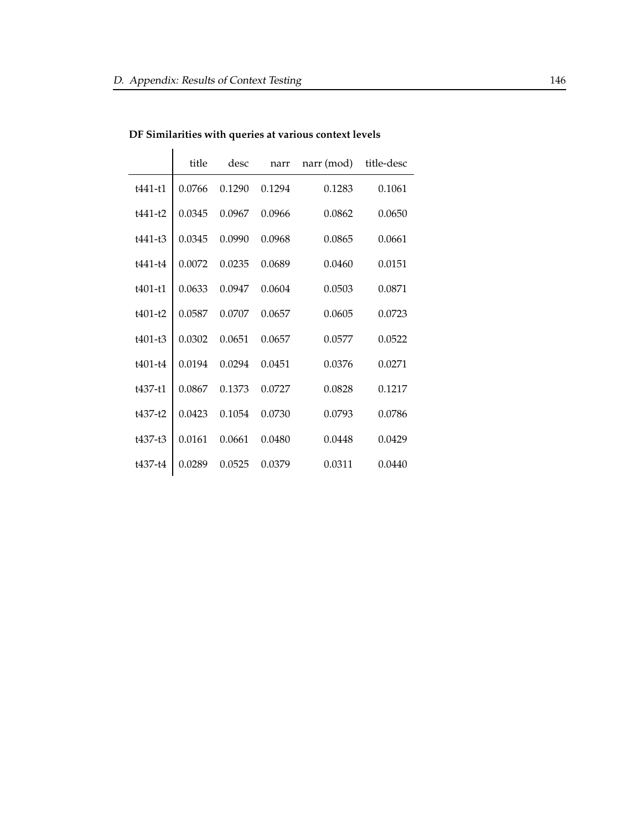|             | title  | desc   | narr   | narr (mod) | title-desc |
|-------------|--------|--------|--------|------------|------------|
| $t441 - t1$ | 0.0766 | 0.1290 | 0.1294 | 0.1283     | 0.1061     |
| t441-t2     | 0.0345 | 0.0967 | 0.0966 | 0.0862     | 0.0650     |
| $t441 - t3$ | 0.0345 | 0.0990 | 0.0968 | 0.0865     | 0.0661     |
| $t441 - t4$ | 0.0072 | 0.0235 | 0.0689 | 0.0460     | 0.0151     |
| $t401-t1$   | 0.0633 | 0.0947 | 0.0604 | 0.0503     | 0.0871     |
| $t401-t2$   | 0.0587 | 0.0707 | 0.0657 | 0.0605     | 0.0723     |
| $t401-t3$   | 0.0302 | 0.0651 | 0.0657 | 0.0577     | 0.0522     |
| $t401 - t4$ | 0.0194 | 0.0294 | 0.0451 | 0.0376     | 0.0271     |
| t437-t1     | 0.0867 | 0.1373 | 0.0727 | 0.0828     | 0.1217     |
| $t437-t2$   | 0.0423 | 0.1054 | 0.0730 | 0.0793     | 0.0786     |
| t437-t3     | 0.0161 | 0.0661 | 0.0480 | 0.0448     | 0.0429     |
| t437-t4     | 0.0289 | 0.0525 | 0.0379 | 0.0311     | 0.0440     |

**DF Similarities with queries at various context levels**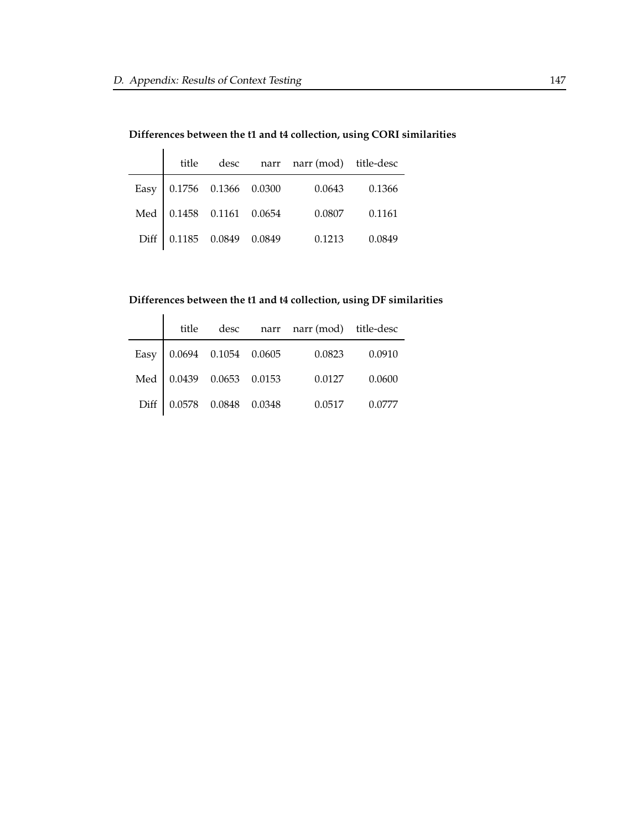|                           |  | title desc narr narr (mod) title-desc |        |
|---------------------------|--|---------------------------------------|--------|
| Easy 0.1756 0.1366 0.0300 |  | 0.0643                                | 0.1366 |
| Med 0.1458 0.1161 0.0654  |  | 0.0807                                | 0.1161 |
| Diff 0.1185 0.0849 0.0849 |  | 0.1213                                | 0.0849 |

#### **Differences between the t1 and t4 collection, using DF similarities**

|      | title                    |                      |        | desc narr narr (mod) title-desc |        |
|------|--------------------------|----------------------|--------|---------------------------------|--------|
| Easy |                          | 0.0694 0.1054 0.0605 |        | 0.0823                          | 0.0910 |
|      | Med 0.0439 0.0653 0.0153 |                      |        | 0.0127                          | 0.0600 |
| Diff |                          | $0.0578$ 0.0848      | 0.0348 | 0.0517                          | 0.0777 |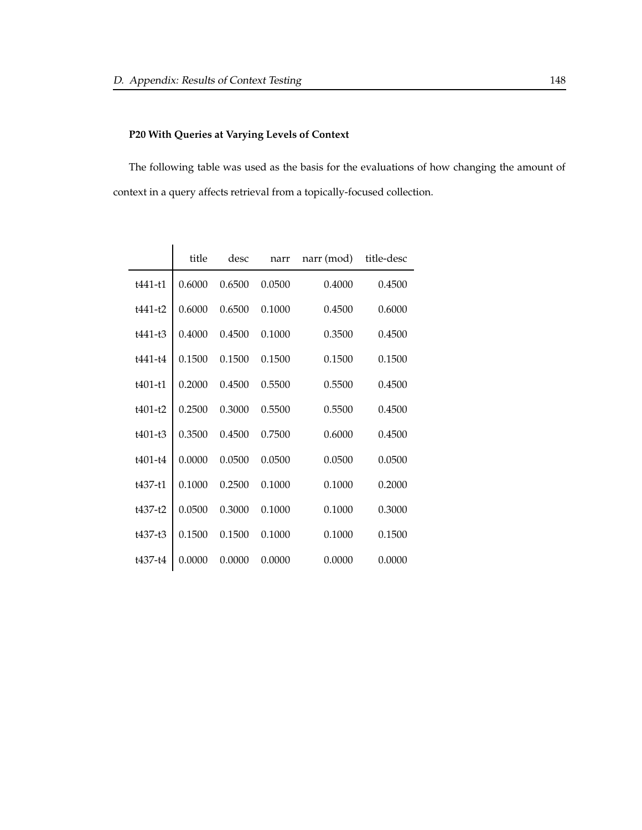## **P20 With Queries at Varying Levels of Context**

The following table was used as the basis for the evaluations of how changing the amount of context in a query affects retrieval from a topically-focused collection.

|             | title  | desc   | narr   | narr (mod) | title-desc |
|-------------|--------|--------|--------|------------|------------|
| t441-t1     | 0.6000 | 0.6500 | 0.0500 | 0.4000     | 0.4500     |
| t441-t2     | 0.6000 | 0.6500 | 0.1000 | 0.4500     | 0.6000     |
| $t441 - t3$ | 0.4000 | 0.4500 | 0.1000 | 0.3500     | 0.4500     |
| t441-t4     | 0.1500 | 0.1500 | 0.1500 | 0.1500     | 0.1500     |
| t401-t1     | 0.2000 | 0.4500 | 0.5500 | 0.5500     | 0.4500     |
| $t401-t2$   | 0.2500 | 0.3000 | 0.5500 | 0.5500     | 0.4500     |
| $t401 - t3$ | 0.3500 | 0.4500 | 0.7500 | 0.6000     | 0.4500     |
| $t401 - t4$ | 0.0000 | 0.0500 | 0.0500 | 0.0500     | 0.0500     |
| t437-t1     | 0.1000 | 0.2500 | 0.1000 | 0.1000     | 0.2000     |
| $+437 - 12$ | 0.0500 | 0.3000 | 0.1000 | 0.1000     | 0.3000     |
| $t437-t3$   | 0.1500 | 0.1500 | 0.1000 | 0.1000     | 0.1500     |
| t437-t4     | 0.0000 | 0.0000 | 0.0000 | 0.0000     | 0.0000     |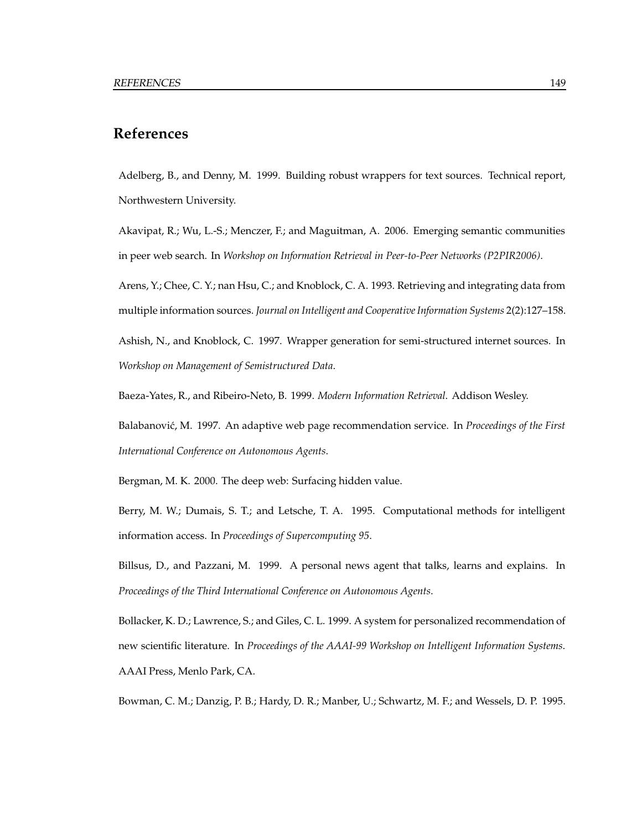## **References**

Adelberg, B., and Denny, M. 1999. Building robust wrappers for text sources. Technical report, Northwestern University.

Akavipat, R.; Wu, L.-S.; Menczer, F.; and Maguitman, A. 2006. Emerging semantic communities in peer web search. In *Workshop on Information Retrieval in Peer-to-Peer Networks (P2PIR2006)*.

Arens, Y.; Chee, C. Y.; nan Hsu, C.; and Knoblock, C. A. 1993. Retrieving and integrating data from multiple information sources. *Journal on Intelligent and CooperativeInformation Systems* 2(2):127–158.

Ashish, N., and Knoblock, C. 1997. Wrapper generation for semi-structured internet sources. In *Workshop on Management of Semistructured Data*.

Baeza-Yates, R., and Ribeiro-Neto, B. 1999. *Modern Information Retrieval*. Addison Wesley.

Balabanovic,´ M. 1997. An adaptive web page recommendation service. In *Proceedings of the First International Conference on Autonomous Agents*.

Bergman, M. K. 2000. The deep web: Surfacing hidden value.

Berry, M. W.; Dumais, S. T.; and Letsche, T. A. 1995. Computational methods for intelligent information access. In *Proceedings of Supercomputing 95*.

Billsus, D., and Pazzani, M. 1999. A personal news agent that talks, learns and explains. In *Proceedings of the Third International Conference on Autonomous Agents*.

Bollacker, K. D.; Lawrence, S.; and Giles, C. L. 1999. A system for personalized recommendation of new scientific literature. In *Proceedings of the AAAI-99 Workshop on Intelligent Information Systems*. AAAI Press, Menlo Park, CA.

Bowman, C. M.; Danzig, P. B.; Hardy, D. R.; Manber, U.; Schwartz, M. F.; and Wessels, D. P. 1995.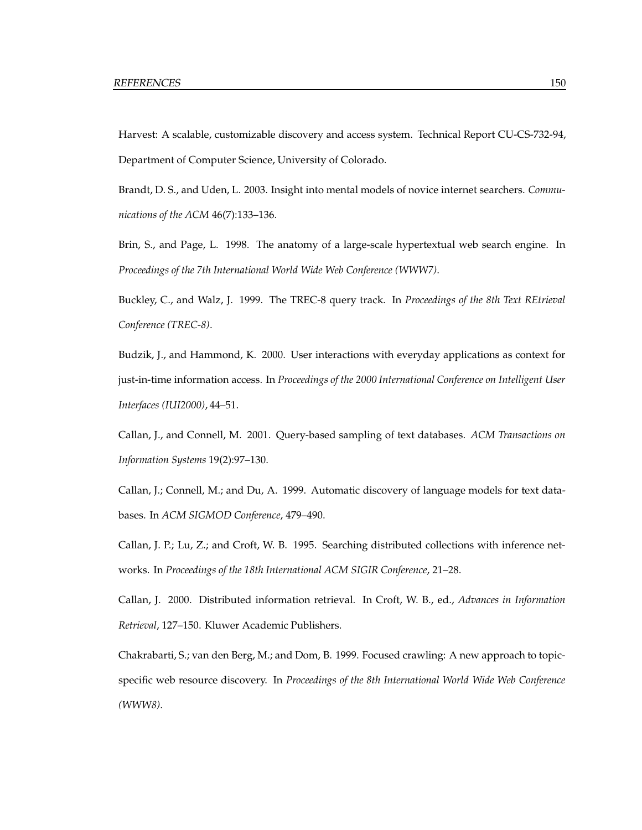Harvest: A scalable, customizable discovery and access system. Technical Report CU-CS-732-94, Department of Computer Science, University of Colorado.

Brandt, D. S., and Uden, L. 2003. Insight into mental models of novice internet searchers. *Communications of the ACM* 46(7):133–136.

Brin, S., and Page, L. 1998. The anatomy of a large-scale hypertextual web search engine. In *Proceedings of the 7th International World Wide Web Conference (WWW7)*.

Buckley, C., and Walz, J. 1999. The TREC-8 query track. In *Proceedings of the 8th Text REtrieval Conference (TREC-8)*.

Budzik, J., and Hammond, K. 2000. User interactions with everyday applications as context for just-in-time information access. In *Proceedings of the 2000 International Conference on Intelligent User Interfaces (IUI2000)*, 44–51.

Callan, J., and Connell, M. 2001. Query-based sampling of text databases. *ACM Transactions on Information Systems* 19(2):97–130.

Callan, J.; Connell, M.; and Du, A. 1999. Automatic discovery of language models for text databases. In *ACM SIGMOD Conference*, 479–490.

Callan, J. P.; Lu, Z.; and Croft, W. B. 1995. Searching distributed collections with inference networks. In *Proceedings of the 18th International ACM SIGIR Conference*, 21–28.

Callan, J. 2000. Distributed information retrieval. In Croft, W. B., ed., *Advances in Information Retrieval*, 127–150. Kluwer Academic Publishers.

Chakrabarti, S.; van den Berg, M.; and Dom, B. 1999. Focused crawling: A new approach to topicspecific web resource discovery. In *Proceedings of the 8th International World Wide Web Conference (WWW8)*.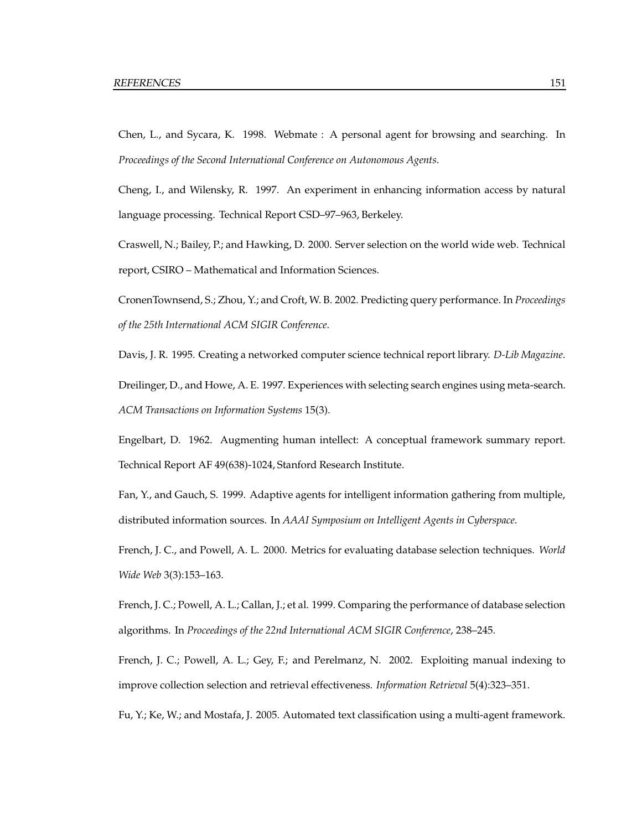Chen, L., and Sycara, K. 1998. Webmate : A personal agent for browsing and searching. In *Proceedings of the Second International Conference on Autonomous Agents*.

Cheng, I., and Wilensky, R. 1997. An experiment in enhancing information access by natural language processing. Technical Report CSD–97–963, Berkeley.

Craswell, N.; Bailey, P.; and Hawking, D. 2000. Server selection on the world wide web. Technical report, CSIRO – Mathematical and Information Sciences.

CronenTownsend, S.; Zhou, Y.; and Croft, W. B. 2002. Predicting query performance. In *Proceedings of the 25th International ACM SIGIR Conference*.

Davis, J. R. 1995. Creating a networked computer science technical report library. *D-Lib Magazine*.

Dreilinger, D., and Howe, A. E. 1997. Experiences with selecting search engines using meta-search. *ACM Transactions on Information Systems* 15(3).

Engelbart, D. 1962. Augmenting human intellect: A conceptual framework summary report. Technical Report AF 49(638)-1024, Stanford Research Institute.

Fan, Y., and Gauch, S. 1999. Adaptive agents for intelligent information gathering from multiple, distributed information sources. In *AAAI Symposium on Intelligent Agents in Cyberspace*.

French, J. C., and Powell, A. L. 2000. Metrics for evaluating database selection techniques. *World Wide Web* 3(3):153–163.

French, J. C.; Powell, A. L.; Callan, J.; et al. 1999. Comparing the performance of database selection algorithms. In *Proceedings of the 22nd International ACM SIGIR Conference*, 238–245.

French, J. C.; Powell, A. L.; Gey, F.; and Perelmanz, N. 2002. Exploiting manual indexing to improve collection selection and retrieval effectiveness. *Information Retrieval* 5(4):323–351.

Fu, Y.; Ke, W.; and Mostafa, J. 2005. Automated text classification using a multi-agent framework.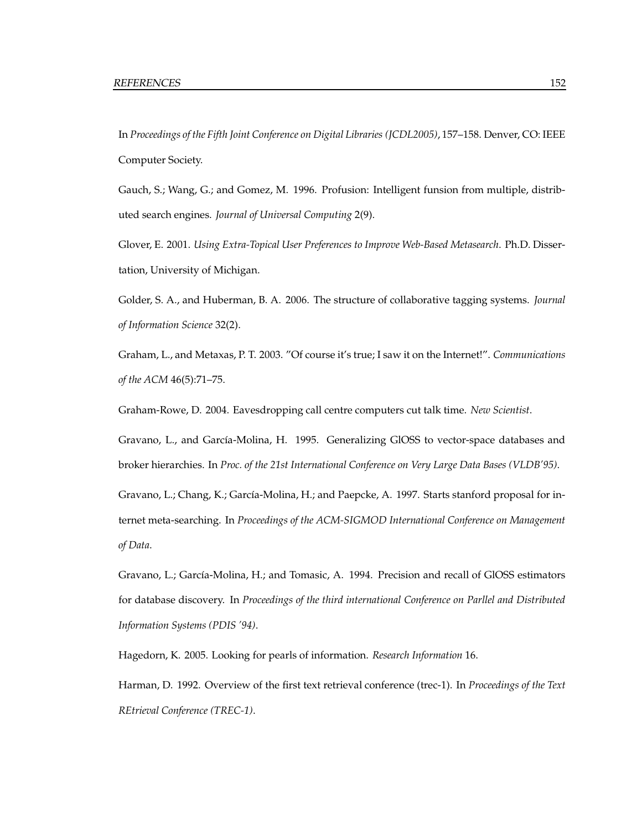In *Proceedings of the Fifth Joint Conference on Digital Libraries (JCDL2005)*, 157–158. Denver, CO: IEEE Computer Society.

Gauch, S.; Wang, G.; and Gomez, M. 1996. Profusion: Intelligent funsion from multiple, distributed search engines. *Journal of Universal Computing* 2(9).

Glover, E. 2001. *Using Extra-Topical User Preferences to Improve Web-Based Metasearch*. Ph.D. Dissertation, University of Michigan.

Golder, S. A., and Huberman, B. A. 2006. The structure of collaborative tagging systems. *Journal of Information Science* 32(2).

Graham, L., and Metaxas, P. T. 2003. "Of course it's true; I saw it on the Internet!". *Communications of the ACM* 46(5):71–75.

Graham-Rowe, D. 2004. Eavesdropping call centre computers cut talk time. *New Scientist*.

Gravano, L., and García-Molina, H. 1995. Generalizing GlOSS to vector-space databases and broker hierarchies. In *Proc. of the 21st International Conference on Very Large Data Bases (VLDB'95)*.

Gravano, L.; Chang, K.; García-Molina, H.; and Paepcke, A. 1997. Starts stanford proposal for internet meta-searching. In *Proceedings of the ACM-SIGMOD International Conference on Management of Data*.

Gravano, L.; García-Molina, H.; and Tomasic, A. 1994. Precision and recall of GlOSS estimators for database discovery. In *Proceedings of the third international Conference on Parllel and Distributed Information Systems (PDIS '94)*.

Hagedorn, K. 2005. Looking for pearls of information. *Research Information* 16.

Harman, D. 1992. Overview of the first text retrieval conference (trec-1). In *Proceedings of the Text REtrieval Conference (TREC-1)*.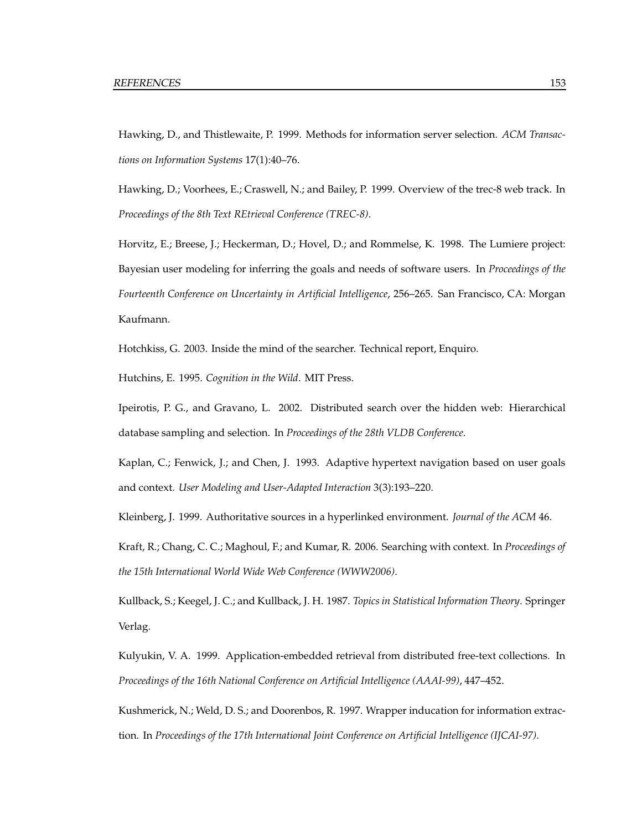Hawking, D., and Thistlewaite, P. 1999. Methods for information server selection. *ACM Transactions on Information Systems* 17(1):40–76.

Hawking, D.; Voorhees, E.; Craswell, N.; and Bailey, P. 1999. Overview of the trec-8 web track. In *Proceedings of the 8th Text REtrieval Conference (TREC-8)*.

Horvitz, E.; Breese, J.; Heckerman, D.; Hovel, D.; and Rommelse, K. 1998. The Lumiere project: Bayesian user modeling for inferring the goals and needs of software users. In *Proceedings of the Fourteenth Conference on Uncertainty in Artificial Intelligence*, 256–265. San Francisco, CA: Morgan Kaufmann.

Hotchkiss, G. 2003. Inside the mind of the searcher. Technical report, Enquiro.

Hutchins, E. 1995. *Cognition in the Wild*. MIT Press.

Ipeirotis, P. G., and Gravano, L. 2002. Distributed search over the hidden web: Hierarchical database sampling and selection. In *Proceedings of the 28th VLDB Conference*.

Kaplan, C.; Fenwick, J.; and Chen, J. 1993. Adaptive hypertext navigation based on user goals and context. *User Modeling and User-Adapted Interaction* 3(3):193–220.

Kleinberg, J. 1999. Authoritative sources in a hyperlinked environment. *Journal of the ACM* 46.

Kraft, R.; Chang, C. C.; Maghoul, F.; and Kumar, R. 2006. Searching with context. In *Proceedings of the 15th International World Wide Web Conference (WWW2006)*.

Kullback, S.; Keegel, J. C.; and Kullback, J. H. 1987. *Topics in Statistical Information Theory*. Springer Verlag.

Kulyukin, V. A. 1999. Application-embedded retrieval from distributed free-text collections. In *Proceedings of the 16th National Conference on Artificial Intelligence (AAAI-99)*, 447–452.

Kushmerick, N.; Weld, D. S.; and Doorenbos, R. 1997. Wrapper inducation for information extraction. In *Proceedings of the 17th International Joint Conference on Artificial Intelligence (IJCAI-97)*.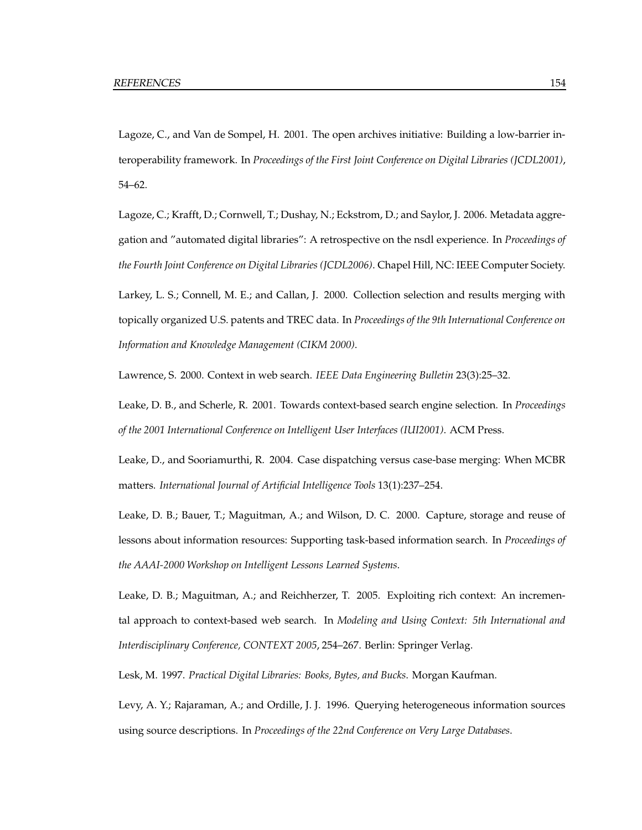Lagoze, C., and Van de Sompel, H. 2001. The open archives initiative: Building a low-barrier interoperability framework. In *Proceedings of the First Joint Conference on Digital Libraries (JCDL2001)*, 54–62.

Lagoze, C.; Krafft, D.; Cornwell, T.; Dushay, N.; Eckstrom, D.; and Saylor, J. 2006. Metadata aggregation and "automated digital libraries": A retrospective on the nsdl experience. In *Proceedings of the Fourth Joint Conference on Digital Libraries (JCDL2006)*. Chapel Hill, NC: IEEE Computer Society. Larkey, L. S.; Connell, M. E.; and Callan, J. 2000. Collection selection and results merging with topically organized U.S. patents and TREC data. In *Proceedings of the 9th International Conference on Information and Knowledge Management (CIKM 2000)*.

Lawrence, S. 2000. Context in web search. *IEEE Data Engineering Bulletin* 23(3):25–32.

Leake, D. B., and Scherle, R. 2001. Towards context-based search engine selection. In *Proceedings of the 2001 International Conference on Intelligent User Interfaces (IUI2001)*. ACM Press.

Leake, D., and Sooriamurthi, R. 2004. Case dispatching versus case-base merging: When MCBR matters. *International Journal of Artificial Intelligence Tools* 13(1):237–254.

Leake, D. B.; Bauer, T.; Maguitman, A.; and Wilson, D. C. 2000. Capture, storage and reuse of lessons about information resources: Supporting task-based information search. In *Proceedings of the AAAI-2000 Workshop on Intelligent Lessons Learned Systems*.

Leake, D. B.; Maguitman, A.; and Reichherzer, T. 2005. Exploiting rich context: An incremental approach to context-based web search. In *Modeling and Using Context: 5th International and Interdisciplinary Conference, CONTEXT 2005*, 254–267. Berlin: Springer Verlag.

Lesk, M. 1997. *Practical Digital Libraries: Books, Bytes, and Bucks*. Morgan Kaufman.

Levy, A. Y.; Rajaraman, A.; and Ordille, J. J. 1996. Querying heterogeneous information sources using source descriptions. In *Proceedings of the 22nd Conference on Very Large Databases*.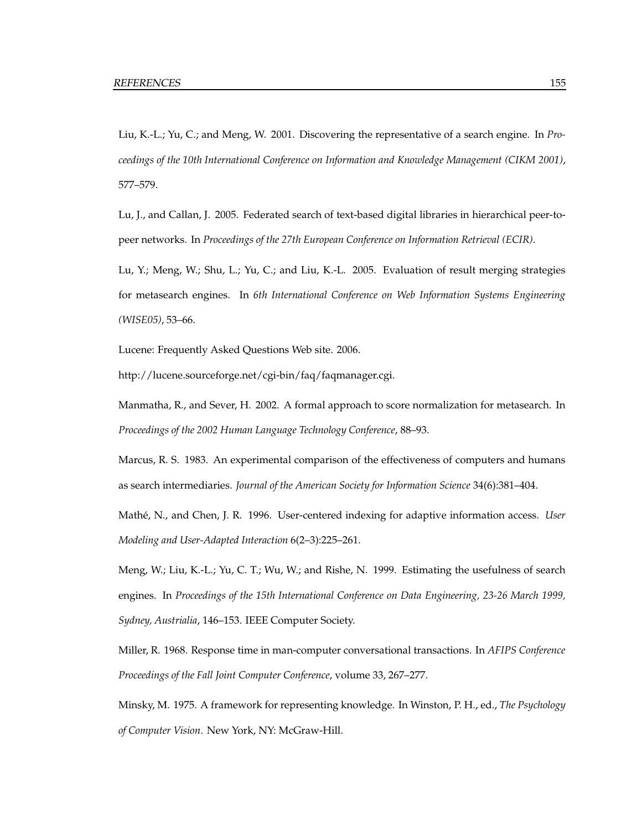Liu, K.-L.; Yu, C.; and Meng, W. 2001. Discovering the representative of a search engine. In *Proceedings of the 10th International Conference on Information and Knowledge Management (CIKM 2001)*, 577–579.

Lu, J., and Callan, J. 2005. Federated search of text-based digital libraries in hierarchical peer-topeer networks. In *Proceedings of the 27th European Conference on Information Retrieval (ECIR)*.

Lu, Y.; Meng, W.; Shu, L.; Yu, C.; and Liu, K.-L. 2005. Evaluation of result merging strategies for metasearch engines. In *6th International Conference on Web Information Systems Engineering (WISE05)*, 53–66.

Lucene: Frequently Asked Questions Web site. 2006.

http://lucene.sourceforge.net/cgi-bin/faq/faqmanager.cgi.

Manmatha, R., and Sever, H. 2002. A formal approach to score normalization for metasearch. In *Proceedings of the 2002 Human Language Technology Conference*, 88–93.

Marcus, R. S. 1983. An experimental comparison of the effectiveness of computers and humans as search intermediaries. *Journal of the American Society for Information Science* 34(6):381–404.

Mathé, N., and Chen, J. R. 1996. User-centered indexing for adaptive information access. *User Modeling and User-Adapted Interaction* 6(2–3):225–261.

Meng, W.; Liu, K.-L.; Yu, C. T.; Wu, W.; and Rishe, N. 1999. Estimating the usefulness of search engines. In *Proceedings of the 15th International Conference on Data Engineering, 23-26 March 1999, Sydney, Austrialia*, 146–153. IEEE Computer Society.

Miller, R. 1968. Response time in man-computer conversational transactions. In *AFIPS Conference Proceedings of the Fall Joint Computer Conference*, volume 33, 267–277.

Minsky, M. 1975. A framework for representing knowledge. In Winston, P. H., ed., *The Psychology of Computer Vision*. New York, NY: McGraw-Hill.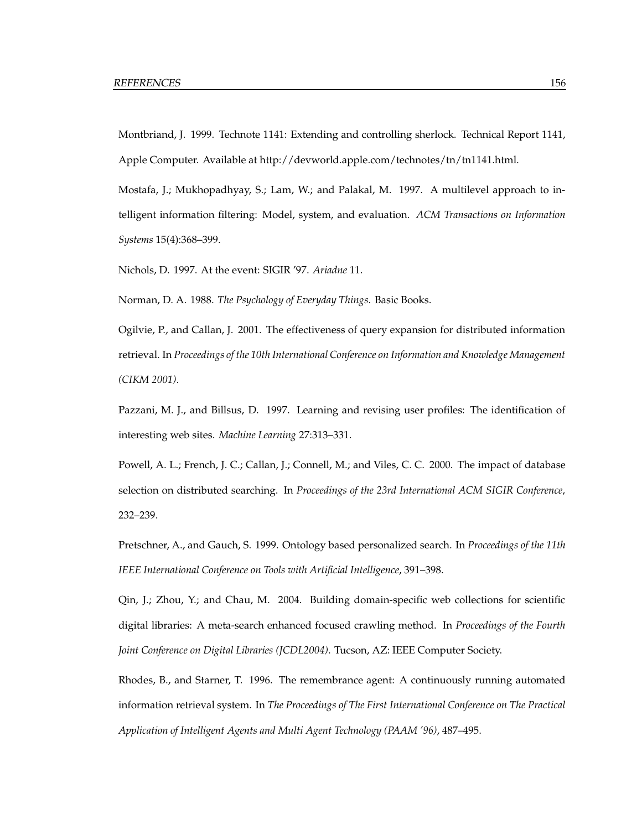Montbriand, J. 1999. Technote 1141: Extending and controlling sherlock. Technical Report 1141, Apple Computer. Available at http://devworld.apple.com/technotes/tn/tn1141.html.

Mostafa, J.; Mukhopadhyay, S.; Lam, W.; and Palakal, M. 1997. A multilevel approach to intelligent information filtering: Model, system, and evaluation. *ACM Transactions on Information Systems* 15(4):368–399.

Nichols, D. 1997. At the event: SIGIR '97. *Ariadne* 11.

Norman, D. A. 1988. *The Psychology of Everyday Things*. Basic Books.

Ogilvie, P., and Callan, J. 2001. The effectiveness of query expansion for distributed information retrieval. In *Proceedings of the 10th International Conference on Information and Knowledge Management (CIKM 2001)*.

Pazzani, M. J., and Billsus, D. 1997. Learning and revising user profiles: The identification of interesting web sites. *Machine Learning* 27:313–331.

Powell, A. L.; French, J. C.; Callan, J.; Connell, M.; and Viles, C. C. 2000. The impact of database selection on distributed searching. In *Proceedings of the 23rd International ACM SIGIR Conference*, 232–239.

Pretschner, A., and Gauch, S. 1999. Ontology based personalized search. In *Proceedings of the 11th IEEE International Conference on Tools with Artificial Intelligence*, 391–398.

Qin, J.; Zhou, Y.; and Chau, M. 2004. Building domain-specific web collections for scientific digital libraries: A meta-search enhanced focused crawling method. In *Proceedings of the Fourth Joint Conference on Digital Libraries (JCDL2004)*. Tucson, AZ: IEEE Computer Society.

Rhodes, B., and Starner, T. 1996. The remembrance agent: A continuously running automated information retrieval system. In *The Proceedings of The First International Conference on The Practical Application of Intelligent Agents and Multi Agent Technology (PAAM '96)*, 487–495.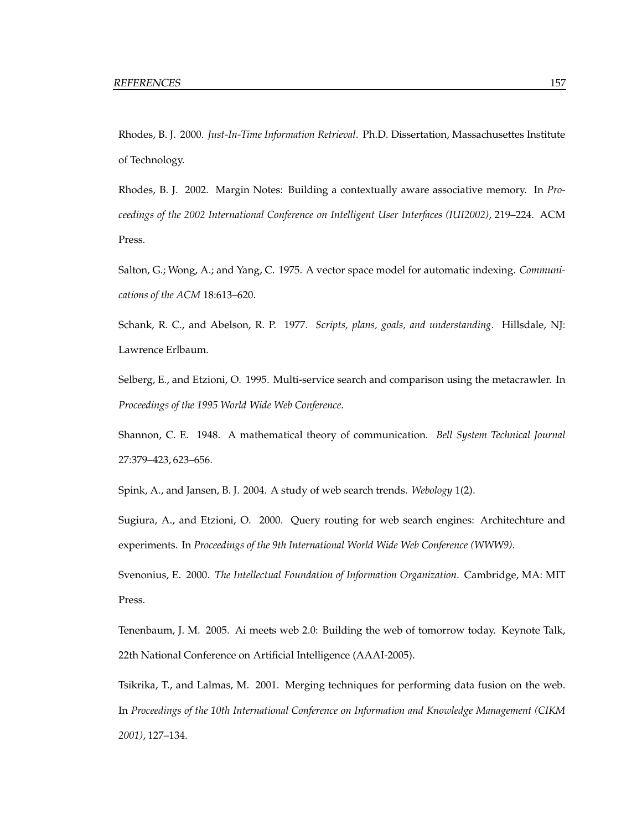Rhodes, B. J. 2000. *Just-In-Time Information Retrieval*. Ph.D. Dissertation, Massachusettes Institute of Technology.

Rhodes, B. J. 2002. Margin Notes: Building a contextually aware associative memory. In *Proceedings of the 2002 International Conference on Intelligent User Interfaces (IUI2002)*, 219–224. ACM Press.

Salton, G.; Wong, A.; and Yang, C. 1975. A vector space model for automatic indexing. *Communications of the ACM* 18:613–620.

Schank, R. C., and Abelson, R. P. 1977. *Scripts, plans, goals, and understanding*. Hillsdale, NJ: Lawrence Erlbaum.

Selberg, E., and Etzioni, O. 1995. Multi-service search and comparison using the metacrawler. In *Proceedings of the 1995 World Wide Web Conference*.

Shannon, C. E. 1948. A mathematical theory of communication. *Bell System Technical Journal* 27:379–423, 623–656.

Spink, A., and Jansen, B. J. 2004. A study of web search trends. *Webology* 1(2).

Sugiura, A., and Etzioni, O. 2000. Query routing for web search engines: Architechture and experiments. In *Proceedings of the 9th International World Wide Web Conference (WWW9)*.

Svenonius, E. 2000. *The Intellectual Foundation of Information Organization*. Cambridge, MA: MIT Press.

Tenenbaum, J. M. 2005. Ai meets web 2.0: Building the web of tomorrow today. Keynote Talk, 22th National Conference on Artificial Intelligence (AAAI-2005).

Tsikrika, T., and Lalmas, M. 2001. Merging techniques for performing data fusion on the web. In *Proceedings of the 10th International Conference on Information and Knowledge Management (CIKM 2001)*, 127–134.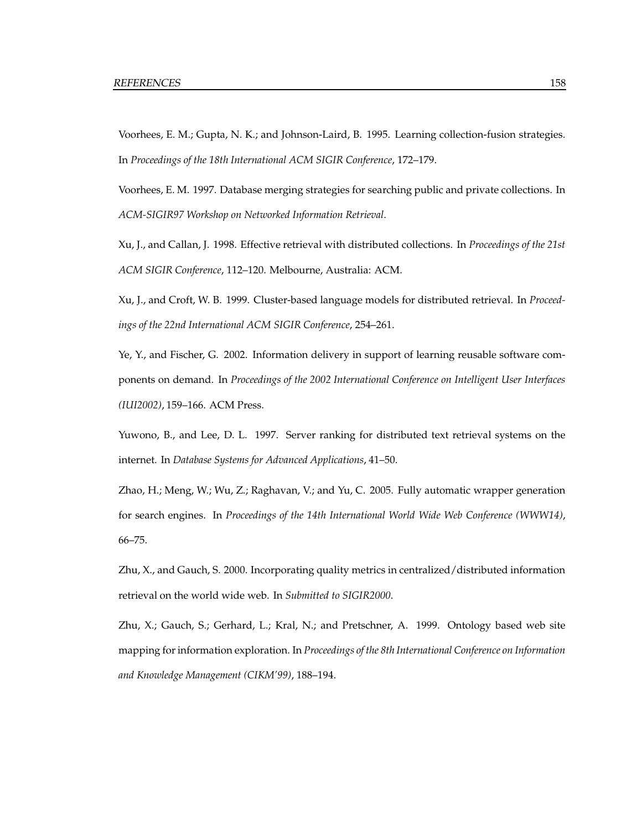Voorhees, E. M.; Gupta, N. K.; and Johnson-Laird, B. 1995. Learning collection-fusion strategies. In *Proceedings of the 18th International ACM SIGIR Conference*, 172–179.

Voorhees, E. M. 1997. Database merging strategies for searching public and private collections. In *ACM-SIGIR97 Workshop on Networked Information Retrieval*.

Xu, J., and Callan, J. 1998. Effective retrieval with distributed collections. In *Proceedings of the 21st ACM SIGIR Conference*, 112–120. Melbourne, Australia: ACM.

Xu, J., and Croft, W. B. 1999. Cluster-based language models for distributed retrieval. In *Proceedings of the 22nd International ACM SIGIR Conference*, 254–261.

Ye, Y., and Fischer, G. 2002. Information delivery in support of learning reusable software components on demand. In *Proceedings of the 2002 International Conference on Intelligent User Interfaces (IUI2002)*, 159–166. ACM Press.

Yuwono, B., and Lee, D. L. 1997. Server ranking for distributed text retrieval systems on the internet. In *Database Systems for Advanced Applications*, 41–50.

Zhao, H.; Meng, W.; Wu, Z.; Raghavan, V.; and Yu, C. 2005. Fully automatic wrapper generation for search engines. In *Proceedings of the 14th International World Wide Web Conference (WWW14)*, 66–75.

Zhu, X., and Gauch, S. 2000. Incorporating quality metrics in centralized/distributed information retrieval on the world wide web. In *Submitted to SIGIR2000*.

Zhu, X.; Gauch, S.; Gerhard, L.; Kral, N.; and Pretschner, A. 1999. Ontology based web site mapping forinformation exploration. In *Proceedings of the 8th International Conference on Information and Knowledge Management (CIKM'99)*, 188–194.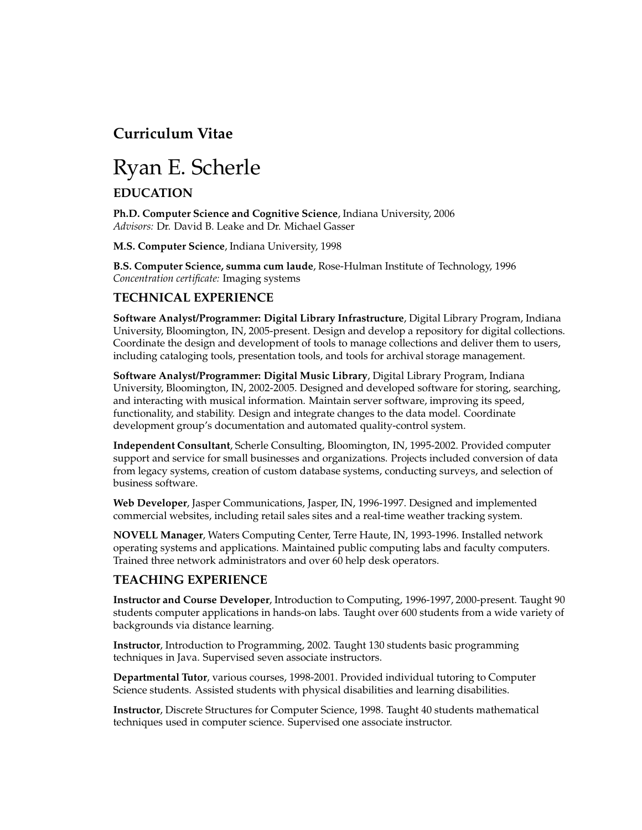## **Curriculum Vitae**

# Ryan E. Scherle

## **EDUCATION**

**Ph.D. Computer Science and Cognitive Science**, Indiana University, 2006 *Advisors:* Dr. David B. Leake and Dr. Michael Gasser

**M.S. Computer Science**, Indiana University, 1998

**B.S. Computer Science, summa cum laude**, Rose-Hulman Institute of Technology, 1996 *Concentration certificate:* Imaging systems

#### **TECHNICAL EXPERIENCE**

**Software Analyst/Programmer: Digital Library Infrastructure**, Digital Library Program, Indiana University, Bloomington, IN, 2005-present. Design and develop a repository for digital collections. Coordinate the design and development of tools to manage collections and deliver them to users, including cataloging tools, presentation tools, and tools for archival storage management.

**Software Analyst/Programmer: Digital Music Library**, Digital Library Program, Indiana University, Bloomington, IN, 2002-2005. Designed and developed software for storing, searching, and interacting with musical information. Maintain server software, improving its speed, functionality, and stability. Design and integrate changes to the data model. Coordinate development group's documentation and automated quality-control system.

**Independent Consultant**, Scherle Consulting, Bloomington, IN, 1995-2002. Provided computer support and service for small businesses and organizations. Projects included conversion of data from legacy systems, creation of custom database systems, conducting surveys, and selection of business software.

**Web Developer**, Jasper Communications, Jasper, IN, 1996-1997. Designed and implemented commercial websites, including retail sales sites and a real-time weather tracking system.

**NOVELL Manager**, Waters Computing Center, Terre Haute, IN, 1993-1996. Installed network operating systems and applications. Maintained public computing labs and faculty computers. Trained three network administrators and over 60 help desk operators.

#### **TEACHING EXPERIENCE**

**Instructor and Course Developer**, Introduction to Computing, 1996-1997, 2000-present. Taught 90 students computer applications in hands-on labs. Taught over 600 students from a wide variety of backgrounds via distance learning.

**Instructor**, Introduction to Programming, 2002. Taught 130 students basic programming techniques in Java. Supervised seven associate instructors.

**Departmental Tutor**, various courses, 1998-2001. Provided individual tutoring to Computer Science students. Assisted students with physical disabilities and learning disabilities.

**Instructor**, Discrete Structures for Computer Science, 1998. Taught 40 students mathematical techniques used in computer science. Supervised one associate instructor.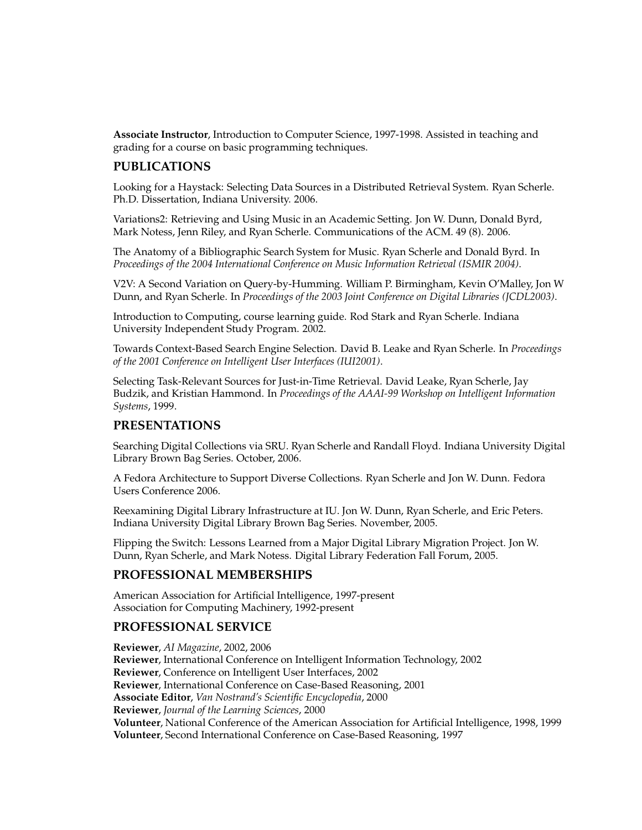**Associate Instructor**, Introduction to Computer Science, 1997-1998. Assisted in teaching and grading for a course on basic programming techniques.

#### **PUBLICATIONS**

Looking for a Haystack: Selecting Data Sources in a Distributed Retrieval System. Ryan Scherle. Ph.D. Dissertation, Indiana University. 2006.

Variations2: Retrieving and Using Music in an Academic Setting. Jon W. Dunn, Donald Byrd, Mark Notess, Jenn Riley, and Ryan Scherle. Communications of the ACM. 49 (8). 2006.

The Anatomy of a Bibliographic Search System for Music. Ryan Scherle and Donald Byrd. In *Proceedings of the 2004 International Conference on Music Information Retrieval (ISMIR 2004)*.

V2V: A Second Variation on Query-by-Humming. William P. Birmingham, Kevin O'Malley, Jon W Dunn, and Ryan Scherle. In *Proceedings of the 2003 Joint Conference on Digital Libraries (JCDL2003)*.

Introduction to Computing, course learning guide. Rod Stark and Ryan Scherle. Indiana University Independent Study Program. 2002.

Towards Context-Based Search Engine Selection. David B. Leake and Ryan Scherle. In *Proceedings of the 2001 Conference on Intelligent User Interfaces (IUI2001)*.

Selecting Task-Relevant Sources for Just-in-Time Retrieval. David Leake, Ryan Scherle, Jay Budzik, and Kristian Hammond. In *Proceedings of the AAAI-99 Workshop on Intelligent Information Systems*, 1999.

#### **PRESENTATIONS**

Searching Digital Collections via SRU. Ryan Scherle and Randall Floyd. Indiana University Digital Library Brown Bag Series. October, 2006.

A Fedora Architecture to Support Diverse Collections. Ryan Scherle and Jon W. Dunn. Fedora Users Conference 2006.

Reexamining Digital Library Infrastructure at IU. Jon W. Dunn, Ryan Scherle, and Eric Peters. Indiana University Digital Library Brown Bag Series. November, 2005.

Flipping the Switch: Lessons Learned from a Major Digital Library Migration Project. Jon W. Dunn, Ryan Scherle, and Mark Notess. Digital Library Federation Fall Forum, 2005.

#### **PROFESSIONAL MEMBERSHIPS**

American Association for Artificial Intelligence, 1997-present Association for Computing Machinery, 1992-present

#### **PROFESSIONAL SERVICE**

**Reviewer**, *AI Magazine*, 2002, 2006 **Reviewer**, International Conference on Intelligent Information Technology, 2002 **Reviewer**, Conference on Intelligent User Interfaces, 2002 **Reviewer**, International Conference on Case-Based Reasoning, 2001 **Associate Editor**, *Van Nostrand's Scientific Encyclopedia*, 2000 **Reviewer**, *Journal of the Learning Sciences*, 2000 **Volunteer**, National Conference of the American Association for Artificial Intelligence, 1998, 1999 **Volunteer**, Second International Conference on Case-Based Reasoning, 1997